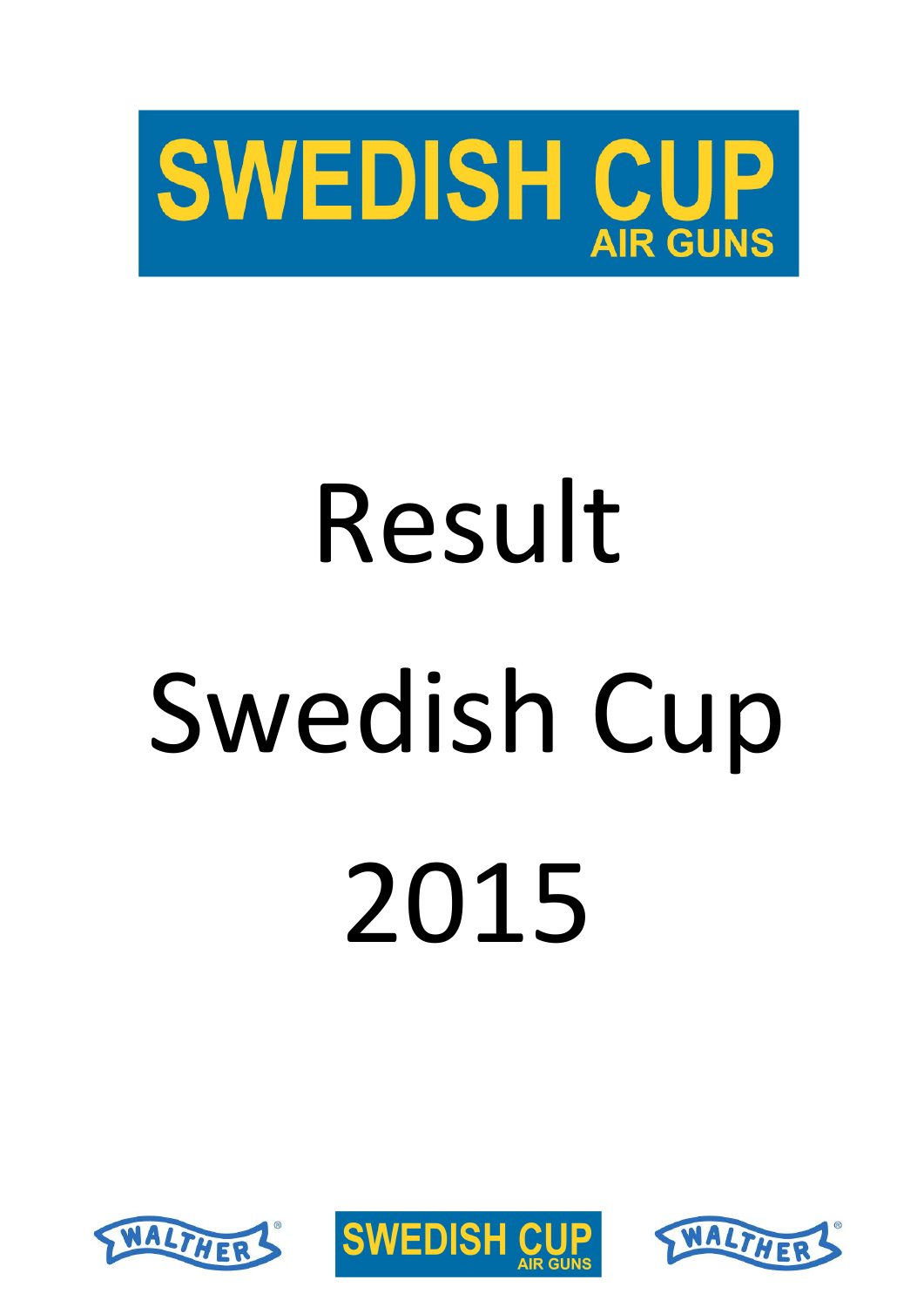

# Result Swedish Cup 2015





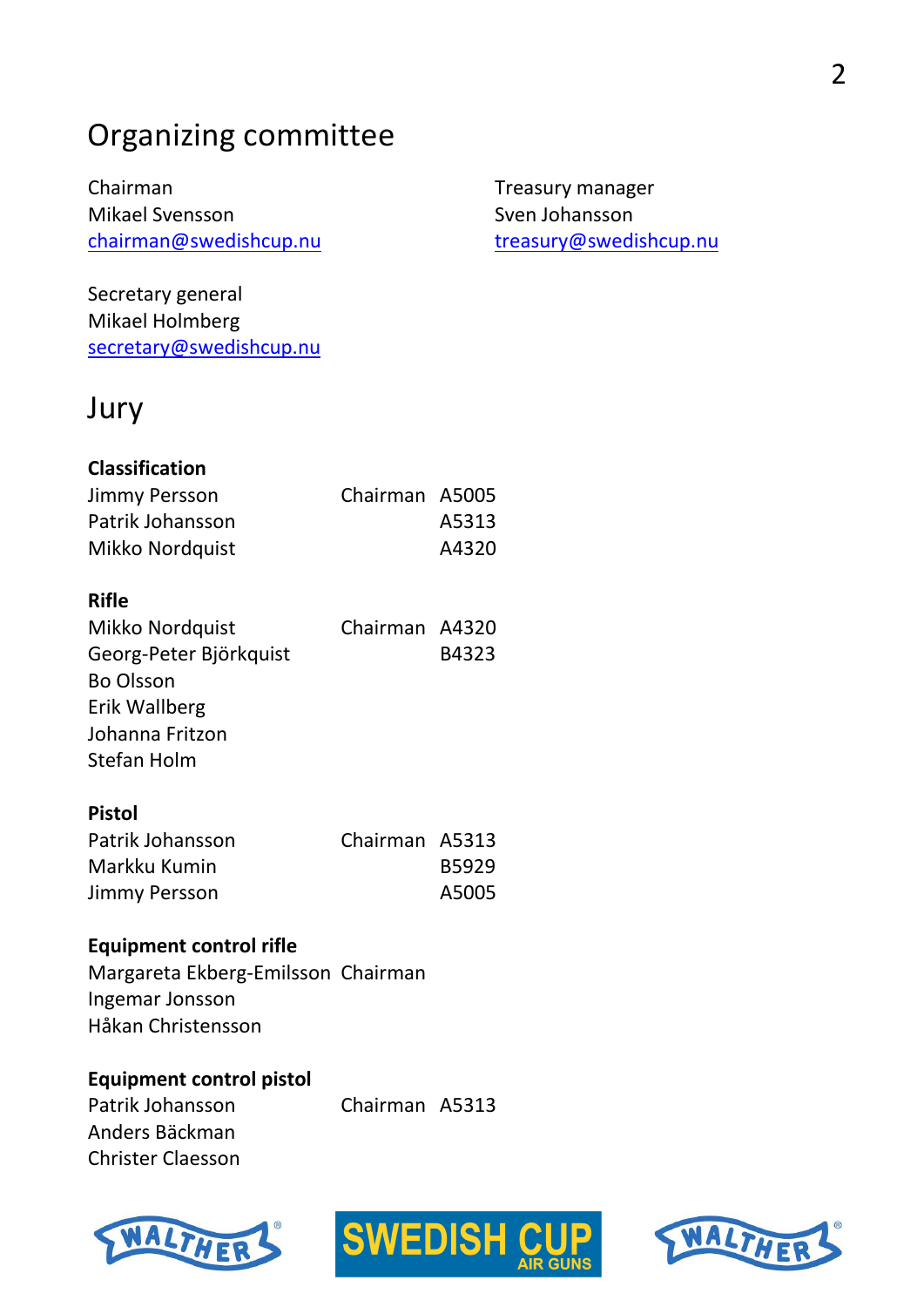# Organizing committee

Chairman Mikael Svensson chairman@swedishcup.nu

Secretary general Mikael Holmberg secretary@swedishcup.nu Treasury manager Sven Johansson treasury@swedishcup.nu

# Jury

| <b>Classification</b> |                |       |
|-----------------------|----------------|-------|
| Jimmy Persson         | Chairman A5005 |       |
| Patrik Johansson      |                | A5313 |
| Mikko Nordquist       |                | A4320 |

#### **Rifle**

| Mikko Nordquist        | Chairman A4320 |       |
|------------------------|----------------|-------|
| Georg-Peter Björkquist |                | B4323 |
| <b>Bo Olsson</b>       |                |       |
| Erik Wallberg          |                |       |
| Johanna Fritzon        |                |       |
| Stefan Holm            |                |       |

#### **Pistol**

| Patrik Johansson | Chairman A5313 |       |
|------------------|----------------|-------|
| Markku Kumin     |                | B5929 |
| Jimmy Persson    |                | A5005 |

#### **Equipment control rifle**

Margareta Ekberg-Emilsson Chairman Ingemar Jonsson Håkan Christensson

#### **Equipment control pistol**

Patrik Johansson Chairman A5313 Anders Bäckman Christer Claesson





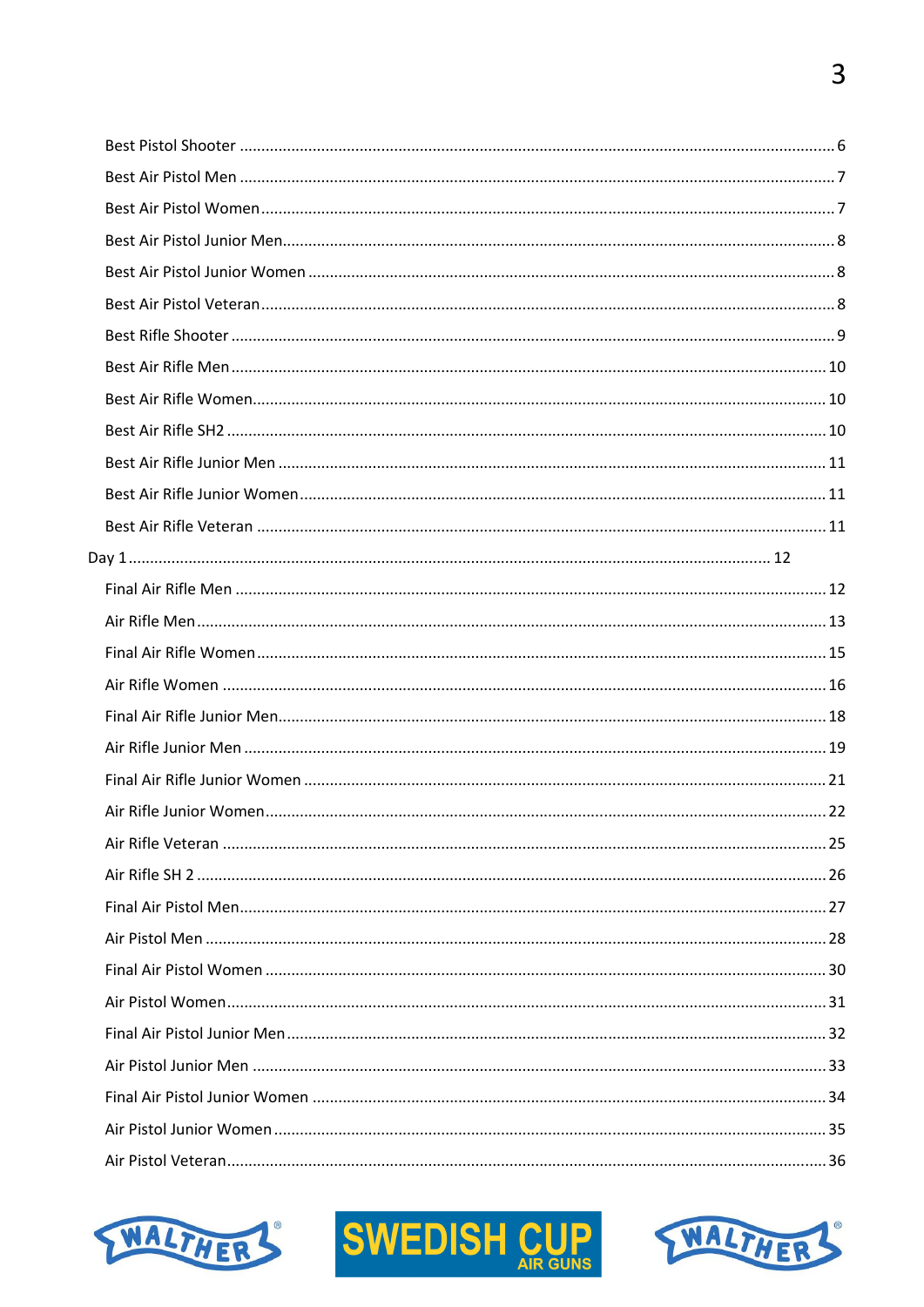



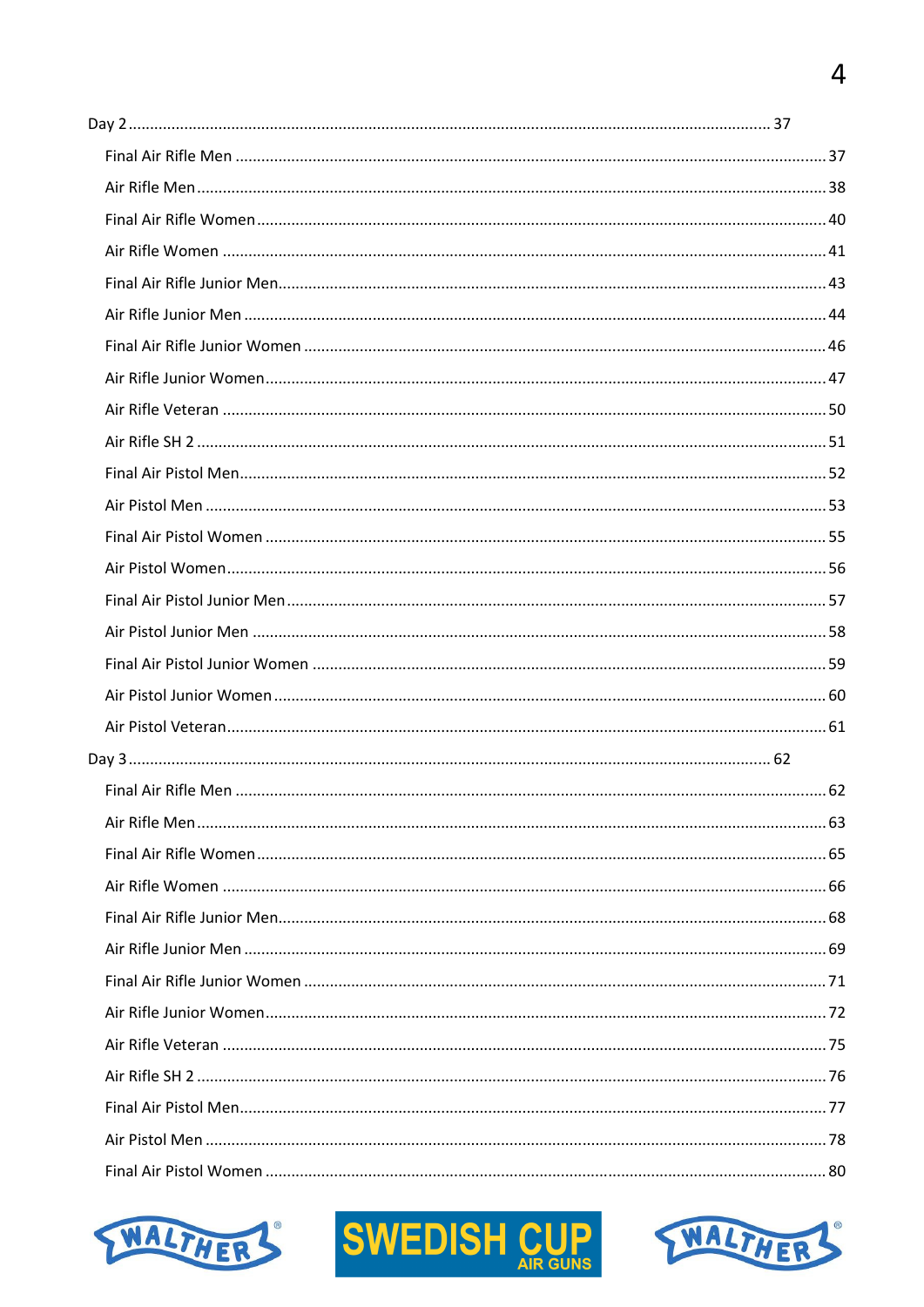



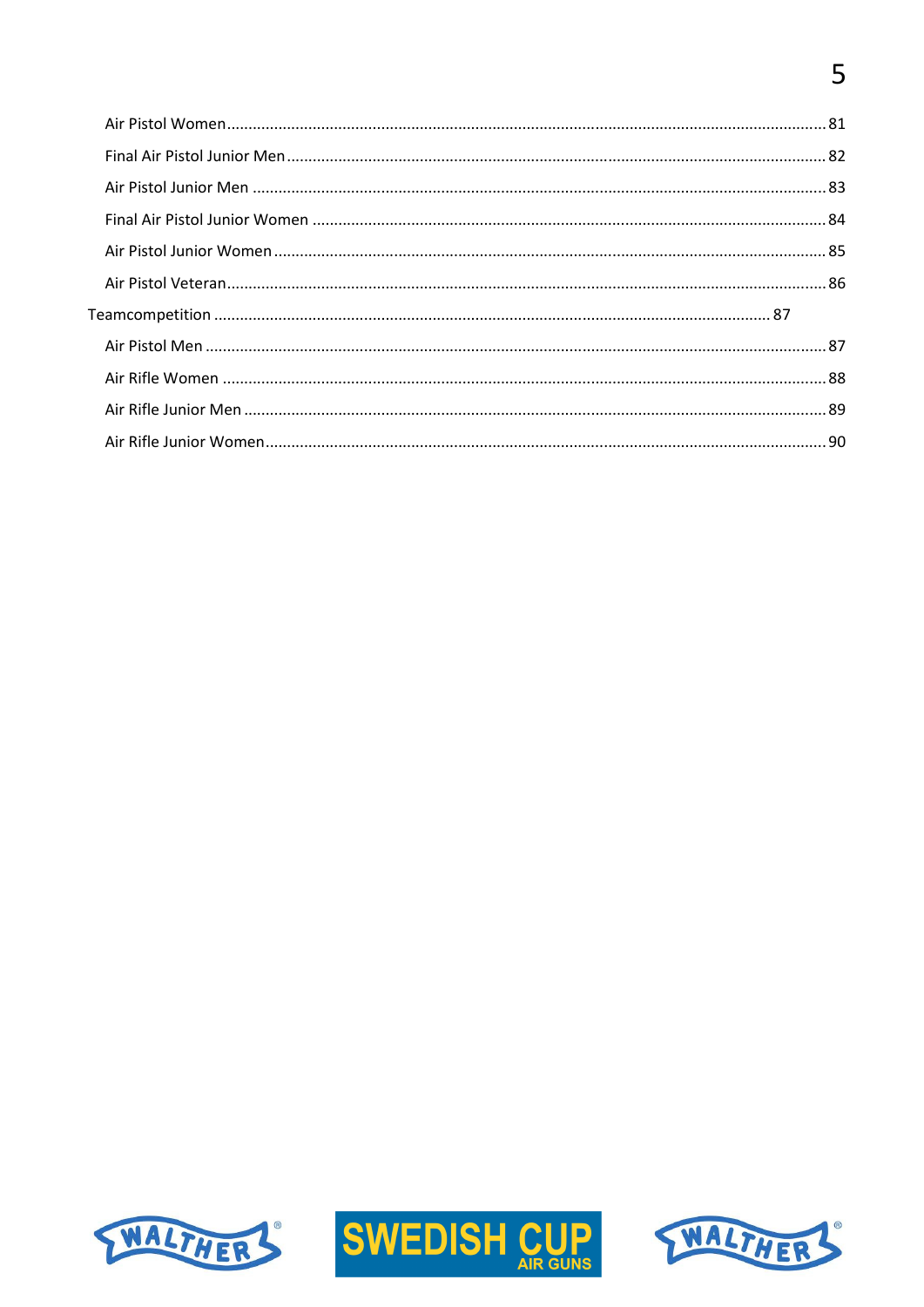# 





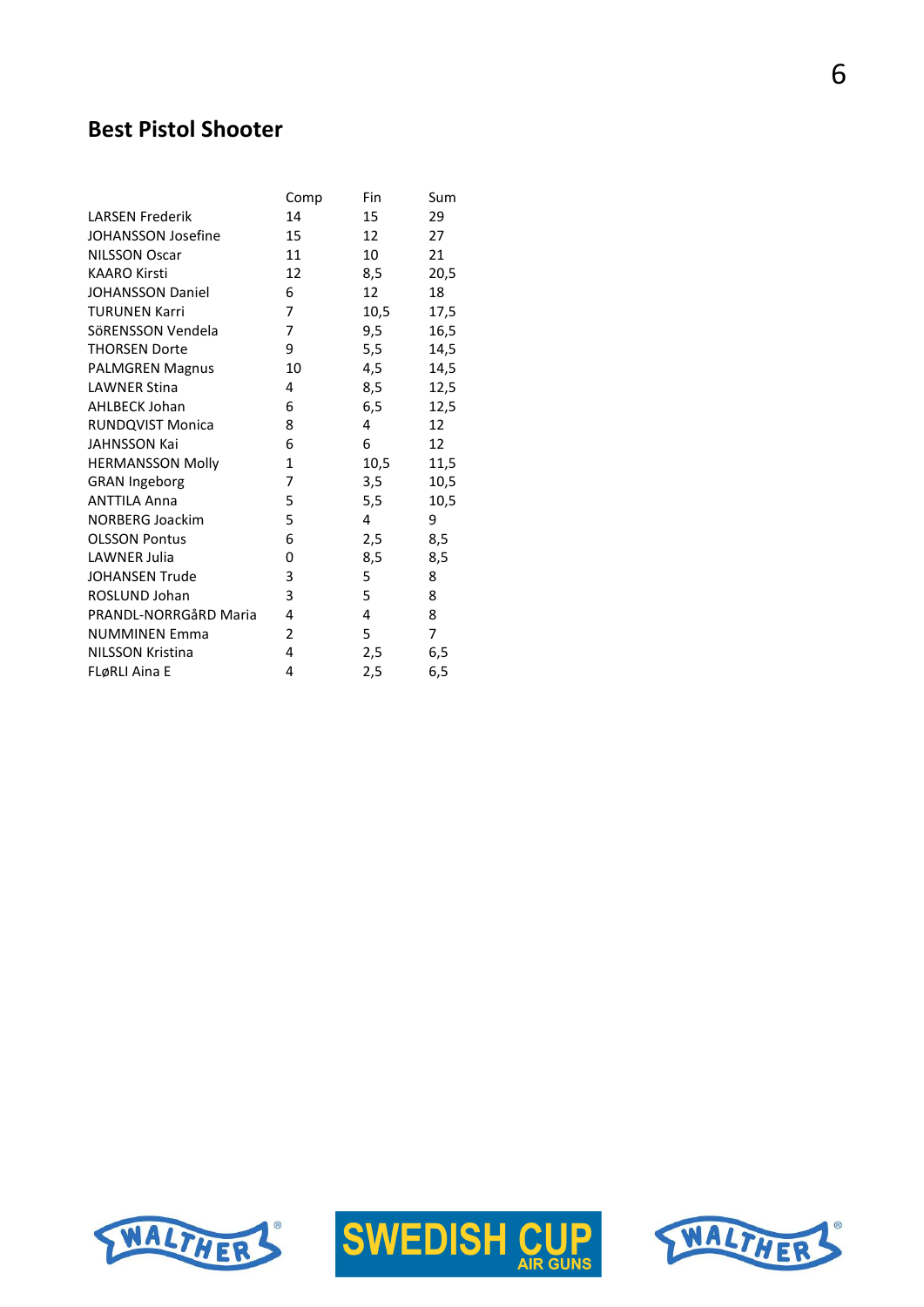## **Best Pistol Shooter**

|                           | Comp           | Fin  | Sum              |
|---------------------------|----------------|------|------------------|
| <b>LARSEN Frederik</b>    | 14             | 15   | 29               |
| <b>JOHANSSON Josefine</b> | 15             | 12   | 27               |
| <b>NILSSON Oscar</b>      | 11             | 10   | 21               |
| <b>KAARO Kirsti</b>       | 12             | 8,5  | 20,5             |
| <b>JOHANSSON Daniel</b>   | 6              | 12   | 18               |
| <b>TURUNEN Karri</b>      | 7              | 10,5 | 17,5             |
| SöRENSSON Vendela         | $\overline{7}$ | 9,5  | 16,5             |
| <b>THORSEN Dorte</b>      | 9              | 5,5  | 14,5             |
| <b>PALMGREN Magnus</b>    | 10             | 4,5  | 14,5             |
| <b>LAWNER Stina</b>       | 4              | 8,5  | 12,5             |
| <b>AHLBECK Johan</b>      | 6              | 6,5  | 12,5             |
| <b>RUNDQVIST Monica</b>   | 8              | 4    | 12 <sup>12</sup> |
| <b>JAHNSSON Kai</b>       | 6              | 6    | 12 <sup>12</sup> |
| <b>HERMANSSON Molly</b>   | 1              | 10,5 | 11,5             |
| <b>GRAN Ingeborg</b>      | 7              | 3,5  | 10,5             |
| <b>ANTTILA Anna</b>       | 5              | 5,5  | 10,5             |
| <b>NORBERG Joackim</b>    | 5              | 4    | 9                |
| <b>OLSSON Pontus</b>      | 6              | 2,5  | 8,5              |
| LAWNER Julia              | 0              | 8,5  | 8,5              |
| <b>JOHANSEN Trude</b>     | 3              | 5    | 8                |
| ROSLUND Johan             | 3              | 5    | 8                |
| PRANDL-NORRGÅRD Maria     | 4              | 4    | 8                |
| <b>NUMMINEN Emma</b>      | $\overline{2}$ | 5    | 7                |
| NILSSON Kristina          | 4              | 2,5  | 6,5              |
| FLøRLI Aina E             | 4              | 2,5  | 6, 5             |





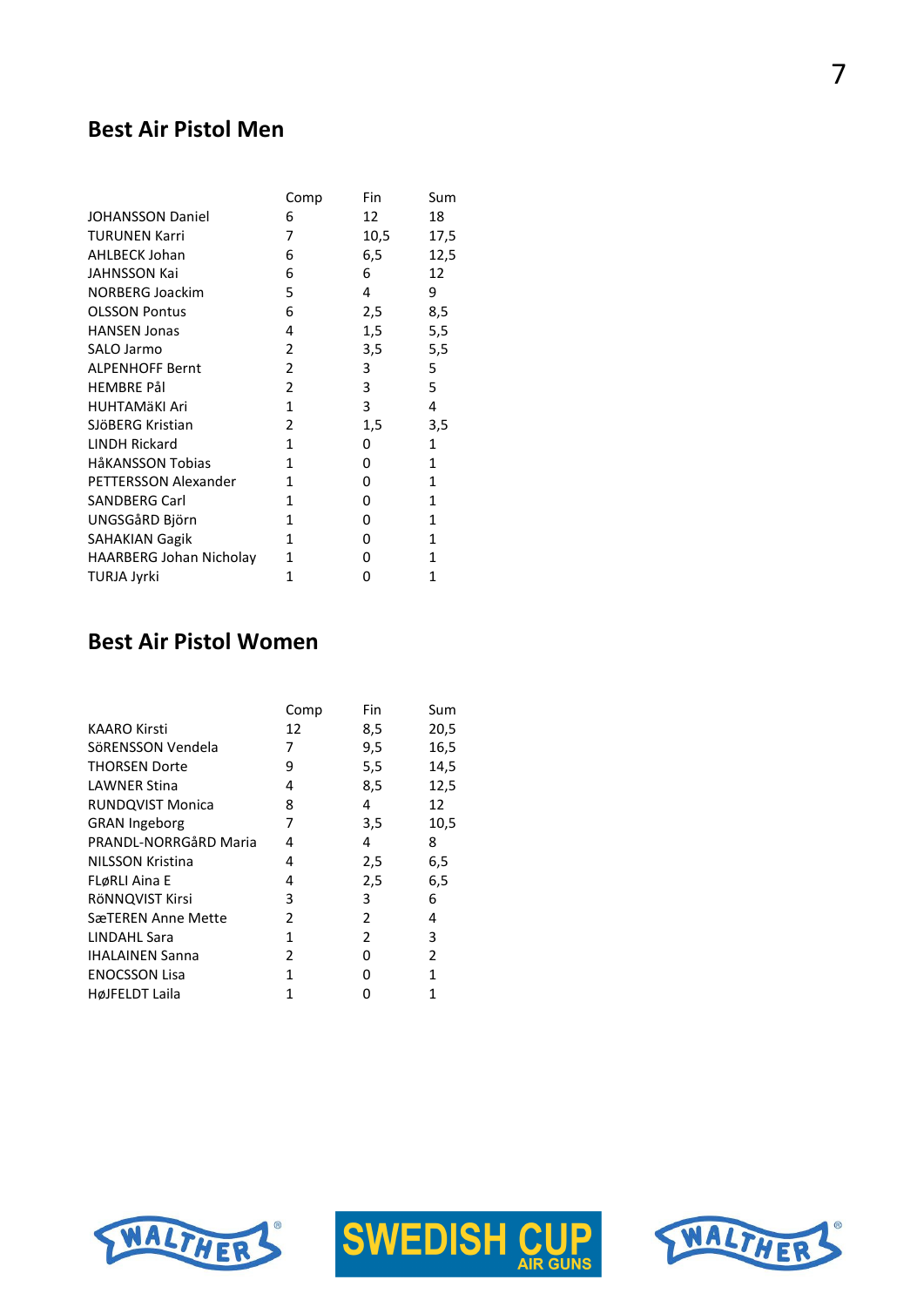#### **Best Air Pistol Men**

|                                | Comp         | Fin  | Sum          |
|--------------------------------|--------------|------|--------------|
| <b>JOHANSSON Daniel</b>        | 6            | 12   | 18           |
| <b>TURUNEN Karri</b>           | 7            | 10,5 | 17,5         |
| <b>AHLBECK Johan</b>           | 6            | 6,5  | 12,5         |
| <b>JAHNSSON Kai</b>            | 6            | 6    | 12           |
| <b>NORBERG Joackim</b>         | 5            | 4    | 9            |
| <b>OLSSON Pontus</b>           | 6            | 2,5  | 8,5          |
| <b>HANSEN Jonas</b>            | 4            | 1,5  | 5,5          |
| SALO Jarmo                     | 2            | 3,5  | 5,5          |
| <b>ALPENHOFF Bernt</b>         | 2            | 3    | 5            |
| HEMBRE Pål                     | 2            | 3    | 5            |
| <b>HUHTAMÄKI Ari</b>           | $\mathbf{1}$ | 3    | 4            |
| SJÖBERG Kristian               | 2            | 1,5  | 3,5          |
| <b>LINDH Rickard</b>           | $\mathbf{1}$ | 0    | $\mathbf{1}$ |
| HåKANSSON Tobias               | $\mathbf{1}$ | 0    | $\mathbf{1}$ |
| PETTERSSON Alexander           | 1            | 0    | $\mathbf{1}$ |
| <b>SANDBERG Carl</b>           | 1            | 0    | $\mathbf{1}$ |
| UNGSGåRD Björn                 | 1            | 0    | $\mathbf{1}$ |
| <b>SAHAKIAN Gagik</b>          | 1            | 0    | 1            |
| <b>HAARBERG Johan Nicholay</b> | 1            | 0    | $\mathbf{1}$ |
| TURJA Jyrki                    | 1            | 0    | 1            |

## **Best Air Pistol Women**

|                         | Comp | Fin           | Sum  |
|-------------------------|------|---------------|------|
| KAARO Kirsti            | 12   | 8,5           | 20,5 |
| SöRENSSON Vendela       | 7    | 9,5           | 16,5 |
| <b>THORSEN Dorte</b>    | 9    | 5,5           | 14,5 |
| <b>LAWNER Stina</b>     | 4    | 8,5           | 12,5 |
| <b>RUNDQVIST Monica</b> | 8    | 4             | 12   |
| <b>GRAN Ingeborg</b>    | 7    | 3,5           | 10,5 |
| PRANDL-NORRGåRD Maria   | 4    | 4             | 8    |
| NILSSON Kristina        | 4    | 2,5           | 6,5  |
| FLøRLI Aina E           | 4    | 2,5           | 6,5  |
| RÖNNQVIST Kirsi         | 3    | 3             | 6    |
| SæTEREN Anne Mette      | 2    | 2             | 4    |
| <b>LINDAHL Sara</b>     | 1    | $\mathcal{P}$ | 3    |
| <b>IHALAINEN Sanna</b>  | 2    | 0             | 2    |
| <b>ENOCSSON Lisa</b>    | 1    | 0             | 1    |
| HøJFELDT Laila          | 1    | O             | 1    |





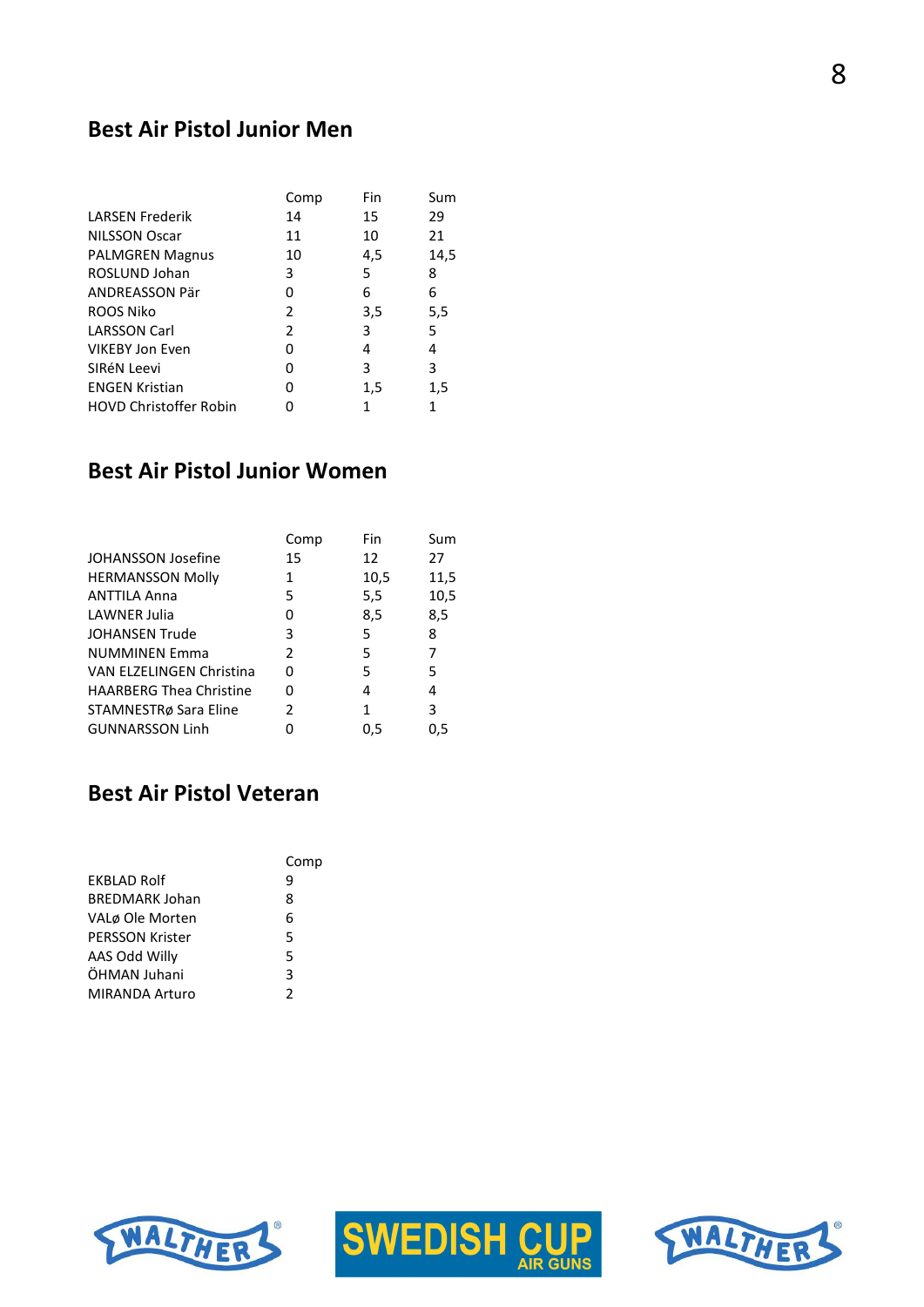#### **Best Air Pistol Junior Men**

|                               | Comp          | Fin | Sum  |
|-------------------------------|---------------|-----|------|
| <b>LARSEN Frederik</b>        | 14            | 15  | 29   |
| <b>NILSSON Oscar</b>          | 11            | 10  | 21   |
| <b>PALMGREN Magnus</b>        | 10            | 4,5 | 14,5 |
| ROSLUND Johan                 | 3             | 5   | 8    |
| ANDREASSON Pär                | 0             | 6   | 6    |
| ROOS Niko                     | 2             | 3,5 | 5,5  |
| <b>LARSSON Carl</b>           | $\mathcal{P}$ | 3   | 5    |
| <b>VIKEBY Jon Even</b>        | 0             | 4   | 4    |
| SIRéN Leevi                   | 0             | 3   | 3    |
| <b>ENGEN Kristian</b>         | 0             | 1,5 | 1,5  |
| <b>HOVD Christoffer Robin</b> | O             | 1   | 1    |

#### **Best Air Pistol Junior Women**

|                                 | Comp          | Fin  | Sum  |
|---------------------------------|---------------|------|------|
| <b>JOHANSSON Josefine</b>       | 15            | 12   | 27   |
| <b>HERMANSSON Molly</b>         | 1             | 10,5 | 11,5 |
| <b>ANTTILA Anna</b>             | 5             | 5,5  | 10,5 |
| LAWNER Julia                    | 0             | 8,5  | 8,5  |
| <b>JOHANSEN Trude</b>           | 3             | 5    | 8    |
| <b>NUMMINEN Emma</b>            | $\mathcal{P}$ | 5    | 7    |
| <b>VAN ELZELINGEN Christina</b> | 0             | 5    | 5    |
| <b>HAARBERG Thea Christine</b>  | U             | 4    | 4    |
| STAMNESTRø Sara Eline           | 2             | 1    | 3    |
| <b>GUNNARSSON Linh</b>          | ი             | 0.5  | 0.5  |

#### **Best Air Pistol Veteran**

|                        | Comp |
|------------------------|------|
| <b>FKBLAD Rolf</b>     | q    |
| <b>BREDMARK Johan</b>  | 8    |
| VALø Ole Morten        | 6    |
| <b>PERSSON Krister</b> | 5    |
| AAS Odd Willy          | 5    |
| ÖHMAN Juhani           | 3    |
| <b>MIRANDA Arturo</b>  | 2    |





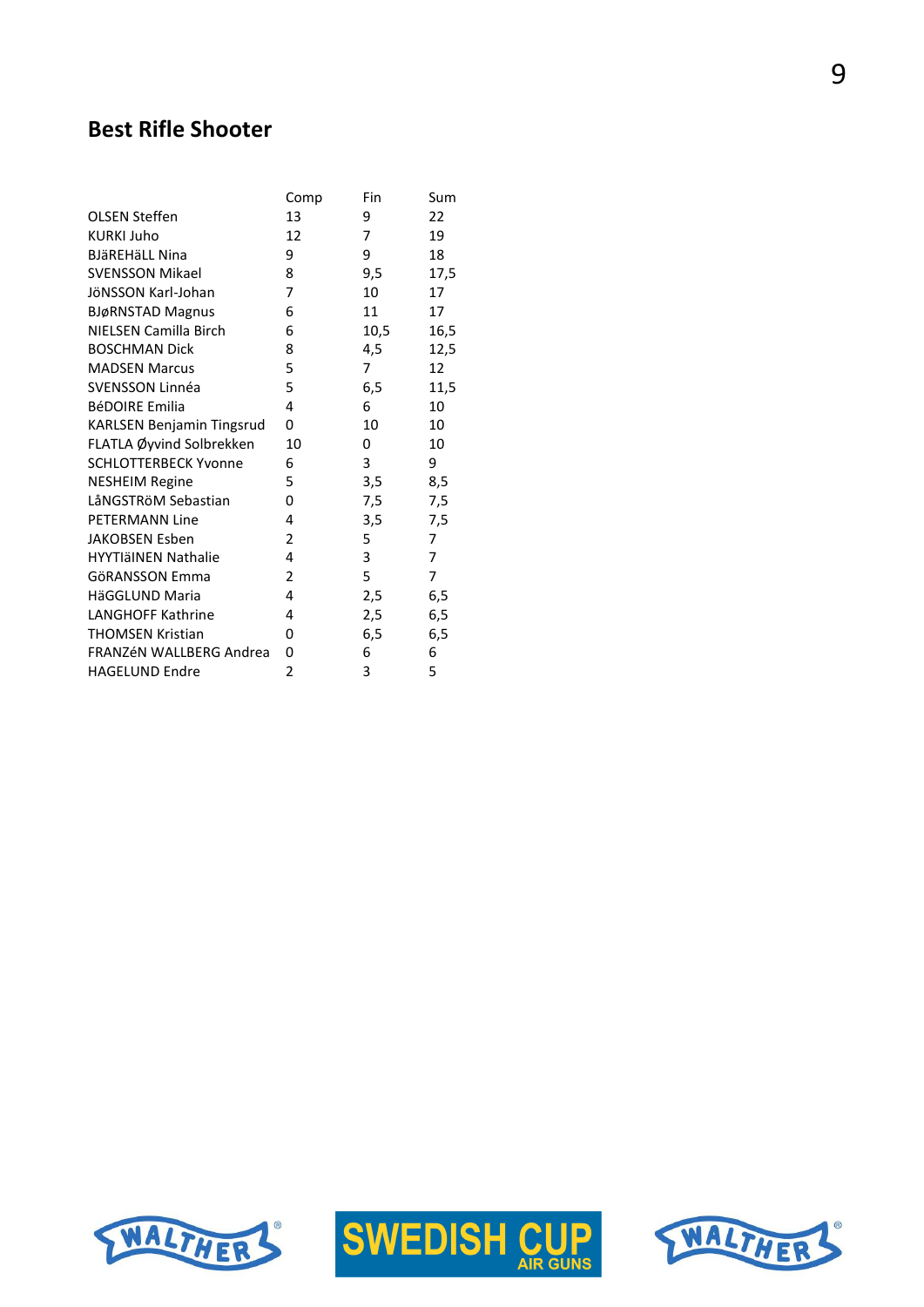## **Best Rifle Shooter**

|                                  | Comp           | Fin  | Sum  |
|----------------------------------|----------------|------|------|
| <b>OLSEN Steffen</b>             | 13             | 9    | 22   |
| <b>KURKI Juho</b>                | 12             | 7    | 19   |
| <b>BJäREHäLL Nina</b>            | 9              | 9    | 18   |
| <b>SVENSSON Mikael</b>           | 8              | 9,5  | 17,5 |
| JÖNSSON Karl-Johan               | 7              | 10   | 17   |
| <b>BJøRNSTAD Magnus</b>          | 6              | 11   | 17   |
| NIELSEN Camilla Birch            | 6              | 10,5 | 16,5 |
| <b>BOSCHMAN Dick</b>             | 8              | 4,5  | 12,5 |
| <b>MADSEN Marcus</b>             | 5              | 7    | 12   |
| SVENSSON Linnéa                  | 5              | 6,5  | 11,5 |
| <b>BéDOIRE Emilia</b>            | 4              | 6    | 10   |
| <b>KARLSEN Benjamin Tingsrud</b> | 0              | 10   | 10   |
| FLATLA Øyvind Solbrekken         | 10             | 0    | 10   |
| <b>SCHLOTTERBECK Yvonne</b>      | 6              | 3    | 9    |
| <b>NESHEIM Regine</b>            | 5              | 3,5  | 8,5  |
| LåNGSTRöM Sebastian              | 0              | 7,5  | 7,5  |
| <b>PETERMANN Line</b>            | 4              | 3,5  | 7,5  |
| <b>JAKOBSEN Esben</b>            | 2              | 5    | 7    |
| <b>HYYTIäINEN Nathalie</b>       | 4              | 3    | 7    |
| <b>GöRANSSON Emma</b>            | 2              | 5    | 7    |
| HäGGLUND Maria                   | 4              | 2,5  | 6,5  |
| <b>LANGHOFF Kathrine</b>         | 4              | 2,5  | 6,5  |
| <b>THOMSEN Kristian</b>          | 0              | 6,5  | 6,5  |
| FRANZÉN WALLBERG Andrea          | 0              | 6    | 6    |
| <b>HAGELUND Endre</b>            | $\overline{2}$ | 3    | 5    |





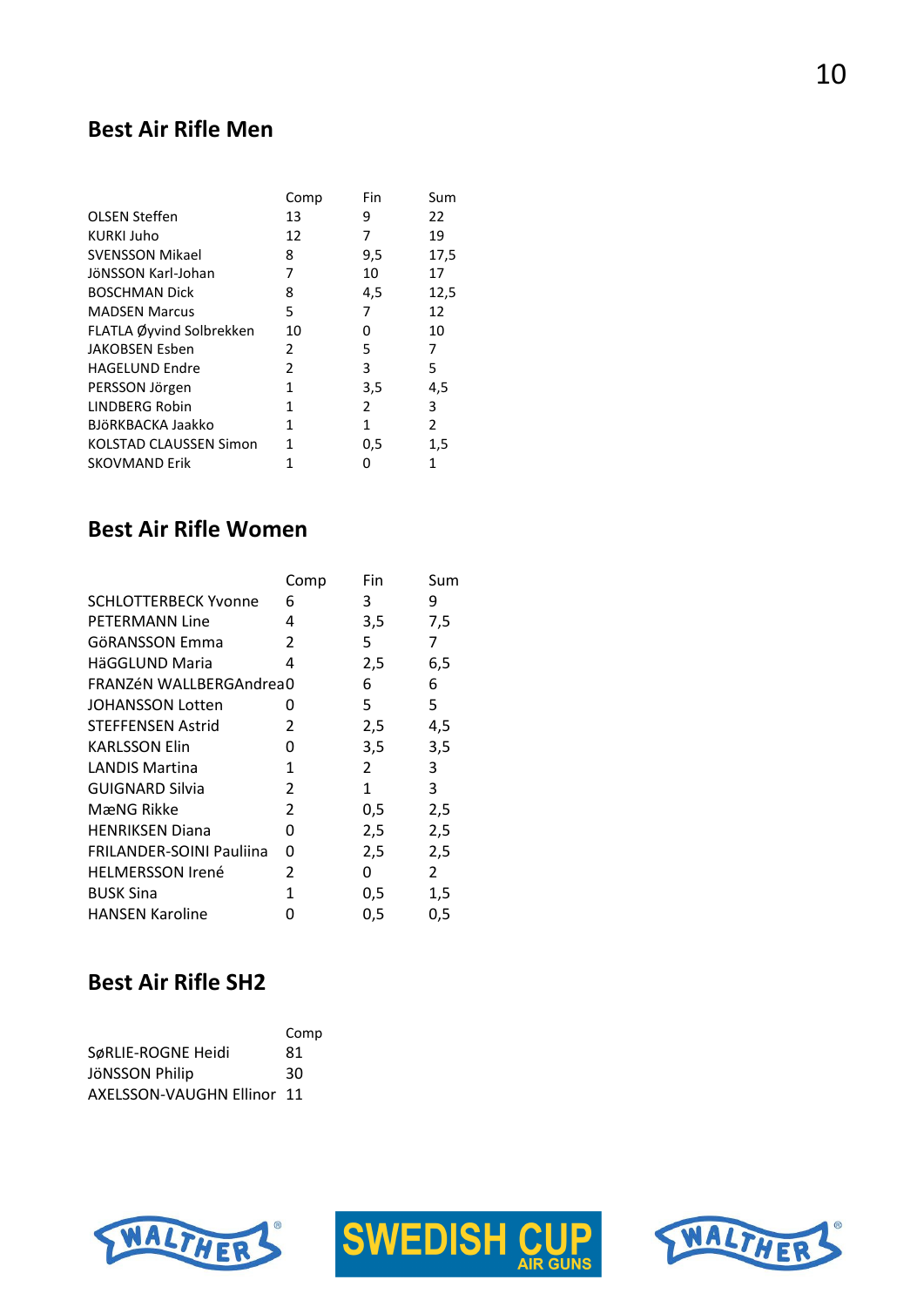#### **Best Air Rifle Men**

|                               | Comp          | Fin | Sum            |
|-------------------------------|---------------|-----|----------------|
| <b>OLSEN Steffen</b>          | 13            | 9   | 22             |
| <b>KURKI Juho</b>             | 12            | 7   | 19             |
| <b>SVENSSON Mikael</b>        | 8             | 9,5 | 17,5           |
| JöNSSON Karl-Johan            | 7             | 10  | 17             |
| <b>BOSCHMAN Dick</b>          | 8             | 4,5 | 12,5           |
| <b>MADSEN Marcus</b>          | 5             | 7   | 12             |
| FLATLA Øyvind Solbrekken      | 10            | 0   | 10             |
| <b>JAKOBSEN Esben</b>         | $\mathcal{P}$ | 5   | 7              |
| <b>HAGELUND Endre</b>         | $\mathcal{P}$ | 3   | 5              |
| PERSSON Jörgen                | 1             | 3,5 | 4,5            |
| <b>LINDBERG Robin</b>         | 1             | 2   | 3              |
| BJÖRKBACKA Jaakko             | 1             | 1   | $\overline{2}$ |
| <b>KOLSTAD CLAUSSEN Simon</b> | 1             | 0,5 | 1,5            |
| <b>SKOVMAND Erik</b>          | 1             | 0   | 1              |

#### **Best Air Rifle Women**

|                                 | Comp | Fin            | Sum |
|---------------------------------|------|----------------|-----|
| <b>SCHLOTTERBECK Yvonne</b>     | 6    | 3              | 9   |
| <b>PETERMANN Line</b>           | 4    | 3,5            | 7,5 |
| GöRANSSON Emma                  | 2    | 5              | 7   |
| HäGGLUND Maria                  | 4    | 2,5            | 6,5 |
| FRANZÉN WALLBERGAndrea0         |      | 6              | 6   |
| <b>JOHANSSON Lotten</b>         | ი    | 5              | 5   |
| <b>STEFFENSEN Astrid</b>        | 2    | 2,5            | 4,5 |
| <b>KARLSSON Elin</b>            | 0    | 3,5            | 3,5 |
| <b>LANDIS Martina</b>           | 1    | $\overline{2}$ | 3   |
| <b>GUIGNARD Silvia</b>          | 2    | 1              | 3   |
| MæNG Rikke                      | 2    | 0,5            | 2,5 |
| <b>HENRIKSEN Diana</b>          | 0    | 2,5            | 2,5 |
| <b>FRILANDER-SOINI Pauliina</b> | 0    | 2,5            | 2,5 |
| <b>HELMERSSON Irené</b>         | 2    | 0              | 2   |
| <b>BUSK Sina</b>                | 1    | 0,5            | 1,5 |
| <b>HANSEN Karoline</b>          | O    | 0,5            | 0,5 |

## **Best Air Rifle SH2**

|                            | Comp |
|----------------------------|------|
| SøRLIE-ROGNE Heidi         | 81   |
| JÖNSSON Philip             | 30   |
| AXELSSON-VAUGHN Ellinor 11 |      |





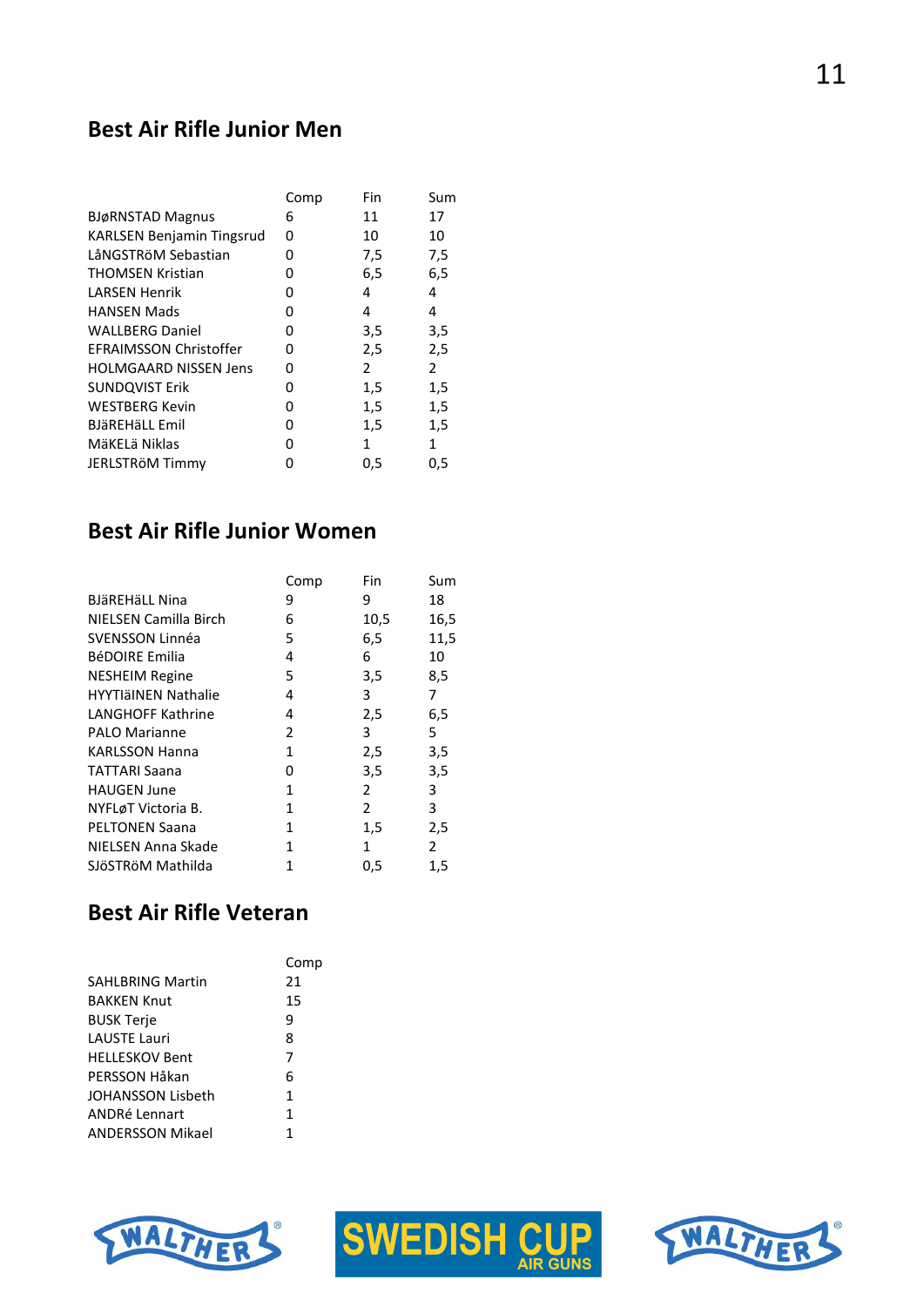#### **Best Air Rifle Junior Men**

|                                  | Comp | Fin | Sum            |
|----------------------------------|------|-----|----------------|
| <b>BJøRNSTAD Magnus</b>          | 6    | 11  | 17             |
| <b>KARLSEN Benjamin Tingsrud</b> | 0    | 10  | 10             |
| LåNGSTRöM Sebastian              | 0    | 7,5 | 7,5            |
| <b>THOMSEN Kristian</b>          | 0    | 6,5 | 6,5            |
| LARSEN Henrik                    | 0    | 4   | 4              |
| <b>HANSEN Mads</b>               | 0    | 4   | 4              |
| <b>WALLBERG Daniel</b>           | 0    | 3,5 | 3,5            |
| <b>EFRAIMSSON Christoffer</b>    | 0    | 2,5 | 2,5            |
| <b>HOLMGAARD NISSEN Jens</b>     | ŋ    | 2   | $\overline{2}$ |
| <b>SUNDQVIST Erik</b>            | 0    | 1,5 | 1,5            |
| <b>WESTBERG Kevin</b>            | 0    | 1,5 | 1,5            |
| <b>BJäREHäLL Emil</b>            | 0    | 1,5 | 1,5            |
| MäKELä Niklas                    | ŋ    | 1   | 1              |
| JERLSTRÖM Timmy                  | ი    | 0,5 | 0,5            |

#### **Best Air Rifle Junior Women**

|                            | Comp | Fin            | Sum            |
|----------------------------|------|----------------|----------------|
| <b>BJäREHäLL Nina</b>      | 9    | 9              | 18             |
| NIELSEN Camilla Birch      | 6    | 10,5           | 16,5           |
| SVENSSON Linnéa            | 5    | 6,5            | 11,5           |
| <b>BéDOIRE Emilia</b>      | 4    | 6              | 10             |
| <b>NESHEIM Regine</b>      | 5    | 3,5            | 8,5            |
| <b>HYYTIäINEN Nathalie</b> | 4    | 3              | 7              |
| <b>LANGHOFF Kathrine</b>   | 4    | 2,5            | 6,5            |
| <b>PALO Marianne</b>       | 2    | 3              | 5              |
| <b>KARLSSON Hanna</b>      | 1    | 2,5            | 3,5            |
| TATTARI Saana              | 0    | 3,5            | 3,5            |
| <b>HAUGEN June</b>         | 1    | 2              | 3              |
| NYFLøT Victoria B.         | 1    | $\overline{2}$ | 3              |
| <b>PELTONEN Saana</b>      | 1    | 1,5            | 2,5            |
| NIELSEN Anna Skade         | 1    | 1              | $\overline{2}$ |
| SJöSTRöM Mathilda          | 1    | 0,5            | 1,5            |

## **Best Air Rifle Veteran**

|                          | Comp |
|--------------------------|------|
| <b>SAHLBRING Martin</b>  | 21   |
| <b>BAKKEN Knut</b>       | 15   |
| <b>BUSK Terje</b>        | 9    |
| <b>LAUSTE Lauri</b>      | 8    |
| <b>HELLESKOV Bent</b>    | 7    |
| PERSSON Håkan            | 6    |
| <b>JOHANSSON Lisbeth</b> | 1    |
| <b>ANDRé Lennart</b>     | 1    |
| <b>ANDERSSON Mikael</b>  | 1    |
|                          |      |





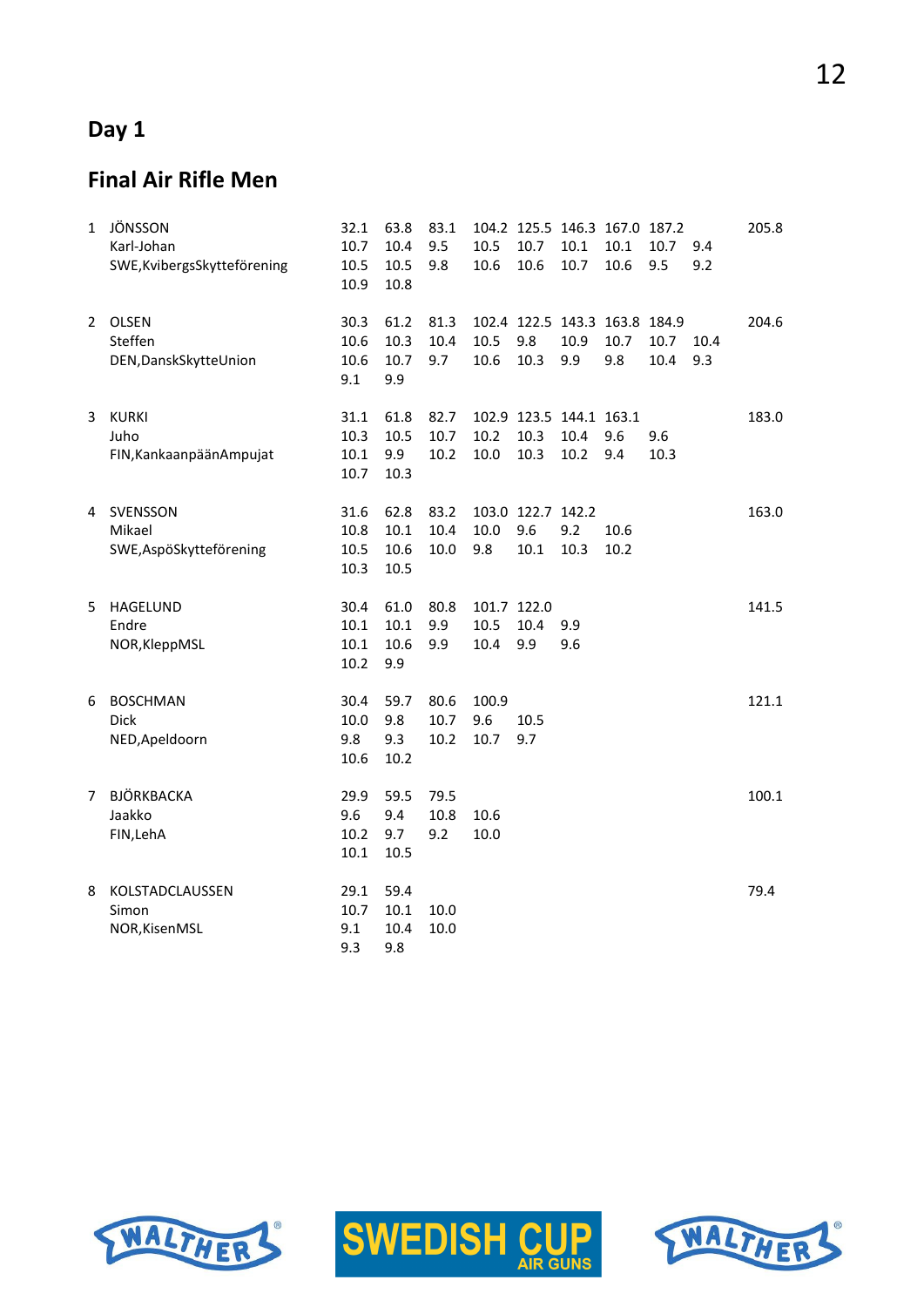## **Day 1**

## **Final Air Rifle Men**

| 1              | JÖNSSON<br>Karl-Johan<br>SWE, Kvibergs Skytteförening | 32.1<br>10.7<br>10.5<br>10.9 | 63.8<br>10.4<br>10.5<br>10.8 | 83.1<br>9.5<br>9.8   | 10.5<br>10.6                | 10.7<br>10.6                            | 10.1<br>10.7 | 104.2 125.5 146.3 167.0 187.2<br>10.1<br>10.6 | 10.7<br>9.5  | 9.4<br>9.2  | 205.8 |
|----------------|-------------------------------------------------------|------------------------------|------------------------------|----------------------|-----------------------------|-----------------------------------------|--------------|-----------------------------------------------|--------------|-------------|-------|
| $\overline{2}$ | <b>OLSEN</b><br>Steffen<br>DEN, DanskSkytteUnion      | 30.3<br>10.6<br>10.6<br>9.1  | 61.2<br>10.3<br>10.7<br>9.9  | 81.3<br>10.4<br>9.7  | 10.5<br>10.6                | 9.8<br>10.3                             | 10.9<br>9.9  | 102.4 122.5 143.3 163.8 184.9<br>10.7<br>9.8  | 10.7<br>10.4 | 10.4<br>9.3 | 204.6 |
| 3              | <b>KURKI</b><br>Juho<br>FIN, Kankaanpään Ampujat      | 31.1<br>10.3<br>10.1<br>10.7 | 61.8<br>10.5<br>9.9<br>10.3  | 82.7<br>10.7<br>10.2 | 10.2<br>10.0                | 102.9 123.5 144.1 163.1<br>10.3<br>10.3 | 10.4<br>10.2 | 9.6<br>9.4                                    | 9.6<br>10.3  |             | 183.0 |
| 4              | SVENSSON<br>Mikael<br>SWE, AspöSkytteförening         | 31.6<br>10.8<br>10.5<br>10.3 | 62.8<br>10.1<br>10.6<br>10.5 | 83.2<br>10.4<br>10.0 | 10.0<br>9.8                 | 103.0 122.7 142.2<br>9.6<br>10.1        | 9.2<br>10.3  | 10.6<br>10.2                                  |              |             | 163.0 |
| 5              | HAGELUND<br>Endre<br>NOR, KleppMSL                    | 30.4<br>10.1<br>10.1<br>10.2 | 61.0<br>10.1<br>10.6<br>9.9  | 80.8<br>9.9<br>9.9   | 101.7 122.0<br>10.5<br>10.4 | 10.4<br>9.9                             | 9.9<br>9.6   |                                               |              |             | 141.5 |
| 6              | <b>BOSCHMAN</b><br><b>Dick</b><br>NED, Apeldoorn      | 30.4<br>10.0<br>9.8<br>10.6  | 59.7<br>9.8<br>9.3<br>10.2   | 80.6<br>10.7<br>10.2 | 100.9<br>9.6<br>10.7        | 10.5<br>9.7                             |              |                                               |              |             | 121.1 |
| 7              | BJÖRKBACKA<br>Jaakko<br>FIN, LehA                     | 29.9<br>9.6<br>10.2<br>10.1  | 59.5<br>9.4<br>9.7<br>10.5   | 79.5<br>10.8<br>9.2  | 10.6<br>10.0                |                                         |              |                                               |              |             | 100.1 |
| 8              | KOLSTADCLAUSSEN<br>Simon<br>NOR, KisenMSL             | 29.1<br>10.7<br>9.1<br>9.3   | 59.4<br>10.1<br>10.4<br>9.8  | 10.0<br>10.0         |                             |                                         |              |                                               |              |             | 79.4  |





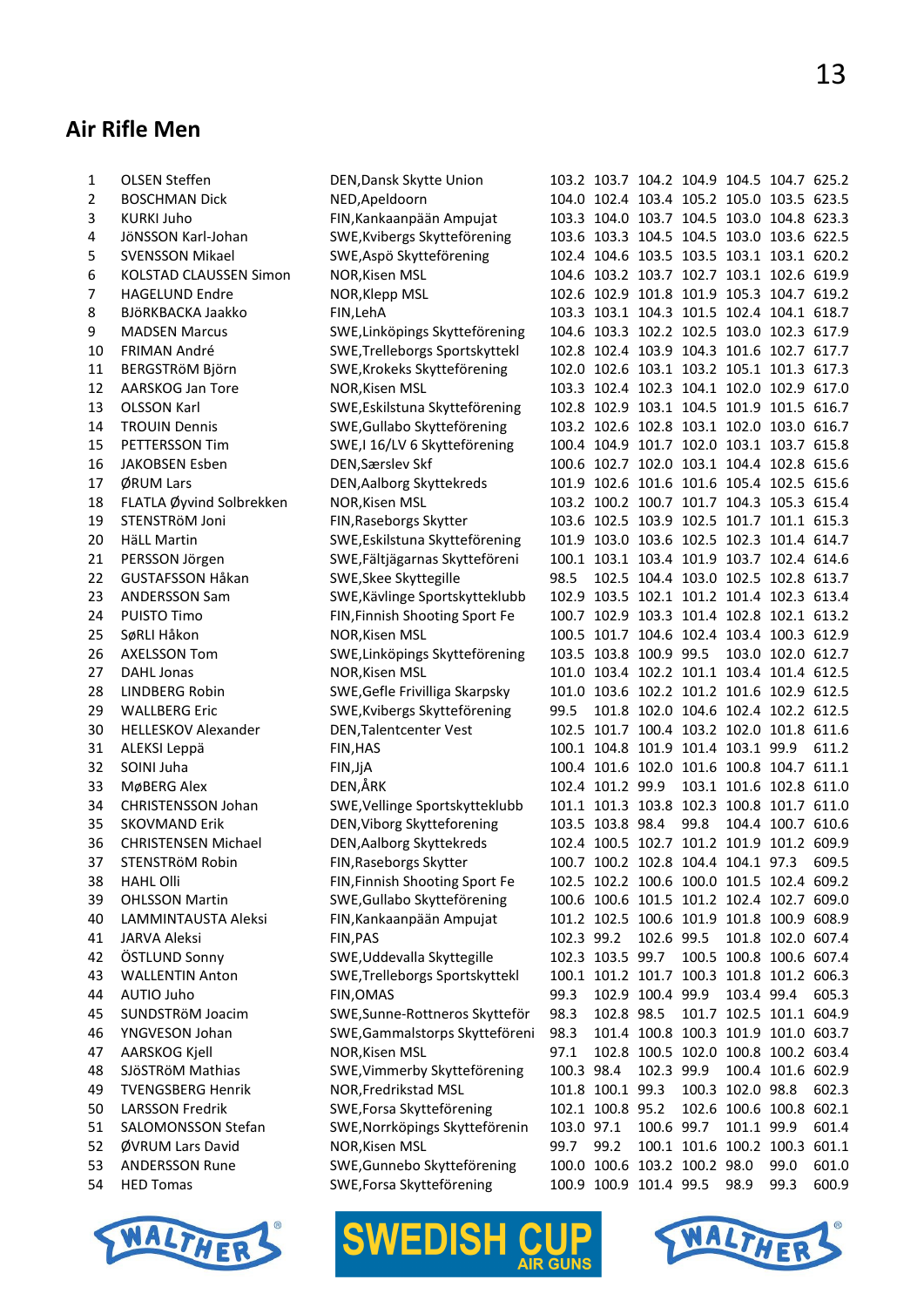## **Air Rifle Men**

| 1  | <b>OLSEN Steffen</b>          | DEN, Dansk Skytte Union                           |            | 103.2 103.7 104.2 104.9 104.5 104.7 625.2 |                  |      |                                     |                   |       |
|----|-------------------------------|---------------------------------------------------|------------|-------------------------------------------|------------------|------|-------------------------------------|-------------------|-------|
| 2  | <b>BOSCHMAN Dick</b>          | NED, Apeldoorn                                    |            | 104.0 102.4 103.4 105.2 105.0 103.5 623.5 |                  |      |                                     |                   |       |
| 3  | <b>KURKI Juho</b>             | FIN, Kankaanpään Ampujat                          |            | 103.3 104.0 103.7 104.5 103.0 104.8 623.3 |                  |      |                                     |                   |       |
| 4  | JöNSSON Karl-Johan            | SWE, Kvibergs Skytteförening                      |            | 103.6 103.3 104.5 104.5 103.0 103.6 622.5 |                  |      |                                     |                   |       |
| 5  | <b>SVENSSON Mikael</b>        | SWE, Aspö Skytteförening                          |            | 102.4 104.6 103.5 103.5 103.1 103.1 620.2 |                  |      |                                     |                   |       |
| 6  | <b>KOLSTAD CLAUSSEN Simon</b> | NOR, Kisen MSL                                    |            | 104.6 103.2 103.7 102.7 103.1 102.6 619.9 |                  |      |                                     |                   |       |
| 7  | <b>HAGELUND Endre</b>         | NOR, Klepp MSL                                    |            | 102.6 102.9 101.8 101.9 105.3 104.7 619.2 |                  |      |                                     |                   |       |
| 8  | BJÖRKBACKA Jaakko             | FIN, LehA                                         |            | 103.3 103.1 104.3 101.5 102.4 104.1 618.7 |                  |      |                                     |                   |       |
| 9  | <b>MADSEN Marcus</b>          | SWE, Linköpings Skytteförening                    |            | 104.6 103.3 102.2 102.5 103.0 102.3 617.9 |                  |      |                                     |                   |       |
| 10 | <b>FRIMAN André</b>           | SWE, Trelleborgs Sportskyttekl                    |            | 102.8 102.4 103.9 104.3 101.6 102.7 617.7 |                  |      |                                     |                   |       |
| 11 | BERGSTRöM Björn               | SWE, Krokeks Skytteförening                       |            | 102.0 102.6 103.1 103.2 105.1 101.3 617.3 |                  |      |                                     |                   |       |
| 12 | AARSKOG Jan Tore              | <b>NOR, Kisen MSL</b>                             |            | 103.3 102.4 102.3 104.1 102.0 102.9 617.0 |                  |      |                                     |                   |       |
| 13 | <b>OLSSON Karl</b>            | SWE, Eskilstuna Skytteförening                    |            | 102.8 102.9 103.1 104.5 101.9 101.5 616.7 |                  |      |                                     |                   |       |
| 14 | <b>TROUIN Dennis</b>          | SWE, Gullabo Skytteförening                       |            | 103.2 102.6 102.8 103.1 102.0 103.0 616.7 |                  |      |                                     |                   |       |
| 15 | PETTERSSON Tim                | SWE,I 16/LV 6 Skytteförening                      |            | 100.4 104.9 101.7 102.0 103.1 103.7 615.8 |                  |      |                                     |                   |       |
| 16 | <b>JAKOBSEN Esben</b>         | DEN, Særslev Skf                                  |            | 100.6 102.7 102.0 103.1 104.4 102.8 615.6 |                  |      |                                     |                   |       |
| 17 | ØRUM Lars                     |                                                   |            | 101.9 102.6 101.6 101.6 105.4 102.5 615.6 |                  |      |                                     |                   |       |
| 18 | FLATLA Øyvind Solbrekken      | DEN, Aalborg Skyttekreds<br><b>NOR, Kisen MSL</b> |            | 103.2 100.2 100.7 101.7 104.3 105.3 615.4 |                  |      |                                     |                   |       |
|    |                               |                                                   |            |                                           |                  |      |                                     |                   |       |
| 19 | STENSTRöM Joni                | FIN, Raseborgs Skytter                            |            | 103.6 102.5 103.9 102.5 101.7 101.1 615.3 |                  |      |                                     |                   |       |
| 20 | <b>HäLL Martin</b>            | SWE, Eskilstuna Skytteförening                    |            | 101.9 103.0 103.6 102.5 102.3 101.4 614.7 |                  |      |                                     |                   |       |
| 21 | PERSSON Jörgen                | SWE, Fältjägarnas Skytteföreni                    |            | 100.1 103.1 103.4 101.9 103.7 102.4 614.6 |                  |      |                                     |                   |       |
| 22 | <b>GUSTAFSSON Håkan</b>       | SWE, Skee Skyttegille                             | 98.5       |                                           |                  |      | 102.5 104.4 103.0 102.5 102.8 613.7 |                   |       |
| 23 | <b>ANDERSSON Sam</b>          | SWE, Kävlinge Sportskytteklubb                    |            | 102.9 103.5 102.1 101.2 101.4 102.3 613.4 |                  |      |                                     |                   |       |
| 24 | <b>PUISTO Timo</b>            | FIN, Finnish Shooting Sport Fe                    |            | 100.7 102.9 103.3 101.4 102.8 102.1 613.2 |                  |      |                                     |                   |       |
| 25 | SøRLI Håkon                   | <b>NOR, Kisen MSL</b>                             |            | 100.5 101.7 104.6 102.4 103.4 100.3 612.9 |                  |      |                                     |                   |       |
| 26 | <b>AXELSSON Tom</b>           | SWE, Linköpings Skytteförening                    |            | 103.5 103.8 100.9 99.5                    |                  |      |                                     | 103.0 102.0 612.7 |       |
| 27 | <b>DAHL Jonas</b>             | NOR, Kisen MSL                                    |            | 101.0 103.4 102.2 101.1 103.4 101.4 612.5 |                  |      |                                     |                   |       |
| 28 | <b>LINDBERG Robin</b>         | SWE, Gefle Frivilliga Skarpsky                    |            | 101.0 103.6 102.2 101.2 101.6 102.9 612.5 |                  |      |                                     |                   |       |
| 29 | <b>WALLBERG Eric</b>          | SWE, Kvibergs Skytteförening                      | 99.5       |                                           |                  |      | 101.8 102.0 104.6 102.4 102.2 612.5 |                   |       |
| 30 | <b>HELLESKOV Alexander</b>    | DEN, Talentcenter Vest                            |            | 102.5 101.7 100.4 103.2 102.0 101.8 611.6 |                  |      |                                     |                   |       |
| 31 | ALEKSI Leppä                  | FIN, HAS                                          |            | 100.1 104.8 101.9 101.4 103.1 99.9        |                  |      |                                     |                   | 611.2 |
| 32 | SOINI Juha                    | FIN, JjA                                          |            | 100.4 101.6 102.0 101.6 100.8 104.7 611.1 |                  |      |                                     |                   |       |
| 33 | MøBERG Alex                   | DEN,ÅRK                                           |            | 102.4 101.2 99.9                          |                  |      | 103.1 101.6 102.8 611.0             |                   |       |
| 34 | <b>CHRISTENSSON Johan</b>     | SWE, Vellinge Sportskytteklubb                    |            | 101.1 101.3 103.8 102.3 100.8 101.7 611.0 |                  |      |                                     |                   |       |
| 35 | <b>SKOVMAND Erik</b>          | DEN, Viborg Skytteforening                        |            | 103.5 103.8 98.4                          |                  | 99.8 |                                     | 104.4 100.7 610.6 |       |
| 36 | <b>CHRISTENSEN Michael</b>    | DEN, Aalborg Skyttekreds                          |            | 102.4 100.5 102.7 101.2 101.9 101.2 609.9 |                  |      |                                     |                   |       |
| 37 | STENSTRÖM Robin               | FIN, Raseborgs Skytter                            |            | 100.7 100.2 102.8 104.4 104.1 97.3        |                  |      |                                     |                   | 609.5 |
| 38 | <b>HAHL Olli</b>              | FIN, Finnish Shooting Sport Fe                    |            | 102.5 102.2 100.6 100.0 101.5 102.4 609.2 |                  |      |                                     |                   |       |
| 39 | <b>OHLSSON Martin</b>         | SWE, Gullabo Skytteförening                       |            | 100.6 100.6 101.5 101.2 102.4 102.7 609.0 |                  |      |                                     |                   |       |
| 40 | LAMMINTAUSTA Aleksi           | FIN, Kankaanpään Ampujat                          |            | 101.2 102.5 100.6 101.9 101.8 100.9 608.9 |                  |      |                                     |                   |       |
| 41 | <b>JARVA Aleksi</b>           | FIN, PAS                                          | 102.3 99.2 |                                           | 102.6 99.5       |      |                                     | 101.8 102.0 607.4 |       |
| 42 | ÖSTLUND Sonny                 | SWE, Uddevalla Skyttegille                        |            | 102.3 103.5 99.7                          |                  |      | 100.5 100.8 100.6 607.4             |                   |       |
| 43 | <b>WALLENTIN Anton</b>        | SWE, Trelleborgs Sportskyttekl                    |            | 100.1 101.2 101.7 100.3 101.8 101.2 606.3 |                  |      |                                     |                   |       |
| 44 | AUTIO Juho                    | FIN, OMAS                                         | 99.3       |                                           | 102.9 100.4 99.9 |      | 103.4 99.4                          |                   | 605.3 |
| 45 | SUNDSTRöM Joacim              | SWE, Sunne-Rottneros Skytteför                    | 98.3       | 102.8 98.5                                |                  |      | 101.7 102.5 101.1 604.9             |                   |       |
| 46 | YNGVESON Johan                | SWE, Gammalstorps Skytteföreni                    | 98.3       |                                           |                  |      | 101.4 100.8 100.3 101.9 101.0 603.7 |                   |       |
| 47 | AARSKOG Kjell                 | NOR, Kisen MSL                                    | 97.1       |                                           |                  |      | 102.8 100.5 102.0 100.8 100.2 603.4 |                   |       |
| 48 | SJÖSTRÖM Mathias              | SWE, Vimmerby Skytteförening                      | 100.3 98.4 |                                           | 102.3 99.9       |      |                                     | 100.4 101.6 602.9 |       |
| 49 | <b>TVENGSBERG Henrik</b>      | NOR, Fredrikstad MSL                              |            | 101.8 100.1 99.3                          |                  |      | 100.3 102.0 98.8                    |                   | 602.3 |
| 50 | LARSSON Fredrik               | SWE, Forsa Skytteförening                         |            | 102.1 100.8 95.2                          |                  |      | 102.6 100.6 100.8 602.1             |                   |       |
| 51 | SALOMONSSON Stefan            | SWE, Norrköpings Skytteförenin                    | 103.0 97.1 |                                           | 100.6 99.7       |      | 101.1 99.9                          |                   | 601.4 |
| 52 | ØVRUM Lars David              | NOR, Kisen MSL                                    | 99.7       | 99.2                                      |                  |      | 100.1 101.6 100.2 100.3 601.1       |                   |       |
| 53 | <b>ANDERSSON Rune</b>         | SWE, Gunnebo Skytteförening                       |            | 100.0 100.6 103.2 100.2 98.0              |                  |      |                                     | 99.0              | 601.0 |
| 54 | <b>HED Tomas</b>              | SWE, Forsa Skytteförening                         |            | 100.9 100.9 101.4 99.5                    |                  |      | 98.9                                | 99.3              | 600.9 |
|    |                               |                                                   |            |                                           |                  |      |                                     |                   |       |







I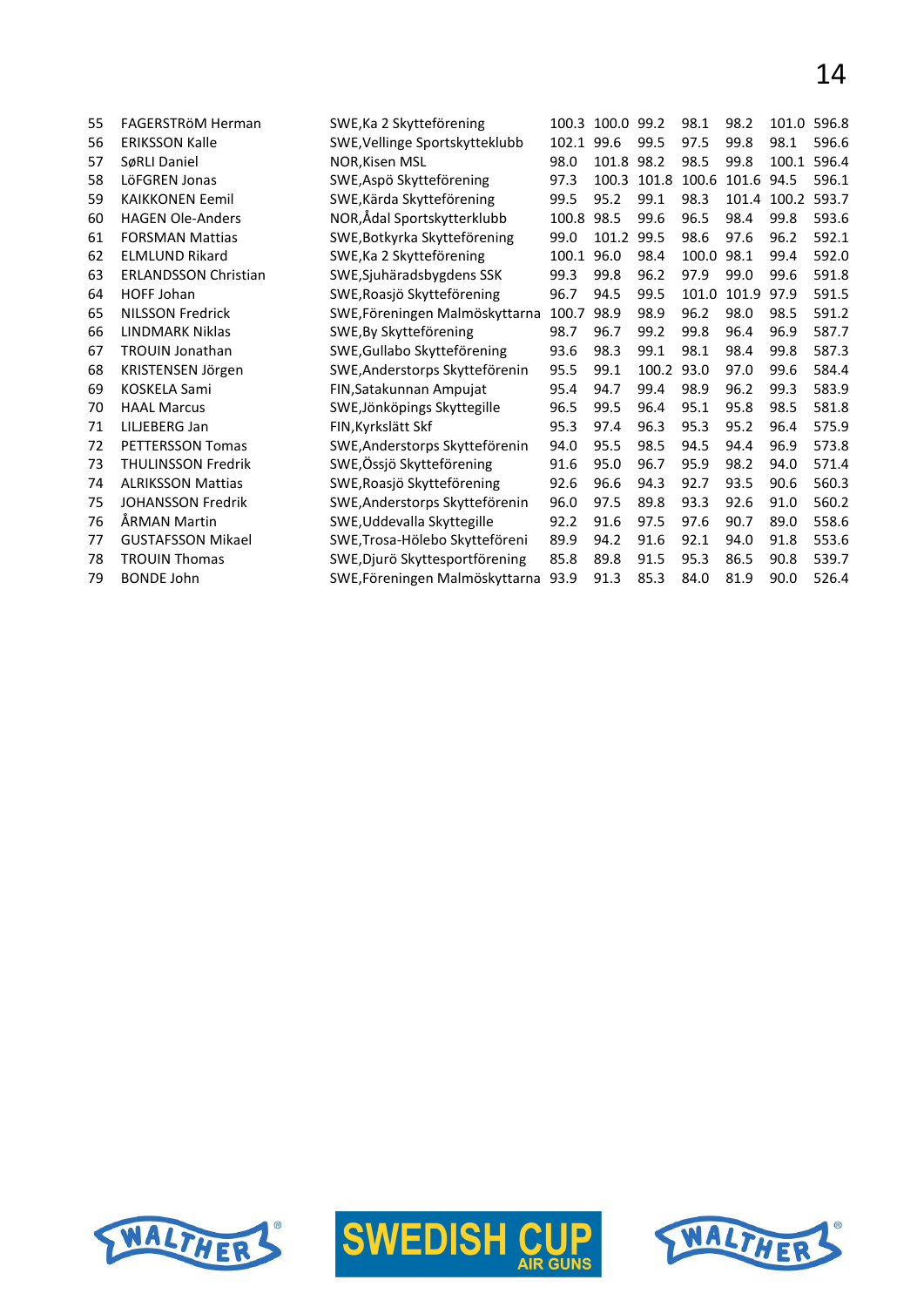| 55 | FAGERSTRöM Herman           | SWE, Ka 2 Skytteförening       |            | 100.3 100.0 99.2 |       | 98.1  | 98.2       |             | 101.0 596.8 |
|----|-----------------------------|--------------------------------|------------|------------------|-------|-------|------------|-------------|-------------|
| 56 | <b>ERIKSSON Kalle</b>       | SWE, Vellinge Sportskytteklubb | 102.1 99.6 |                  | 99.5  | 97.5  | 99.8       | 98.1        | 596.6       |
| 57 | SøRLI Daniel                | <b>NOR.Kisen MSL</b>           | 98.0       | 101.8 98.2       |       | 98.5  | 99.8       | 100.1       | 596.4       |
| 58 | LöFGREN Jonas               | SWE, Aspö Skytteförening       | 97.3       | 100.3            | 101.8 | 100.6 | 101.6 94.5 |             | 596.1       |
| 59 | <b>KAIKKONEN Eemil</b>      | SWE, Kärda Skytteförening      | 99.5       | 95.2             | 99.1  | 98.3  |            | 101.4 100.2 | 593.7       |
| 60 | <b>HAGEN Ole-Anders</b>     | NOR,Ådal Sportskytterklubb     | 100.8      | 98.5             | 99.6  | 96.5  | 98.4       | 99.8        | 593.6       |
| 61 | <b>FORSMAN Mattias</b>      | SWE, Botkyrka Skytteförening   | 99.0       | 101.2            | 99.5  | 98.6  | 97.6       | 96.2        | 592.1       |
| 62 | <b>ELMLUND Rikard</b>       | SWE, Ka 2 Skytteförening       | 100.1      | 96.0             | 98.4  | 100.0 | 98.1       | 99.4        | 592.0       |
| 63 | <b>ERLANDSSON Christian</b> | SWE, Sjuhäradsbygdens SSK      | 99.3       | 99.8             | 96.2  | 97.9  | 99.0       | 99.6        | 591.8       |
| 64 | <b>HOFF Johan</b>           | SWE, Roasjö Skytteförening     | 96.7       | 94.5             | 99.5  | 101.0 | 101.9      | 97.9        | 591.5       |
| 65 | <b>NILSSON Fredrick</b>     | SWE,Föreningen Malmöskyttarna  | 100.7      | 98.9             | 98.9  | 96.2  | 98.0       | 98.5        | 591.2       |
| 66 | <b>LINDMARK Niklas</b>      | SWE, By Skytteförening         | 98.7       | 96.7             | 99.2  | 99.8  | 96.4       | 96.9        | 587.7       |
| 67 | <b>TROUIN Jonathan</b>      | SWE, Gullabo Skytteförening    | 93.6       | 98.3             | 99.1  | 98.1  | 98.4       | 99.8        | 587.3       |
| 68 | KRISTENSEN Jörgen           | SWE, Anderstorps Skytteförenin | 95.5       | 99.1             | 100.2 | 93.0  | 97.0       | 99.6        | 584.4       |
| 69 | KOSKELA Sami                | FIN, Satakunnan Ampujat        | 95.4       | 94.7             | 99.4  | 98.9  | 96.2       | 99.3        | 583.9       |
| 70 | <b>HAAL Marcus</b>          | SWE, Jönköpings Skyttegille    | 96.5       | 99.5             | 96.4  | 95.1  | 95.8       | 98.5        | 581.8       |
| 71 | LILJEBERG Jan               | FIN, Kyrkslätt Skf             | 95.3       | 97.4             | 96.3  | 95.3  | 95.2       | 96.4        | 575.9       |
| 72 | <b>PETTERSSON Tomas</b>     | SWE, Anderstorps Skytteförenin | 94.0       | 95.5             | 98.5  | 94.5  | 94.4       | 96.9        | 573.8       |
| 73 | <b>THULINSSON Fredrik</b>   | SWE,Össjö Skytteförening       | 91.6       | 95.0             | 96.7  | 95.9  | 98.2       | 94.0        | 571.4       |
| 74 | <b>ALRIKSSON Mattias</b>    | SWE, Roasjö Skytteförening     | 92.6       | 96.6             | 94.3  | 92.7  | 93.5       | 90.6        | 560.3       |
| 75 | <b>JOHANSSON Fredrik</b>    | SWE, Anderstorps Skytteförenin | 96.0       | 97.5             | 89.8  | 93.3  | 92.6       | 91.0        | 560.2       |
| 76 | ÅRMAN Martin                | SWE, Uddevalla Skyttegille     | 92.2       | 91.6             | 97.5  | 97.6  | 90.7       | 89.0        | 558.6       |
| 77 | <b>GUSTAFSSON Mikael</b>    | SWE, Trosa-Hölebo Skytteföreni | 89.9       | 94.2             | 91.6  | 92.1  | 94.0       | 91.8        | 553.6       |
| 78 | <b>TROUIN Thomas</b>        | SWE, Djurö Skyttesportförening | 85.8       | 89.8             | 91.5  | 95.3  | 86.5       | 90.8        | 539.7       |
| 79 | <b>BONDE John</b>           | SWE,Föreningen Malmöskyttarna  | 93.9       | 91.3             | 85.3  | 84.0  | 81.9       | 90.0        | 526.4       |





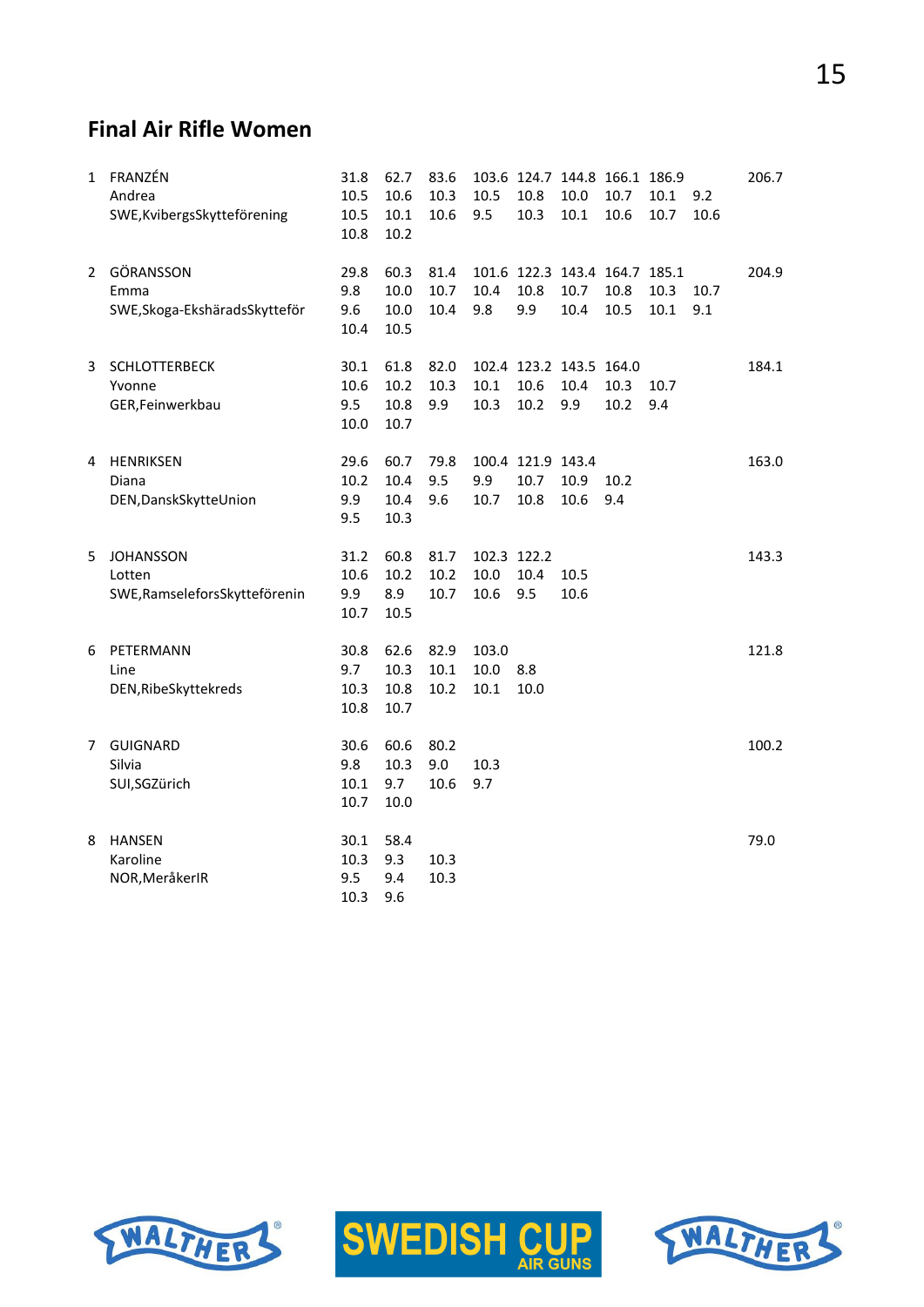#### **Final Air Rifle Women**

| $\mathbf{1}$ | FRANZÉN<br>Andrea<br>SWE, Kvibergs Skytteförening | 31.8<br>10.5<br>10.5 | 62.7<br>10.6<br>10.1 | 83.6<br>10.3<br>10.6 | 10.5<br>9.5 | 10.8<br>10.3      | 103.6 124.7 144.8 166.1 186.9<br>10.0<br>10.1 | 10.7<br>10.6 | 10.1<br>10.7 | 9.2<br>10.6 | 206.7 |
|--------------|---------------------------------------------------|----------------------|----------------------|----------------------|-------------|-------------------|-----------------------------------------------|--------------|--------------|-------------|-------|
|              |                                                   | 10.8                 | 10.2                 |                      |             |                   |                                               |              |              |             |       |
| $\mathbf{2}$ | GÖRANSSON                                         | 29.8                 | 60.3                 | 81.4                 |             |                   | 101.6 122.3 143.4 164.7 185.1                 |              |              |             | 204.9 |
|              | Emma                                              | 9.8                  | 10.0                 | 10.7                 | 10.4        | 10.8              | 10.7                                          | 10.8         | 10.3         | 10.7        |       |
|              | SWE, Skoga-Ekshärads Skytteför                    | 9.6<br>10.4          | 10.0<br>10.5         | 10.4                 | 9.8         | 9.9               | 10.4                                          | 10.5         | 10.1         | 9.1         |       |
| 3            | SCHLOTTERBECK                                     | 30.1                 | 61.8                 | 82.0                 |             |                   | 102.4 123.2 143.5 164.0                       |              |              |             | 184.1 |
|              | Yvonne                                            | 10.6                 | 10.2                 | 10.3                 | 10.1        | 10.6              | 10.4                                          | 10.3         | 10.7         |             |       |
|              | GER, Feinwerkbau                                  | 9.5                  | 10.8                 | 9.9                  | 10.3        | 10.2              | 9.9                                           | 10.2         | 9.4          |             |       |
|              |                                                   | 10.0                 | 10.7                 |                      |             |                   |                                               |              |              |             |       |
| 4            | <b>HENRIKSEN</b>                                  | 29.6                 | 60.7                 | 79.8                 |             | 100.4 121.9 143.4 |                                               |              |              |             | 163.0 |
|              | Diana                                             | 10.2                 | 10.4                 | 9.5                  | 9.9         | 10.7              | 10.9                                          | 10.2         |              |             |       |
|              | DEN, Dansk Skytte Union                           | 9.9                  | 10.4                 | 9.6                  | 10.7        | 10.8              | 10.6                                          | 9.4          |              |             |       |
|              |                                                   | 9.5                  | 10.3                 |                      |             |                   |                                               |              |              |             |       |
| 5            | <b>JOHANSSON</b>                                  | 31.2                 | 60.8                 | 81.7                 | 102.3 122.2 |                   |                                               |              |              |             | 143.3 |
|              | Lotten                                            | 10.6                 | 10.2                 | 10.2                 | 10.0        | 10.4              | 10.5                                          |              |              |             |       |
|              | SWE, Ramselefors Skytteförenin                    | 9.9                  | 8.9                  | 10.7                 | 10.6        | 9.5               | 10.6                                          |              |              |             |       |
|              |                                                   | 10.7                 | 10.5                 |                      |             |                   |                                               |              |              |             |       |
| 6            | PETERMANN                                         | 30.8                 | 62.6                 | 82.9                 | 103.0       |                   |                                               |              |              |             | 121.8 |
|              | Line                                              | 9.7                  | 10.3                 | 10.1                 | 10.0        | 8.8               |                                               |              |              |             |       |
|              | DEN, RibeSkyttekreds                              | 10.3                 | 10.8                 | 10.2                 | 10.1        | 10.0              |                                               |              |              |             |       |
|              |                                                   | 10.8                 | 10.7                 |                      |             |                   |                                               |              |              |             |       |
| 7            | <b>GUIGNARD</b>                                   | 30.6                 | 60.6                 | 80.2                 |             |                   |                                               |              |              |             | 100.2 |
|              | Silvia                                            | 9.8                  | 10.3                 | 9.0                  | 10.3        |                   |                                               |              |              |             |       |
|              | SUI,SGZürich                                      | 10.1                 | 9.7                  | 10.6                 | 9.7         |                   |                                               |              |              |             |       |
|              |                                                   | 10.7                 | 10.0                 |                      |             |                   |                                               |              |              |             |       |
| 8            | <b>HANSEN</b>                                     | 30.1                 | 58.4                 |                      |             |                   |                                               |              |              |             | 79.0  |
|              | Karoline                                          | 10.3                 | 9.3                  | 10.3                 |             |                   |                                               |              |              |             |       |
|              | NOR, MeråkerIR                                    | 9.5                  | 9.4                  | 10.3                 |             |                   |                                               |              |              |             |       |
|              |                                                   | 10.3                 | 9.6                  |                      |             |                   |                                               |              |              |             |       |





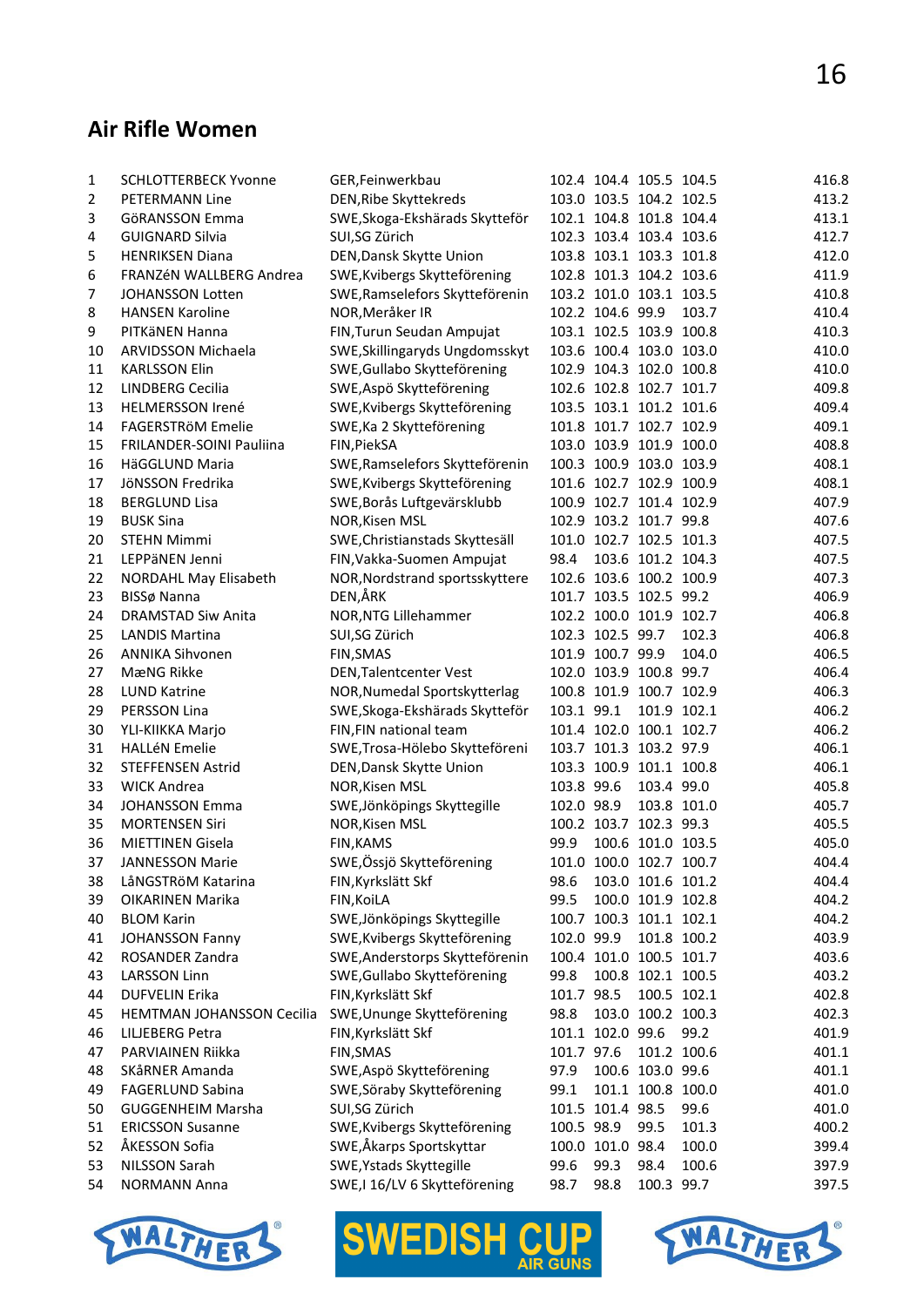#### **Air Rifle Women**

| 1        | <b>SCHLOTTERBECK Yvonne</b>      | GER, Feinwerkbau                          |            |                  | 102.4 104.4 105.5 104.5 |             | 416.8 |
|----------|----------------------------------|-------------------------------------------|------------|------------------|-------------------------|-------------|-------|
| 2        | PETERMANN Line                   | DEN, Ribe Skyttekreds                     |            |                  | 103.0 103.5 104.2 102.5 |             | 413.2 |
| 3        | GöRANSSON Emma                   | SWE, Skoga-Ekshärads Skytteför            |            |                  | 102.1 104.8 101.8 104.4 |             | 413.1 |
| 4        | <b>GUIGNARD Silvia</b>           | SUI,SG Zürich                             |            |                  | 102.3 103.4 103.4 103.6 |             | 412.7 |
| 5        | <b>HENRIKSEN Diana</b>           | DEN, Dansk Skytte Union                   |            |                  | 103.8 103.1 103.3 101.8 |             | 412.0 |
| 6        | FRANZÉN WALLBERG Andrea          | SWE, Kvibergs Skytteförening              |            |                  | 102.8 101.3 104.2 103.6 |             | 411.9 |
| 7        | <b>JOHANSSON Lotten</b>          | SWE, Ramselefors Skytteförenin            |            |                  | 103.2 101.0 103.1 103.5 |             | 410.8 |
| 8        | <b>HANSEN Karoline</b>           | NOR, Meråker IR                           |            | 102.2 104.6 99.9 |                         | 103.7       | 410.4 |
| 9        | PITKäNEN Hanna                   | FIN, Turun Seudan Ampujat                 |            |                  | 103.1 102.5 103.9 100.8 |             | 410.3 |
| 10       | ARVIDSSON Michaela               | SWE, Skillingaryds Ungdomsskyt            |            |                  | 103.6 100.4 103.0 103.0 |             | 410.0 |
| 11       | <b>KARLSSON Elin</b>             | SWE, Gullabo Skytteförening               |            |                  | 102.9 104.3 102.0 100.8 |             | 410.0 |
| 12       | LINDBERG Cecilia                 | SWE, Aspö Skytteförening                  |            |                  | 102.6 102.8 102.7 101.7 |             | 409.8 |
| 13       | <b>HELMERSSON Irené</b>          | SWE, Kvibergs Skytteförening              |            |                  | 103.5 103.1 101.2 101.6 |             | 409.4 |
| 14       | FAGERSTRöM Emelie                | SWE, Ka 2 Skytteförening                  |            |                  | 101.8 101.7 102.7 102.9 |             | 409.1 |
| 15       | FRILANDER-SOINI Pauliina         | FIN, PiekSA                               |            |                  | 103.0 103.9 101.9 100.0 |             | 408.8 |
| 16       | HäGGLUND Maria                   | SWE, Ramselefors Skytteförenin            |            |                  | 100.3 100.9 103.0 103.9 |             | 408.1 |
| 17       | JöNSSON Fredrika                 | SWE, Kvibergs Skytteförening              |            |                  | 101.6 102.7 102.9 100.9 |             | 408.1 |
| 18       | <b>BERGLUND Lisa</b>             | SWE, Borås Luftgevärsklubb                |            |                  | 100.9 102.7 101.4 102.9 |             | 407.9 |
| 19       | <b>BUSK Sina</b>                 | NOR, Kisen MSL                            |            |                  | 102.9 103.2 101.7 99.8  |             | 407.6 |
| 20       | <b>STEHN Mimmi</b>               | SWE, Christianstads Skyttesäll            |            |                  | 101.0 102.7 102.5 101.3 |             | 407.5 |
| 21       | LEPPäNEN Jenni                   | FIN, Vakka-Suomen Ampujat                 | 98.4       |                  | 103.6 101.2 104.3       |             | 407.5 |
| 22       | <b>NORDAHL May Elisabeth</b>     | NOR, Nordstrand sportsskyttere            |            |                  | 102.6 103.6 100.2 100.9 |             | 407.3 |
| 23       | BISSø Nanna                      | DEN,ÅRK                                   |            |                  | 101.7 103.5 102.5 99.2  |             | 406.9 |
| 24       | <b>DRAMSTAD Siw Anita</b>        | NOR, NTG Lillehammer                      |            |                  | 102.2 100.0 101.9 102.7 |             | 406.8 |
| 25       | <b>LANDIS Martina</b>            | SUI,SG Zürich                             |            | 102.3 102.5 99.7 |                         | 102.3       | 406.8 |
| 26       | <b>ANNIKA Sihvonen</b>           | FIN, SMAS                                 |            | 101.9 100.7 99.9 |                         | 104.0       | 406.5 |
| 27       | MæNG Rikke                       | DEN, Talentcenter Vest                    |            |                  | 102.0 103.9 100.8 99.7  |             | 406.4 |
| 28       | <b>LUND Katrine</b>              | NOR, Numedal Sportskytterlag              |            |                  | 100.8 101.9 100.7 102.9 |             | 406.3 |
| 29       | PERSSON Lina                     | SWE, Skoga-Ekshärads Skytteför            | 103.1 99.1 |                  |                         | 101.9 102.1 | 406.2 |
| 30       | YLI-KIIKKA Marjo                 | FIN, FIN national team                    |            |                  | 101.4 102.0 100.1 102.7 |             | 406.2 |
| 31       | <b>HALLéN Emelie</b>             | SWE, Trosa-Hölebo Skytteföreni            |            |                  | 103.7 101.3 103.2 97.9  |             | 406.1 |
| 32       | <b>STEFFENSEN Astrid</b>         | DEN, Dansk Skytte Union                   |            |                  | 103.3 100.9 101.1 100.8 |             | 406.1 |
| 33       | <b>WICK Andrea</b>               | NOR, Kisen MSL                            | 103.8 99.6 |                  | 103.4 99.0              |             | 405.8 |
| 34       | <b>JOHANSSON Emma</b>            | SWE, Jönköpings Skyttegille               | 102.0 98.9 |                  |                         | 103.8 101.0 | 405.7 |
| 35       | <b>MORTENSEN Siri</b>            | NOR, Kisen MSL                            |            |                  | 100.2 103.7 102.3 99.3  |             | 405.5 |
| 36       | <b>MIETTINEN Gisela</b>          | <b>FIN, KAMS</b>                          | 99.9       |                  | 100.6 101.0 103.5       |             | 405.0 |
| 37       | <b>JANNESSON Marie</b>           | SWE, Össjö Skytteförening                 |            |                  | 101.0 100.0 102.7 100.7 |             | 404.4 |
| 38       | LåNGSTRöM Katarina               | FIN, Kyrkslätt Skf                        | 98.6       |                  | 103.0 101.6 101.2       |             | 404.4 |
|          | <b>OIKARINEN Marika</b>          |                                           | 99.5       |                  | 100.0 101.9 102.8       |             | 404.2 |
| 39<br>40 | <b>BLOM Karin</b>                | FIN, KoiLA<br>SWE, Jönköpings Skyttegille |            |                  | 100.7 100.3 101.1 102.1 |             | 404.2 |
|          |                                  | SWE, Kvibergs Skytteförening              | 102.0 99.9 |                  |                         | 101.8 100.2 | 403.9 |
| 41       | <b>JOHANSSON Fanny</b>           |                                           |            |                  | 100.4 101.0 100.5 101.7 |             | 403.6 |
| 42       | ROSANDER Zandra                  | SWE, Anderstorps Skytteförenin            |            |                  |                         |             |       |
| 43       | LARSSON Linn                     | SWE, Gullabo Skytteförening               | 99.8       |                  | 100.8 102.1 100.5       |             | 403.2 |
| 44       | <b>DUFVELIN Erika</b>            | FIN, Kyrkslätt Skf                        | 101.7 98.5 |                  |                         | 100.5 102.1 | 402.8 |
| 45       | <b>HEMTMAN JOHANSSON Cecilia</b> | SWE, Ununge Skytteförening                | 98.8       |                  | 103.0 100.2 100.3       |             | 402.3 |
| 46       | LILJEBERG Petra                  | FIN, Kyrkslätt Skf                        |            | 101.1 102.0 99.6 |                         | 99.2        | 401.9 |
| 47       | PARVIAINEN Riikka                | FIN, SMAS                                 | 101.7 97.6 |                  |                         | 101.2 100.6 | 401.1 |
| 48       | SKåRNER Amanda                   | SWE, Aspö Skytteförening                  | 97.9       |                  | 100.6 103.0 99.6        |             | 401.1 |
| 49       | <b>FAGERLUND Sabina</b>          | SWE, Söraby Skytteförening                | 99.1       |                  | 101.1 100.8 100.0       |             | 401.0 |
| 50       | <b>GUGGENHEIM Marsha</b>         | SUI,SG Zürich                             |            | 101.5 101.4 98.5 |                         | 99.6        | 401.0 |
| 51       | <b>ERICSSON Susanne</b>          | SWE, Kvibergs Skytteförening              | 100.5 98.9 |                  | 99.5                    | 101.3       | 400.2 |
| 52       | ÅKESSON Sofia                    | SWE,Åkarps Sportskyttar                   |            | 100.0 101.0 98.4 |                         | 100.0       | 399.4 |
| 53       | <b>NILSSON Sarah</b>             | SWE, Ystads Skyttegille                   | 99.6       | 99.3             | 98.4                    | 100.6       | 397.9 |
| 54       | <b>NORMANN Anna</b>              | SWE, I 16/LV 6 Skytteförening             | 98.7       | 98.8             | 100.3 99.7              |             | 397.5 |





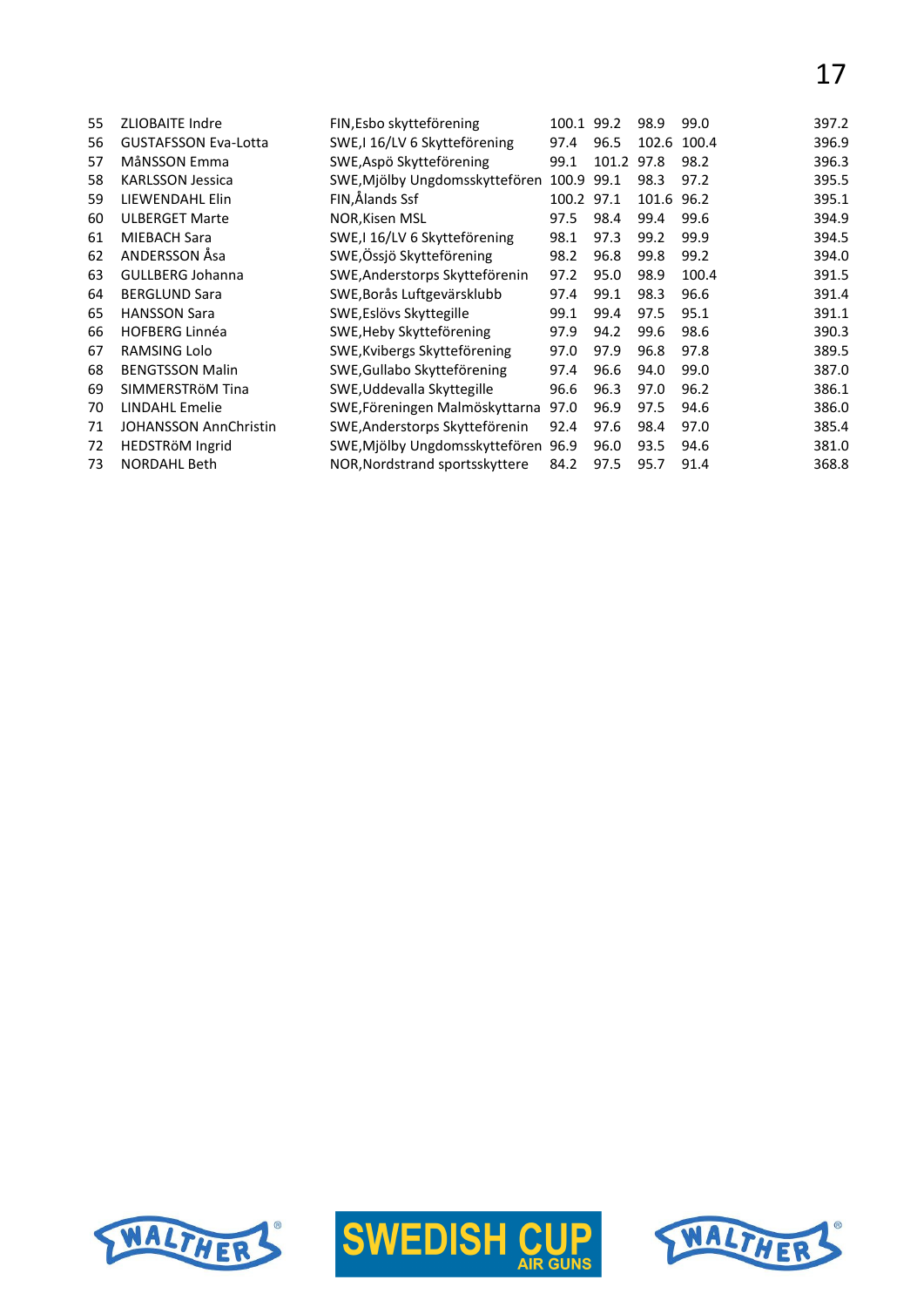17

| 55 | <b>ZLIOBAITE Indre</b>       | FIN, Esbo skytteförening            | 100.1 99.2 |       | 98.9  | 99.0  | 397.2 |
|----|------------------------------|-------------------------------------|------------|-------|-------|-------|-------|
| 56 | <b>GUSTAFSSON Eva-Lotta</b>  | SWE,I 16/LV 6 Skytteförening        | 97.4       | 96.5  | 102.6 | 100.4 | 396.9 |
| 57 | MåNSSON Emma                 | SWE, Aspö Skytteförening            | 99.1       | 101.2 | 97.8  | 98.2  | 396.3 |
| 58 | <b>KARLSSON Jessica</b>      | SWE, Mjölby Ungdomsskyttefören      | 100.9      | 99.1  | 98.3  | 97.2  | 395.5 |
| 59 | LIEWENDAHL Elin              | FIN,Ålands Ssf                      | 100.2      | 97.1  | 101.6 | 96.2  | 395.1 |
| 60 | <b>ULBERGET Marte</b>        | <b>NOR, Kisen MSL</b>               | 97.5       | 98.4  | 99.4  | 99.6  | 394.9 |
| 61 | <b>MIEBACH Sara</b>          | SWE,I 16/LV 6 Skytteförening        | 98.1       | 97.3  | 99.2  | 99.9  | 394.5 |
| 62 | ANDERSSON Åsa                | SWE, Össjö Skytteförening           | 98.2       | 96.8  | 99.8  | 99.2  | 394.0 |
| 63 | <b>GULLBERG Johanna</b>      | SWE, Anderstorps Skytteförenin      | 97.2       | 95.0  | 98.9  | 100.4 | 391.5 |
| 64 | <b>BERGLUND Sara</b>         | SWE, Borås Luftgevärsklubb          | 97.4       | 99.1  | 98.3  | 96.6  | 391.4 |
| 65 | <b>HANSSON Sara</b>          | SWE, Eslövs Skyttegille             | 99.1       | 99.4  | 97.5  | 95.1  | 391.1 |
| 66 | <b>HOFBERG Linnéa</b>        | SWE, Heby Skytteförening            | 97.9       | 94.2  | 99.6  | 98.6  | 390.3 |
| 67 | RAMSING Lolo                 | SWE, Kvibergs Skytteförening        | 97.0       | 97.9  | 96.8  | 97.8  | 389.5 |
| 68 | <b>BENGTSSON Malin</b>       | SWE, Gullabo Skytteförening         | 97.4       | 96.6  | 94.0  | 99.0  | 387.0 |
| 69 | SIMMERSTRÖM Tina             | SWE, Uddevalla Skyttegille          | 96.6       | 96.3  | 97.0  | 96.2  | 386.1 |
| 70 | <b>LINDAHL Emelie</b>        | SWE, Föreningen Malmöskyttarna      | 97.0       | 96.9  | 97.5  | 94.6  | 386.0 |
| 71 | <b>JOHANSSON AnnChristin</b> | SWE, Anderstorps Skytteförenin      | 92.4       | 97.6  | 98.4  | 97.0  | 385.4 |
| 72 | HEDSTRöM Ingrid              | SWE, Mjölby Ungdomsskyttefören 96.9 |            | 96.0  | 93.5  | 94.6  | 381.0 |
| 73 | <b>NORDAHL Beth</b>          | NOR, Nordstrand sportsskyttere      | 84.2       | 97.5  | 95.7  | 91.4  | 368.8 |





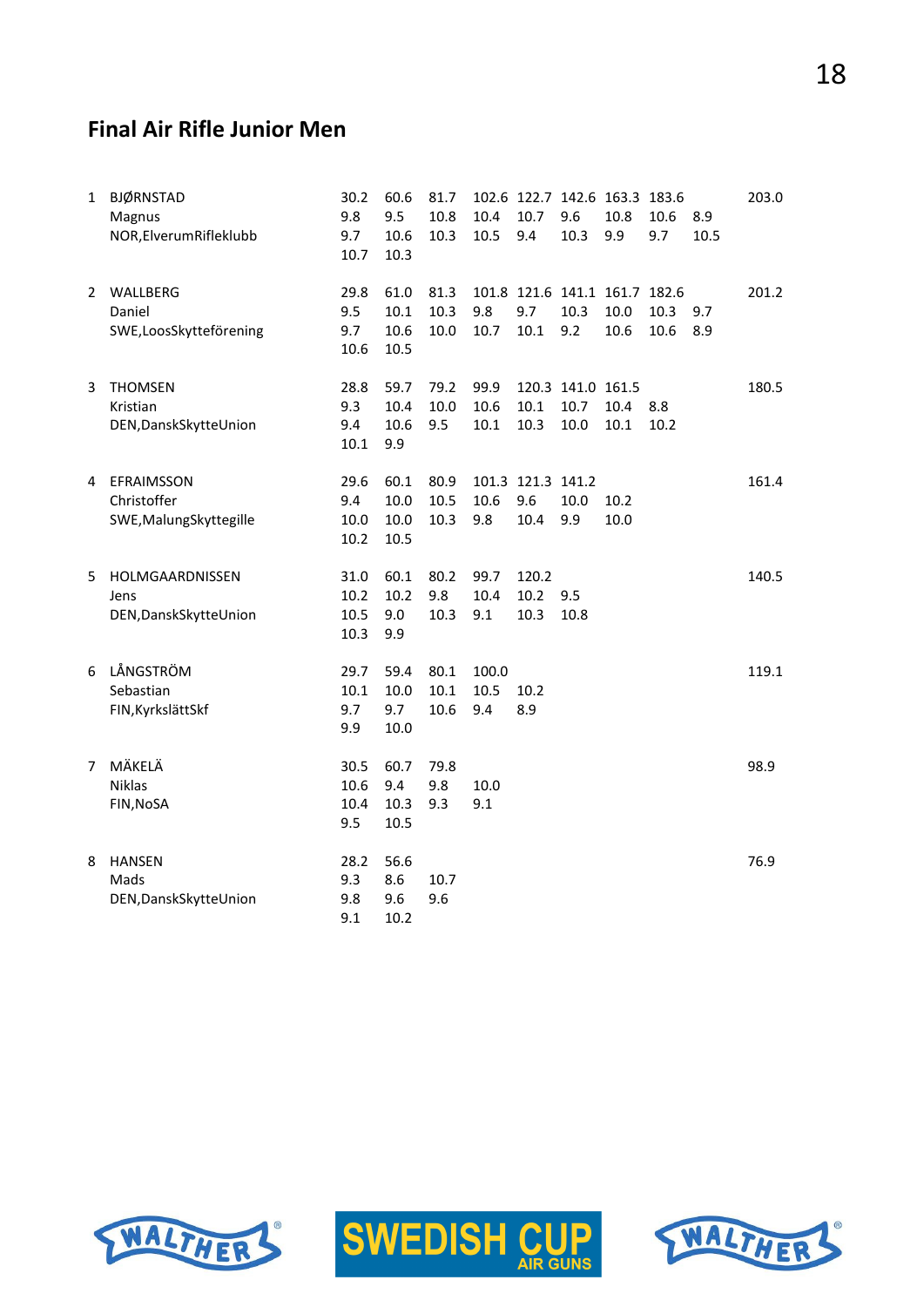## **Final Air Rifle Junior Men**

| $\mathbf{1}$ | <b>BJØRNSTAD</b><br>Magnus<br>NOR, Elverum Rifleklubb | 30.2<br>9.8<br>9.7<br>10.7     | 60.6<br>9.5<br>10.6<br>10.3  | 81.7<br>10.8<br>10.3 | 10.4<br>10.5         | 10.7<br>9.4                      | 9.6<br>10.3                       | 102.6 122.7 142.6 163.3 183.6<br>10.8<br>9.9  | 10.6<br>9.7  | 8.9<br>10.5 | 203.0 |
|--------------|-------------------------------------------------------|--------------------------------|------------------------------|----------------------|----------------------|----------------------------------|-----------------------------------|-----------------------------------------------|--------------|-------------|-------|
| 2            | WALLBERG<br>Daniel<br>SWE,LoosSkytteförening          | 29.8<br>9.5<br>9.7<br>10.6     | 61.0<br>10.1<br>10.6<br>10.5 | 81.3<br>10.3<br>10.0 | 9.8<br>10.7          | 9.7<br>10.1                      | 10.3<br>9.2                       | 101.8 121.6 141.1 161.7 182.6<br>10.0<br>10.6 | 10.3<br>10.6 | 9.7<br>8.9  | 201.2 |
| 3            | <b>THOMSEN</b><br>Kristian<br>DEN, Dansk Skytte Union | 28.8<br>9.3<br>9.4<br>$10.1\,$ | 59.7<br>10.4<br>10.6<br>9.9  | 79.2<br>10.0<br>9.5  | 99.9<br>10.6<br>10.1 | 10.1<br>10.3                     | 120.3 141.0 161.5<br>10.7<br>10.0 | 10.4<br>10.1                                  | 8.8<br>10.2  |             | 180.5 |
| 4            | EFRAIMSSON<br>Christoffer<br>SWE, Malung Skyttegille  | 29.6<br>9.4<br>10.0<br>10.2    | 60.1<br>10.0<br>10.0<br>10.5 | 80.9<br>10.5<br>10.3 | 10.6<br>9.8          | 101.3 121.3 141.2<br>9.6<br>10.4 | 10.0<br>9.9                       | 10.2<br>10.0                                  |              |             | 161.4 |
| 5.           | HOLMGAARDNISSEN<br>Jens<br>DEN, Dansk Skytte Union    | 31.0<br>10.2<br>10.5<br>10.3   | 60.1<br>10.2<br>9.0<br>9.9   | 80.2<br>9.8<br>10.3  | 99.7<br>10.4<br>9.1  | 120.2<br>10.2<br>10.3            | 9.5<br>10.8                       |                                               |              |             | 140.5 |
| 6            | LÅNGSTRÖM<br>Sebastian<br>FIN, Kyrkslätt Skf          | 29.7<br>10.1<br>9.7<br>9.9     | 59.4<br>10.0<br>9.7<br>10.0  | 80.1<br>10.1<br>10.6 | 100.0<br>10.5<br>9.4 | 10.2<br>8.9                      |                                   |                                               |              |             | 119.1 |
| 7            | MÄKELÄ<br><b>Niklas</b><br>FIN, NoSA                  | 30.5<br>10.6<br>10.4<br>9.5    | 60.7<br>9.4<br>10.3<br>10.5  | 79.8<br>9.8<br>9.3   | 10.0<br>9.1          |                                  |                                   |                                               |              |             | 98.9  |
| 8            | <b>HANSEN</b><br>Mads<br>DEN, Dansk Skytte Union      | 28.2<br>9.3<br>9.8<br>9.1      | 56.6<br>8.6<br>9.6<br>10.2   | 10.7<br>9.6          |                      |                                  |                                   |                                               |              |             | 76.9  |





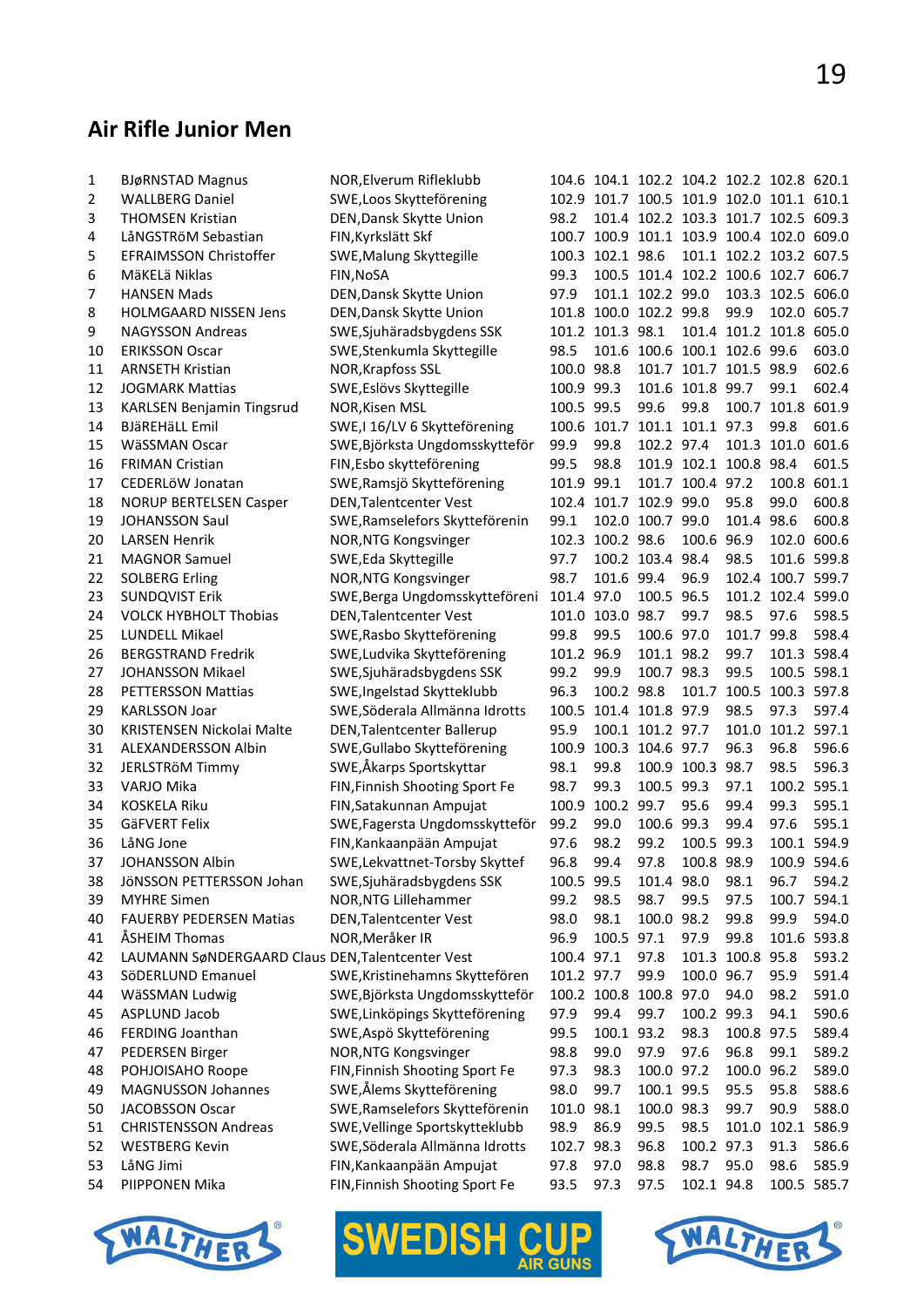## **Air Rifle Junior Men**

| 1  | <b>BJøRNSTAD Magnus</b>                          | NOR, Elverum Rifleklubb        |            |                        |                  |                              | 104.6 104.1 102.2 104.2 102.2 102.8 620.1 |                   |             |
|----|--------------------------------------------------|--------------------------------|------------|------------------------|------------------|------------------------------|-------------------------------------------|-------------------|-------------|
| 2  | <b>WALLBERG Daniel</b>                           | SWE, Loos Skytteförening       |            |                        |                  |                              | 102.9 101.7 100.5 101.9 102.0 101.1 610.1 |                   |             |
| 3  | <b>THOMSEN Kristian</b>                          | DEN, Dansk Skytte Union        | 98.2       |                        |                  |                              | 101.4 102.2 103.3 101.7 102.5 609.3       |                   |             |
| 4  | LåNGSTRöM Sebastian                              | FIN, Kyrkslätt Skf             |            |                        |                  |                              | 100.7 100.9 101.1 103.9 100.4 102.0 609.0 |                   |             |
| 5  | EFRAIMSSON Christoffer                           | SWE, Malung Skyttegille        |            | 100.3 102.1 98.6       |                  |                              | 101.1 102.2 103.2 607.5                   |                   |             |
| 6  | MäKELä Niklas                                    | FIN, NoSA                      | 99.3       |                        |                  |                              | 100.5 101.4 102.2 100.6 102.7 606.7       |                   |             |
| 7  | <b>HANSEN Mads</b>                               | DEN, Dansk Skytte Union        | 97.9       |                        | 101.1 102.2 99.0 |                              |                                           | 103.3 102.5 606.0 |             |
| 8  | <b>HOLMGAARD NISSEN Jens</b>                     | DEN, Dansk Skytte Union        |            | 101.8 100.0 102.2 99.8 |                  |                              | 99.9                                      |                   | 102.0 605.7 |
| 9  | <b>NAGYSSON Andreas</b>                          | SWE, Sjuhäradsbygdens SSK      |            | 101.2 101.3 98.1       |                  |                              | 101.4 101.2 101.8 605.0                   |                   |             |
| 10 | <b>ERIKSSON Oscar</b>                            | SWE, Stenkumla Skyttegille     | 98.5       |                        |                  |                              | 101.6 100.6 100.1 102.6 99.6              |                   | 603.0       |
| 11 | <b>ARNSETH Kristian</b>                          | NOR, Krapfoss SSL              | 100.0 98.8 |                        |                  |                              | 101.7 101.7 101.5 98.9                    |                   | 602.6       |
| 12 | <b>JOGMARK Mattias</b>                           | SWE, Eslövs Skyttegille        | 100.9 99.3 |                        |                  | 101.6 101.8 99.7             |                                           | 99.1              | 602.4       |
| 13 | <b>KARLSEN Benjamin Tingsrud</b>                 | NOR, Kisen MSL                 | 100.5 99.5 |                        | 99.6             | 99.8                         |                                           | 100.7 101.8 601.9 |             |
| 14 | <b>BJäREHäLL Emil</b>                            | SWE,I 16/LV 6 Skytteförening   |            |                        |                  | 100.6 101.7 101.1 101.1 97.3 |                                           | 99.8              | 601.6       |
| 15 | WäSSMAN Oscar                                    | SWE, Björksta Ungdomsskytteför | 99.9       | 99.8                   | 102.2 97.4       |                              |                                           | 101.3 101.0 601.6 |             |
| 16 | <b>FRIMAN Cristian</b>                           | FIN, Esbo skytteförening       | 99.5       | 98.8                   |                  |                              | 101.9 102.1 100.8 98.4                    |                   | 601.5       |
| 17 | CEDERLÖW Jonatan                                 | SWE, Ramsjö Skytteförening     | 101.9 99.1 |                        |                  | 101.7 100.4 97.2             |                                           | 100.8 601.1       |             |
| 18 | <b>NORUP BERTELSEN Casper</b>                    | DEN, Talentcenter Vest         |            | 102.4 101.7 102.9 99.0 |                  |                              | 95.8                                      | 99.0              | 600.8       |
| 19 | <b>JOHANSSON Saul</b>                            | SWE, Ramselefors Skytteförenin | 99.1       |                        | 102.0 100.7 99.0 |                              | 101.4 98.6                                |                   | 600.8       |
| 20 | <b>LARSEN Henrik</b>                             | NOR, NTG Kongsvinger           |            | 102.3 100.2 98.6       |                  | 100.6 96.9                   |                                           | 102.0 600.6       |             |
| 21 | <b>MAGNOR Samuel</b>                             | SWE, Eda Skyttegille           | 97.7       |                        | 100.2 103.4 98.4 |                              | 98.5                                      | 101.6 599.8       |             |
| 22 | <b>SOLBERG Erling</b>                            | NOR, NTG Kongsvinger           | 98.7       | 101.6 99.4             |                  | 96.9                         |                                           | 102.4 100.7 599.7 |             |
| 23 | <b>SUNDQVIST Erik</b>                            | SWE, Berga Ungdomsskytteföreni | 101.4 97.0 |                        | 100.5 96.5       |                              |                                           | 101.2 102.4 599.0 |             |
| 24 | <b>VOLCK HYBHOLT Thobias</b>                     | DEN, Talentcenter Vest         |            | 101.0 103.0 98.7       |                  | 99.7                         | 98.5                                      | 97.6              | 598.5       |
| 25 | LUNDELL Mikael                                   | SWE, Rasbo Skytteförening      | 99.8       | 99.5                   | 100.6 97.0       |                              | 101.7 99.8                                |                   | 598.4       |
| 26 | <b>BERGSTRAND Fredrik</b>                        | SWE, Ludvika Skytteförening    | 101.2 96.9 |                        | 101.1 98.2       |                              | 99.7                                      | 101.3 598.4       |             |
| 27 | JOHANSSON Mikael                                 | SWE, Sjuhäradsbygdens SSK      | 99.2       | 99.9                   | 100.7 98.3       |                              | 99.5                                      | 100.5 598.1       |             |
| 28 | PETTERSSON Mattias                               | SWE, Ingelstad Skytteklubb     | 96.3       | 100.2 98.8             |                  |                              | 101.7 100.5 100.3 597.8                   |                   |             |
| 29 | <b>KARLSSON Joar</b>                             | SWE, Söderala Allmänna Idrotts | 100.5      | 101.4 101.8 97.9       |                  |                              | 98.5                                      | 97.3              | 597.4       |
| 30 | KRISTENSEN Nickolai Malte                        | DEN, Talentcenter Ballerup     | 95.9       |                        | 100.1 101.2 97.7 |                              |                                           | 101.0 101.2 597.1 |             |
| 31 | ALEXANDERSSON Albin                              | SWE, Gullabo Skytteförening    | 100.9      |                        | 100.3 104.6 97.7 |                              | 96.3                                      | 96.8              | 596.6       |
| 32 | JERLSTRÖM Timmy                                  | SWE,Åkarps Sportskyttar        | 98.1       | 99.8                   |                  | 100.9 100.3 98.7             |                                           | 98.5              | 596.3       |
| 33 | VARJO Mika                                       | FIN, Finnish Shooting Sport Fe | 98.7       | 99.3                   | 100.5 99.3       |                              | 97.1                                      | 100.2 595.1       |             |
| 34 | <b>KOSKELA Riku</b>                              | FIN, Satakunnan Ampujat        | 100.9      | 100.2 99.7             |                  | 95.6                         | 99.4                                      | 99.3              | 595.1       |
| 35 | GäFVERT Felix                                    | SWE, Fagersta Ungdomsskytteför | 99.2       | 99.0                   | 100.6 99.3       |                              | 99.4                                      | 97.6              | 595.1       |
| 36 | LåNG Jone                                        | FIN, Kankaanpään Ampujat       | 97.6       | 98.2                   | 99.2             | 100.5 99.3                   |                                           |                   | 100.1 594.9 |
| 37 | <b>JOHANSSON Albin</b>                           | SWE, Lekvattnet-Torsby Skyttef | 96.8       | 99.4                   | 97.8             | 100.8 98.9                   |                                           | 100.9 594.6       |             |
| 38 | JÖNSSON PETTERSSON Johan                         | SWE, Sjuhäradsbygdens SSK      | 100.5 99.5 |                        | 101.4 98.0       |                              | 98.1                                      | 96.7              | 594.2       |
| 39 | <b>MYHRE Simen</b>                               | NOR, NTG Lillehammer           | 99.2       | 98.5                   | 98.7             | 99.5                         | 97.5                                      |                   | 100.7 594.1 |
| 40 | <b>FAUERBY PEDERSEN Matias</b>                   | <b>DEN, Talentcenter Vest</b>  | 98.0       | 98.1                   | 100.0 98.2       |                              | 99.8                                      | 99.9              | 594.0       |
| 41 | ÅSHEIM Thomas                                    | NOR, Meråker IR                | 96.9       | 100.5 97.1             |                  | 97.9                         | 99.8                                      |                   | 101.6 593.8 |
| 42 | LAUMANN SøNDERGAARD Claus DEN, Talentcenter Vest |                                | 100.4 97.1 |                        | 97.8             |                              | 101.3 100.8 95.8                          |                   | 593.2       |
| 43 | SöDERLUND Emanuel                                | SWE, Kristinehamns Skyttefören | 101.2 97.7 |                        | 99.9             | 100.0 96.7                   |                                           | 95.9              | 591.4       |
| 44 | WäSSMAN Ludwig                                   | SWE, Björksta Ungdomsskytteför |            | 100.2 100.8 100.8 97.0 |                  |                              | 94.0                                      | 98.2              | 591.0       |
| 45 | ASPLUND Jacob                                    | SWE, Linköpings Skytteförening | 97.9       | 99.4                   | 99.7             | 100.2 99.3                   |                                           | 94.1              | 590.6       |
| 46 | FERDING Joanthan                                 | SWE, Aspö Skytteförening       | 99.5       | 100.1 93.2             |                  | 98.3                         | 100.8 97.5                                |                   | 589.4       |
| 47 | PEDERSEN Birger                                  | NOR, NTG Kongsvinger           | 98.8       | 99.0                   | 97.9             | 97.6                         | 96.8                                      | 99.1              | 589.2       |
| 48 | POHJOISAHO Roope                                 | FIN, Finnish Shooting Sport Fe | 97.3       | 98.3                   | 100.0 97.2       |                              | 100.0 96.2                                |                   | 589.0       |
| 49 | <b>MAGNUSSON Johannes</b>                        | SWE,Ålems Skytteförening       | 98.0       | 99.7                   | 100.1 99.5       |                              | 95.5                                      | 95.8              | 588.6       |
| 50 | JACOBSSON Oscar                                  | SWE, Ramselefors Skytteförenin | 101.0      | 98.1                   | 100.0 98.3       |                              | 99.7                                      | 90.9              | 588.0       |
| 51 | <b>CHRISTENSSON Andreas</b>                      | SWE, Vellinge Sportskytteklubb | 98.9       | 86.9                   | 99.5             | 98.5                         | 101.0                                     | 102.1             | 586.9       |
| 52 | <b>WESTBERG Kevin</b>                            | SWE, Söderala Allmänna Idrotts | 102.7      | 98.3                   | 96.8             | 100.2 97.3                   |                                           | 91.3              | 586.6       |
| 53 | LåNG Jimi                                        | FIN, Kankaanpään Ampujat       | 97.8       | 97.0                   | 98.8             | 98.7                         | 95.0                                      | 98.6              | 585.9       |
| 54 | PIIPPONEN Mika                                   | FIN, Finnish Shooting Sport Fe | 93.5       | 97.3                   | 97.5             | 102.1 94.8                   |                                           |                   | 100.5 585.7 |
|    |                                                  |                                |            |                        |                  |                              |                                           |                   |             |





I

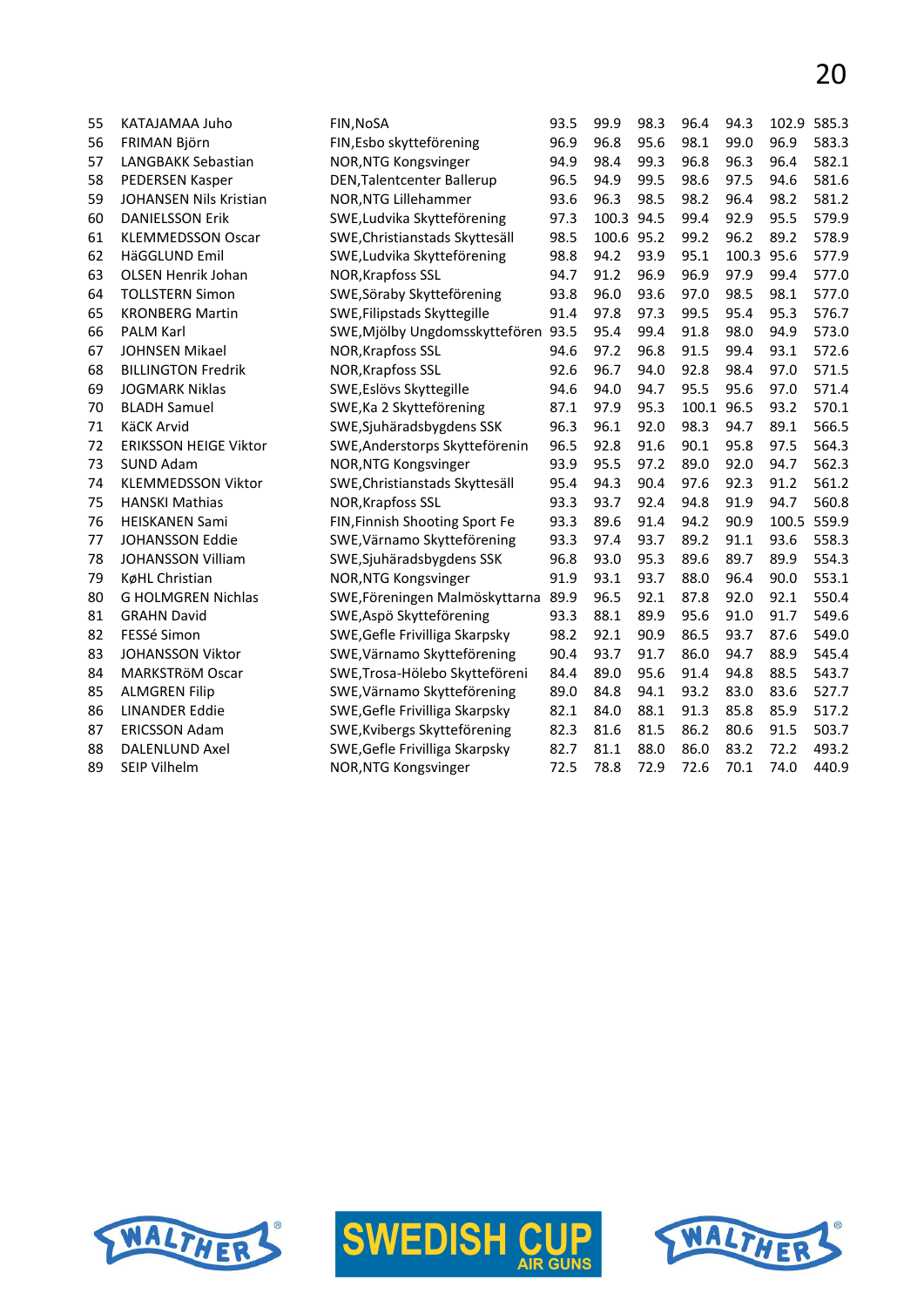| 55 | KATAJAMAA Juho                | FIN, NOSA                         | 93.5 | 99.9       | 98.3 | 96.4  | 94.3  | 102.9 | 585.3 |
|----|-------------------------------|-----------------------------------|------|------------|------|-------|-------|-------|-------|
| 56 | FRIMAN Björn                  | FIN, Esbo skytteförening          | 96.9 | 96.8       | 95.6 | 98.1  | 99.0  | 96.9  | 583.3 |
| 57 | LANGBAKK Sebastian            | NOR, NTG Kongsvinger              | 94.9 | 98.4       | 99.3 | 96.8  | 96.3  | 96.4  | 582.1 |
| 58 | <b>PEDERSEN Kasper</b>        | <b>DEN, Talentcenter Ballerup</b> | 96.5 | 94.9       | 99.5 | 98.6  | 97.5  | 94.6  | 581.6 |
| 59 | <b>JOHANSEN Nils Kristian</b> | NOR, NTG Lillehammer              | 93.6 | 96.3       | 98.5 | 98.2  | 96.4  | 98.2  | 581.2 |
| 60 | <b>DANIELSSON Erik</b>        | SWE, Ludvika Skytteförening       | 97.3 | 100.3 94.5 |      | 99.4  | 92.9  | 95.5  | 579.9 |
| 61 | <b>KLEMMEDSSON Oscar</b>      | SWE, Christianstads Skyttesäll    | 98.5 | 100.6      | 95.2 | 99.2  | 96.2  | 89.2  | 578.9 |
| 62 | HäGGLUND Emil                 | SWE, Ludvika Skytteförening       | 98.8 | 94.2       | 93.9 | 95.1  | 100.3 | 95.6  | 577.9 |
| 63 | <b>OLSEN Henrik Johan</b>     | <b>NOR, Krapfoss SSL</b>          | 94.7 | 91.2       | 96.9 | 96.9  | 97.9  | 99.4  | 577.0 |
| 64 | <b>TOLLSTERN Simon</b>        | SWE, Söraby Skytteförening        | 93.8 | 96.0       | 93.6 | 97.0  | 98.5  | 98.1  | 577.0 |
| 65 | <b>KRONBERG Martin</b>        | SWE, Filipstads Skyttegille       | 91.4 | 97.8       | 97.3 | 99.5  | 95.4  | 95.3  | 576.7 |
| 66 | <b>PALM Karl</b>              | SWE, Mjölby Ungdomsskyttefören    | 93.5 | 95.4       | 99.4 | 91.8  | 98.0  | 94.9  | 573.0 |
| 67 | <b>JOHNSEN Mikael</b>         | NOR, Krapfoss SSL                 | 94.6 | 97.2       | 96.8 | 91.5  | 99.4  | 93.1  | 572.6 |
| 68 | <b>BILLINGTON Fredrik</b>     | NOR, Krapfoss SSL                 | 92.6 | 96.7       | 94.0 | 92.8  | 98.4  | 97.0  | 571.5 |
| 69 | <b>JOGMARK Niklas</b>         | SWE, Eslövs Skyttegille           | 94.6 | 94.0       | 94.7 | 95.5  | 95.6  | 97.0  | 571.4 |
| 70 | <b>BLADH Samuel</b>           | SWE, Ka 2 Skytteförening          | 87.1 | 97.9       | 95.3 | 100.1 | 96.5  | 93.2  | 570.1 |
| 71 | KäCK Arvid                    | SWE, Sjuhäradsbygdens SSK         | 96.3 | 96.1       | 92.0 | 98.3  | 94.7  | 89.1  | 566.5 |
| 72 | <b>ERIKSSON HEIGE Viktor</b>  | SWE, Anderstorps Skytteförenin    | 96.5 | 92.8       | 91.6 | 90.1  | 95.8  | 97.5  | 564.3 |
| 73 | <b>SUND Adam</b>              | NOR, NTG Kongsvinger              | 93.9 | 95.5       | 97.2 | 89.0  | 92.0  | 94.7  | 562.3 |
| 74 | <b>KLEMMEDSSON Viktor</b>     | SWE, Christianstads Skyttesäll    | 95.4 | 94.3       | 90.4 | 97.6  | 92.3  | 91.2  | 561.2 |
| 75 | <b>HANSKI Mathias</b>         | NOR, Krapfoss SSL                 | 93.3 | 93.7       | 92.4 | 94.8  | 91.9  | 94.7  | 560.8 |
| 76 | <b>HEISKANEN Sami</b>         | FIN, Finnish Shooting Sport Fe    | 93.3 | 89.6       | 91.4 | 94.2  | 90.9  | 100.5 | 559.9 |
| 77 | <b>JOHANSSON Eddie</b>        | SWE, Värnamo Skytteförening       | 93.3 | 97.4       | 93.7 | 89.2  | 91.1  | 93.6  | 558.3 |
| 78 | <b>JOHANSSON Villiam</b>      | SWE, Sjuhäradsbygdens SSK         | 96.8 | 93.0       | 95.3 | 89.6  | 89.7  | 89.9  | 554.3 |
| 79 | KøHL Christian                | NOR, NTG Kongsvinger              | 91.9 | 93.1       | 93.7 | 88.0  | 96.4  | 90.0  | 553.1 |
| 80 | <b>G HOLMGREN Nichlas</b>     | SWE, Föreningen Malmöskyttarna    | 89.9 | 96.5       | 92.1 | 87.8  | 92.0  | 92.1  | 550.4 |
| 81 | <b>GRAHN David</b>            | SWE, Aspö Skytteförening          | 93.3 | 88.1       | 89.9 | 95.6  | 91.0  | 91.7  | 549.6 |
| 82 | FESSé Simon                   | SWE, Gefle Frivilliga Skarpsky    | 98.2 | 92.1       | 90.9 | 86.5  | 93.7  | 87.6  | 549.0 |
| 83 | JOHANSSON Viktor              | SWE, Värnamo Skytteförening       | 90.4 | 93.7       | 91.7 | 86.0  | 94.7  | 88.9  | 545.4 |
| 84 | MARKSTRÖM Oscar               | SWE, Trosa-Hölebo Skytteföreni    | 84.4 | 89.0       | 95.6 | 91.4  | 94.8  | 88.5  | 543.7 |
| 85 | <b>ALMGREN Filip</b>          | SWE, Värnamo Skytteförening       | 89.0 | 84.8       | 94.1 | 93.2  | 83.0  | 83.6  | 527.7 |
| 86 | <b>LINANDER Eddie</b>         | SWE, Gefle Frivilliga Skarpsky    | 82.1 | 84.0       | 88.1 | 91.3  | 85.8  | 85.9  | 517.2 |
| 87 | <b>ERICSSON Adam</b>          | SWE, Kvibergs Skytteförening      | 82.3 | 81.6       | 81.5 | 86.2  | 80.6  | 91.5  | 503.7 |
| 88 | <b>DALENLUND Axel</b>         | SWE, Gefle Frivilliga Skarpsky    | 82.7 | 81.1       | 88.0 | 86.0  | 83.2  | 72.2  | 493.2 |
| 89 | <b>SEIP Vilhelm</b>           | NOR, NTG Kongsvinger              | 72.5 | 78.8       | 72.9 | 72.6  | 70.1  | 74.0  | 440.9 |
|    |                               |                                   |      |            |      |       |       |       |       |





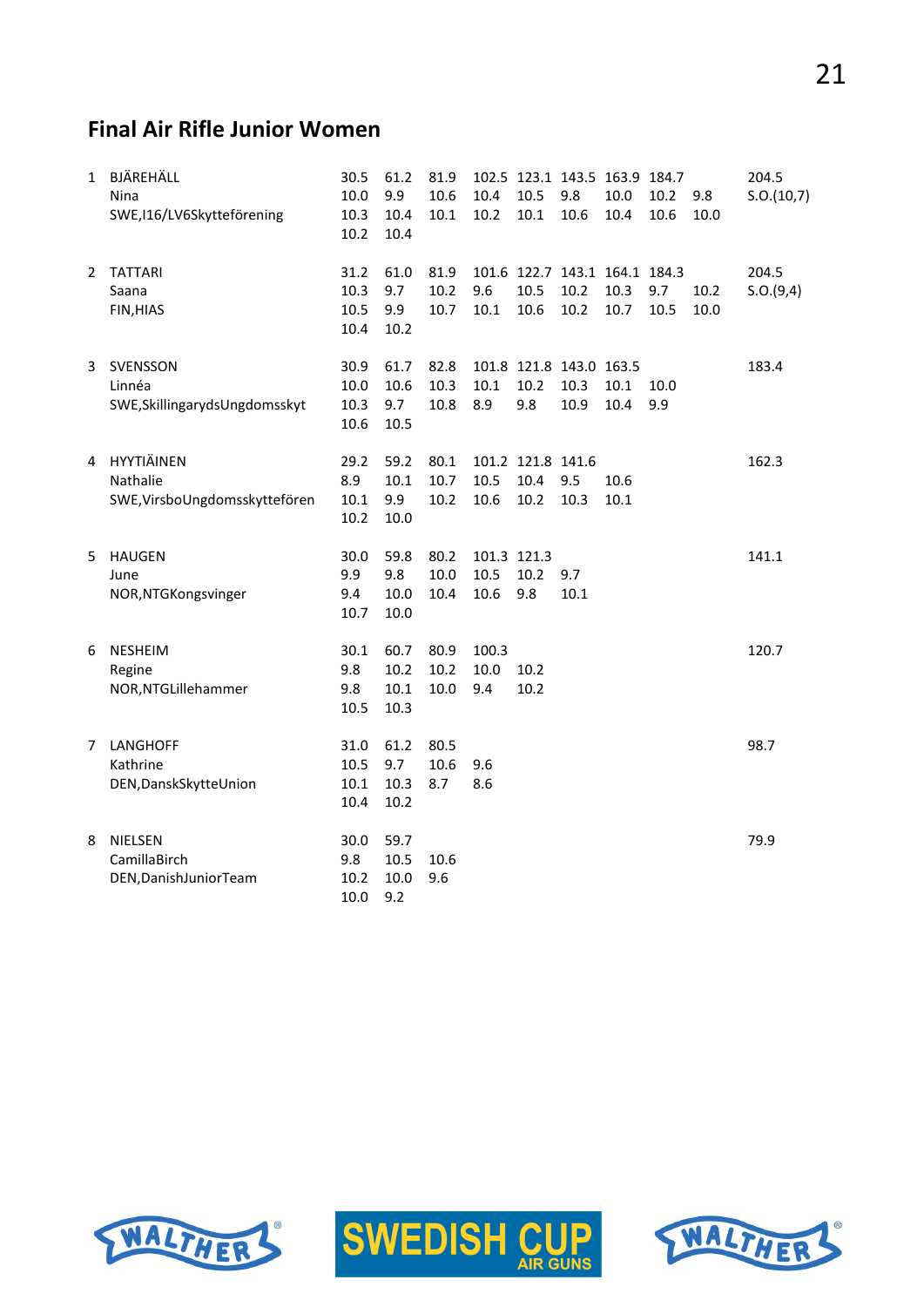## **Final Air Rifle Junior Women**

| $\mathbf{1}$ | BJÄREHÄLL<br>Nina<br>SWE, I16/LV6Skytteförening           | 30.5<br>10.0<br>10.3<br>10.2 | 61.2<br>9.9<br>10.4<br>10.4  | 81.9<br>10.6<br>10.1     | 10.4<br>10.2         | 10.5<br>10.1                      | 102.5 123.1 143.5 163.9 184.7<br>9.8<br>10.6  | 10.0<br>10.4 | 10.2<br>10.6 | 9.8<br>10.0  | 204.5<br>S.O.(10,7) |
|--------------|-----------------------------------------------------------|------------------------------|------------------------------|--------------------------|----------------------|-----------------------------------|-----------------------------------------------|--------------|--------------|--------------|---------------------|
| 2            | <b>TATTARI</b><br>Saana<br>FIN, HIAS                      | 31.2<br>10.3<br>10.5<br>10.4 | 61.0<br>9.7<br>9.9<br>10.2   | 81.9<br>10.2<br>10.7     | 9.6<br>10.1          | 10.5<br>10.6                      | 101.6 122.7 143.1 164.1 184.3<br>10.2<br>10.2 | 10.3<br>10.7 | 9.7<br>10.5  | 10.2<br>10.0 | 204.5<br>S.O.(9,4)  |
| 3            | SVENSSON<br>Linnéa<br>SWE, Skillingaryds Ungdomsskyt      | 30.9<br>10.0<br>10.3<br>10.6 | 61.7<br>10.6<br>9.7<br>10.5  | 82.8<br>10.3<br>10.8     | 10.1<br>8.9          | 10.2<br>9.8                       | 101.8 121.8 143.0 163.5<br>10.3<br>10.9       | 10.1<br>10.4 | 10.0<br>9.9  |              | 183.4               |
| 4            | HYYTIÄINEN<br>Nathalie<br>SWE, VirsboUngdomsskyttefören   | 29.2<br>8.9<br>10.1<br>10.2  | 59.2<br>10.1<br>9.9<br>10.0  | 80.1<br>10.7<br>10.2     | 10.5<br>10.6         | 101.2 121.8 141.6<br>10.4<br>10.2 | 9.5<br>10.3                                   | 10.6<br>10.1 |              |              | 162.3               |
| 5            | <b>HAUGEN</b><br>June<br>NOR, NTGKongsvinger              | 30.0<br>9.9<br>9.4<br>10.7   | 59.8<br>9.8<br>10.0<br>10.0  | 80.2<br>$10.0\,$<br>10.4 | 10.5<br>10.6         | 101.3 121.3<br>10.2<br>9.8        | 9.7<br>$10.1\,$                               |              |              |              | 141.1               |
| 6            | NESHEIM<br>Regine<br>NOR, NTGLillehammer                  | 30.1<br>9.8<br>9.8<br>10.5   | 60.7<br>10.2<br>10.1<br>10.3 | 80.9<br>10.2<br>10.0     | 100.3<br>10.0<br>9.4 | 10.2<br>10.2                      |                                               |              |              |              | 120.7               |
| 7            | LANGHOFF<br>Kathrine<br>DEN, Dansk Skytte Union           | 31.0<br>10.5<br>10.1<br>10.4 | 61.2<br>9.7<br>10.3<br>10.2  | 80.5<br>10.6<br>8.7      | 9.6<br>8.6           |                                   |                                               |              |              |              | 98.7                |
| 8            | <b>NIELSEN</b><br>CamillaBirch<br>DEN, Danish Junior Team | 30.0<br>9.8<br>10.2<br>10.0  | 59.7<br>10.5<br>10.0<br>9.2  | 10.6<br>9.6              |                      |                                   |                                               |              |              |              | 79.9                |





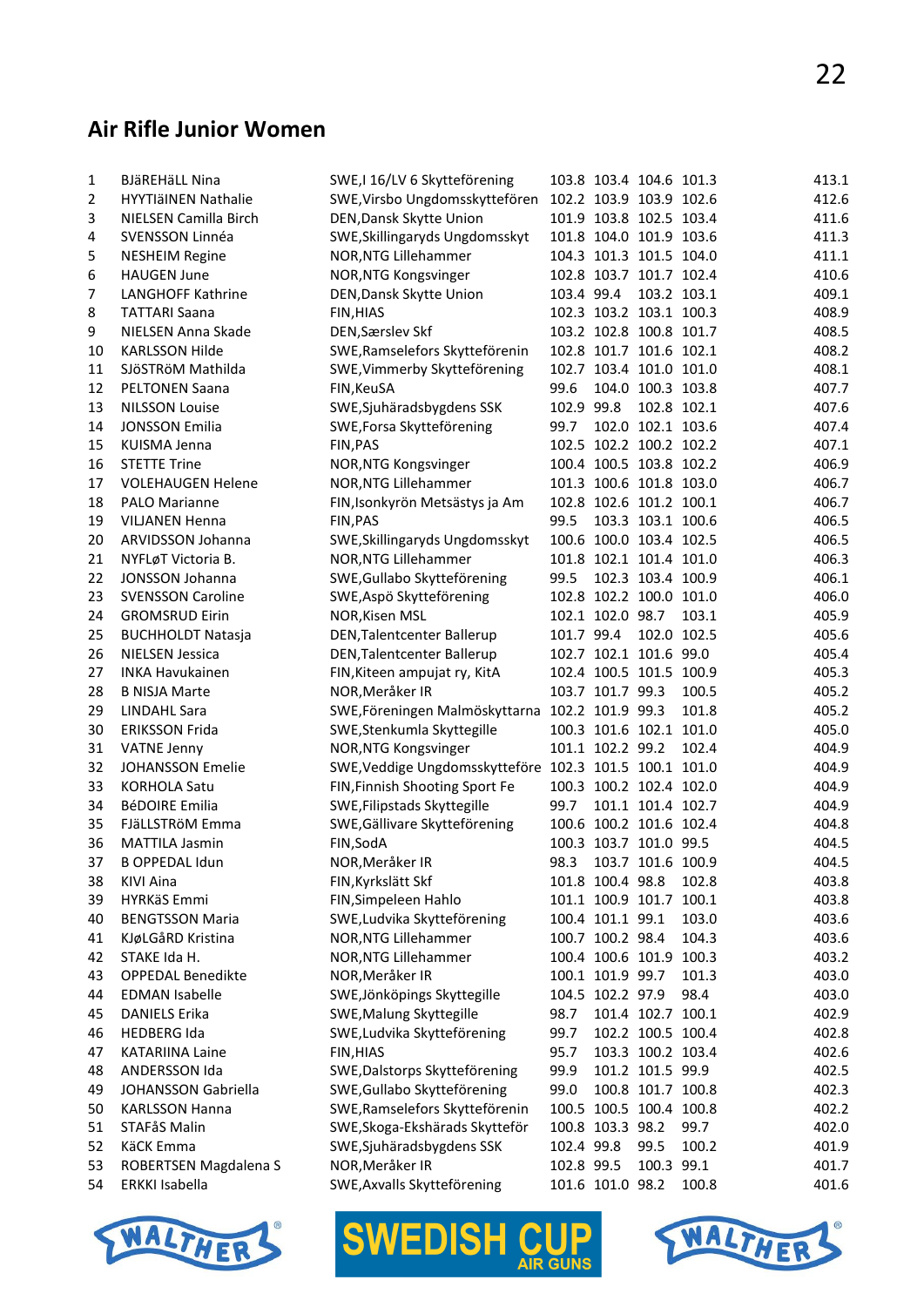#### **Air Rifle Junior Women**

| 1              | <b>BJäREHäLL Nina</b>      | SWE, I 16/LV 6 Skytteförening                          |            |                  | 103.8 103.4 104.6 101.3 |             | 413.1          |
|----------------|----------------------------|--------------------------------------------------------|------------|------------------|-------------------------|-------------|----------------|
| $\overline{2}$ | <b>HYYTIäINEN Nathalie</b> | SWE, Virsbo Ungdomsskyttefören 102.2 103.9 103.9 102.6 |            |                  |                         |             | 412.6          |
| 3              | NIELSEN Camilla Birch      | DEN, Dansk Skytte Union                                |            |                  | 101.9 103.8 102.5 103.4 |             | 411.6          |
| 4              | SVENSSON Linnéa            | SWE, Skillingaryds Ungdomsskyt                         |            |                  | 101.8 104.0 101.9 103.6 |             | 411.3          |
| 5              | <b>NESHEIM Regine</b>      | NOR, NTG Lillehammer                                   |            |                  | 104.3 101.3 101.5 104.0 |             | 411.1          |
| 6              | <b>HAUGEN June</b>         | NOR, NTG Kongsvinger                                   |            |                  | 102.8 103.7 101.7 102.4 |             | 410.6          |
| 7              | LANGHOFF Kathrine          | DEN, Dansk Skytte Union                                | 103.4 99.4 |                  |                         | 103.2 103.1 | 409.1          |
| 8              | <b>TATTARI Saana</b>       | FIN, HIAS                                              |            |                  | 102.3 103.2 103.1 100.3 |             | 408.9          |
| 9              | NIELSEN Anna Skade         | DEN, Særslev Skf                                       |            |                  | 103.2 102.8 100.8 101.7 |             | 408.5          |
| 10             | <b>KARLSSON Hilde</b>      | SWE, Ramselefors Skytteförenin                         |            |                  | 102.8 101.7 101.6 102.1 |             | 408.2          |
| 11             | SJÖSTRÖM Mathilda          | SWE, Vimmerby Skytteförening                           |            |                  | 102.7 103.4 101.0 101.0 |             | 408.1          |
| 12             | <b>PELTONEN Saana</b>      | FIN, KeuSA                                             | 99.6       |                  | 104.0 100.3 103.8       |             | 407.7          |
| 13             | <b>NILSSON Louise</b>      | SWE, Sjuhäradsbygdens SSK                              | 102.9 99.8 |                  |                         | 102.8 102.1 | 407.6          |
| 14             | <b>JONSSON Emilia</b>      | SWE, Forsa Skytteförening                              | 99.7       |                  | 102.0 102.1 103.6       |             | 407.4          |
| 15             | KUISMA Jenna               | FIN, PAS                                               |            |                  | 102.5 102.2 100.2 102.2 |             | 407.1          |
| 16             | <b>STETTE Trine</b>        | NOR, NTG Kongsvinger                                   |            |                  | 100.4 100.5 103.8 102.2 |             | 406.9          |
| 17             | <b>VOLEHAUGEN Helene</b>   | NOR, NTG Lillehammer                                   |            |                  | 101.3 100.6 101.8 103.0 |             | 406.7          |
| 18             | <b>PALO Marianne</b>       | FIN, Isonkyrön Metsästys ja Am                         |            |                  | 102.8 102.6 101.2 100.1 |             | 406.7          |
| 19             | <b>VILJANEN Henna</b>      | FIN, PAS                                               | 99.5       |                  | 103.3 103.1 100.6       |             | 406.5          |
| 20             | ARVIDSSON Johanna          | SWE, Skillingaryds Ungdomsskyt                         |            |                  | 100.6 100.0 103.4 102.5 |             | 406.5          |
| 21             | NYFLøT Victoria B.         | NOR, NTG Lillehammer                                   |            |                  | 101.8 102.1 101.4 101.0 |             | 406.3          |
| 22             | <b>JONSSON Johanna</b>     | SWE, Gullabo Skytteförening                            | 99.5       |                  | 102.3 103.4 100.9       |             | 406.1          |
| 23             | <b>SVENSSON Caroline</b>   | SWE, Aspö Skytteförening                               |            |                  | 102.8 102.2 100.0 101.0 |             | 406.0          |
| 24             |                            |                                                        |            | 102.1 102.0 98.7 |                         | 103.1       | 405.9          |
|                | <b>GROMSRUD Eirin</b>      | NOR, Kisen MSL                                         |            |                  |                         |             |                |
| 25<br>26       | <b>BUCHHOLDT Natasja</b>   | DEN, Talentcenter Ballerup                             | 101.7 99.4 |                  | 102.0 102.5             |             | 405.6<br>405.4 |
|                | <b>NIELSEN Jessica</b>     | DEN, Talentcenter Ballerup                             |            |                  | 102.7 102.1 101.6 99.0  |             |                |
| 27             | <b>INKA Havukainen</b>     | FIN, Kiteen ampujat ry, KitA                           |            |                  | 102.4 100.5 101.5 100.9 |             | 405.3          |
| 28             | <b>B NISJA Marte</b>       | NOR, Meråker IR                                        |            | 103.7 101.7 99.3 |                         | 100.5       | 405.2          |
| 29             | LINDAHL Sara               | SWE, Föreningen Malmöskyttarna                         |            | 102.2 101.9 99.3 |                         | 101.8       | 405.2          |
| 30             | <b>ERIKSSON Frida</b>      | SWE, Stenkumla Skyttegille                             |            |                  | 100.3 101.6 102.1 101.0 |             | 405.0          |
| 31             | <b>VATNE Jenny</b>         | NOR, NTG Kongsvinger                                   |            | 101.1 102.2 99.2 |                         | 102.4       | 404.9          |
| 32             | <b>JOHANSSON Emelie</b>    | SWE, Veddige Ungdomsskytteföre 102.3 101.5 100.1 101.0 |            |                  |                         |             | 404.9          |
| 33             | <b>KORHOLA Satu</b>        | FIN, Finnish Shooting Sport Fe                         |            |                  | 100.3 100.2 102.4 102.0 |             | 404.9          |
| 34             | <b>BéDOIRE Emilia</b>      | SWE, Filipstads Skyttegille                            | 99.7       |                  | 101.1 101.4 102.7       |             | 404.9          |
| 35             | FJäLLSTRöM Emma            | SWE, Gällivare Skytteförening                          |            |                  | 100.6 100.2 101.6 102.4 |             | 404.8          |
| 36             | <b>MATTILA Jasmin</b>      | FIN, SodA                                              |            |                  | 100.3 103.7 101.0 99.5  |             | 404.5          |
| 37             | <b>B OPPEDAL Idun</b>      | NOR, Meråker IR                                        | 98.3       |                  | 103.7 101.6 100.9       |             | 404.5          |
| 38             | KIVI Aina                  | FIN, Kyrkslätt Skf                                     |            | 101.8 100.4 98.8 |                         | 102.8       | 403.8          |
| 39             | HYRKäS Emmi                | FIN, Simpeleen Hahlo                                   |            |                  | 101.1 100.9 101.7       | 100.1       | 403.8          |
| 40             | <b>BENGTSSON Maria</b>     | SWE, Ludvika Skytteförening                            |            | 100.4 101.1 99.1 |                         | 103.0       | 403.6          |
| 41             | KJøLGåRD Kristina          | NOR, NTG Lillehammer                                   |            | 100.7 100.2 98.4 |                         | 104.3       | 403.6          |
| 42             | STAKE Ida H.               | NOR, NTG Lillehammer                                   |            |                  | 100.4 100.6 101.9 100.3 |             | 403.2          |
| 43             | <b>OPPEDAL Benedikte</b>   | NOR, Meråker IR                                        |            | 100.1 101.9 99.7 |                         | 101.3       | 403.0          |
| 44             | <b>EDMAN Isabelle</b>      | SWE, Jönköpings Skyttegille                            |            | 104.5 102.2 97.9 |                         | 98.4        | 403.0          |
| 45             | <b>DANIELS Erika</b>       | SWE, Malung Skyttegille                                | 98.7       |                  | 101.4 102.7 100.1       |             | 402.9          |
| 46             | <b>HEDBERG Ida</b>         | SWE, Ludvika Skytteförening                            | 99.7       |                  | 102.2 100.5 100.4       |             | 402.8          |
| 47             | <b>KATARIINA Laine</b>     | FIN, HIAS                                              | 95.7       |                  | 103.3 100.2 103.4       |             | 402.6          |
| 48             | ANDERSSON Ida              | SWE, Dalstorps Skytteförening                          | 99.9       |                  | 101.2 101.5 99.9        |             | 402.5          |
| 49             | JOHANSSON Gabriella        | SWE, Gullabo Skytteförening                            | 99.0       |                  | 100.8 101.7 100.8       |             | 402.3          |
| 50             | <b>KARLSSON Hanna</b>      | SWE, Ramselefors Skytteförenin                         |            |                  | 100.5 100.5 100.4 100.8 |             | 402.2          |
| 51             | STAFåS Malin               | SWE, Skoga-Ekshärads Skytteför                         |            | 100.8 103.3 98.2 |                         | 99.7        | 402.0          |
| 52             | KäCK Emma                  | SWE, Sjuhäradsbygdens SSK                              | 102.4 99.8 |                  | 99.5                    | 100.2       | 401.9          |
| 53             | ROBERTSEN Magdalena S      | NOR, Meråker IR                                        | 102.8 99.5 |                  | 100.3 99.1              |             | 401.7          |
| 54             | <b>ERKKI Isabella</b>      | SWE, Axvalls Skytteförening                            |            | 101.6 101.0 98.2 |                         | 100.8       | 401.6          |





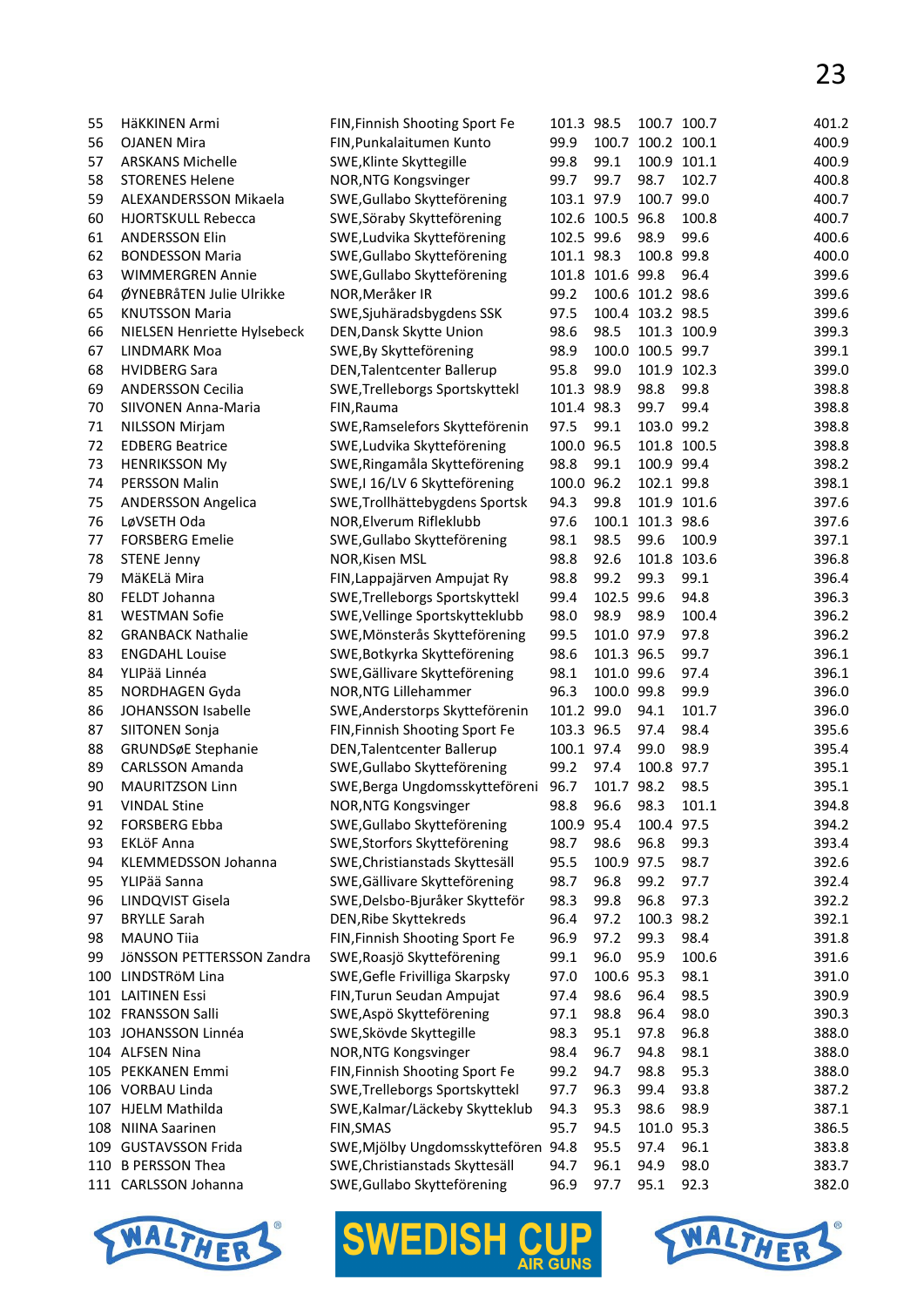| 55  | HäKKINEN Armi               | FIN, Finnish Shooting Sport Fe    | 101.3 98.5 |                  |                  | 100.7 100.7 | 401.2 |
|-----|-----------------------------|-----------------------------------|------------|------------------|------------------|-------------|-------|
| 56  | <b>OJANEN Mira</b>          | FIN, Punkalaitumen Kunto          | 99.9       | 100.7            | 100.2 100.1      |             | 400.9 |
| 57  | <b>ARSKANS Michelle</b>     | SWE, Klinte Skyttegille           | 99.8       | 99.1             |                  | 100.9 101.1 | 400.9 |
| 58  | <b>STORENES Helene</b>      | NOR, NTG Kongsvinger              | 99.7       | 99.7             | 98.7             | 102.7       | 400.8 |
| 59  | ALEXANDERSSON Mikaela       | SWE, Gullabo Skytteförening       | 103.1 97.9 |                  | 100.7 99.0       |             | 400.7 |
| 60  | <b>HJORTSKULL Rebecca</b>   | SWE, Söraby Skytteförening        |            | 102.6 100.5 96.8 |                  | 100.8       | 400.7 |
| 61  | <b>ANDERSSON Elin</b>       | SWE, Ludvika Skytteförening       | 102.5 99.6 |                  | 98.9             | 99.6        | 400.6 |
| 62  | <b>BONDESSON Maria</b>      | SWE, Gullabo Skytteförening       | 101.1 98.3 |                  | 100.8 99.8       |             | 400.0 |
| 63  | <b>WIMMERGREN Annie</b>     | SWE, Gullabo Skytteförening       |            | 101.8 101.6 99.8 |                  | 96.4        | 399.6 |
| 64  | ØYNEBRåTEN Julie Ulrikke    | NOR, Meråker IR                   | 99.2       |                  | 100.6 101.2 98.6 |             | 399.6 |
| 65  | <b>KNUTSSON Maria</b>       | SWE, Sjuhäradsbygdens SSK         | 97.5       |                  | 100.4 103.2 98.5 |             | 399.6 |
| 66  | NIELSEN Henriette Hylsebeck | DEN, Dansk Skytte Union           | 98.6       | 98.5             |                  | 101.3 100.9 | 399.3 |
| 67  | LINDMARK Moa                |                                   | 98.9       | 100.0            | 100.5 99.7       |             | 399.1 |
|     |                             | SWE, By Skytteförening            |            |                  |                  |             |       |
| 68  | <b>HVIDBERG Sara</b>        | DEN, Talentcenter Ballerup        | 95.8       | 99.0             |                  | 101.9 102.3 | 399.0 |
| 69  | <b>ANDERSSON Cecilia</b>    | SWE, Trelleborgs Sportskyttekl    | 101.3 98.9 |                  | 98.8             | 99.8        | 398.8 |
| 70  | <b>SIIVONEN Anna-Maria</b>  | FIN, Rauma                        | 101.4 98.3 |                  | 99.7             | 99.4        | 398.8 |
| 71  | NILSSON Mirjam              | SWE, Ramselefors Skytteförenin    | 97.5       | 99.1             | 103.0 99.2       |             | 398.8 |
| 72  | <b>EDBERG Beatrice</b>      | SWE, Ludvika Skytteförening       | 100.0 96.5 |                  |                  | 101.8 100.5 | 398.8 |
| 73  | <b>HENRIKSSON My</b>        | SWE, Ringamåla Skytteförening     | 98.8       | 99.1             | 100.9 99.4       |             | 398.2 |
| 74  | PERSSON Malin               | SWE, I 16/LV 6 Skytteförening     | 100.0 96.2 |                  | 102.1 99.8       |             | 398.1 |
| 75  | <b>ANDERSSON Angelica</b>   | SWE, Trollhättebygdens Sportsk    | 94.3       | 99.8             |                  | 101.9 101.6 | 397.6 |
| 76  | LøVSETH Oda                 | NOR, Elverum Rifleklubb           | 97.6       |                  | 100.1 101.3 98.6 |             | 397.6 |
| 77  | <b>FORSBERG Emelie</b>      | SWE, Gullabo Skytteförening       | 98.1       | 98.5             | 99.6             | 100.9       | 397.1 |
| 78  | <b>STENE Jenny</b>          | NOR, Kisen MSL                    | 98.8       | 92.6             |                  | 101.8 103.6 | 396.8 |
| 79  | MäKELä Mira                 | FIN, Lappajärven Ampujat Ry       | 98.8       | 99.2             | 99.3             | 99.1        | 396.4 |
| 80  | FELDT Johanna               | SWE, Trelleborgs Sportskyttekl    | 99.4       | 102.5 99.6       |                  | 94.8        | 396.3 |
| 81  | <b>WESTMAN Sofie</b>        | SWE, Vellinge Sportskytteklubb    | 98.0       | 98.9             | 98.9             | 100.4       | 396.2 |
|     |                             |                                   |            |                  |                  |             |       |
| 82  | <b>GRANBACK Nathalie</b>    | SWE, Mönsterås Skytteförening     | 99.5       | 101.0 97.9       |                  | 97.8        | 396.2 |
| 83  | <b>ENGDAHL Louise</b>       | SWE, Botkyrka Skytteförening      | 98.6       | 101.3 96.5       |                  | 99.7        | 396.1 |
| 84  | YLIPää Linnéa               | SWE, Gällivare Skytteförening     | 98.1       | 101.0 99.6       |                  | 97.4        | 396.1 |
| 85  | NORDHAGEN Gyda              | NOR, NTG Lillehammer              | 96.3       | 100.0 99.8       |                  | 99.9        | 396.0 |
| 86  | JOHANSSON Isabelle          | SWE, Anderstorps Skytteförenin    | 101.2 99.0 |                  | 94.1             | 101.7       | 396.0 |
| 87  | SIITONEN Sonja              | FIN, Finnish Shooting Sport Fe    | 103.3 96.5 |                  | 97.4             | 98.4        | 395.6 |
| 88  | GRUNDSøE Stephanie          | <b>DEN, Talentcenter Ballerup</b> | 100.1 97.4 |                  | 99.0             | 98.9        | 395.4 |
| 89  | <b>CARLSSON Amanda</b>      | SWE, Gullabo Skytteförening       | 99.2       | 97.4             | 100.8 97.7       |             | 395.1 |
| 90  | <b>MAURITZSON Linn</b>      | SWE, Berga Ungdomsskytteföreni    | 96.7       | 101.7 98.2       |                  | 98.5        | 395.1 |
| 91  | <b>VINDAL Stine</b>         | NOR, NTG Kongsvinger              | 98.8       | 96.6             | 98.3             | 101.1       | 394.8 |
| 92  | <b>FORSBERG Ebba</b>        | SWE, Gullabo Skytteförening       | 100.9 95.4 |                  | 100.4 97.5       |             | 394.2 |
| 93  | EKLÖF Anna                  | SWE, Storfors Skytteförening      | 98.7       | 98.6             | 96.8             | 99.3        | 393.4 |
| 94  | <b>KLEMMEDSSON Johanna</b>  | SWE, Christianstads Skyttesäll    | 95.5       | 100.9            | 97.5             | 98.7        | 392.6 |
| 95  | YLIPää Sanna                | SWE, Gällivare Skytteförening     | 98.7       | 96.8             | 99.2             | 97.7        | 392.4 |
| 96  | LINDQVIST Gisela            | SWE, Delsbo-Bjuråker Skytteför    | 98.3       | 99.8             | 96.8             | 97.3        | 392.2 |
| 97  | <b>BRYLLE Sarah</b>         | DEN, Ribe Skyttekreds             | 96.4       | 97.2             | 100.3 98.2       |             | 392.1 |
| 98  | <b>MAUNO Tiia</b>           | FIN, Finnish Shooting Sport Fe    | 96.9       | 97.2             | 99.3             | 98.4        | 391.8 |
|     |                             |                                   |            |                  |                  |             | 391.6 |
| 99  | JÖNSSON PETTERSSON Zandra   | SWE, Roasjö Skytteförening        | 99.1       | 96.0             | 95.9             | 100.6       |       |
| 100 | LINDSTRÖM Lina              | SWE, Gefle Frivilliga Skarpsky    | 97.0       | 100.6            | 95.3             | 98.1        | 391.0 |
| 101 | <b>LAITINEN Essi</b>        | FIN, Turun Seudan Ampujat         | 97.4       | 98.6             | 96.4             | 98.5        | 390.9 |
|     | 102 FRANSSON Salli          | SWE, Aspö Skytteförening          | 97.1       | 98.8             | 96.4             | 98.0        | 390.3 |
|     | 103 JOHANSSON Linnéa        | SWE, Skövde Skyttegille           | 98.3       | 95.1             | 97.8             | 96.8        | 388.0 |
|     | 104 ALFSEN Nina             | NOR, NTG Kongsvinger              | 98.4       | 96.7             | 94.8             | 98.1        | 388.0 |
| 105 | PEKKANEN Emmi               | FIN, Finnish Shooting Sport Fe    | 99.2       | 94.7             | 98.8             | 95.3        | 388.0 |
|     | 106 VORBAU Linda            | SWE, Trelleborgs Sportskyttekl    | 97.7       | 96.3             | 99.4             | 93.8        | 387.2 |
| 107 | HJELM Mathilda              | SWE, Kalmar/Läckeby Skytteklub    | 94.3       | 95.3             | 98.6             | 98.9        | 387.1 |
| 108 | <b>NIINA Saarinen</b>       | <b>FIN, SMAS</b>                  | 95.7       | 94.5             | 101.0 95.3       |             | 386.5 |
|     | 109 GUSTAVSSON Frida        | SWE, Mjölby Ungdomsskyttefören    | 94.8       | 95.5             | 97.4             | 96.1        | 383.8 |
| 110 | <b>B PERSSON Thea</b>       | SWE, Christianstads Skyttesäll    | 94.7       | 96.1             | 94.9             | 98.0        | 383.7 |
|     | 111 CARLSSON Johanna        | SWE, Gullabo Skytteförening       | 96.9       | 97.7             | 95.1             | 92.3        | 382.0 |
|     |                             |                                   |            |                  |                  |             |       |





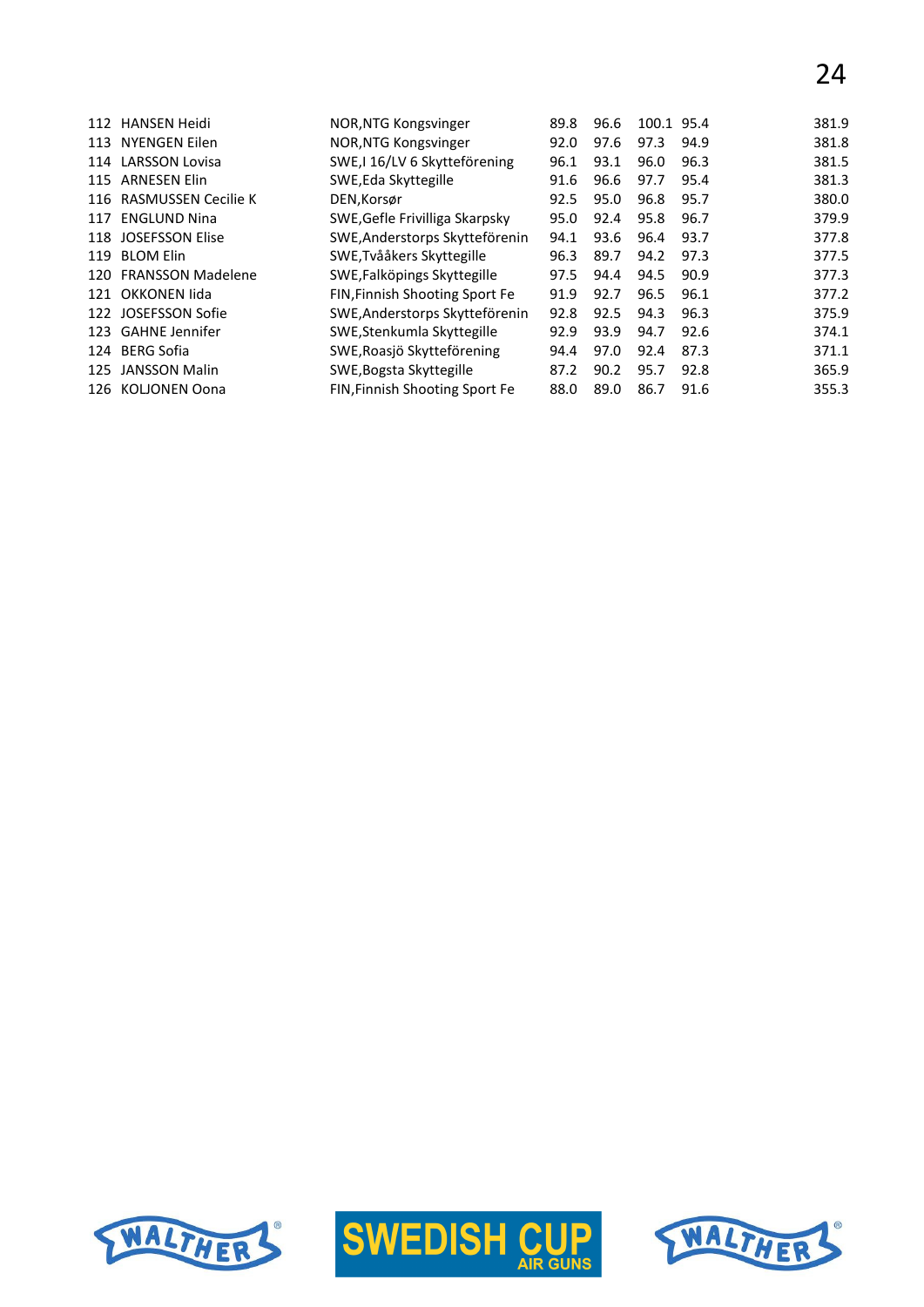# 24

| 112 | <b>HANSEN Heidi</b>      | NOR, NTG Kongsvinger           | 89.8 | 96.6 | 100.1 95.4 |      | 381.9 |
|-----|--------------------------|--------------------------------|------|------|------------|------|-------|
| 113 | NYENGEN Eilen            | NOR, NTG Kongsvinger           | 92.0 | 97.6 | 97.3       | 94.9 | 381.8 |
|     | 114 LARSSON Lovisa       | SWE, I 16/LV 6 Skytteförening  | 96.1 | 93.1 | 96.0       | 96.3 | 381.5 |
| 115 | <b>ARNESEN Elin</b>      | SWE, Eda Skyttegille           | 91.6 | 96.6 | 97.7       | 95.4 | 381.3 |
|     | 116 RASMUSSEN Cecilie K  | DEN, Korsør                    | 92.5 | 95.0 | 96.8       | 95.7 | 380.0 |
| 117 | <b>ENGLUND Nina</b>      | SWE, Gefle Frivilliga Skarpsky | 95.0 | 92.4 | 95.8       | 96.7 | 379.9 |
|     | 118 JOSEFSSON Elise      | SWE, Anderstorps Skytteförenin | 94.1 | 93.6 | 96.4       | 93.7 | 377.8 |
| 119 | <b>BLOM Elin</b>         | SWE, Tvååkers Skyttegille      | 96.3 | 89.7 | 94.2       | 97.3 | 377.5 |
| 120 | <b>FRANSSON Madelene</b> | SWE, Falköpings Skyttegille    | 97.5 | 94.4 | 94.5       | 90.9 | 377.3 |
|     | 121 OKKONEN lida         | FIN, Finnish Shooting Sport Fe | 91.9 | 92.7 | 96.5       | 96.1 | 377.2 |
|     | 122 JOSEFSSON Sofie      | SWE, Anderstorps Skytteförenin | 92.8 | 92.5 | 94.3       | 96.3 | 375.9 |
|     | 123 GAHNE Jennifer       | SWE, Stenkumla Skyttegille     | 92.9 | 93.9 | 94.7       | 92.6 | 374.1 |
| 124 | <b>BERG Sofia</b>        | SWE, Roasjö Skytteförening     | 94.4 | 97.0 | 92.4       | 87.3 | 371.1 |
| 125 | <b>JANSSON Malin</b>     | SWE, Bogsta Skyttegille        | 87.2 | 90.2 | 95.7       | 92.8 | 365.9 |
| 126 | KOLJONEN Oona            | FIN, Finnish Shooting Sport Fe | 88.0 | 89.0 | 86.7       | 91.6 | 355.3 |





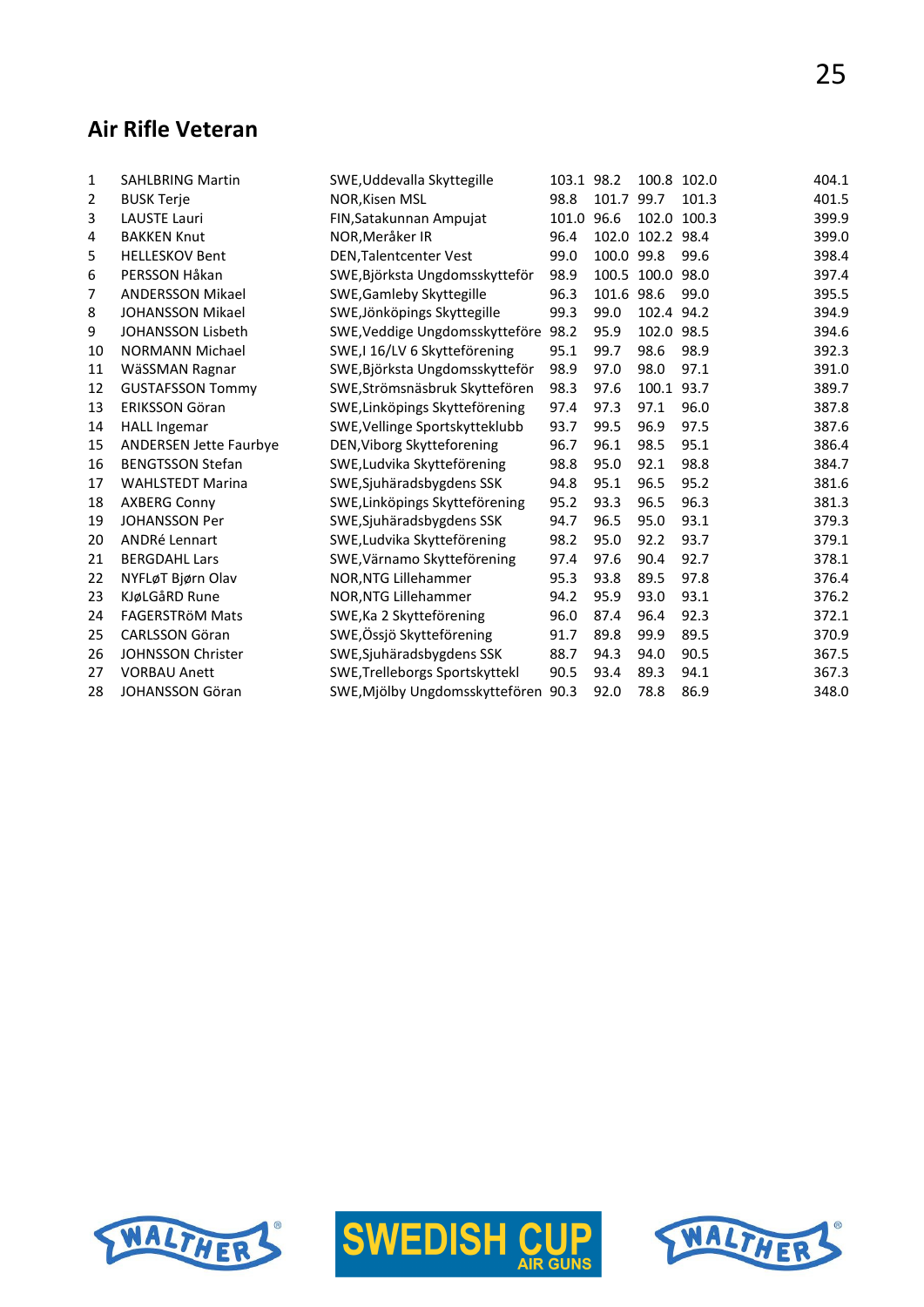## **Air Rifle Veteran**

| 1  | <b>SAHLBRING Martin</b>       | SWE, Uddevalla Skyttegille     | 103.1 98.2 |            |                  | 100.8 102.0 | 404.1 |
|----|-------------------------------|--------------------------------|------------|------------|------------------|-------------|-------|
| 2  | <b>BUSK Terje</b>             | <b>NOR, Kisen MSL</b>          | 98.8       | 101.7      | 99.7             | 101.3       | 401.5 |
| 3  | <b>LAUSTE Lauri</b>           | FIN, Satakunnan Ampujat        | 101.0      | 96.6       | 102.0 100.3      |             | 399.9 |
| 4  | <b>BAKKEN Knut</b>            | NOR, Meråker IR                | 96.4       |            | 102.0 102.2 98.4 |             | 399.0 |
| 5  | <b>HELLESKOV Bent</b>         | <b>DEN, Talentcenter Vest</b>  | 99.0       | 100.0 99.8 |                  | 99.6        | 398.4 |
| 6  | PERSSON Håkan                 | SWE, Björksta Ungdomsskytteför | 98.9       |            | 100.5 100.0      | 98.0        | 397.4 |
| 7  | <b>ANDERSSON Mikael</b>       | SWE, Gamleby Skyttegille       | 96.3       | 101.6 98.6 |                  | 99.0        | 395.5 |
| 8  | <b>JOHANSSON Mikael</b>       | SWE, Jönköpings Skyttegille    | 99.3       | 99.0       | 102.4 94.2       |             | 394.9 |
| 9  | <b>JOHANSSON Lisbeth</b>      | SWE, Veddige Ungdomsskytteföre | 98.2       | 95.9       | 102.0            | 98.5        | 394.6 |
| 10 | <b>NORMANN Michael</b>        | SWE,I 16/LV 6 Skytteförening   | 95.1       | 99.7       | 98.6             | 98.9        | 392.3 |
| 11 | WäSSMAN Ragnar                | SWE, Björksta Ungdomsskytteför | 98.9       | 97.0       | 98.0             | 97.1        | 391.0 |
| 12 | <b>GUSTAFSSON Tommy</b>       | SWE, Strömsnäsbruk Skyttefören | 98.3       | 97.6       | 100.1 93.7       |             | 389.7 |
| 13 | <b>ERIKSSON Göran</b>         | SWE, Linköpings Skytteförening | 97.4       | 97.3       | 97.1             | 96.0        | 387.8 |
| 14 | <b>HALL Ingemar</b>           | SWE, Vellinge Sportskytteklubb | 93.7       | 99.5       | 96.9             | 97.5        | 387.6 |
| 15 | <b>ANDERSEN Jette Faurbye</b> | DEN, Viborg Skytteforening     | 96.7       | 96.1       | 98.5             | 95.1        | 386.4 |
| 16 | <b>BENGTSSON Stefan</b>       | SWE, Ludvika Skytteförening    | 98.8       | 95.0       | 92.1             | 98.8        | 384.7 |
| 17 | <b>WAHLSTEDT Marina</b>       | SWE, Sjuhäradsbygdens SSK      | 94.8       | 95.1       | 96.5             | 95.2        | 381.6 |
| 18 | <b>AXBERG Conny</b>           | SWE, Linköpings Skytteförening | 95.2       | 93.3       | 96.5             | 96.3        | 381.3 |
| 19 | <b>JOHANSSON Per</b>          | SWE, Sjuhäradsbygdens SSK      | 94.7       | 96.5       | 95.0             | 93.1        | 379.3 |
| 20 | ANDRé Lennart                 | SWE, Ludvika Skytteförening    | 98.2       | 95.0       | 92.2             | 93.7        | 379.1 |
| 21 | <b>BERGDAHL Lars</b>          | SWE, Värnamo Skytteförening    | 97.4       | 97.6       | 90.4             | 92.7        | 378.1 |
| 22 | NYFLøT Bjørn Olav             | NOR, NTG Lillehammer           | 95.3       | 93.8       | 89.5             | 97.8        | 376.4 |
| 23 | KJøLGåRD Rune                 | NOR, NTG Lillehammer           | 94.2       | 95.9       | 93.0             | 93.1        | 376.2 |
| 24 | <b>FAGERSTRÖM Mats</b>        | SWE, Ka 2 Skytteförening       | 96.0       | 87.4       | 96.4             | 92.3        | 372.1 |
| 25 | <b>CARLSSON Göran</b>         | SWE, Össjö Skytteförening      | 91.7       | 89.8       | 99.9             | 89.5        | 370.9 |
| 26 | JOHNSSON Christer             | SWE, Sjuhäradsbygdens SSK      | 88.7       | 94.3       | 94.0             | 90.5        | 367.5 |
| 27 | <b>VORBAU Anett</b>           | SWE, Trelleborgs Sportskyttekl | 90.5       | 93.4       | 89.3             | 94.1        | 367.3 |
| 28 | <b>JOHANSSON Göran</b>        | SWE, Mjölby Ungdomsskyttefören | 90.3       | 92.0       | 78.8             | 86.9        | 348.0 |





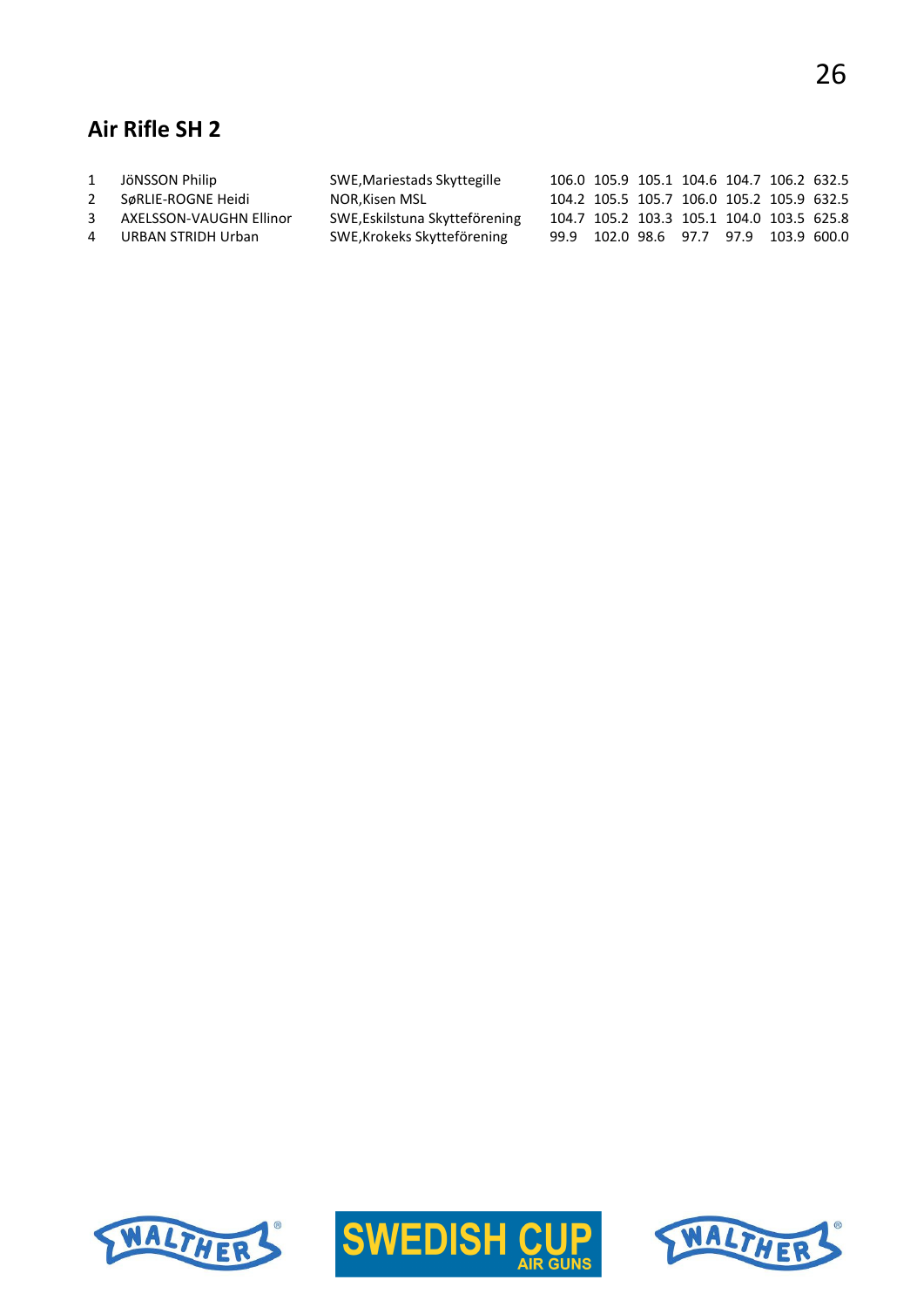## **Air Rifle SH 2**

| 1              | JöNSSON Philip          | SWE, Mariestads Skyttegille    |  | 106.0 105.9 105.1 104.6 104.7 106.2 632.5 |  |  |
|----------------|-------------------------|--------------------------------|--|-------------------------------------------|--|--|
| 2              | SøRLIE-ROGNE Heidi      | NOR,Kisen MSL                  |  | 104.2 105.5 105.7 106.0 105.2 105.9 632.5 |  |  |
| 3              | AXELSSON-VAUGHN Ellinor | SWE, Eskilstuna Skytteförening |  | 104.7 105.2 103.3 105.1 104.0 103.5 625.8 |  |  |
| $\overline{4}$ | URBAN STRIDH Urban      | SWE, Krokeks Skytteförening    |  | 99.9 102.0 98.6 97.7 97.9 103.9 600.0     |  |  |





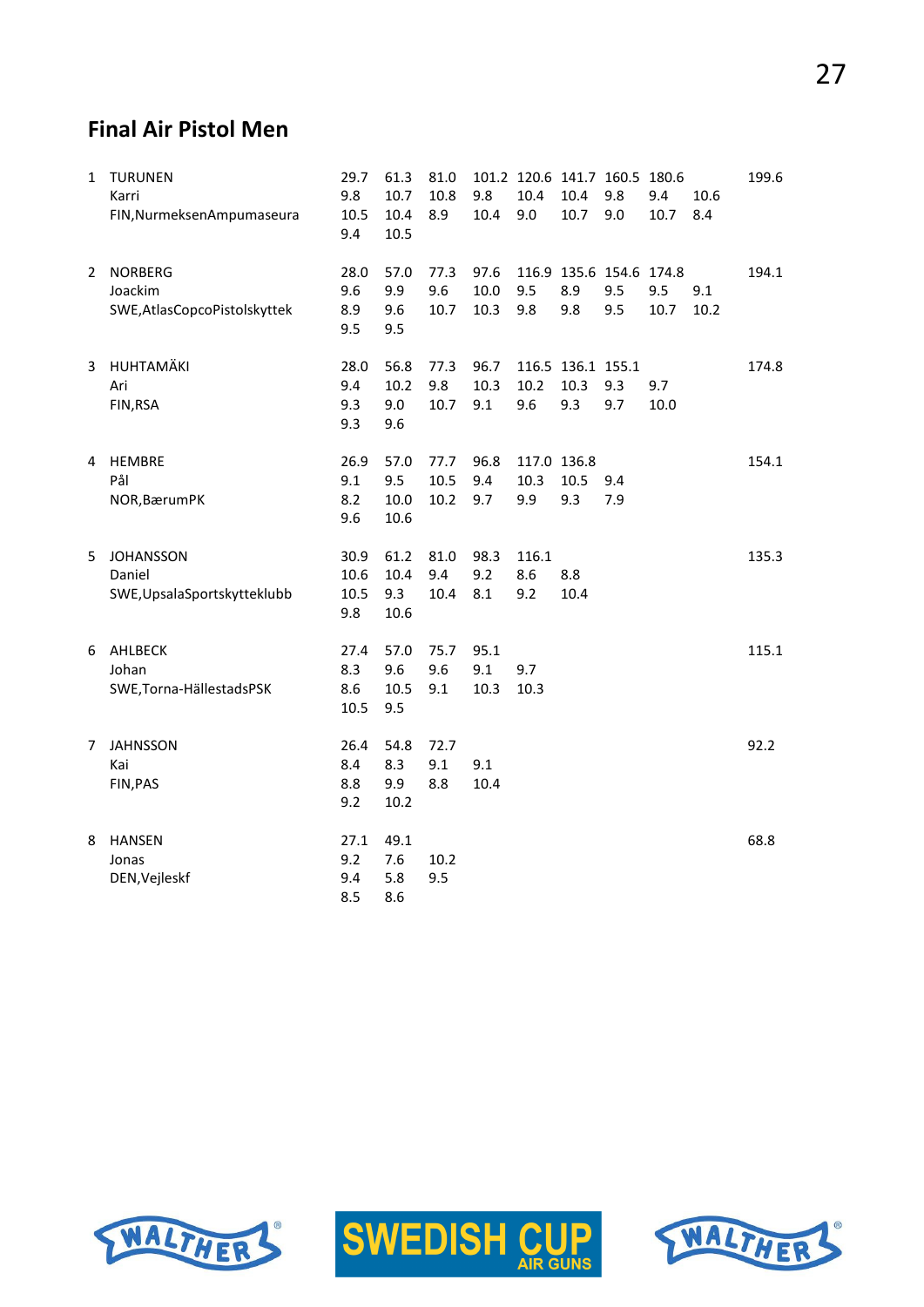## **Final Air Pistol Men**

| $\mathbf{1}$ | <b>TURUNEN</b><br>Karri<br>FIN, Nurmeksen Ampumaseura     | 29.7<br>9.8<br>10.5<br>9.4  | 61.3<br>10.7<br>10.4<br>10.5 | 81.0<br>10.8<br>8.9  | 9.8<br>10.4          | 10.4<br>9.0                | 10.4<br>10.7                     | 101.2 120.6 141.7 160.5 180.6<br>9.8<br>9.0 | 9.4<br>10.7 | 10.6<br>8.4 | 199.6 |
|--------------|-----------------------------------------------------------|-----------------------------|------------------------------|----------------------|----------------------|----------------------------|----------------------------------|---------------------------------------------|-------------|-------------|-------|
| 2            | <b>NORBERG</b><br>Joackim<br>SWE, AtlasCopcoPistolskyttek | 28.0<br>9.6<br>8.9<br>9.5   | 57.0<br>9.9<br>9.6<br>9.5    | 77.3<br>9.6<br>10.7  | 97.6<br>10.0<br>10.3 | 9.5<br>9.8                 | 8.9<br>9.8                       | 116.9 135.6 154.6 174.8<br>9.5<br>9.5       | 9.5<br>10.7 | 9.1<br>10.2 | 194.1 |
| 3            | HUHTAMÄKI<br>Ari<br>FIN, RSA                              | 28.0<br>9.4<br>9.3<br>9.3   | 56.8<br>10.2<br>9.0<br>9.6   | 77.3<br>9.8<br>10.7  | 96.7<br>10.3<br>9.1  | 10.2<br>9.6                | 116.5 136.1 155.1<br>10.3<br>9.3 | 9.3<br>9.7                                  | 9.7<br>10.0 |             | 174.8 |
| 4            | <b>HEMBRE</b><br>Pål<br>NOR, Bærum PK                     | 26.9<br>9.1<br>8.2<br>9.6   | 57.0<br>9.5<br>10.0<br>10.6  | 77.7<br>10.5<br>10.2 | 96.8<br>9.4<br>9.7   | 117.0 136.8<br>10.3<br>9.9 | 10.5<br>9.3                      | 9.4<br>7.9                                  |             |             | 154.1 |
| 5.           | <b>JOHANSSON</b><br>Daniel<br>SWE, UpsalaSportskytteklubb | 30.9<br>10.6<br>10.5<br>9.8 | 61.2<br>10.4<br>9.3<br>10.6  | 81.0<br>9.4<br>10.4  | 98.3<br>9.2<br>8.1   | 116.1<br>8.6<br>9.2        | 8.8<br>10.4                      |                                             |             |             | 135.3 |
| 6            | AHLBECK<br>Johan<br>SWE, Torna-HällestadsPSK              | 27.4<br>8.3<br>8.6<br>10.5  | 57.0<br>9.6<br>10.5<br>9.5   | 75.7<br>9.6<br>9.1   | 95.1<br>9.1<br>10.3  | 9.7<br>10.3                |                                  |                                             |             |             | 115.1 |
| 7            | <b>JAHNSSON</b><br>Kai<br>FIN, PAS                        | 26.4<br>8.4<br>8.8<br>9.2   | 54.8<br>8.3<br>9.9<br>10.2   | 72.7<br>9.1<br>8.8   | 9.1<br>10.4          |                            |                                  |                                             |             |             | 92.2  |
| 8            | <b>HANSEN</b><br>Jonas<br>DEN, Vejleskf                   | 27.1<br>9.2<br>9.4<br>8.5   | 49.1<br>7.6<br>5.8<br>8.6    | 10.2<br>9.5          |                      |                            |                                  |                                             |             |             | 68.8  |





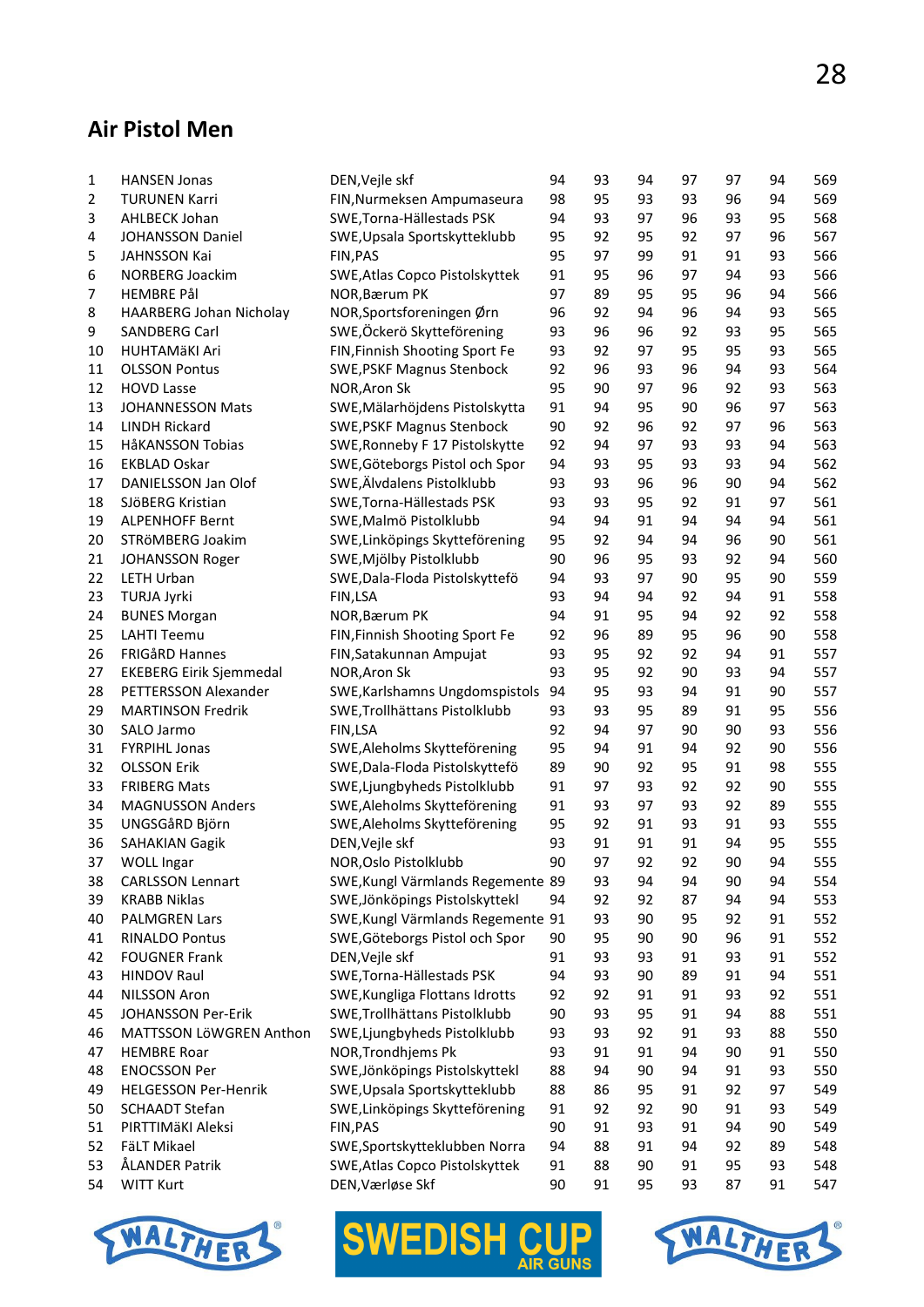#### **Air Pistol Men**

| 1              | <b>HANSEN Jonas</b>            | DEN, Vejle skf                    | 94 | 93 | 94 | 97 | 97       | 94 | 569        |
|----------------|--------------------------------|-----------------------------------|----|----|----|----|----------|----|------------|
| $\overline{2}$ | <b>TURUNEN Karri</b>           | FIN, Nurmeksen Ampumaseura        | 98 | 95 | 93 | 93 | 96       | 94 | 569        |
| 3              | AHLBECK Johan                  | SWE, Torna-Hällestads PSK         | 94 | 93 | 97 | 96 | 93       | 95 | 568        |
| 4              | JOHANSSON Daniel               | SWE, Upsala Sportskytteklubb      | 95 | 92 | 95 | 92 | 97       | 96 | 567        |
| 5              | JAHNSSON Kai                   | FIN, PAS                          | 95 | 97 | 99 | 91 | 91       | 93 | 566        |
| 6              | NORBERG Joackim                | SWE, Atlas Copco Pistolskyttek    | 91 | 95 | 96 | 97 | 94       | 93 | 566        |
| 7              | <b>HEMBRE Pål</b>              | NOR, Bærum PK                     | 97 | 89 | 95 | 95 | 96       | 94 | 566        |
| 8              | HAARBERG Johan Nicholay        | NOR, Sportsforeningen Ørn         | 96 | 92 | 94 | 96 | 94       | 93 | 565        |
| 9              | SANDBERG Carl                  | SWE, Öckerö Skytteförening        | 93 | 96 | 96 | 92 | 93       | 95 | 565        |
| 10             | <b>HUHTAMÄKI Ari</b>           | FIN, Finnish Shooting Sport Fe    | 93 | 92 | 97 | 95 | 95       | 93 | 565        |
| 11             | <b>OLSSON Pontus</b>           | <b>SWE, PSKF Magnus Stenbock</b>  | 92 | 96 | 93 | 96 | 94       | 93 | 564        |
| 12             | <b>HOVD Lasse</b>              | NOR, Aron Sk                      | 95 | 90 | 97 | 96 | 92       | 93 | 563        |
| 13             | <b>JOHANNESSON Mats</b>        | SWE, Mälarhöjdens Pistolskytta    | 91 | 94 | 95 | 90 | 96       | 97 | 563        |
| 14             | LINDH Rickard                  | <b>SWE, PSKF Magnus Stenbock</b>  | 90 | 92 | 96 | 92 | 97       | 96 | 563        |
| 15             | HåKANSSON Tobias               | SWE, Ronneby F 17 Pistolskytte    | 92 | 94 | 97 | 93 | 93       | 94 | 563        |
| 16             | <b>EKBLAD Oskar</b>            | SWE, Göteborgs Pistol och Spor    | 94 | 93 | 95 | 93 | 93       | 94 | 562        |
| 17             | DANIELSSON Jan Olof            | SWE, Älvdalens Pistolklubb        | 93 | 93 | 96 | 96 | 90       | 94 | 562        |
| 18             | SJÖBERG Kristian               | SWE, Torna-Hällestads PSK         | 93 | 93 | 95 | 92 | 91       | 97 | 561        |
| 19             | <b>ALPENHOFF Bernt</b>         | SWE, Malmö Pistolklubb            | 94 | 94 | 91 | 94 | 94       | 94 | 561        |
| 20             | STRÖMBERG Joakim               | SWE, Linköpings Skytteförening    | 95 | 92 | 94 | 94 | 96       | 90 | 561        |
|                |                                | SWE, Mjölby Pistolklubb           |    | 96 |    |    |          |    |            |
| 21             | JOHANSSON Roger                | SWE, Dala-Floda Pistolskyttefö    | 90 |    | 95 | 93 | 92<br>95 | 94 | 560<br>559 |
| 22             | <b>LETH Urban</b>              |                                   | 94 | 93 | 97 | 90 |          | 90 |            |
| 23             | <b>TURJA Jyrki</b>             | FIN,LSA                           | 93 | 94 | 94 | 92 | 94       | 91 | 558        |
| 24             | <b>BUNES Morgan</b>            | NOR, Bærum PK                     | 94 | 91 | 95 | 94 | 92       | 92 | 558        |
| 25             | <b>LAHTI Teemu</b>             | FIN, Finnish Shooting Sport Fe    | 92 | 96 | 89 | 95 | 96       | 90 | 558        |
| 26             | <b>FRIGÅRD Hannes</b>          | FIN, Satakunnan Ampujat           | 93 | 95 | 92 | 92 | 94       | 91 | 557        |
| 27             | <b>EKEBERG Eirik Sjemmedal</b> | NOR, Aron Sk                      | 93 | 95 | 92 | 90 | 93       | 94 | 557        |
| 28             | PETTERSSON Alexander           | SWE, Karlshamns Ungdomspistols    | 94 | 95 | 93 | 94 | 91       | 90 | 557        |
| 29             | <b>MARTINSON Fredrik</b>       | SWE, Trollhättans Pistolklubb     | 93 | 93 | 95 | 89 | 91       | 95 | 556        |
| 30             | SALO Jarmo                     | FIN,LSA                           | 92 | 94 | 97 | 90 | 90       | 93 | 556        |
| 31             | <b>FYRPIHL Jonas</b>           | SWE, Aleholms Skytteförening      | 95 | 94 | 91 | 94 | 92       | 90 | 556        |
| 32             | <b>OLSSON Erik</b>             | SWE, Dala-Floda Pistolskyttefö    | 89 | 90 | 92 | 95 | 91       | 98 | 555        |
| 33             | <b>FRIBERG Mats</b>            | SWE, Ljungbyheds Pistolklubb      | 91 | 97 | 93 | 92 | 92       | 90 | 555        |
| 34             | <b>MAGNUSSON Anders</b>        | SWE, Aleholms Skytteförening      | 91 | 93 | 97 | 93 | 92       | 89 | 555        |
| 35             | UNGSGåRD Björn                 | SWE, Aleholms Skytteförening      | 95 | 92 | 91 | 93 | 91       | 93 | 555        |
| 36             | <b>SAHAKIAN Gagik</b>          | DEN, Vejle skf                    | 93 | 91 | 91 | 91 | 94       | 95 | 555        |
| 37             | <b>WOLL Ingar</b>              | NOR, Oslo Pistolklubb             | 90 | 97 | 92 | 92 | 90       | 94 | 555        |
| 38             | <b>CARLSSON Lennart</b>        | SWE, Kungl Värmlands Regemente 89 |    | 93 | 94 | 94 | 90       | 94 | 554        |
| 39             | <b>KRABB Niklas</b>            | SWE, Jönköpings Pistolskyttekl    | 94 | 92 | 92 | 87 | 94       | 94 | 553        |
| 40             | <b>PALMGREN Lars</b>           | SWE, Kungl Värmlands Regemente 91 |    | 93 | 90 | 95 | 92       | 91 | 552        |
| 41             | <b>RINALDO Pontus</b>          | SWE, Göteborgs Pistol och Spor    | 90 | 95 | 90 | 90 | 96       | 91 | 552        |
| 42             | <b>FOUGNER Frank</b>           | DEN, Vejle skf                    | 91 | 93 | 93 | 91 | 93       | 91 | 552        |
| 43             | <b>HINDOV Raul</b>             | SWE, Torna-Hällestads PSK         | 94 | 93 | 90 | 89 | 91       | 94 | 551        |
| 44             | <b>NILSSON Aron</b>            | SWE, Kungliga Flottans Idrotts    | 92 | 92 | 91 | 91 | 93       | 92 | 551        |
| 45             | <b>JOHANSSON Per-Erik</b>      | SWE, Trollhättans Pistolklubb     | 90 | 93 | 95 | 91 | 94       | 88 | 551        |
| 46             | MATTSSON LöWGREN Anthon        | SWE, Ljungbyheds Pistolklubb      | 93 | 93 | 92 | 91 | 93       | 88 | 550        |
| 47             | <b>HEMBRE Roar</b>             | NOR, Trondhjems Pk                | 93 | 91 | 91 | 94 | 90       | 91 | 550        |
| 48             | <b>ENOCSSON Per</b>            | SWE, Jönköpings Pistolskyttekl    | 88 | 94 | 90 | 94 | 91       | 93 | 550        |
| 49             | <b>HELGESSON Per-Henrik</b>    | SWE, Upsala Sportskytteklubb      | 88 | 86 | 95 | 91 | 92       | 97 | 549        |
| 50             | <b>SCHAADT Stefan</b>          | SWE, Linköpings Skytteförening    | 91 | 92 | 92 | 90 | 91       | 93 | 549        |
| 51             | PIRTTIMÄKI Aleksi              | FIN, PAS                          | 90 | 91 | 93 | 91 | 94       | 90 | 549        |
| 52             | FäLT Mikael                    | SWE, Sportskytteklubben Norra     | 94 | 88 | 91 | 94 | 92       | 89 | 548        |
| 53             | ÅLANDER Patrik                 | SWE, Atlas Copco Pistolskyttek    | 91 | 88 | 90 | 91 | 95       | 93 | 548        |
| 54             | <b>WITT Kurt</b>               | DEN, Værløse Skf                  | 90 | 91 | 95 | 93 | 87       | 91 | 547        |





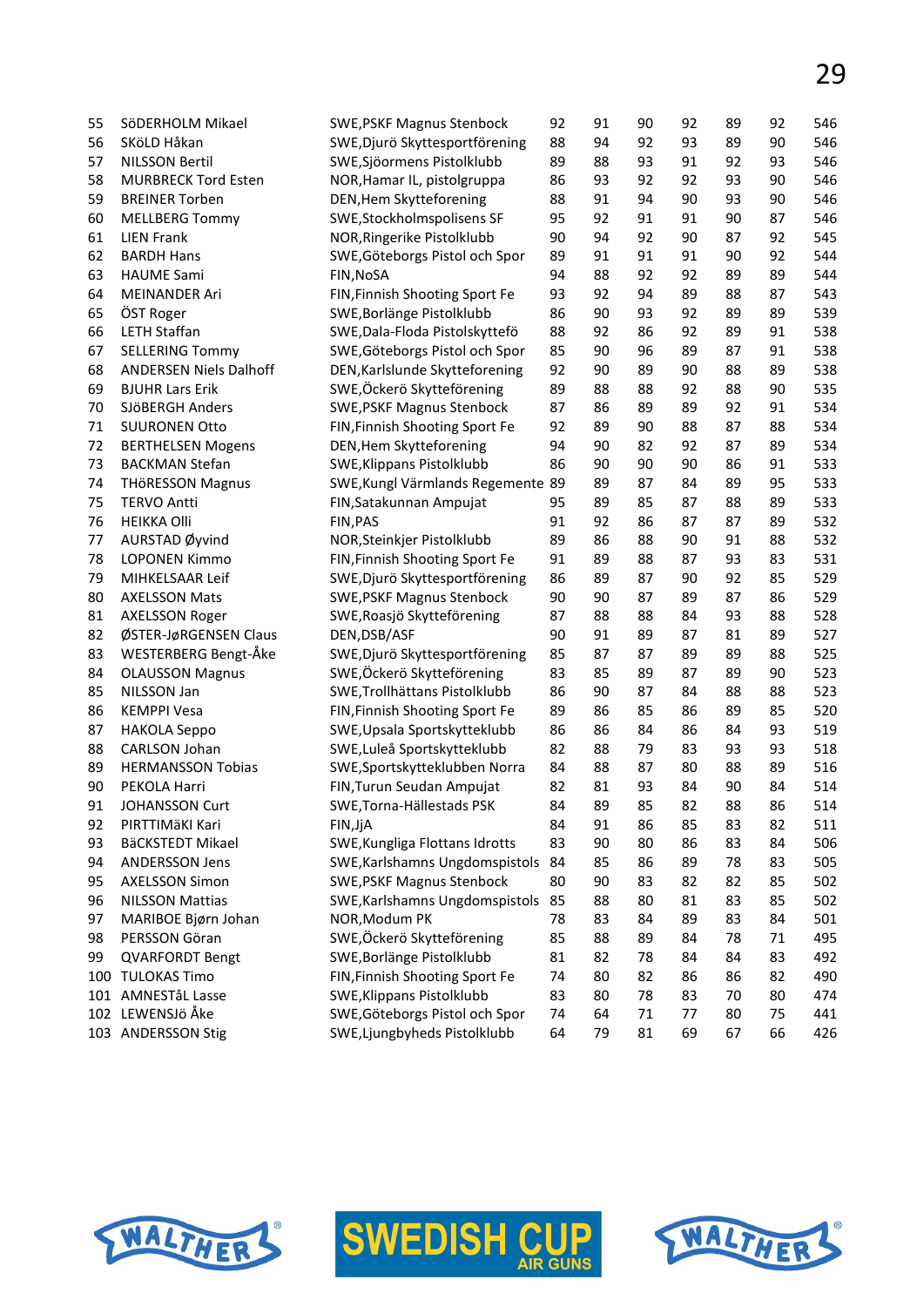| 55       | SöDERHOLM Mikael                       | <b>SWE, PSKF Magnus Stenbock</b>           | 92 | 91 | 90 | 92 | 89 | 92 | 546 |
|----------|----------------------------------------|--------------------------------------------|----|----|----|----|----|----|-----|
| 56       | SKöLD Håkan                            | SWE, Djurö Skyttesportförening             | 88 | 94 | 92 | 93 | 89 | 90 | 546 |
| 57       | <b>NILSSON Bertil</b>                  | SWE, Sjöormens Pistolklubb                 | 89 | 88 | 93 | 91 | 92 | 93 | 546 |
| 58       | <b>MURBRECK Tord Esten</b>             | NOR, Hamar IL, pistolgruppa                | 86 | 93 | 92 | 92 | 93 | 90 | 546 |
| 59       | <b>BREINER Torben</b>                  | DEN, Hem Skytteforening                    | 88 | 91 | 94 | 90 | 93 | 90 | 546 |
| 60       | <b>MELLBERG Tommy</b>                  | SWE, Stockholmspolisens SF                 | 95 | 92 | 91 | 91 | 90 | 87 | 546 |
| 61       | <b>LIEN Frank</b>                      | NOR, Ringerike Pistolklubb                 | 90 | 94 | 92 | 90 | 87 | 92 | 545 |
| 62       | <b>BARDH Hans</b>                      | SWE, Göteborgs Pistol och Spor             | 89 | 91 | 91 | 91 | 90 | 92 | 544 |
| 63       | <b>HAUME Sami</b>                      | FIN, NoSA                                  | 94 | 88 | 92 | 92 | 89 | 89 | 544 |
| 64       | <b>MEINANDER Ari</b>                   | FIN, Finnish Shooting Sport Fe             | 93 | 92 | 94 | 89 | 88 | 87 | 543 |
| 65       | ÖST Roger                              | SWE, Borlänge Pistolklubb                  | 86 | 90 | 93 | 92 | 89 | 89 | 539 |
| 66       | <b>LETH Staffan</b>                    | SWE, Dala-Floda Pistolskyttefö             | 88 | 92 | 86 | 92 | 89 | 91 | 538 |
| 67       | <b>SELLERING Tommy</b>                 | SWE, Göteborgs Pistol och Spor             | 85 | 90 | 96 | 89 | 87 | 91 | 538 |
| 68       | <b>ANDERSEN Niels Dalhoff</b>          | DEN, Karlslunde Skytteforening             | 92 | 90 | 89 | 90 | 88 | 89 | 538 |
| 69       | <b>BJUHR Lars Erik</b>                 | SWE, Öckerö Skytteförening                 | 89 | 88 | 88 | 92 | 88 | 90 | 535 |
| 70       | SJÖBERGH Anders                        | <b>SWE, PSKF Magnus Stenbock</b>           | 87 | 86 | 89 | 89 | 92 | 91 | 534 |
| 71       | <b>SUURONEN Otto</b>                   | FIN, Finnish Shooting Sport Fe             | 92 | 89 | 90 | 88 | 87 | 88 | 534 |
| 72       | <b>BERTHELSEN Mogens</b>               | DEN, Hem Skytteforening                    | 94 | 90 | 82 | 92 | 87 | 89 | 534 |
| 73       | <b>BACKMAN Stefan</b>                  | SWE, Klippans Pistolklubb                  | 86 | 90 | 90 | 90 | 86 | 91 | 533 |
| 74       | <b>THÖRESSON Magnus</b>                | SWE, Kungl Värmlands Regemente 89          |    | 89 | 87 | 84 | 89 | 95 | 533 |
| 75       | <b>TERVO Antti</b>                     | FIN, Satakunnan Ampujat                    | 95 | 89 | 85 | 87 | 88 | 89 | 533 |
| 76       | <b>HEIKKA Olli</b>                     | FIN, PAS                                   | 91 | 92 | 86 | 87 | 87 | 89 | 532 |
| 77       | AURSTAD Øyvind                         | NOR, Steinkjer Pistolklubb                 | 89 | 86 | 88 | 90 | 91 | 88 | 532 |
| 78       | <b>LOPONEN Kimmo</b>                   | FIN, Finnish Shooting Sport Fe             | 91 | 89 | 88 | 87 | 93 | 83 | 531 |
| 79       | MIHKELSAAR Leif                        | SWE, Djurö Skyttesportförening             | 86 | 89 | 87 | 90 | 92 | 85 | 529 |
| 80       | <b>AXELSSON Mats</b>                   | <b>SWE, PSKF Magnus Stenbock</b>           | 90 | 90 | 87 | 89 | 87 | 86 | 529 |
| 81       | <b>AXELSSON Roger</b>                  | SWE, Roasjö Skytteförening                 | 87 | 88 | 88 | 84 | 93 | 88 | 528 |
| 82       | ØSTER-JøRGENSEN Claus                  | DEN, DSB/ASF                               | 90 | 91 | 89 | 87 | 81 | 89 | 527 |
| 83       | WESTERBERG Bengt-Åke                   | SWE, Djurö Skyttesportförening             | 85 | 87 | 87 | 89 | 89 | 88 | 525 |
| 84       | <b>OLAUSSON Magnus</b>                 | SWE,Öckerö Skytteförening                  | 83 | 85 | 89 | 87 | 89 | 90 | 523 |
| 85       | NILSSON Jan                            | SWE, Trollhättans Pistolklubb              | 86 | 90 | 87 | 84 | 88 | 88 | 523 |
| 86       | <b>KEMPPI Vesa</b>                     | FIN, Finnish Shooting Sport Fe             | 89 | 86 | 85 | 86 | 89 | 85 | 520 |
| 87       | <b>HAKOLA Seppo</b>                    | SWE, Upsala Sportskytteklubb               | 86 | 86 | 84 | 86 | 84 | 93 | 519 |
| 88       | CARLSON Johan                          | SWE,Luleå Sportskytteklubb                 | 82 | 88 | 79 | 83 | 93 | 93 | 518 |
| 89       | <b>HERMANSSON Tobias</b>               | SWE, Sportskytteklubben Norra              | 84 | 88 | 87 | 80 | 88 | 89 | 516 |
| 90       | PEKOLA Harri                           | FIN, Turun Seudan Ampujat                  | 82 | 81 | 93 | 84 | 90 | 84 | 514 |
| 91       | JOHANSSON Curt                         | SWE, Torna-Hällestads PSK                  | 84 | 89 | 85 | 82 | 88 | 86 | 514 |
| 92       | PIRTTIMÄKI Kari                        |                                            | 84 | 91 | 86 | 85 | 83 | 82 | 511 |
| 93       | BäCKSTEDT Mikael                       | FIN, JjA<br>SWE, Kungliga Flottans Idrotts | 83 | 90 | 80 | 86 | 83 | 84 | 506 |
|          | <b>ANDERSSON Jens</b>                  | SWE, Karlshamns Ungdomspistols             | 84 | 85 | 86 | 89 | 78 | 83 | 505 |
| 94<br>95 | <b>AXELSSON Simon</b>                  | <b>SWE, PSKF Magnus Stenbock</b>           | 80 | 90 | 83 | 82 | 82 | 85 | 502 |
|          | <b>NILSSON Mattias</b>                 |                                            |    | 88 | 80 | 81 | 83 | 85 | 502 |
| 96       |                                        | SWE, Karlshamns Ungdomspistols 85          |    |    |    |    |    |    |     |
| 97       | MARIBOE Bjørn Johan<br>PERSSON Göran   | NOR, Modum PK                              | 78 | 83 | 84 | 89 | 83 | 84 | 501 |
| 98       |                                        | SWE, Öckerö Skytteförening                 | 85 | 88 | 89 | 84 | 78 | 71 | 495 |
| 99       | <b>QVARFORDT Bengt</b>                 | SWE, Borlänge Pistolklubb                  | 81 | 82 | 78 | 84 | 84 | 83 | 492 |
|          | 100 TULOKAS Timo<br>101 AMNESTåL Lasse | FIN, Finnish Shooting Sport Fe             | 74 | 80 | 82 | 86 | 86 | 82 | 490 |
|          |                                        | SWE, Klippans Pistolklubb                  | 83 | 80 | 78 | 83 | 70 | 80 | 474 |
|          | 102 LEWENSJö Åke                       | SWE, Göteborgs Pistol och Spor             | 74 | 64 | 71 | 77 | 80 | 75 | 441 |
|          | 103 ANDERSSON Stig                     | SWE, Ljungbyheds Pistolklubb               | 64 | 79 | 81 | 69 | 67 | 66 | 426 |





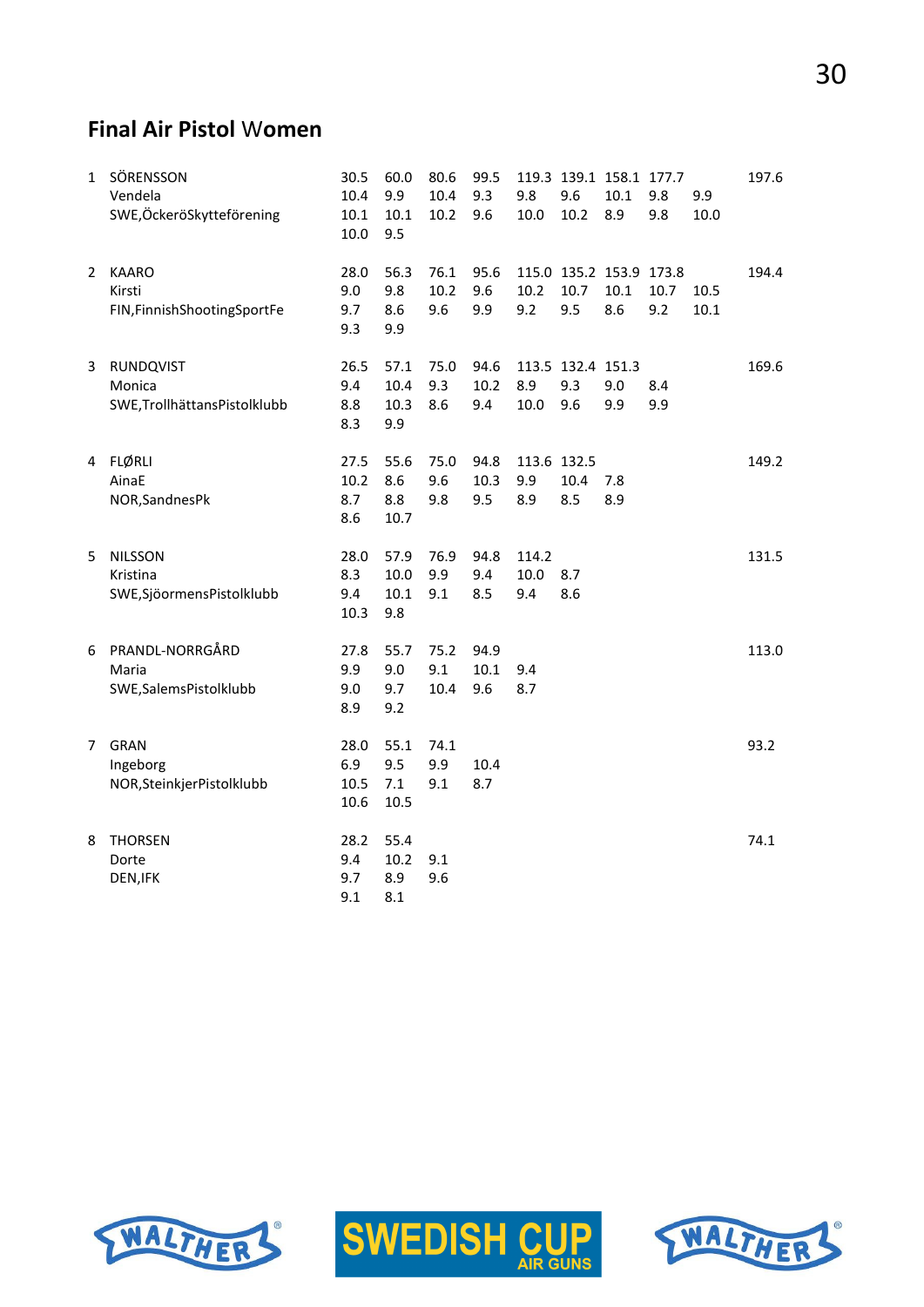# 30

#### **Final Air Pistol** W**omen**

| $\mathbf{1}$ | SÖRENSSON<br>Vendela<br>SWE,ÖckeröSkytteförening         | 30.5<br>10.4<br>10.1<br>10.0 | 60.0<br>9.9<br>10.1<br>9.5     | 80.6<br>10.4<br>10.2 | 99.5<br>9.3<br>9.6  | 9.8<br>10.0               | 9.6<br>10.2                     | 119.3 139.1 158.1 177.7<br>10.1<br>8.9 | 9.8<br>9.8  | 9.9<br>10.0  | 197.6 |
|--------------|----------------------------------------------------------|------------------------------|--------------------------------|----------------------|---------------------|---------------------------|---------------------------------|----------------------------------------|-------------|--------------|-------|
| 2            | <b>KAARO</b><br>Kirsti<br>FIN, Finnish Shooting Sport Fe | 28.0<br>9.0<br>9.7<br>9.3    | 56.3<br>9.8<br>8.6<br>9.9      | 76.1<br>10.2<br>9.6  | 95.6<br>9.6<br>9.9  | 10.2<br>9.2               | 10.7<br>9.5                     | 115.0 135.2 153.9 173.8<br>10.1<br>8.6 | 10.7<br>9.2 | 10.5<br>10.1 | 194.4 |
| 3            | RUNDQVIST<br>Monica<br>SWE, Trollhättans Pistolklubb     | 26.5<br>9.4<br>8.8<br>8.3    | 57.1<br>10.4<br>10.3<br>9.9    | 75.0<br>9.3<br>8.6   | 94.6<br>10.2<br>9.4 | 8.9<br>10.0               | 113.5 132.4 151.3<br>9.3<br>9.6 | 9.0<br>9.9                             | 8.4<br>9.9  |              | 169.6 |
|              | 4 FLØRLI<br>AinaE<br>NOR, Sandnes Pk                     | 27.5<br>10.2<br>8.7<br>8.6   | 55.6<br>8.6<br>8.8<br>10.7     | 75.0<br>9.6<br>9.8   | 94.8<br>10.3<br>9.5 | 113.6 132.5<br>9.9<br>8.9 | 10.4<br>8.5                     | 7.8<br>8.9                             |             |              | 149.2 |
| 5            | <b>NILSSON</b><br>Kristina<br>SWE, Sjöormens Pistolklubb | 28.0<br>8.3<br>9.4<br>10.3   | 57.9<br>10.0<br>10.1<br>9.8    | 76.9<br>9.9<br>9.1   | 94.8<br>9.4<br>8.5  | 114.2<br>10.0<br>9.4      | 8.7<br>8.6                      |                                        |             |              | 131.5 |
| 6            | PRANDL-NORRGÅRD<br>Maria<br>SWE, Salems Pistolklubb      | 27.8<br>9.9<br>9.0<br>8.9    | 55.7<br>9.0<br>9.7<br>9.2      | 75.2<br>9.1<br>10.4  | 94.9<br>10.1<br>9.6 | 9.4<br>8.7                |                                 |                                        |             |              | 113.0 |
| 7            | <b>GRAN</b><br>Ingeborg<br>NOR, Steinkjer Pistolklubb    | 28.0<br>6.9<br>10.5<br>10.6  | 55.1<br>9.5<br>$7.1\,$<br>10.5 | 74.1<br>9.9<br>9.1   | 10.4<br>8.7         |                           |                                 |                                        |             |              | 93.2  |
| 8            | <b>THORSEN</b><br>Dorte<br>DEN, IFK                      | 28.2<br>9.4<br>9.7<br>9.1    | 55.4<br>10.2<br>8.9<br>8.1     | 9.1<br>9.6           |                     |                           |                                 |                                        |             |              | 74.1  |





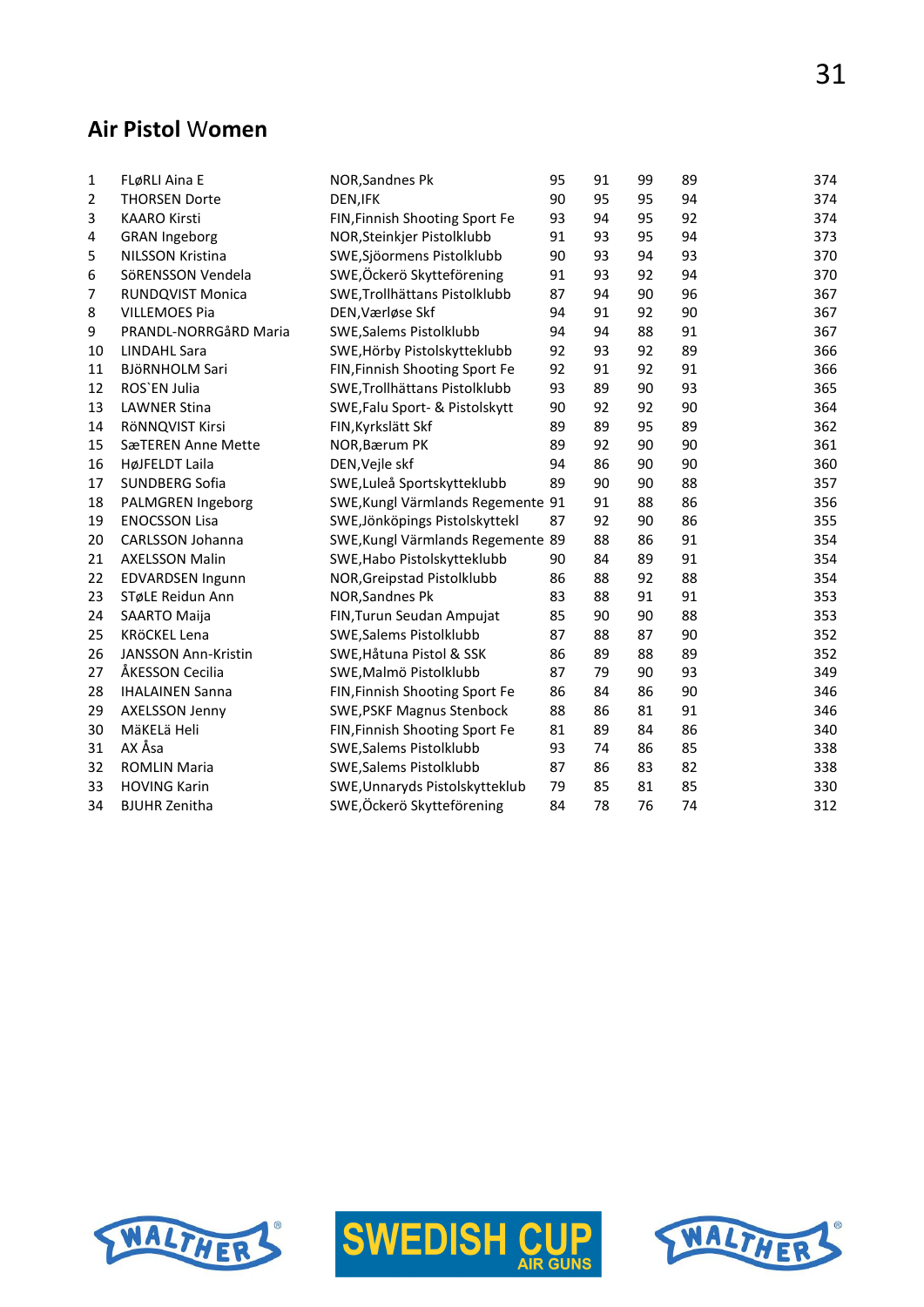#### **Air Pistol** W**omen**

| 1  | FLøRLI Aina E              | NOR, Sandnes Pk                   | 95 | 91 | 99 | 89 | 374 |
|----|----------------------------|-----------------------------------|----|----|----|----|-----|
| 2  | <b>THORSEN Dorte</b>       | DEN, IFK                          | 90 | 95 | 95 | 94 | 374 |
| 3  | <b>KAARO Kirsti</b>        | FIN, Finnish Shooting Sport Fe    | 93 | 94 | 95 | 92 | 374 |
| 4  | <b>GRAN Ingeborg</b>       | NOR, Steinkjer Pistolklubb        | 91 | 93 | 95 | 94 | 373 |
| 5  | <b>NILSSON Kristina</b>    | SWE, Sjöormens Pistolklubb        | 90 | 93 | 94 | 93 | 370 |
| 6  | SöRENSSON Vendela          | SWE, Öckerö Skytteförening        | 91 | 93 | 92 | 94 | 370 |
| 7  | <b>RUNDQVIST Monica</b>    | SWE, Trollhättans Pistolklubb     | 87 | 94 | 90 | 96 | 367 |
| 8  | <b>VILLEMOES Pia</b>       | DEN, Værløse Skf                  | 94 | 91 | 92 | 90 | 367 |
| 9  | PRANDL-NORRGåRD Maria      | SWE, Salems Pistolklubb           | 94 | 94 | 88 | 91 | 367 |
| 10 | <b>LINDAHL Sara</b>        | SWE, Hörby Pistolskytteklubb      | 92 | 93 | 92 | 89 | 366 |
| 11 | <b>BJÖRNHOLM Sari</b>      | FIN, Finnish Shooting Sport Fe    | 92 | 91 | 92 | 91 | 366 |
| 12 | ROS'EN Julia               | SWE, Trollhättans Pistolklubb     | 93 | 89 | 90 | 93 | 365 |
| 13 | <b>LAWNER Stina</b>        | SWE, Falu Sport- & Pistolskytt    | 90 | 92 | 92 | 90 | 364 |
| 14 | RÖNNQVIST Kirsi            | FIN, Kyrkslätt Skf                | 89 | 89 | 95 | 89 | 362 |
| 15 | SæTEREN Anne Mette         | NOR, Bærum PK                     | 89 | 92 | 90 | 90 | 361 |
| 16 | HøJFELDT Laila             | DEN, Vejle skf                    | 94 | 86 | 90 | 90 | 360 |
| 17 | SUNDBERG Sofia             | SWE, Luleå Sportskytteklubb       | 89 | 90 | 90 | 88 | 357 |
| 18 | PALMGREN Ingeborg          | SWE, Kungl Värmlands Regemente 91 |    | 91 | 88 | 86 | 356 |
| 19 | <b>ENOCSSON Lisa</b>       | SWE, Jönköpings Pistolskyttekl    | 87 | 92 | 90 | 86 | 355 |
| 20 | CARLSSON Johanna           | SWE, Kungl Värmlands Regemente 89 |    | 88 | 86 | 91 | 354 |
| 21 | <b>AXELSSON Malin</b>      | SWE, Habo Pistolskytteklubb       | 90 | 84 | 89 | 91 | 354 |
| 22 | <b>EDVARDSEN Ingunn</b>    | NOR, Greipstad Pistolklubb        | 86 | 88 | 92 | 88 | 354 |
| 23 | STøLE Reidun Ann           | NOR, Sandnes Pk                   | 83 | 88 | 91 | 91 | 353 |
| 24 | SAARTO Maija               | FIN, Turun Seudan Ampujat         | 85 | 90 | 90 | 88 | 353 |
| 25 | KRÖCKEL Lena               | SWE, Salems Pistolklubb           | 87 | 88 | 87 | 90 | 352 |
| 26 | <b>JANSSON Ann-Kristin</b> | SWE, Håtuna Pistol & SSK          | 86 | 89 | 88 | 89 | 352 |
| 27 | ÅKESSON Cecilia            | SWE, Malmö Pistolklubb            | 87 | 79 | 90 | 93 | 349 |
| 28 | <b>IHALAINEN Sanna</b>     | FIN, Finnish Shooting Sport Fe    | 86 | 84 | 86 | 90 | 346 |
| 29 | AXELSSON Jenny             | <b>SWE, PSKF Magnus Stenbock</b>  | 88 | 86 | 81 | 91 | 346 |
| 30 | MäKELä Heli                | FIN, Finnish Shooting Sport Fe    | 81 | 89 | 84 | 86 | 340 |
| 31 | AX Åsa                     | SWE, Salems Pistolklubb           | 93 | 74 | 86 | 85 | 338 |
| 32 | <b>ROMLIN Maria</b>        | SWE, Salems Pistolklubb           | 87 | 86 | 83 | 82 | 338 |
| 33 | <b>HOVING Karin</b>        | SWE, Unnaryds Pistolskytteklub    | 79 | 85 | 81 | 85 | 330 |
| 34 | <b>BJUHR Zenitha</b>       | SWE,Öckerö Skytteförening         | 84 | 78 | 76 | 74 | 312 |





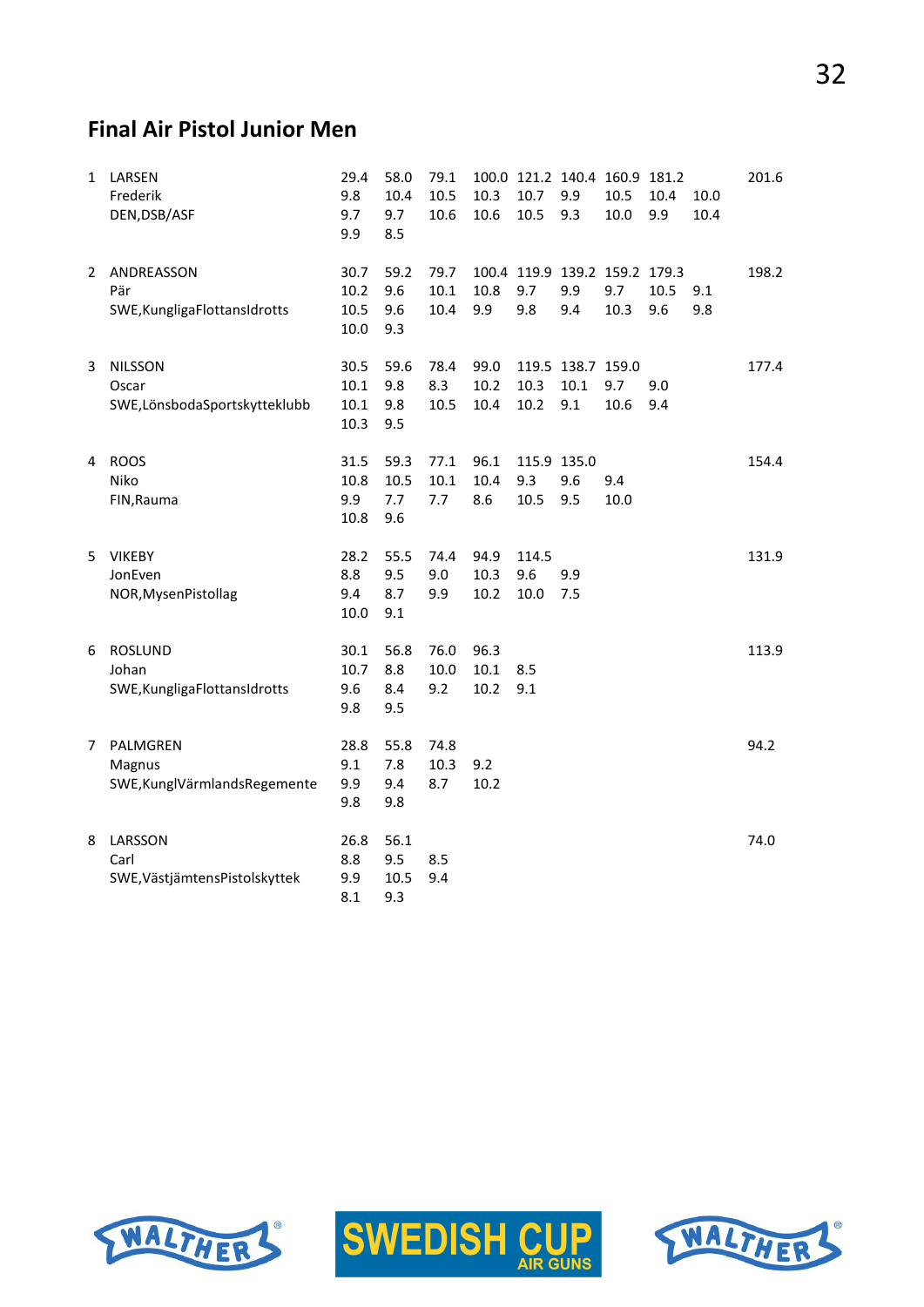## **Final Air Pistol Junior Men**

| $\mathbf{1}$ | LARSEN<br>Frederik<br>DEN, DSB/ASF                       | 29.4<br>9.8<br>9.7<br>9.9    | 58.0<br>10.4<br>9.7<br>8.5 | 79.1<br>10.5<br>10.6    | 10.3<br>10.6         | 100.0 121.2 140.4<br>10.7<br>10.5           | 9.9<br>9.3                       | 160.9 181.2<br>10.5<br>10.0 | 10.4<br>9.9 | 10.0<br>10.4 | 201.6 |
|--------------|----------------------------------------------------------|------------------------------|----------------------------|-------------------------|----------------------|---------------------------------------------|----------------------------------|-----------------------------|-------------|--------------|-------|
| $\mathbf{2}$ | ANDREASSON<br>Pär<br>SWE, Kungliga FlottansIdrotts       | 30.7<br>10.2<br>10.5<br>10.0 | 59.2<br>9.6<br>9.6<br>9.3  | 79.7<br>10.1<br>10.4    | 10.8<br>9.9          | 100.4 119.9 139.2 159.2 179.3<br>9.7<br>9.8 | 9.9<br>9.4                       | 9.7<br>10.3                 | 10.5<br>9.6 | 9.1<br>9.8   | 198.2 |
| 3            | <b>NILSSON</b><br>Oscar<br>SWE,LönsbodaSportskytteklubb  | 30.5<br>10.1<br>10.1<br>10.3 | 59.6<br>9.8<br>9.8<br>9.5  | 78.4<br>8.3<br>10.5     | 99.0<br>10.2<br>10.4 | 10.3<br>10.2                                | 119.5 138.7 159.0<br>10.1<br>9.1 | 9.7<br>10.6                 | 9.0<br>9.4  |              | 177.4 |
| 4            | <b>ROOS</b><br>Niko<br>FIN, Rauma                        | 31.5<br>10.8<br>9.9<br>10.8  | 59.3<br>10.5<br>7.7<br>9.6 | 77.1<br>10.1<br>7.7     | 96.1<br>10.4<br>8.6  | 9.3<br>10.5                                 | 115.9 135.0<br>9.6<br>9.5        | 9.4<br>10.0                 |             |              | 154.4 |
| 5            | <b>VIKEBY</b><br>JonEven<br>NOR, Mysen Pistollag         | 28.2<br>8.8<br>9.4<br>10.0   | 55.5<br>9.5<br>8.7<br>9.1  | 74.4<br>9.0<br>9.9      | 94.9<br>10.3<br>10.2 | 114.5<br>9.6<br>10.0                        | 9.9<br>7.5                       |                             |             |              | 131.9 |
| 6            | <b>ROSLUND</b><br>Johan<br>SWE, Kungliga FlottansIdrotts | 30.1<br>10.7<br>9.6<br>9.8   | 56.8<br>8.8<br>8.4<br>9.5  | 76.0<br>$10.0\,$<br>9.2 | 96.3<br>10.1<br>10.2 | 8.5<br>9.1                                  |                                  |                             |             |              | 113.9 |
| 7            | PALMGREN<br>Magnus<br>SWE, KunglVärmlands Regemente      | 28.8<br>9.1<br>9.9<br>9.8    | 55.8<br>7.8<br>9.4<br>9.8  | 74.8<br>10.3<br>8.7     | 9.2<br>10.2          |                                             |                                  |                             |             |              | 94.2  |
| 8            | LARSSON<br>Carl<br>SWE, Västjämtens Pistolskyttek        | 26.8<br>8.8<br>9.9<br>8.1    | 56.1<br>9.5<br>10.5<br>9.3 | 8.5<br>9.4              |                      |                                             |                                  |                             |             |              | 74.0  |





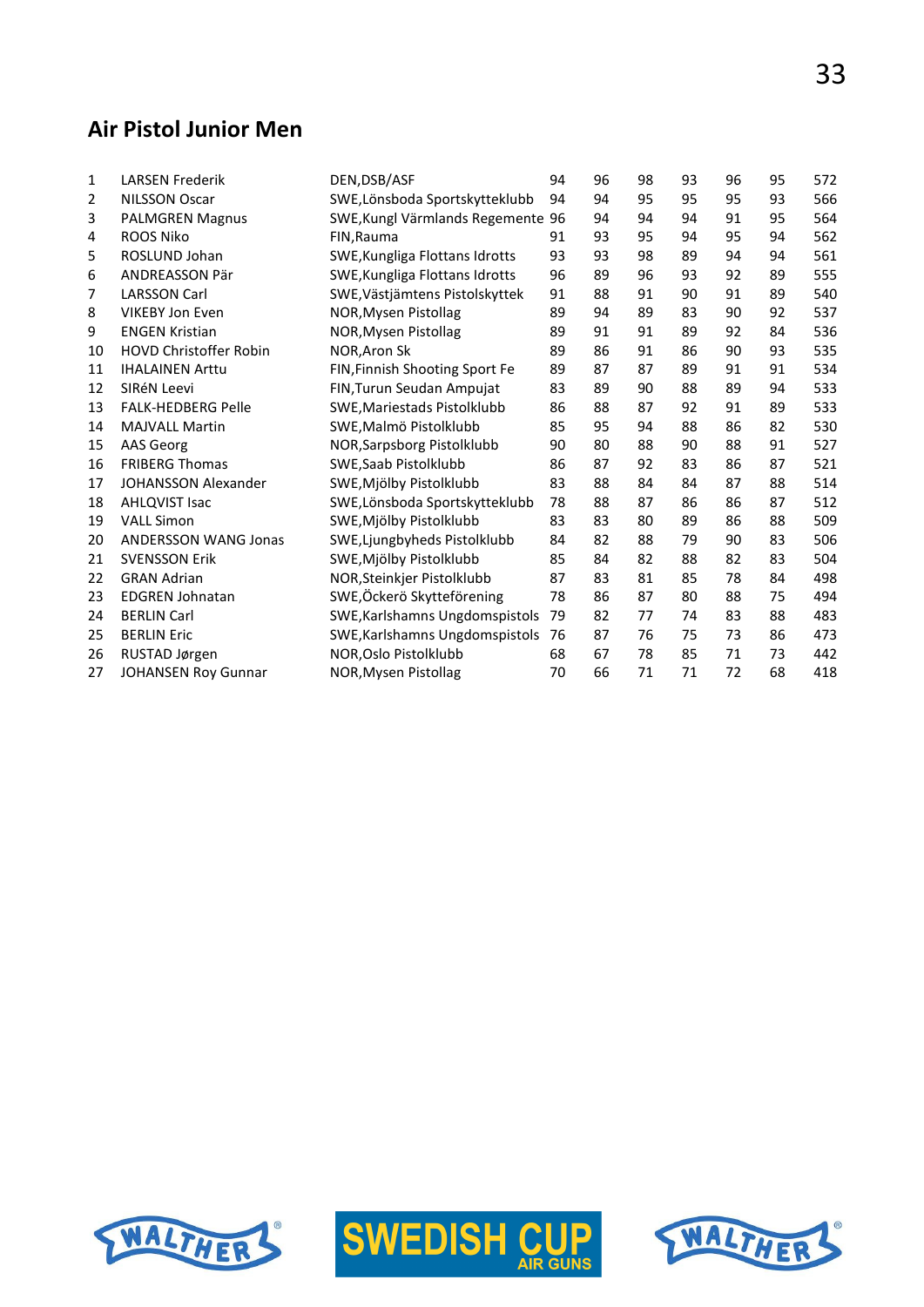#### **Air Pistol Junior Men**

| $\mathbf{1}$ | <b>LARSEN Frederik</b>        | DEN, DSB/ASF                      | 94 | 96 | 98 | 93 | 96 | 95 | 572 |
|--------------|-------------------------------|-----------------------------------|----|----|----|----|----|----|-----|
| 2            | <b>NILSSON Oscar</b>          | SWE, Lönsboda Sportskytteklubb    | 94 | 94 | 95 | 95 | 95 | 93 | 566 |
| 3            | <b>PALMGREN Magnus</b>        | SWE, Kungl Värmlands Regemente 96 |    | 94 | 94 | 94 | 91 | 95 | 564 |
| 4            | <b>ROOS Niko</b>              | FIN, Rauma                        | 91 | 93 | 95 | 94 | 95 | 94 | 562 |
| 5            | ROSLUND Johan                 | SWE, Kungliga Flottans Idrotts    | 93 | 93 | 98 | 89 | 94 | 94 | 561 |
| 6            | ANDREASSON Pär                | SWE, Kungliga Flottans Idrotts    | 96 | 89 | 96 | 93 | 92 | 89 | 555 |
| 7            | <b>LARSSON Carl</b>           | SWE, Västjämtens Pistolskyttek    | 91 | 88 | 91 | 90 | 91 | 89 | 540 |
| 8            | <b>VIKEBY Jon Even</b>        | NOR, Mysen Pistollag              | 89 | 94 | 89 | 83 | 90 | 92 | 537 |
| 9            | <b>ENGEN Kristian</b>         | NOR, Mysen Pistollag              | 89 | 91 | 91 | 89 | 92 | 84 | 536 |
| 10           | <b>HOVD Christoffer Robin</b> | NOR, Aron Sk                      | 89 | 86 | 91 | 86 | 90 | 93 | 535 |
| 11           | <b>IHALAINEN Arttu</b>        | FIN, Finnish Shooting Sport Fe    | 89 | 87 | 87 | 89 | 91 | 91 | 534 |
| 12           | SIRéN Leevi                   | FIN, Turun Seudan Ampujat         | 83 | 89 | 90 | 88 | 89 | 94 | 533 |
| 13           | <b>FALK-HEDBERG Pelle</b>     | SWE, Mariestads Pistolklubb       | 86 | 88 | 87 | 92 | 91 | 89 | 533 |
| 14           | <b>MAJVALL Martin</b>         | SWE, Malmö Pistolklubb            | 85 | 95 | 94 | 88 | 86 | 82 | 530 |
| 15           | AAS Georg                     | NOR, Sarpsborg Pistolklubb        | 90 | 80 | 88 | 90 | 88 | 91 | 527 |
| 16           | <b>FRIBERG Thomas</b>         | SWE, Saab Pistolklubb             | 86 | 87 | 92 | 83 | 86 | 87 | 521 |
| 17           | <b>JOHANSSON Alexander</b>    | SWE, Mjölby Pistolklubb           | 83 | 88 | 84 | 84 | 87 | 88 | 514 |
| 18           | <b>AHLQVIST Isac</b>          | SWE, Lönsboda Sportskytteklubb    | 78 | 88 | 87 | 86 | 86 | 87 | 512 |
| 19           | <b>VALL Simon</b>             | SWE, Mjölby Pistolklubb           | 83 | 83 | 80 | 89 | 86 | 88 | 509 |
| 20           | <b>ANDERSSON WANG Jonas</b>   | SWE, Ljungbyheds Pistolklubb      | 84 | 82 | 88 | 79 | 90 | 83 | 506 |
| 21           | <b>SVENSSON Erik</b>          | SWE, Mjölby Pistolklubb           | 85 | 84 | 82 | 88 | 82 | 83 | 504 |
| 22           | <b>GRAN Adrian</b>            | NOR, Steinkjer Pistolklubb        | 87 | 83 | 81 | 85 | 78 | 84 | 498 |
| 23           | <b>EDGREN Johnatan</b>        | SWE, Öckerö Skytteförening        | 78 | 86 | 87 | 80 | 88 | 75 | 494 |
| 24           | <b>BERLIN Carl</b>            | SWE, Karlshamns Ungdomspistols    | 79 | 82 | 77 | 74 | 83 | 88 | 483 |
| 25           | <b>BERLIN Eric</b>            | SWE, Karlshamns Ungdomspistols    | 76 | 87 | 76 | 75 | 73 | 86 | 473 |
| 26           | RUSTAD Jørgen                 | NOR, Oslo Pistolklubb             | 68 | 67 | 78 | 85 | 71 | 73 | 442 |
| 27           | <b>JOHANSEN Roy Gunnar</b>    | NOR, Mysen Pistollag              | 70 | 66 | 71 | 71 | 72 | 68 | 418 |





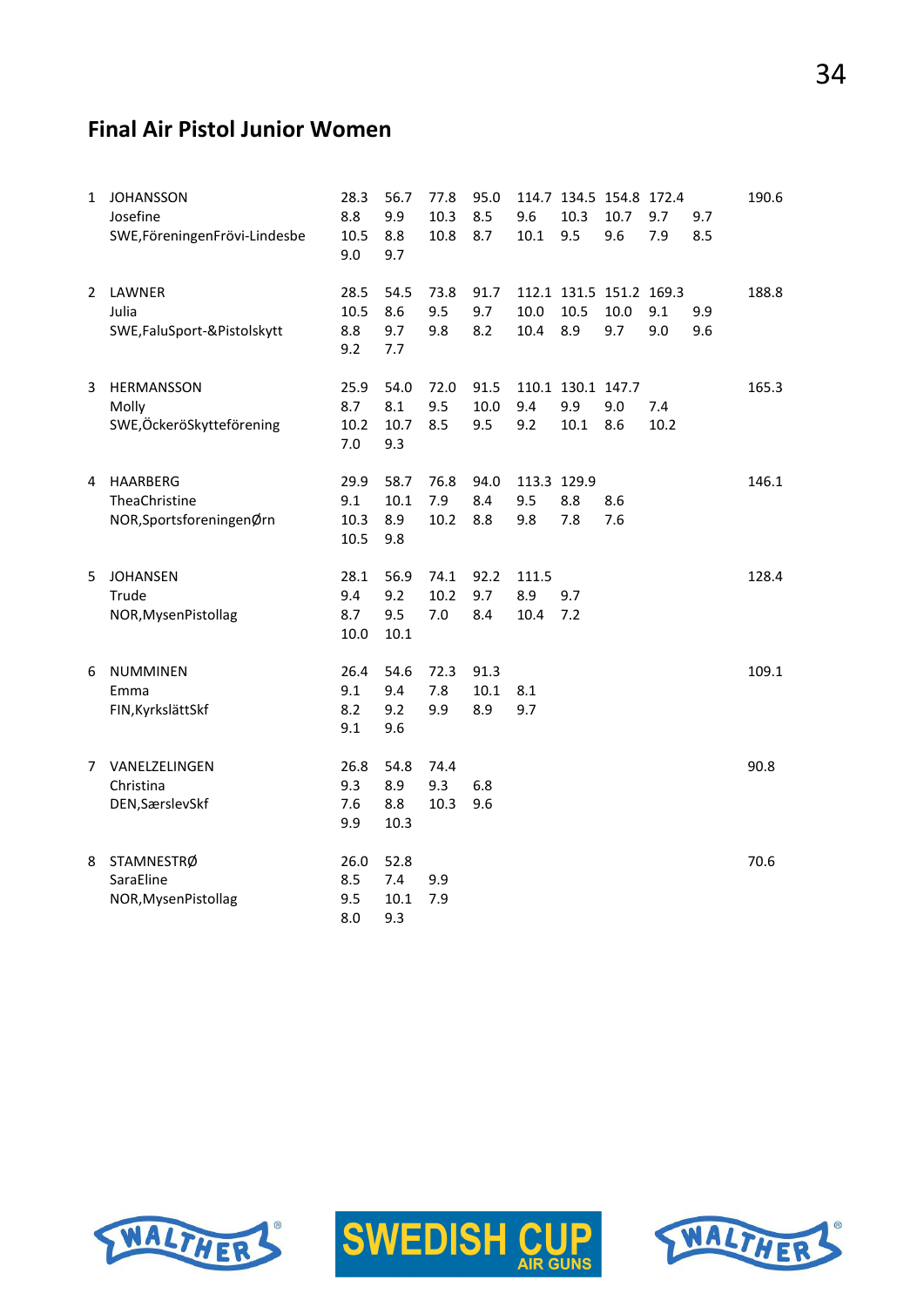#### **Final Air Pistol Junior Women**

| 1 | <b>JOHANSSON</b><br>Josefine<br>SWE, Föreningen Frövi-Lindesbe | 28.3<br>8.8<br>10.5<br>9.0     | 56.7<br>9.9<br>8.8<br>9.7  | 77.8<br>10.3<br>10.8 | 95.0<br>8.5<br>8.7  | 9.6<br>10.1               | 10.3<br>9.5                      | 114.7 134.5 154.8 172.4<br>10.7<br>9.6 | 9.7<br>7.9  | 9.7<br>8.5 | 190.6 |
|---|----------------------------------------------------------------|--------------------------------|----------------------------|----------------------|---------------------|---------------------------|----------------------------------|----------------------------------------|-------------|------------|-------|
| 2 | LAWNER<br>Julia<br>SWE, FaluSport-& Pistolskytt                | 28.5<br>10.5<br>8.8<br>9.2     | 54.5<br>8.6<br>9.7<br>7.7  | 73.8<br>9.5<br>9.8   | 91.7<br>9.7<br>8.2  | 10.0<br>10.4              | 10.5<br>8.9                      | 112.1 131.5 151.2 169.3<br>10.0<br>9.7 | 9.1<br>9.0  | 9.9<br>9.6 | 188.8 |
| 3 | HERMANSSON<br>Molly<br>SWE,ÖckeröSkytteförening                | 25.9<br>8.7<br>10.2<br>7.0     | 54.0<br>8.1<br>10.7<br>9.3 | 72.0<br>9.5<br>8.5   | 91.5<br>10.0<br>9.5 | 9.4<br>9.2                | 110.1 130.1 147.7<br>9.9<br>10.1 | 9.0<br>8.6                             | 7.4<br>10.2 |            | 165.3 |
| 4 | <b>HAARBERG</b><br>TheaChristine<br>NOR, SportsforeningenØrn   | 29.9<br>9.1<br>10.3<br>10.5    | 58.7<br>10.1<br>8.9<br>9.8 | 76.8<br>7.9<br>10.2  | 94.0<br>8.4<br>8.8  | 113.3 129.9<br>9.5<br>9.8 | 8.8<br>7.8                       | 8.6<br>7.6                             |             |            | 146.1 |
| 5 | <b>JOHANSEN</b><br>Trude<br>NOR, Mysen Pistollag               | 28.1<br>9.4<br>8.7<br>$10.0\,$ | 56.9<br>9.2<br>9.5<br>10.1 | 74.1<br>10.2<br>7.0  | 92.2<br>9.7<br>8.4  | 111.5<br>8.9<br>10.4      | 9.7<br>7.2                       |                                        |             |            | 128.4 |
| 6 | <b>NUMMINEN</b><br>Emma<br>FIN, Kyrkslätt Skf                  | 26.4<br>9.1<br>8.2<br>9.1      | 54.6<br>9.4<br>9.2<br>9.6  | 72.3<br>7.8<br>9.9   | 91.3<br>10.1<br>8.9 | 8.1<br>9.7                |                                  |                                        |             |            | 109.1 |
| 7 | VANELZELINGEN<br>Christina<br>DEN, Særslev Skf                 | 26.8<br>9.3<br>7.6<br>9.9      | 54.8<br>8.9<br>8.8<br>10.3 | 74.4<br>9.3<br>10.3  | 6.8<br>9.6          |                           |                                  |                                        |             |            | 90.8  |
| 8 | STAMNESTRØ<br>SaraEline<br>NOR, Mysen Pistollag                | 26.0<br>8.5<br>9.5<br>8.0      | 52.8<br>7.4<br>10.1<br>9.3 | 9.9<br>7.9           |                     |                           |                                  |                                        |             |            | 70.6  |





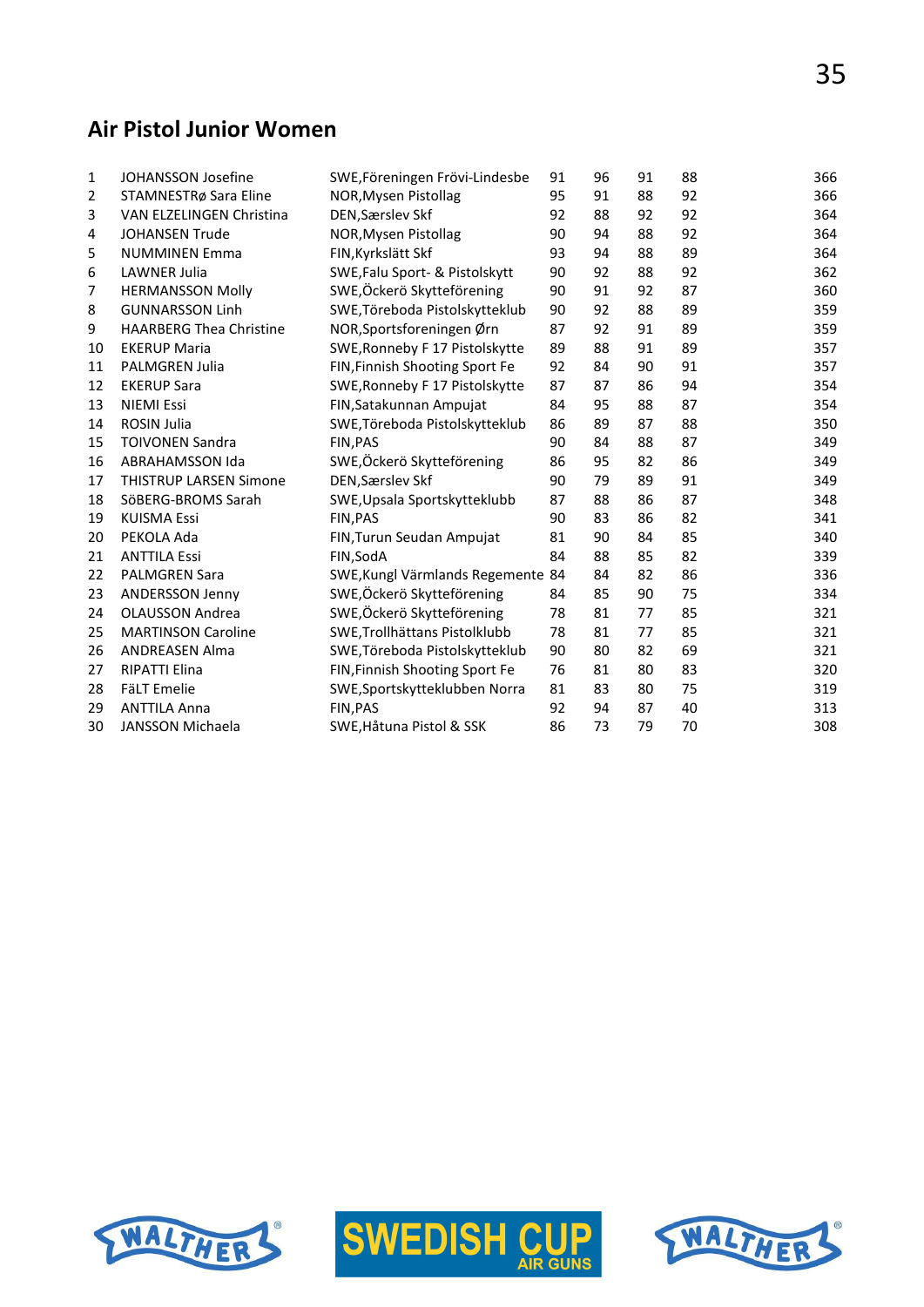#### **Air Pistol Junior Women**

| 1  | JOHANSSON Josefine             | SWE, Föreningen Frövi-Lindesbe    | 91 | 96 | 91 | 88 | 366 |
|----|--------------------------------|-----------------------------------|----|----|----|----|-----|
| 2  | STAMNESTRø Sara Eline          | NOR, Mysen Pistollag              | 95 | 91 | 88 | 92 | 366 |
| 3  | VAN ELZELINGEN Christina       | DEN, Særslev Skf                  | 92 | 88 | 92 | 92 | 364 |
| 4  | <b>JOHANSEN Trude</b>          | NOR, Mysen Pistollag              | 90 | 94 | 88 | 92 | 364 |
| 5  | <b>NUMMINEN Emma</b>           | FIN, Kyrkslätt Skf                | 93 | 94 | 88 | 89 | 364 |
| 6  | LAWNER Julia                   | SWE, Falu Sport- & Pistolskytt    | 90 | 92 | 88 | 92 | 362 |
| 7  | <b>HERMANSSON Molly</b>        | SWE,Öckerö Skytteförening         | 90 | 91 | 92 | 87 | 360 |
| 8  | <b>GUNNARSSON Linh</b>         | SWE, Töreboda Pistolskytteklub    | 90 | 92 | 88 | 89 | 359 |
| 9  | <b>HAARBERG Thea Christine</b> | NOR, Sportsforeningen Ørn         | 87 | 92 | 91 | 89 | 359 |
| 10 | <b>EKERUP Maria</b>            | SWE, Ronneby F 17 Pistolskytte    | 89 | 88 | 91 | 89 | 357 |
| 11 | <b>PALMGREN Julia</b>          | FIN, Finnish Shooting Sport Fe    | 92 | 84 | 90 | 91 | 357 |
| 12 | <b>EKERUP Sara</b>             | SWE, Ronneby F 17 Pistolskytte    | 87 | 87 | 86 | 94 | 354 |
| 13 | <b>NIEMI Essi</b>              | FIN, Satakunnan Ampujat           | 84 | 95 | 88 | 87 | 354 |
| 14 | ROSIN Julia                    | SWE, Töreboda Pistolskytteklub    | 86 | 89 | 87 | 88 | 350 |
| 15 | <b>TOIVONEN Sandra</b>         | FIN, PAS                          | 90 | 84 | 88 | 87 | 349 |
| 16 | <b>ABRAHAMSSON Ida</b>         | SWE,Öckerö Skytteförening         | 86 | 95 | 82 | 86 | 349 |
| 17 | <b>THISTRUP LARSEN Simone</b>  | DEN, Særslev Skf                  | 90 | 79 | 89 | 91 | 349 |
| 18 | SöBERG-BROMS Sarah             | SWE, Upsala Sportskytteklubb      | 87 | 88 | 86 | 87 | 348 |
| 19 | <b>KUISMA Essi</b>             | FIN, PAS                          | 90 | 83 | 86 | 82 | 341 |
| 20 | PEKOLA Ada                     | FIN, Turun Seudan Ampujat         | 81 | 90 | 84 | 85 | 340 |
| 21 | <b>ANTTILA Essi</b>            | FIN, SodA                         | 84 | 88 | 85 | 82 | 339 |
| 22 | <b>PALMGREN Sara</b>           | SWE, Kungl Värmlands Regemente 84 |    | 84 | 82 | 86 | 336 |
| 23 | ANDERSSON Jenny                | SWE,Öckerö Skytteförening         | 84 | 85 | 90 | 75 | 334 |
| 24 | <b>OLAUSSON Andrea</b>         | SWE,Öckerö Skytteförening         | 78 | 81 | 77 | 85 | 321 |
| 25 | <b>MARTINSON Caroline</b>      | SWE, Trollhättans Pistolklubb     | 78 | 81 | 77 | 85 | 321 |
| 26 | <b>ANDREASEN Alma</b>          | SWE, Töreboda Pistolskytteklub    | 90 | 80 | 82 | 69 | 321 |
| 27 | <b>RIPATTI Elina</b>           | FIN, Finnish Shooting Sport Fe    | 76 | 81 | 80 | 83 | 320 |
| 28 | <b>FäLT Emelie</b>             | SWE, Sportskytteklubben Norra     | 81 | 83 | 80 | 75 | 319 |
| 29 | <b>ANTTILA Anna</b>            | FIN, PAS                          | 92 | 94 | 87 | 40 | 313 |
| 30 | <b>JANSSON Michaela</b>        | SWE, Håtuna Pistol & SSK          | 86 | 73 | 79 | 70 | 308 |





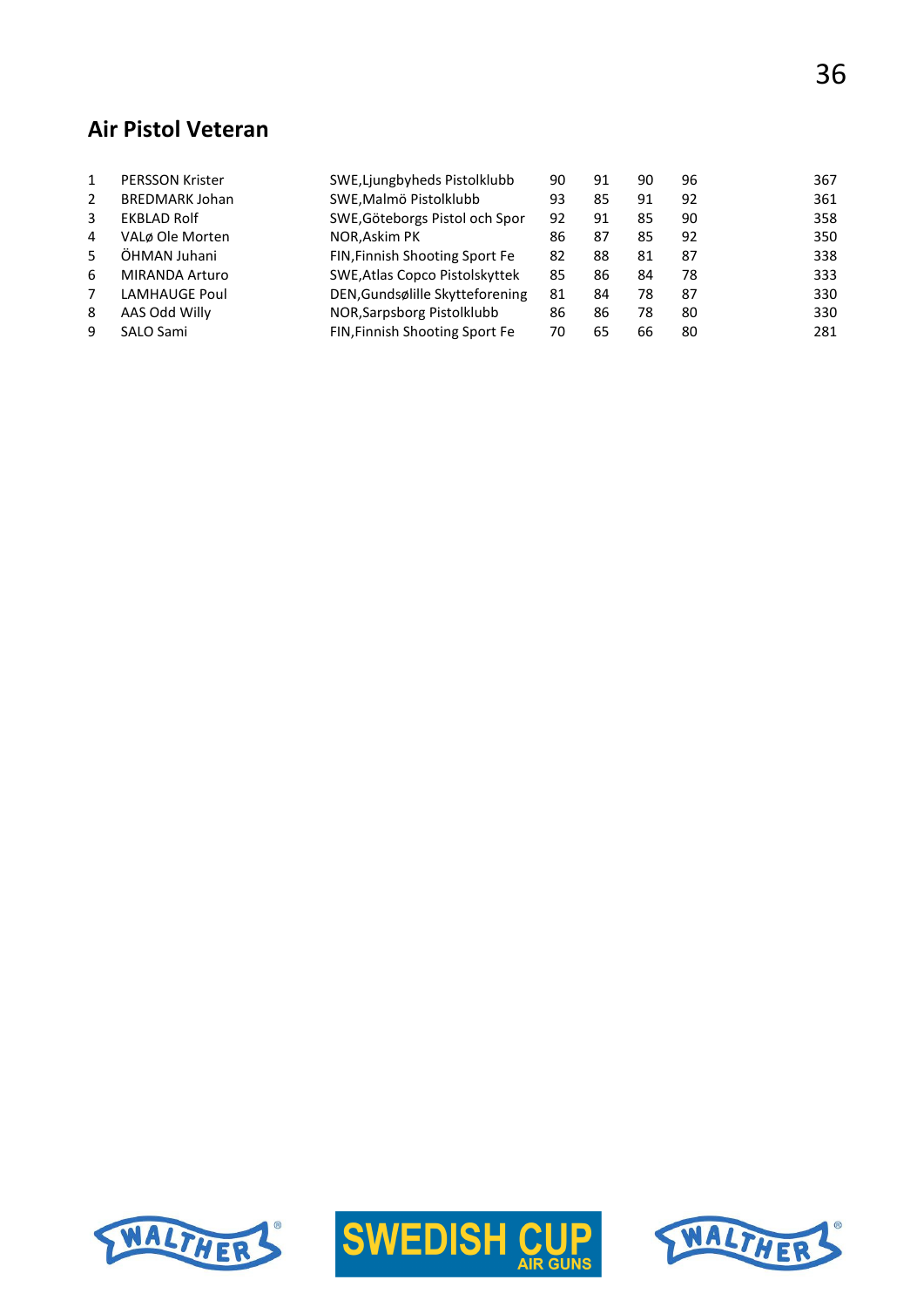#### **Air Pistol Veteran**

|                | <b>PERSSON Krister</b> | SWE, Ljungbyheds Pistolklubb    | 90 | 91 | 90 | 96 | 367 |
|----------------|------------------------|---------------------------------|----|----|----|----|-----|
| $\overline{2}$ | <b>BREDMARK Johan</b>  | SWE, Malmö Pistolklubb          | 93 | 85 | 91 | 92 | 361 |
| 3              | <b>EKBLAD Rolf</b>     | SWE, Göteborgs Pistol och Spor  | 92 | 91 | 85 | 90 | 358 |
| 4              | VALø Ole Morten        | NOR, Askim PK                   | 86 | 87 | 85 | 92 | 350 |
|                | ÖHMAN Juhani           | FIN, Finnish Shooting Sport Fe  | 82 | 88 | 81 | 87 | 338 |
| 6              | MIRANDA Arturo         | SWE, Atlas Copco Pistolskyttek  | 85 | 86 | 84 | 78 | 333 |
| 7              | <b>LAMHAUGE Poul</b>   | DEN, Gundsølille Skytteforening | 81 | 84 | 78 | 87 | 330 |
| 8              | AAS Odd Willy          | NOR, Sarpsborg Pistolklubb      | 86 | 86 | 78 | 80 | 330 |
| 9              | SALO Sami              | FIN, Finnish Shooting Sport Fe  | 70 | 65 | 66 | 80 | 281 |
|                |                        |                                 |    |    |    |    |     |





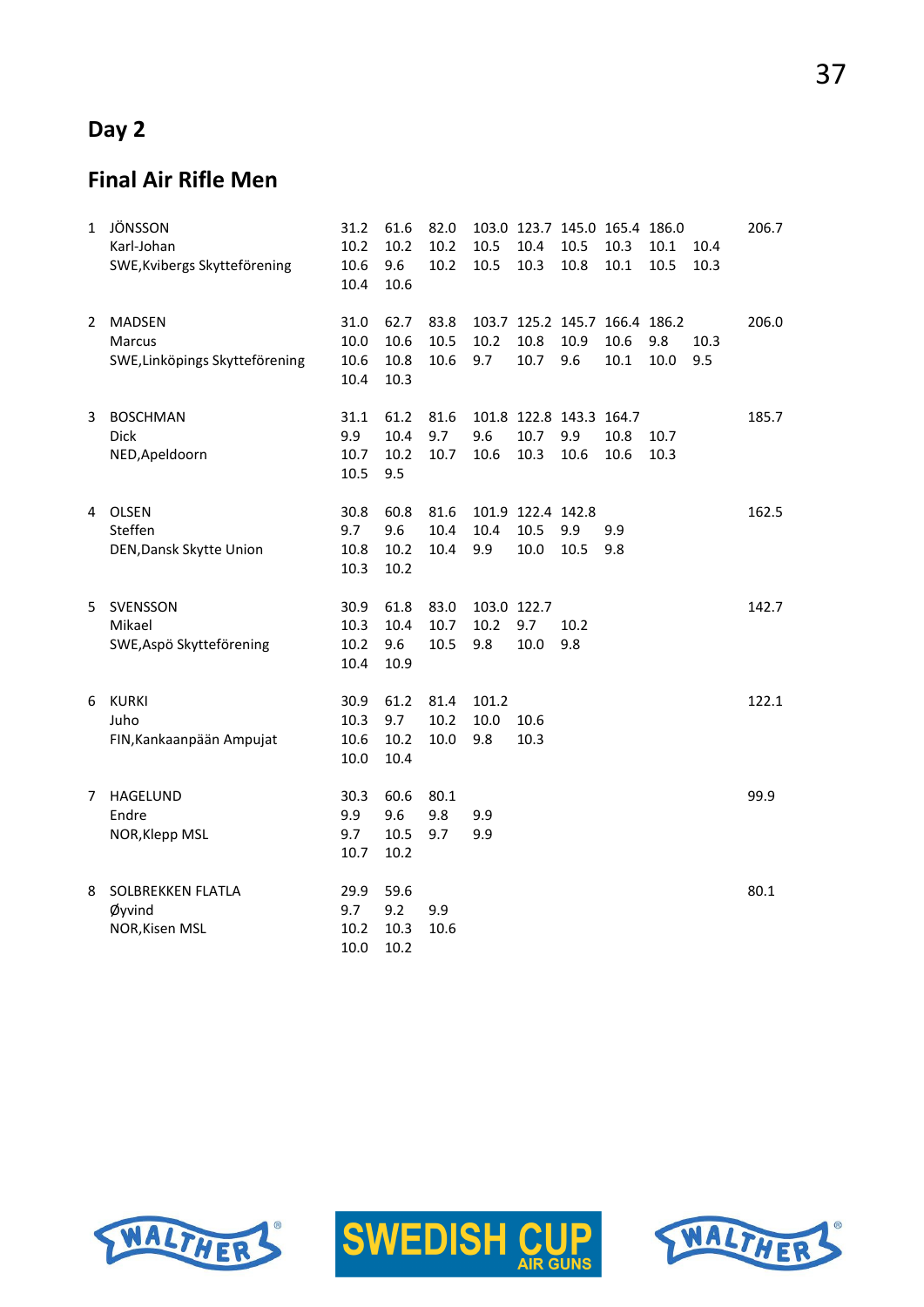# **Day 2**

# **Final Air Rifle Men**

| 1  | JÖNSSON<br>Karl-Johan<br>SWE, Kvibergs Skytteförening     | 31.2<br>10.2<br>10.6<br>10.4 | 61.6<br>10.2<br>9.6<br>10.6  | 82.0<br>10.2<br>10.2 | 10.5<br>10.5               | 10.4<br>10.3                      | 103.0 123.7 145.0 165.4 186.0<br>10.5<br>10.8 | 10.3<br>10.1 | 10.1<br>10.5 | 10.4<br>10.3 | 206.7 |
|----|-----------------------------------------------------------|------------------------------|------------------------------|----------------------|----------------------------|-----------------------------------|-----------------------------------------------|--------------|--------------|--------------|-------|
| 2  | <b>MADSEN</b><br>Marcus<br>SWE, Linköpings Skytteförening | 31.0<br>10.0<br>10.6<br>10.4 | 62.7<br>10.6<br>10.8<br>10.3 | 83.8<br>10.5<br>10.6 | 10.2<br>9.7                | 10.8<br>10.7                      | 103.7 125.2 145.7 166.4 186.2<br>10.9<br>9.6  | 10.6<br>10.1 | 9.8<br>10.0  | 10.3<br>9.5  | 206.0 |
| 3  | <b>BOSCHMAN</b><br><b>Dick</b><br>NED, Apeldoorn          | 31.1<br>9.9<br>10.7<br>10.5  | 61.2<br>10.4<br>10.2<br>9.5  | 81.6<br>9.7<br>10.7  | 9.6<br>10.6                | 10.7<br>10.3                      | 101.8 122.8 143.3 164.7<br>9.9<br>10.6        | 10.8<br>10.6 | 10.7<br>10.3 |              | 185.7 |
| 4  | OLSEN<br>Steffen<br>DEN, Dansk Skytte Union               | 30.8<br>9.7<br>10.8<br>10.3  | 60.8<br>9.6<br>10.2<br>10.2  | 81.6<br>10.4<br>10.4 | 10.4<br>9.9                | 101.9 122.4 142.8<br>10.5<br>10.0 | 9.9<br>10.5                                   | 9.9<br>9.8   |              |              | 162.5 |
| 5. | SVENSSON<br>Mikael<br>SWE, Aspö Skytteförening            | 30.9<br>10.3<br>10.2<br>10.4 | 61.8<br>10.4<br>9.6<br>10.9  | 83.0<br>10.7<br>10.5 | 103.0 122.7<br>10.2<br>9.8 | 9.7<br>10.0                       | 10.2<br>9.8                                   |              |              |              | 142.7 |
| 6  | <b>KURKI</b><br>Juho<br>FIN, Kankaanpään Ampujat          | 30.9<br>10.3<br>10.6<br>10.0 | 61.2<br>9.7<br>10.2<br>10.4  | 81.4<br>10.2<br>10.0 | 101.2<br>$10.0\,$<br>9.8   | 10.6<br>10.3                      |                                               |              |              |              | 122.1 |
| 7  | <b>HAGELUND</b><br>Endre<br>NOR, Klepp MSL                | 30.3<br>9.9<br>9.7<br>10.7   | 60.6<br>9.6<br>10.5<br>10.2  | 80.1<br>9.8<br>9.7   | 9.9<br>9.9                 |                                   |                                               |              |              |              | 99.9  |
| 8  | SOLBREKKEN FLATLA<br>Øyvind<br>NOR, Kisen MSL             | 29.9<br>9.7<br>10.2<br>10.0  | 59.6<br>9.2<br>10.3<br>10.2  | 9.9<br>10.6          |                            |                                   |                                               |              |              |              | 80.1  |





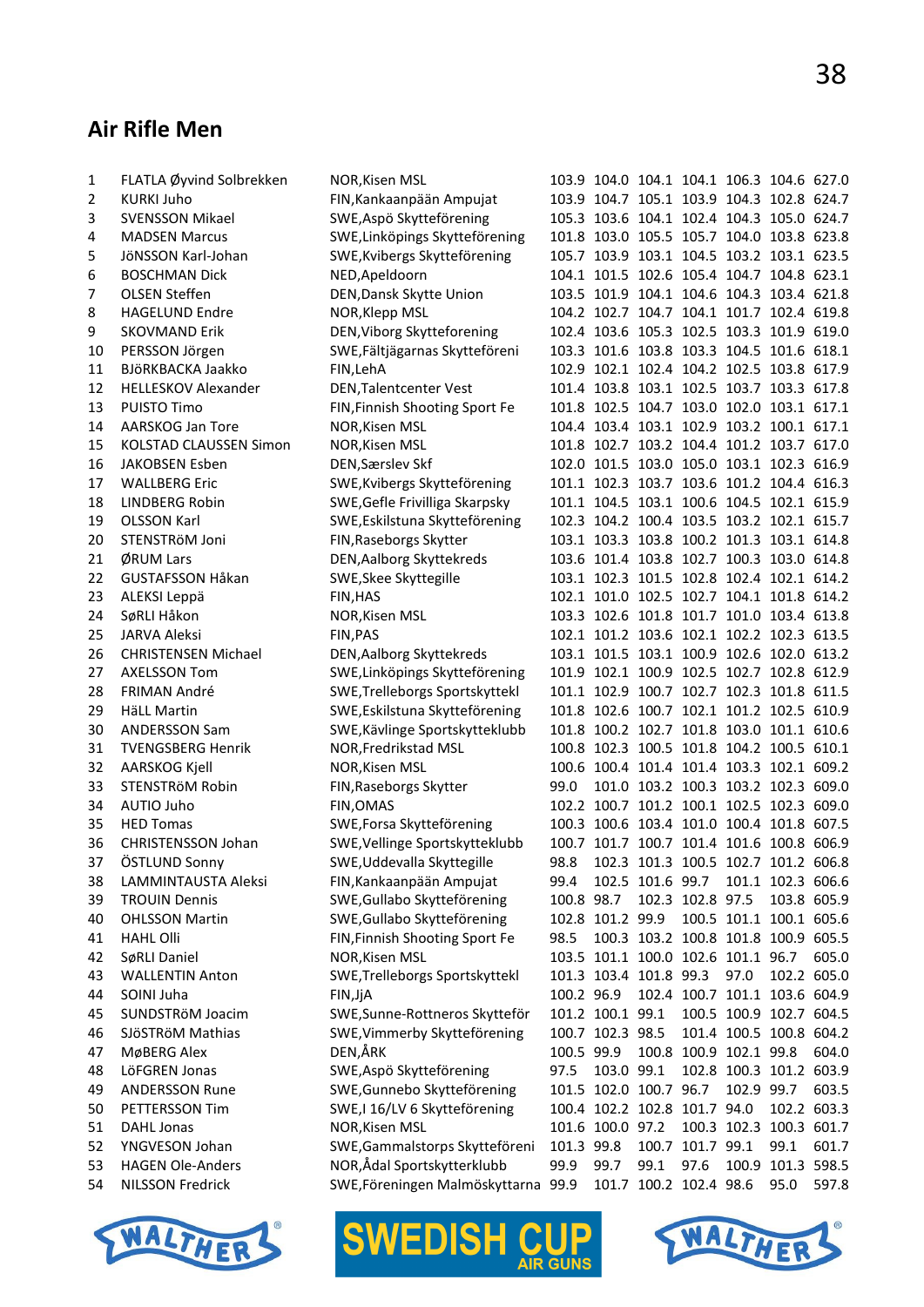# **Air Rifle Men**

| 1  | FLATLA Øyvind Solbrekken   | NOR, Kisen MSL                      |            |                        |      | 103.9 104.0 104.1 104.1 106.3 104.6 627.0 |                             |                   |             |
|----|----------------------------|-------------------------------------|------------|------------------------|------|-------------------------------------------|-----------------------------|-------------------|-------------|
| 2  | <b>KURKI Juho</b>          | FIN, Kankaanpään Ampujat            |            |                        |      | 103.9 104.7 105.1 103.9 104.3 102.8 624.7 |                             |                   |             |
| 3  | <b>SVENSSON Mikael</b>     | SWE, Aspö Skytteförening            |            |                        |      | 105.3 103.6 104.1 102.4 104.3 105.0 624.7 |                             |                   |             |
| 4  | <b>MADSEN Marcus</b>       | SWE, Linköpings Skytteförening      |            |                        |      | 101.8 103.0 105.5 105.7 104.0 103.8 623.8 |                             |                   |             |
| 5  | JöNSSON Karl-Johan         | SWE, Kvibergs Skytteförening        |            |                        |      | 105.7 103.9 103.1 104.5 103.2 103.1 623.5 |                             |                   |             |
|    | <b>BOSCHMAN Dick</b>       |                                     |            |                        |      | 104.1 101.5 102.6 105.4 104.7 104.8 623.1 |                             |                   |             |
| 6  |                            | NED, Apeldoorn                      |            |                        |      |                                           |                             |                   |             |
| 7  | <b>OLSEN Steffen</b>       | DEN, Dansk Skytte Union             |            |                        |      | 103.5 101.9 104.1 104.6 104.3 103.4 621.8 |                             |                   |             |
| 8  | <b>HAGELUND Endre</b>      | NOR, Klepp MSL                      |            |                        |      | 104.2 102.7 104.7 104.1 101.7 102.4 619.8 |                             |                   |             |
| 9  | <b>SKOVMAND Erik</b>       | DEN, Viborg Skytteforening          |            |                        |      | 102.4 103.6 105.3 102.5 103.3 101.9 619.0 |                             |                   |             |
| 10 | PERSSON Jörgen             | SWE, Fältjägarnas Skytteföreni      |            |                        |      | 103.3 101.6 103.8 103.3 104.5 101.6 618.1 |                             |                   |             |
| 11 | BJÖRKBACKA Jaakko          | FIN, LehA                           |            |                        |      | 102.9 102.1 102.4 104.2 102.5 103.8 617.9 |                             |                   |             |
| 12 | <b>HELLESKOV Alexander</b> | DEN, Talentcenter Vest              |            |                        |      | 101.4 103.8 103.1 102.5 103.7 103.3 617.8 |                             |                   |             |
| 13 | <b>PUISTO Timo</b>         | FIN, Finnish Shooting Sport Fe      |            |                        |      | 101.8 102.5 104.7 103.0 102.0 103.1 617.1 |                             |                   |             |
| 14 | AARSKOG Jan Tore           | NOR, Kisen MSL                      |            |                        |      | 104.4 103.4 103.1 102.9 103.2 100.1 617.1 |                             |                   |             |
| 15 | KOLSTAD CLAUSSEN Simon     | NOR, Kisen MSL                      |            |                        |      | 101.8 102.7 103.2 104.4 101.2 103.7 617.0 |                             |                   |             |
| 16 | <b>JAKOBSEN Esben</b>      | DEN, Særslev Skf                    |            |                        |      | 102.0 101.5 103.0 105.0 103.1 102.3 616.9 |                             |                   |             |
| 17 | <b>WALLBERG Eric</b>       | SWE, Kvibergs Skytteförening        |            |                        |      | 101.1 102.3 103.7 103.6 101.2 104.4 616.3 |                             |                   |             |
| 18 | <b>LINDBERG Robin</b>      | SWE, Gefle Frivilliga Skarpsky      |            |                        |      | 101.1 104.5 103.1 100.6 104.5 102.1 615.9 |                             |                   |             |
| 19 | <b>OLSSON Karl</b>         | SWE, Eskilstuna Skytteförening      |            |                        |      | 102.3 104.2 100.4 103.5 103.2 102.1 615.7 |                             |                   |             |
| 20 | STENSTRÖM Joni             | FIN, Raseborgs Skytter              |            |                        |      | 103.1 103.3 103.8 100.2 101.3 103.1 614.8 |                             |                   |             |
| 21 | ØRUM Lars                  | DEN, Aalborg Skyttekreds            |            |                        |      | 103.6 101.4 103.8 102.7 100.3 103.0 614.8 |                             |                   |             |
| 22 | <b>GUSTAFSSON Håkan</b>    | SWE, Skee Skyttegille               |            |                        |      | 103.1 102.3 101.5 102.8 102.4 102.1 614.2 |                             |                   |             |
| 23 | ALEKSI Leppä               | FIN, HAS                            |            |                        |      | 102.1 101.0 102.5 102.7 104.1 101.8 614.2 |                             |                   |             |
| 24 | SøRLI Håkon                | NOR, Kisen MSL                      |            |                        |      | 103.3 102.6 101.8 101.7 101.0 103.4 613.8 |                             |                   |             |
| 25 | <b>JARVA Aleksi</b>        | FIN, PAS                            |            |                        |      | 102.1 101.2 103.6 102.1 102.2 102.3 613.5 |                             |                   |             |
| 26 | <b>CHRISTENSEN Michael</b> | DEN, Aalborg Skyttekreds            |            |                        |      | 103.1 101.5 103.1 100.9 102.6 102.0 613.2 |                             |                   |             |
| 27 | <b>AXELSSON Tom</b>        | SWE, Linköpings Skytteförening      |            |                        |      | 101.9 102.1 100.9 102.5 102.7 102.8 612.9 |                             |                   |             |
| 28 | FRIMAN André               | SWE, Trelleborgs Sportskyttekl      |            |                        |      | 101.1 102.9 100.7 102.7 102.3 101.8 611.5 |                             |                   |             |
| 29 | <b>HäLL Martin</b>         | SWE, Eskilstuna Skytteförening      |            |                        |      | 101.8 102.6 100.7 102.1 101.2 102.5 610.9 |                             |                   |             |
| 30 | <b>ANDERSSON Sam</b>       | SWE, Kävlinge Sportskytteklubb      |            |                        |      | 101.8 100.2 102.7 101.8 103.0 101.1 610.6 |                             |                   |             |
| 31 | <b>TVENGSBERG Henrik</b>   | NOR, Fredrikstad MSL                |            |                        |      | 100.8 102.3 100.5 101.8 104.2 100.5 610.1 |                             |                   |             |
| 32 | AARSKOG Kjell              | NOR, Kisen MSL                      |            |                        |      | 100.6 100.4 101.4 101.4 103.3 102.1 609.2 |                             |                   |             |
| 33 | STENSTRÖM Robin            | FIN, Raseborgs Skytter              | 99.0       |                        |      | 101.0 103.2 100.3 103.2 102.3 609.0       |                             |                   |             |
| 34 | AUTIO Juho                 | FIN, OMAS                           |            |                        |      | 102.2 100.7 101.2 100.1 102.5 102.3 609.0 |                             |                   |             |
| 35 | <b>HED Tomas</b>           | SWE, Forsa Skytteförening           |            |                        |      | 100.3 100.6 103.4 101.0 100.4 101.8 607.5 |                             |                   |             |
| 36 | <b>CHRISTENSSON Johan</b>  | SWE, Vellinge Sportskytteklubb      |            |                        |      | 100.7 101.7 100.7 101.4 101.6 100.8 606.9 |                             |                   |             |
| 37 | ÖSTLUND Sonny              | SWE, Uddevalla Skyttegille          | 98.8       |                        |      | 102.3 101.3 100.5 102.7 101.2 606.8       |                             |                   |             |
|    | LAMMINTAUSTA Aleksi        | FIN, Kankaanpään Ampujat            | 99.4       |                        |      | 102.5 101.6 99.7                          |                             |                   |             |
| 38 |                            |                                     |            |                        |      |                                           |                             | 101.1 102.3 606.6 |             |
| 39 | <b>TROUIN Dennis</b>       | SWE, Gullabo Skytteförening         | 100.8 98.7 |                        |      | 102.3 102.8 97.5                          |                             |                   | 103.8 605.9 |
| 40 | <b>OHLSSON Martin</b>      | SWE, Gullabo Skytteförening         |            | 102.8 101.2 99.9       |      | 100.3 103.2 100.8 101.8 100.9 605.5       | 100.5 101.1 100.1 605.6     |                   |             |
| 41 | <b>HAHL Olli</b>           | FIN, Finnish Shooting Sport Fe      | 98.5       |                        |      |                                           |                             |                   |             |
| 42 | SøRLI Daniel               | NOR, Kisen MSL                      |            |                        |      | 103.5 101.1 100.0 102.6 101.1 96.7        |                             |                   | 605.0       |
| 43 | <b>WALLENTIN Anton</b>     | SWE, Trelleborgs Sportskyttekl      |            | 101.3 103.4 101.8 99.3 |      |                                           | 97.0                        |                   | 102.2 605.0 |
| 44 | SOINI Juha                 | FIN, JjA                            | 100.2 96.9 |                        |      | 102.4 100.7 101.1 103.6 604.9             |                             |                   |             |
| 45 | SUNDSTRöM Joacim           | SWE, Sunne-Rottneros Skytteför      |            | 101.2 100.1 99.1       |      |                                           | 100.5 100.9 102.7 604.5     |                   |             |
| 46 | SJÖSTRÖM Mathias           | SWE, Vimmerby Skytteförening        |            | 100.7 102.3 98.5       |      |                                           | 101.4 100.5 100.8 604.2     |                   |             |
| 47 | MøBERG Alex                | DEN,ÅRK                             | 100.5 99.9 |                        |      | 100.8 100.9 102.1 99.8                    |                             |                   | 604.0       |
| 48 | LöFGREN Jonas              | SWE, Aspö Skytteförening            | 97.5       | 103.0 99.1             |      |                                           | 102.8 100.3 101.2 603.9     |                   |             |
| 49 | <b>ANDERSSON Rune</b>      | SWE, Gunnebo Skytteförening         |            | 101.5 102.0 100.7 96.7 |      |                                           |                             | 102.9 99.7        | 603.5       |
| 50 | PETTERSSON Tim             | SWE, I 16/LV 6 Skytteförening       |            |                        |      | 100.4 102.2 102.8 101.7 94.0              |                             | 102.2 603.3       |             |
| 51 | DAHL Jonas                 | NOR, Kisen MSL                      |            | 101.6 100.0 97.2       |      |                                           | 100.3 102.3 100.3 601.7     |                   |             |
| 52 | YNGVESON Johan             | SWE, Gammalstorps Skytteföreni      | 101.3 99.8 |                        |      | 100.7 101.7 99.1                          |                             | 99.1              | 601.7       |
| 53 | <b>HAGEN Ole-Anders</b>    | NOR,Ådal Sportskytterklubb          | 99.9       | 99.7                   | 99.1 | 97.6                                      |                             | 100.9 101.3 598.5 |             |
| 54 | <b>NILSSON Fredrick</b>    | SWE, Föreningen Malmöskyttarna 99.9 |            |                        |      |                                           | 101.7 100.2 102.4 98.6 95.0 |                   | 597.8       |





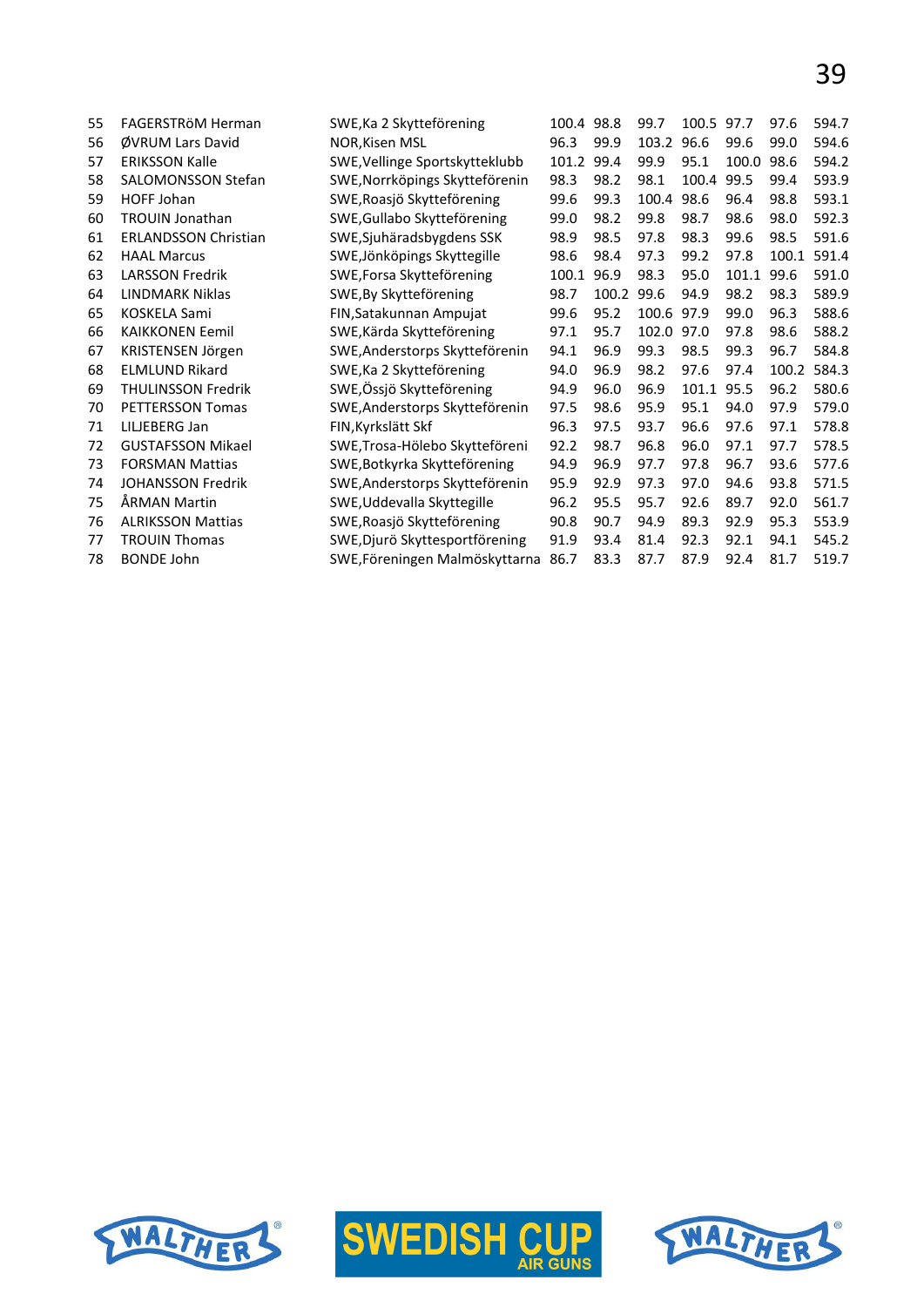| 55 | FAGERSTRöM Herman           | SWE, Ka 2 Skytteförening       | 100.4 98.8 |       | 99.7       | 100.5 | 97.7  | 97.6  | 594.7 |
|----|-----------------------------|--------------------------------|------------|-------|------------|-------|-------|-------|-------|
| 56 | ØVRUM Lars David            | <b>NOR, Kisen MSL</b>          | 96.3       | 99.9  | 103.2      | 96.6  | 99.6  | 99.0  | 594.6 |
| 57 | <b>ERIKSSON Kalle</b>       | SWE, Vellinge Sportskytteklubb | 101.2      | 99.4  | 99.9       | 95.1  | 100.0 | 98.6  | 594.2 |
| 58 | <b>SALOMONSSON Stefan</b>   | SWE, Norrköpings Skytteförenin | 98.3       | 98.2  | 98.1       | 100.4 | 99.5  | 99.4  | 593.9 |
| 59 | HOFF Johan                  | SWE, Roasjö Skytteförening     | 99.6       | 99.3  | 100.4      | 98.6  | 96.4  | 98.8  | 593.1 |
| 60 | <b>TROUIN Jonathan</b>      | SWE, Gullabo Skytteförening    | 99.0       | 98.2  | 99.8       | 98.7  | 98.6  | 98.0  | 592.3 |
| 61 | <b>ERLANDSSON Christian</b> | SWE, Sjuhäradsbygdens SSK      | 98.9       | 98.5  | 97.8       | 98.3  | 99.6  | 98.5  | 591.6 |
| 62 | <b>HAAL Marcus</b>          | SWE, Jönköpings Skyttegille    | 98.6       | 98.4  | 97.3       | 99.2  | 97.8  | 100.1 | 591.4 |
| 63 | <b>LARSSON Fredrik</b>      | SWE, Forsa Skytteförening      | 100.1      | 96.9  | 98.3       | 95.0  | 101.1 | 99.6  | 591.0 |
| 64 | LINDMARK Niklas             | SWE, By Skytteförening         | 98.7       | 100.2 | 99.6       | 94.9  | 98.2  | 98.3  | 589.9 |
| 65 | <b>KOSKELA Sami</b>         | FIN, Satakunnan Ampujat        | 99.6       | 95.2  | 100.6 97.9 |       | 99.0  | 96.3  | 588.6 |
| 66 | <b>KAIKKONEN Eemil</b>      | SWE, Kärda Skytteförening      | 97.1       | 95.7  | 102.0      | 97.0  | 97.8  | 98.6  | 588.2 |
| 67 | KRISTENSEN Jörgen           | SWE, Anderstorps Skytteförenin | 94.1       | 96.9  | 99.3       | 98.5  | 99.3  | 96.7  | 584.8 |
| 68 | <b>ELMLUND Rikard</b>       | SWE, Ka 2 Skytteförening       | 94.0       | 96.9  | 98.2       | 97.6  | 97.4  | 100.2 | 584.3 |
| 69 | <b>THULINSSON Fredrik</b>   | SWE, Össjö Skytteförening      | 94.9       | 96.0  | 96.9       | 101.1 | 95.5  | 96.2  | 580.6 |
| 70 | PETTERSSON Tomas            | SWE, Anderstorps Skytteförenin | 97.5       | 98.6  | 95.9       | 95.1  | 94.0  | 97.9  | 579.0 |
| 71 | LILJEBERG Jan               | FIN, Kyrkslätt Skf             | 96.3       | 97.5  | 93.7       | 96.6  | 97.6  | 97.1  | 578.8 |
| 72 | <b>GUSTAFSSON Mikael</b>    | SWE, Trosa-Hölebo Skytteföreni | 92.2       | 98.7  | 96.8       | 96.0  | 97.1  | 97.7  | 578.5 |
| 73 | <b>FORSMAN Mattias</b>      | SWE, Botkyrka Skytteförening   | 94.9       | 96.9  | 97.7       | 97.8  | 96.7  | 93.6  | 577.6 |
| 74 | <b>JOHANSSON Fredrik</b>    | SWE, Anderstorps Skytteförenin | 95.9       | 92.9  | 97.3       | 97.0  | 94.6  | 93.8  | 571.5 |
| 75 | ÅRMAN Martin                | SWE, Uddevalla Skyttegille     | 96.2       | 95.5  | 95.7       | 92.6  | 89.7  | 92.0  | 561.7 |
| 76 | <b>ALRIKSSON Mattias</b>    | SWE, Roasjö Skytteförening     | 90.8       | 90.7  | 94.9       | 89.3  | 92.9  | 95.3  | 553.9 |
| 77 | <b>TROUIN Thomas</b>        | SWE, Djurö Skyttesportförening | 91.9       | 93.4  | 81.4       | 92.3  | 92.1  | 94.1  | 545.2 |
| 78 | <b>BONDE John</b>           | SWE, Föreningen Malmöskyttarna | 86.7       | 83.3  | 87.7       | 87.9  | 92.4  | 81.7  | 519.7 |
|    |                             |                                |            |       |            |       |       |       |       |





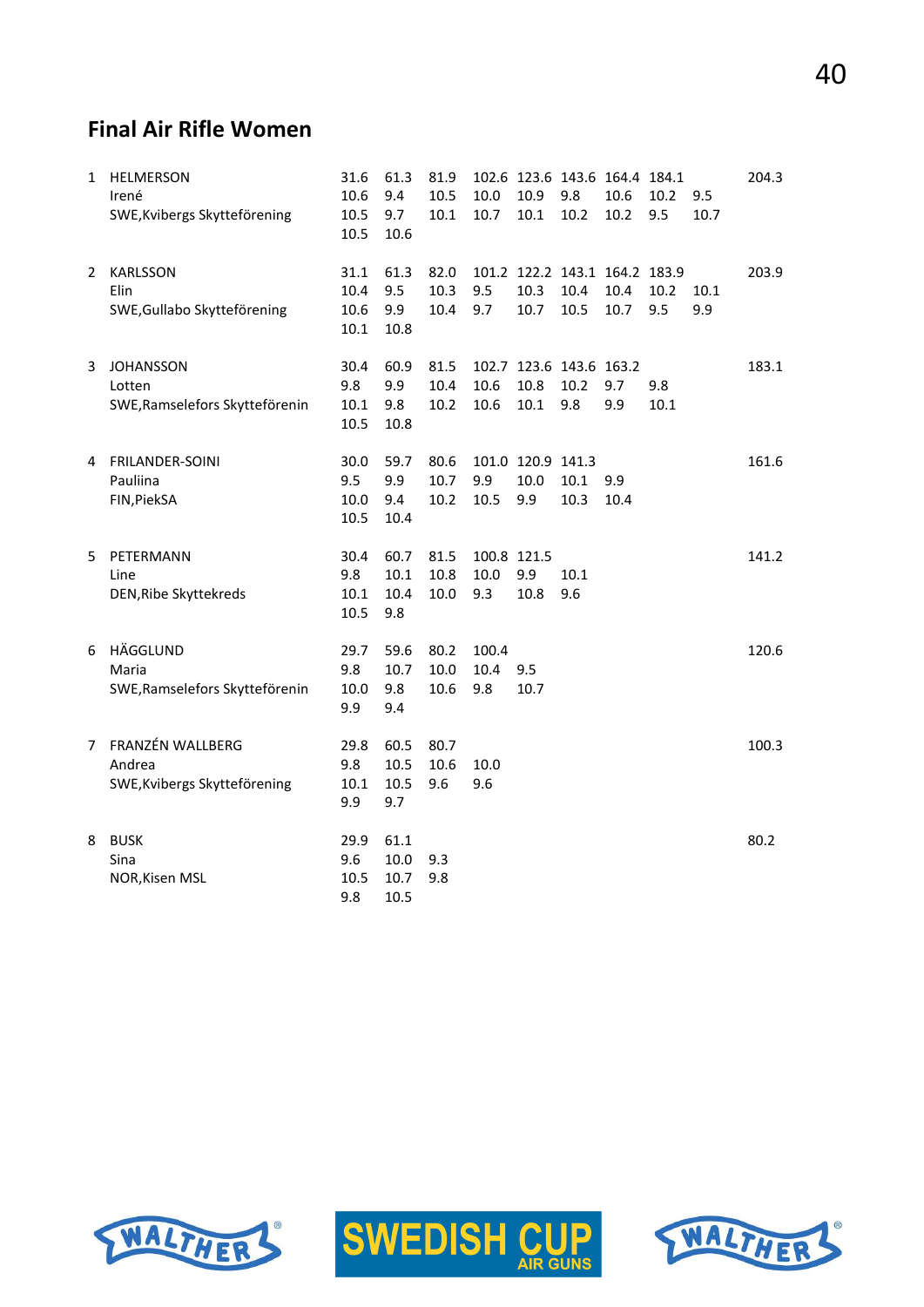# 40

#### **Final Air Rifle Women**

| 1 | <b>HELMERSON</b><br>Irené<br>SWE, Kvibergs Skytteförening    | 31.6<br>10.6<br>10.5<br>10.5 | 61.3<br>9.4<br>9.7<br>10.6   | 81.9<br>10.5<br>10.1 | 10.0<br>10.7               | 102.6 123.6 143.6 164.4 184.1<br>10.9<br>10.1 | 9.8<br>10.2  | 10.6<br>10.2 | 10.2<br>9.5 | 9.5<br>10.7 | 204.3 |
|---|--------------------------------------------------------------|------------------------------|------------------------------|----------------------|----------------------------|-----------------------------------------------|--------------|--------------|-------------|-------------|-------|
| 2 | <b>KARLSSON</b><br>Elin<br>SWE, Gullabo Skytteförening       | 31.1<br>10.4<br>10.6<br>10.1 | 61.3<br>9.5<br>9.9<br>10.8   | 82.0<br>10.3<br>10.4 | 9.5<br>9.7                 | 101.2 122.2 143.1 164.2 183.9<br>10.3<br>10.7 | 10.4<br>10.5 | 10.4<br>10.7 | 10.2<br>9.5 | 10.1<br>9.9 | 203.9 |
| 3 | <b>JOHANSSON</b><br>Lotten<br>SWE, Ramselefors Skytteförenin | 30.4<br>9.8<br>10.1<br>10.5  | 60.9<br>9.9<br>9.8<br>10.8   | 81.5<br>10.4<br>10.2 | 10.6<br>10.6               | 102.7 123.6 143.6 163.2<br>10.8<br>$10.1\,$   | 10.2<br>9.8  | 9.7<br>9.9   | 9.8<br>10.1 |             | 183.1 |
| 4 | FRILANDER-SOINI<br>Pauliina<br>FIN, PiekSA                   | 30.0<br>9.5<br>10.0<br>10.5  | 59.7<br>9.9<br>9.4<br>10.4   | 80.6<br>10.7<br>10.2 | 9.9<br>10.5                | 101.0 120.9 141.3<br>10.0<br>9.9              | 10.1<br>10.3 | 9.9<br>10.4  |             |             | 161.6 |
| 5 | PETERMANN<br>Line<br>DEN, Ribe Skyttekreds                   | 30.4<br>9.8<br>10.1<br>10.5  | 60.7<br>10.1<br>10.4<br>9.8  | 81.5<br>10.8<br>10.0 | 100.8 121.5<br>10.0<br>9.3 | 9.9<br>10.8                                   | 10.1<br>9.6  |              |             |             | 141.2 |
| 6 | HÄGGLUND<br>Maria<br>SWE, Ramselefors Skytteförenin          | 29.7<br>9.8<br>10.0<br>9.9   | 59.6<br>10.7<br>9.8<br>9.4   | 80.2<br>10.0<br>10.6 | 100.4<br>10.4<br>9.8       | 9.5<br>10.7                                   |              |              |             |             | 120.6 |
| 7 | FRANZÉN WALLBERG<br>Andrea<br>SWE, Kvibergs Skytteförening   | 29.8<br>9.8<br>10.1<br>9.9   | 60.5<br>10.5<br>10.5<br>9.7  | 80.7<br>10.6<br>9.6  | 10.0<br>9.6                |                                               |              |              |             |             | 100.3 |
| 8 | <b>BUSK</b><br>Sina<br>NOR, Kisen MSL                        | 29.9<br>9.6<br>10.5<br>9.8   | 61.1<br>10.0<br>10.7<br>10.5 | 9.3<br>9.8           |                            |                                               |              |              |             |             | 80.2  |





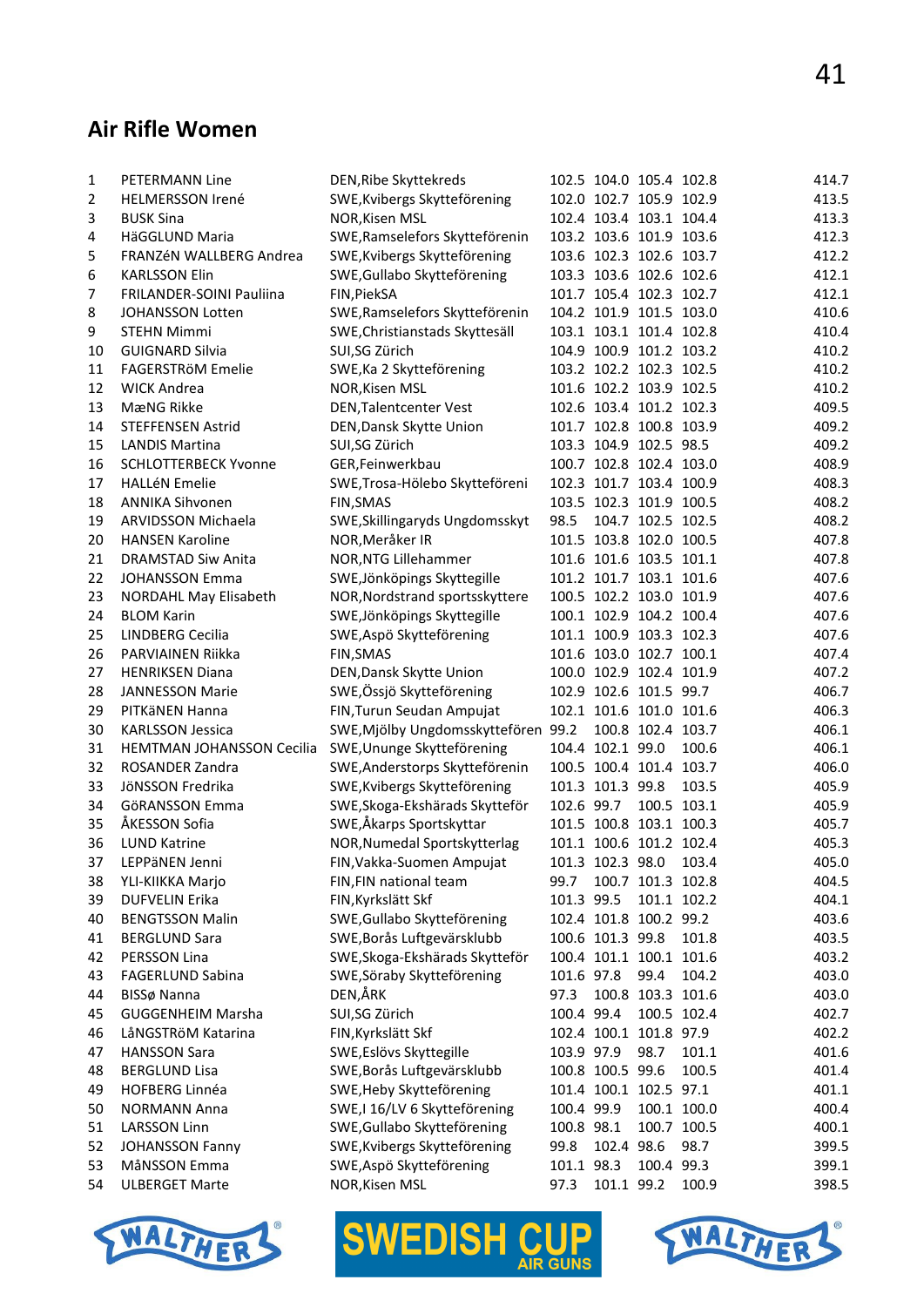#### **Air Rifle Women**

| 1        | PETERMANN Line              | DEN, Ribe Skyttekreds               |            | 102.5 104.0 105.4 102.8                     |                   |             | 414.7          |
|----------|-----------------------------|-------------------------------------|------------|---------------------------------------------|-------------------|-------------|----------------|
| 2        | <b>HELMERSSON Irené</b>     | SWE, Kvibergs Skytteförening        |            | 102.0 102.7 105.9 102.9                     |                   |             | 413.5          |
| 3        | <b>BUSK Sina</b>            | NOR, Kisen MSL                      |            | 102.4 103.4 103.1 104.4                     |                   |             | 413.3          |
| 4        | HäGGLUND Maria              | SWE, Ramselefors Skytteförenin      |            | 103.2 103.6 101.9 103.6                     |                   |             | 412.3          |
| 5        | FRANZÉN WALLBERG Andrea     | SWE, Kvibergs Skytteförening        |            | 103.6 102.3 102.6 103.7                     |                   |             | 412.2          |
| 6        | <b>KARLSSON Elin</b>        | SWE, Gullabo Skytteförening         |            | 103.3 103.6 102.6 102.6                     |                   |             | 412.1          |
| 7        | FRILANDER-SOINI Pauliina    | FIN, PiekSA                         |            | 101.7 105.4 102.3 102.7                     |                   |             | 412.1          |
| 8        | <b>JOHANSSON Lotten</b>     | SWE, Ramselefors Skytteförenin      |            | 104.2 101.9 101.5 103.0                     |                   |             | 410.6          |
| 9        | <b>STEHN Mimmi</b>          | SWE, Christianstads Skyttesäll      |            | 103.1 103.1 101.4 102.8                     |                   |             | 410.4          |
| 10       | <b>GUIGNARD Silvia</b>      | SUI,SG Zürich                       |            | 104.9 100.9 101.2 103.2                     |                   |             | 410.2          |
| 11       | <b>FAGERSTRÖM Emelie</b>    | SWE, Ka 2 Skytteförening            |            | 103.2 102.2 102.3 102.5                     |                   |             | 410.2          |
| 12       | <b>WICK Andrea</b>          | NOR, Kisen MSL                      |            | 101.6 102.2 103.9 102.5                     |                   |             | 410.2          |
| 13       | MæNG Rikke                  | DEN, Talentcenter Vest              |            | 102.6 103.4 101.2 102.3                     |                   |             | 409.5          |
| 14       | <b>STEFFENSEN Astrid</b>    | DEN, Dansk Skytte Union             |            | 101.7 102.8 100.8 103.9                     |                   |             | 409.2          |
| 15       | <b>LANDIS Martina</b>       | SUI,SG Zürich                       |            | 103.3 104.9 102.5 98.5                      |                   |             | 409.2          |
| 16       | <b>SCHLOTTERBECK Yvonne</b> | GER, Feinwerkbau                    |            | 100.7 102.8 102.4 103.0                     |                   |             | 408.9          |
| 17       | <b>HALLéN Emelie</b>        | SWE, Trosa-Hölebo Skytteföreni      |            | 102.3 101.7 103.4 100.9                     |                   |             | 408.3          |
| 18       | <b>ANNIKA Sihvonen</b>      | FIN, SMAS                           |            | 103.5 102.3 101.9 100.5                     |                   |             | 408.2          |
| 19       | ARVIDSSON Michaela          | SWE, Skillingaryds Ungdomsskyt      | 98.5       |                                             | 104.7 102.5 102.5 |             | 408.2          |
| 20       | <b>HANSEN Karoline</b>      | NOR, Meråker IR                     |            | 101.5 103.8 102.0 100.5                     |                   |             | 407.8          |
| 21       | DRAMSTAD Siw Anita          | NOR, NTG Lillehammer                |            | 101.6 101.6 103.5 101.1                     |                   |             | 407.8          |
| 22       | <b>JOHANSSON Emma</b>       | SWE, Jönköpings Skyttegille         |            | 101.2 101.7 103.1 101.6                     |                   |             | 407.6          |
| 23       | NORDAHL May Elisabeth       | NOR, Nordstrand sportsskyttere      |            | 100.5 102.2 103.0 101.9                     |                   |             | 407.6          |
| 24       | <b>BLOM Karin</b>           | SWE, Jönköpings Skyttegille         |            | 100.1 102.9 104.2 100.4                     |                   |             | 407.6          |
| 25       | LINDBERG Cecilia            | SWE, Aspö Skytteförening            |            | 101.1 100.9 103.3 102.3                     |                   |             | 407.6          |
| 26       | PARVIAINEN Riikka           | FIN, SMAS                           |            | 101.6 103.0 102.7 100.1                     |                   |             | 407.4          |
| 27       | <b>HENRIKSEN Diana</b>      | DEN, Dansk Skytte Union             |            | 100.0 102.9 102.4 101.9                     |                   |             | 407.2          |
| 28       | <b>JANNESSON Marie</b>      | SWE, Össjö Skytteförening           |            | 102.9 102.6 101.5 99.7                      |                   |             | 406.7          |
| 29       | PITKäNEN Hanna              | FIN, Turun Seudan Ampujat           |            | 102.1 101.6 101.0 101.6                     |                   |             | 406.3          |
| 30       | <b>KARLSSON Jessica</b>     | SWE, Mjölby Ungdomsskyttefören 99.2 |            |                                             | 100.8 102.4 103.7 |             | 406.1          |
| 31       |                             | SWE, Ununge Skytteförening          |            | 104.4 102.1 99.0                            |                   | 100.6       | 406.1          |
|          | HEMTMAN JOHANSSON Cecilia   |                                     |            |                                             |                   |             |                |
| 32<br>33 | ROSANDER Zandra             | SWE, Anderstorps Skytteförenin      |            | 100.5 100.4 101.4 103.7<br>101.3 101.3 99.8 |                   | 103.5       | 406.0<br>405.9 |
|          | JöNSSON Fredrika            | SWE, Kvibergs Skytteförening        |            |                                             |                   |             |                |
| 34       | GöRANSSON Emma              | SWE, Skoga-Ekshärads Skytteför      | 102.6 99.7 |                                             | 100.5 103.1       |             | 405.9          |
| 35       | ÅKESSON Sofia               | SWE, Åkarps Sportskyttar            |            | 101.5 100.8 103.1 100.3                     |                   |             | 405.7          |
| 36       | <b>LUND Katrine</b>         | NOR, Numedal Sportskytterlag        |            | 101.1 100.6 101.2 102.4                     |                   |             | 405.3          |
| 37       | LEPPäNEN Jenni              | FIN, Vakka-Suomen Ampujat           |            | 101.3 102.3 98.0                            |                   | 103.4       | 405.0          |
| 38       | YLI-KIIKKA Marjo            | FIN, FIN national team              | 99.7       |                                             | 100.7 101.3 102.8 |             | 404.5          |
| 39       | <b>DUFVELIN Erika</b>       | FIN, Kyrkslätt Skf                  | 101.3 99.5 |                                             | 101.1 102.2       |             | 404.1          |
| 40       | <b>BENGTSSON Malin</b>      | SWE, Gullabo Skytteförening         |            | 102.4 101.8 100.2 99.2                      |                   |             | 403.6          |
| 41       | <b>BERGLUND Sara</b>        | SWE, Borås Luftgevärsklubb          |            | 100.6 101.3 99.8                            |                   | 101.8       | 403.5          |
| 42       | PERSSON Lina                | SWE, Skoga-Ekshärads Skytteför      |            | 100.4 101.1 100.1 101.6                     |                   |             | 403.2          |
| 43       | <b>FAGERLUND Sabina</b>     | SWE, Söraby Skytteförening          | 101.6 97.8 |                                             | 99.4              | 104.2       | 403.0          |
| 44       | BISSø Nanna                 | DEN,ÅRK                             | 97.3       |                                             | 100.8 103.3 101.6 |             | 403.0          |
| 45       | <b>GUGGENHEIM Marsha</b>    | SUI,SG Zürich                       | 100.4 99.4 |                                             |                   | 100.5 102.4 | 402.7          |
| 46       | LåNGSTRöM Katarina          | FIN, Kyrkslätt Skf                  |            | 102.4 100.1 101.8 97.9                      |                   |             | 402.2          |
| 47       | <b>HANSSON Sara</b>         | SWE, Eslövs Skyttegille             | 103.9 97.9 |                                             | 98.7              | 101.1       | 401.6          |
| 48       | <b>BERGLUND Lisa</b>        | SWE, Borås Luftgevärsklubb          |            | 100.8 100.5 99.6                            |                   | 100.5       | 401.4          |
| 49       | <b>HOFBERG Linnéa</b>       | SWE, Heby Skytteförening            |            | 101.4 100.1 102.5 97.1                      |                   |             | 401.1          |
| 50       | <b>NORMANN Anna</b>         | SWE, I 16/LV 6 Skytteförening       | 100.4 99.9 |                                             |                   | 100.1 100.0 | 400.4          |
| 51       | LARSSON Linn                | SWE, Gullabo Skytteförening         | 100.8 98.1 |                                             |                   | 100.7 100.5 | 400.1          |
| 52       | <b>JOHANSSON Fanny</b>      | SWE, Kvibergs Skytteförening        | 99.8       | 102.4 98.6                                  |                   | 98.7        | 399.5          |
| 53       | MåNSSON Emma                | SWE, Aspö Skytteförening            | 101.1 98.3 |                                             | 100.4 99.3        |             | 399.1          |
| 54       | <b>ULBERGET Marte</b>       | NOR, Kisen MSL                      | 97.3       | 101.1 99.2                                  |                   | 100.9       | 398.5          |



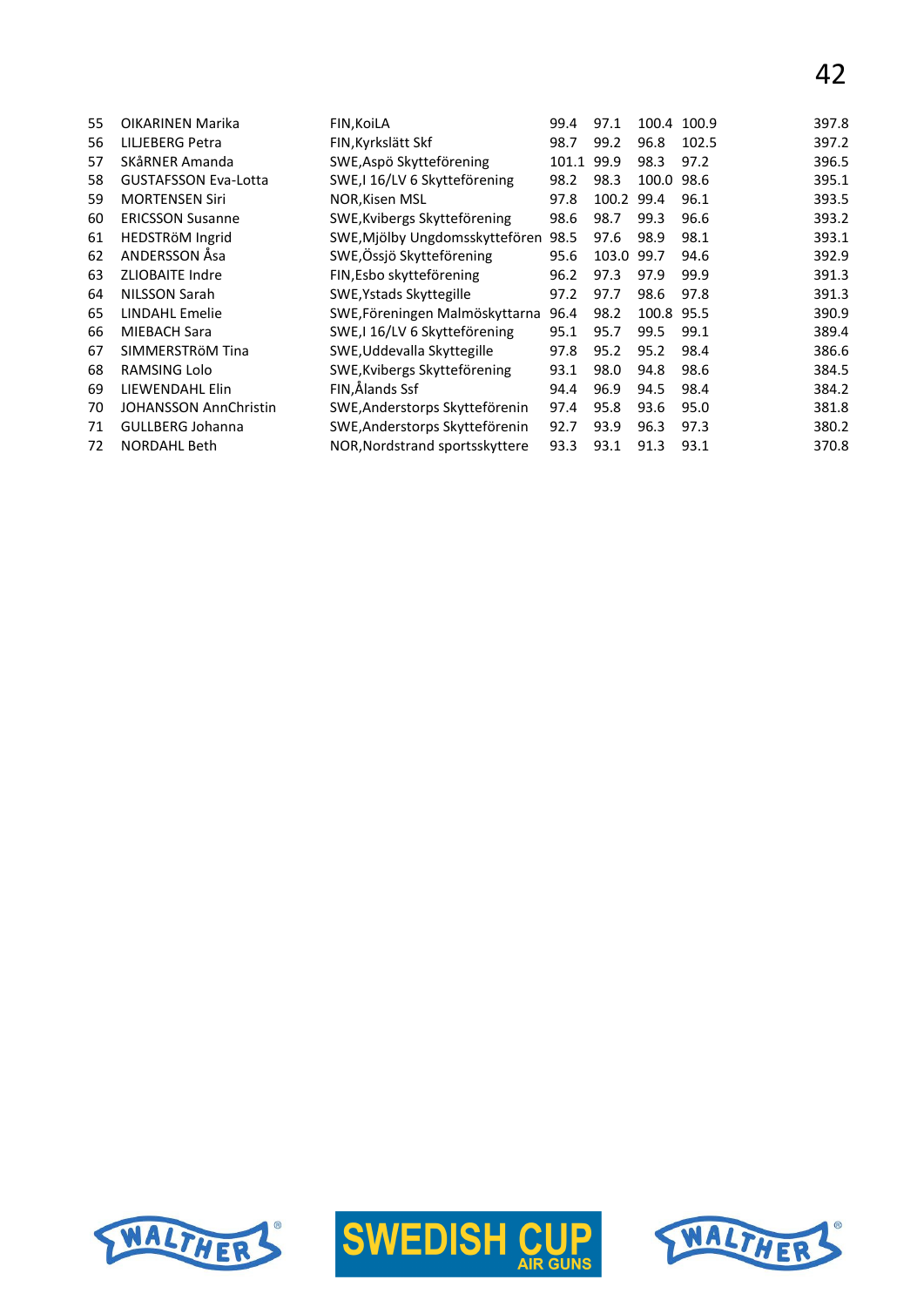| OIKARINEN Marika             | FIN, KoiLA                     | 99.4  | 97.1 |      | 100.9          | 397.8                   |
|------------------------------|--------------------------------|-------|------|------|----------------|-------------------------|
| LILJEBERG Petra              | FIN, Kyrkslätt Skf             | 98.7  | 99.2 | 96.8 | 102.5          | 397.2                   |
| SKåRNER Amanda               | SWE, Aspö Skytteförening       | 101.1 | 99.9 | 98.3 | 97.2           | 396.5                   |
| <b>GUSTAFSSON Eva-Lotta</b>  | SWE, 16/LV 6 Skytteförening    | 98.2  | 98.3 |      | 98.6           | 395.1                   |
| <b>MORTENSEN Siri</b>        | <b>NOR, Kisen MSL</b>          | 97.8  |      | 99.4 | 96.1           | 393.5                   |
| <b>ERICSSON Susanne</b>      | SWE, Kvibergs Skytteförening   | 98.6  | 98.7 | 99.3 | 96.6           | 393.2                   |
| HEDSTRÖM Ingrid              | SWE, Mjölby Ungdomsskyttefören | 98.5  | 97.6 | 98.9 | 98.1           | 393.1                   |
| ANDERSSON Åsa                | SWE, Össjö Skytteförening      | 95.6  |      | 99.7 | 94.6           | 392.9                   |
| <b>ZLIOBAITE Indre</b>       | FIN, Esbo skytteförening       | 96.2  | 97.3 | 97.9 | 99.9           | 391.3                   |
| NILSSON Sarah                | SWE, Ystads Skyttegille        | 97.2  | 97.7 | 98.6 | 97.8           | 391.3                   |
| LINDAHL Emelie               | SWE, Föreningen Malmöskyttarna | 96.4  | 98.2 |      | 95.5           | 390.9                   |
| <b>MIEBACH Sara</b>          | SWE, I 16/LV 6 Skytteförening  | 95.1  | 95.7 | 99.5 | 99.1           | 389.4                   |
| SIMMERSTRÖM Tina             | SWE, Uddevalla Skyttegille     | 97.8  | 95.2 | 95.2 | 98.4           | 386.6                   |
| RAMSING Lolo                 | SWE, Kvibergs Skytteförening   | 93.1  | 98.0 | 94.8 | 98.6           | 384.5                   |
| LIEWENDAHL Elin              | FIN,Ålands Ssf                 | 94.4  | 96.9 | 94.5 | 98.4           | 384.2                   |
| <b>JOHANSSON AnnChristin</b> | SWE, Anderstorps Skytteförenin | 97.4  | 95.8 | 93.6 | 95.0           | 381.8                   |
| <b>GULLBERG Johanna</b>      | SWE, Anderstorps Skytteförenin | 92.7  | 93.9 | 96.3 | 97.3           | 380.2                   |
| <b>NORDAHL Beth</b>          | NOR, Nordstrand sportsskyttere | 93.3  | 93.1 | 91.3 | 93.1           | 370.8                   |
|                              |                                |       |      |      | 100.2<br>103.0 | 100.4<br>100.0<br>100.8 |





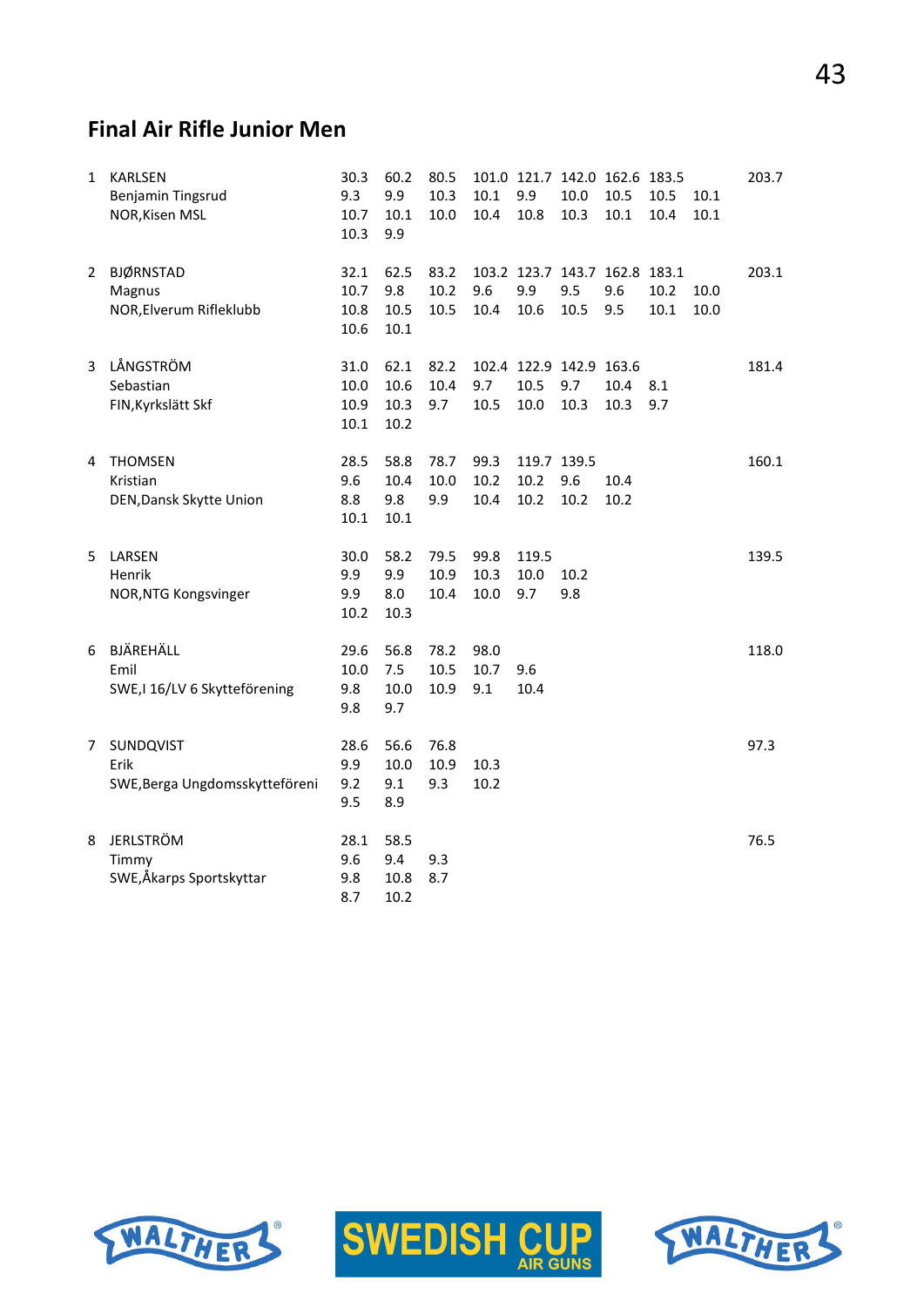# **Final Air Rifle Junior Men**

| $\mathbf{1}$   | <b>KARLSEN</b><br>Benjamin Tingsrud<br>NOR, Kisen MSL | 30.3<br>9.3<br>10.7<br>10.3  | 60.2<br>9.9<br>10.1<br>9.9   | 80.5<br>10.3<br>10.0 | $10.1\,$<br>10.4     | 9.9<br>10.8                 | 10.0<br>10.3                           | 101.0 121.7 142.0 162.6 183.5<br>10.5<br>10.1 | 10.5<br>10.4 | 10.1<br>10.1 | 203.7 |
|----------------|-------------------------------------------------------|------------------------------|------------------------------|----------------------|----------------------|-----------------------------|----------------------------------------|-----------------------------------------------|--------------|--------------|-------|
| 2              | <b>BJØRNSTAD</b><br>Magnus<br>NOR, Elverum Rifleklubb | 32.1<br>10.7<br>10.8<br>10.6 | 62.5<br>9.8<br>10.5<br>10.1  | 83.2<br>10.2<br>10.5 | 9.6<br>10.4          | 9.9<br>10.6                 | 9.5<br>10.5                            | 103.2 123.7 143.7 162.8 183.1<br>9.6<br>9.5   | 10.2<br>10.1 | 10.0<br>10.0 | 203.1 |
| $\overline{3}$ | LÅNGSTRÖM<br>Sebastian<br>FIN, Kyrkslätt Skf          | 31.0<br>10.0<br>10.9<br>10.1 | 62.1<br>10.6<br>10.3<br>10.2 | 82.2<br>10.4<br>9.7  | 9.7<br>10.5          | 10.5<br>10.0                | 102.4 122.9 142.9 163.6<br>9.7<br>10.3 | 10.4<br>10.3                                  | 8.1<br>9.7   |              | 181.4 |
| 4              | <b>THOMSEN</b><br>Kristian<br>DEN, Dansk Skytte Union | 28.5<br>9.6<br>8.8<br>10.1   | 58.8<br>10.4<br>9.8<br>10.1  | 78.7<br>10.0<br>9.9  | 99.3<br>10.2<br>10.4 | 119.7 139.5<br>10.2<br>10.2 | 9.6<br>10.2                            | 10.4<br>10.2                                  |              |              | 160.1 |
| 5.             | LARSEN<br>Henrik<br>NOR, NTG Kongsvinger              | 30.0<br>9.9<br>9.9<br>10.2   | 58.2<br>9.9<br>8.0<br>10.3   | 79.5<br>10.9<br>10.4 | 99.8<br>10.3<br>10.0 | 119.5<br>10.0<br>9.7        | 10.2<br>9.8                            |                                               |              |              | 139.5 |
| 6              | BJÄREHÄLL<br>Emil<br>SWE, I 16/LV 6 Skytteförening    | 29.6<br>10.0<br>9.8<br>9.8   | 56.8<br>7.5<br>10.0<br>9.7   | 78.2<br>10.5<br>10.9 | 98.0<br>10.7<br>9.1  | 9.6<br>10.4                 |                                        |                                               |              |              | 118.0 |
| $\overline{7}$ | SUNDQVIST<br>Erik<br>SWE, Berga Ungdomsskytteföreni   | 28.6<br>9.9<br>9.2<br>9.5    | 56.6<br>10.0<br>9.1<br>8.9   | 76.8<br>10.9<br>9.3  | 10.3<br>10.2         |                             |                                        |                                               |              |              | 97.3  |
| 8              | <b>JERLSTRÖM</b><br>Timmy<br>SWE,Åkarps Sportskyttar  | 28.1<br>9.6<br>9.8<br>8.7    | 58.5<br>9.4<br>10.8<br>10.2  | 9.3<br>8.7           |                      |                             |                                        |                                               |              |              | 76.5  |





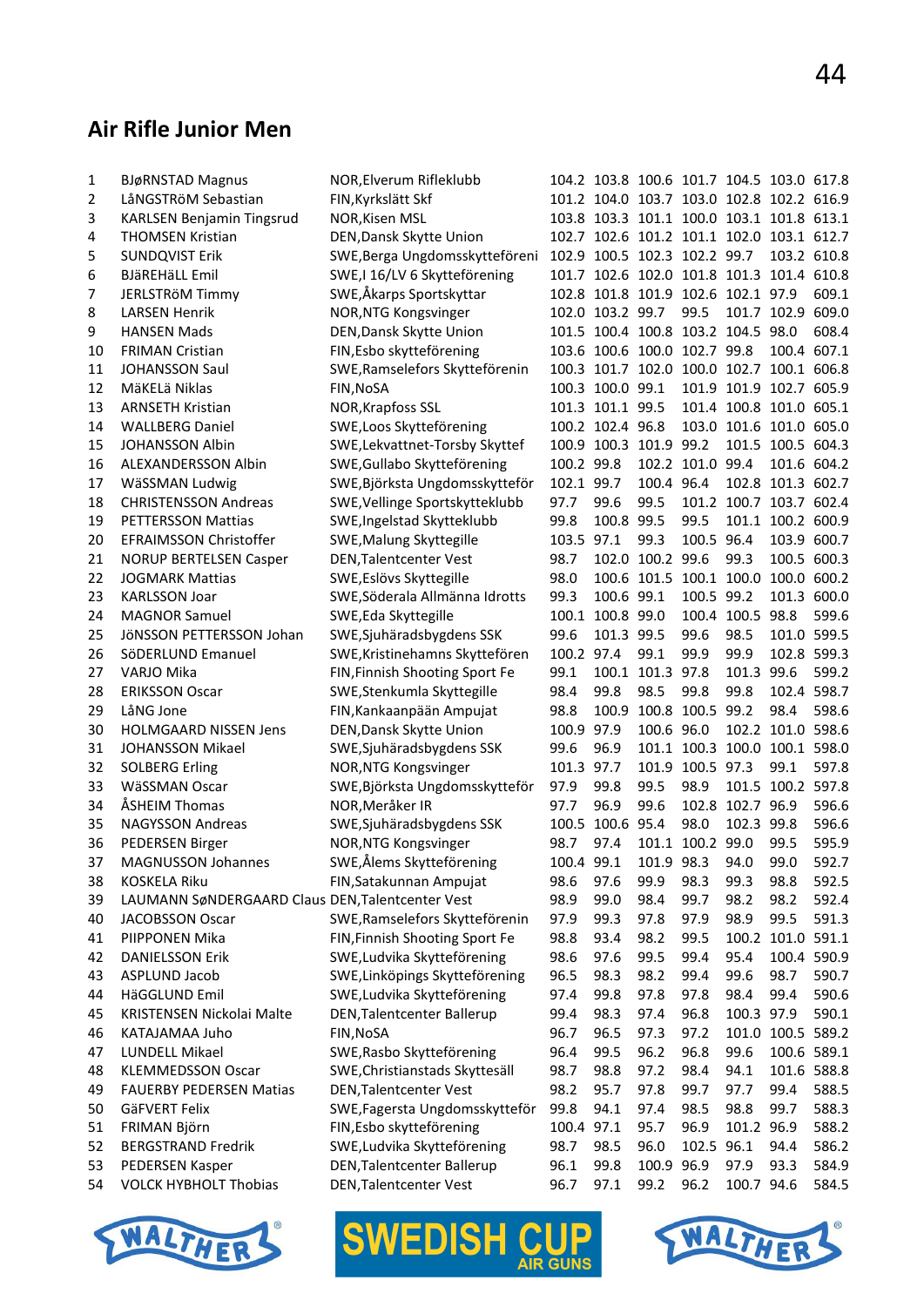# **Air Rifle Junior Men**

| 1        | <b>BJøRNSTAD Magnus</b>                          | NOR, Elverum Rifleklubb           |            | 104.2 103.8 100.6 101.7 104.5 103.0 617.8 |                  |                  |                               |                   |       |
|----------|--------------------------------------------------|-----------------------------------|------------|-------------------------------------------|------------------|------------------|-------------------------------|-------------------|-------|
| 2        | LåNGSTRöM Sebastian                              | FIN, Kyrkslätt Skf                |            | 101.2 104.0 103.7 103.0 102.8 102.2 616.9 |                  |                  |                               |                   |       |
| 3        | <b>KARLSEN Benjamin Tingsrud</b>                 | NOR, Kisen MSL                    |            | 103.8 103.3 101.1 100.0 103.1 101.8 613.1 |                  |                  |                               |                   |       |
| 4        | <b>THOMSEN Kristian</b>                          | DEN, Dansk Skytte Union           |            | 102.7 102.6 101.2 101.1 102.0 103.1 612.7 |                  |                  |                               |                   |       |
| 5        | <b>SUNDQVIST Erik</b>                            | SWE, Berga Ungdomsskytteföreni    |            | 102.9 100.5 102.3 102.2 99.7              |                  |                  |                               | 103.2 610.8       |       |
| 6        | <b>BJäREHäLL Emil</b>                            | SWE,I 16/LV 6 Skytteförening      |            | 101.7 102.6 102.0 101.8 101.3 101.4 610.8 |                  |                  |                               |                   |       |
| 7        | JERLSTRÖM Timmy                                  | SWE,Åkarps Sportskyttar           |            | 102.8 101.8 101.9 102.6 102.1 97.9        |                  |                  |                               |                   | 609.1 |
| 8        | <b>LARSEN Henrik</b>                             | NOR, NTG Kongsvinger              |            | 102.0 103.2 99.7                          |                  | 99.5             |                               | 101.7 102.9 609.0 |       |
| 9        | <b>HANSEN Mads</b>                               | DEN, Dansk Skytte Union           |            | 101.5 100.4 100.8 103.2 104.5 98.0        |                  |                  |                               |                   | 608.4 |
| 10       | <b>FRIMAN Cristian</b>                           | FIN, Esbo skytteförening          |            | 103.6 100.6 100.0 102.7 99.8              |                  |                  |                               | 100.4 607.1       |       |
| 11       | <b>JOHANSSON Saul</b>                            | SWE, Ramselefors Skytteförenin    |            | 100.3 101.7 102.0 100.0 102.7 100.1 606.8 |                  |                  |                               |                   |       |
| 12       | MäKELä Niklas                                    | FIN, NoSA                         |            | 100.3 100.0 99.1                          |                  |                  | 101.9 101.9 102.7 605.9       |                   |       |
| 13       | <b>ARNSETH Kristian</b>                          | NOR, Krapfoss SSL                 |            | 101.3 101.1 99.5                          |                  |                  | 101.4 100.8 101.0 605.1       |                   |       |
| 14       | <b>WALLBERG Daniel</b>                           | SWE, Loos Skytteförening          |            | 100.2 102.4 96.8                          |                  |                  | 103.0 101.6 101.0 605.0       |                   |       |
| 15       | JOHANSSON Albin                                  | SWE, Lekvattnet-Torsby Skyttef    |            | 100.9 100.3 101.9 99.2                    |                  |                  |                               | 101.5 100.5 604.3 |       |
| 16       | ALEXANDERSSON Albin                              | SWE, Gullabo Skytteförening       | 100.2 99.8 |                                           |                  | 102.2 101.0 99.4 |                               | 101.6 604.2       |       |
| 17       | WäSSMAN Ludwig                                   | SWE, Björksta Ungdomsskytteför    | 102.1 99.7 |                                           | 100.4 96.4       |                  |                               | 102.8 101.3 602.7 |       |
|          | <b>CHRISTENSSON Andreas</b>                      | SWE, Vellinge Sportskytteklubb    | 97.7       | 99.6                                      | 99.5             |                  | 101.2 100.7 103.7 602.4       |                   |       |
| 18<br>19 | PETTERSSON Mattias                               |                                   | 99.8       | 100.8 99.5                                |                  | 99.5             |                               | 101.1 100.2 600.9 |       |
|          |                                                  | SWE, Ingelstad Skytteklubb        |            |                                           |                  | 100.5 96.4       |                               |                   |       |
| 20       | EFRAIMSSON Christoffer                           | SWE, Malung Skyttegille           | 103.5 97.1 |                                           | 99.3             |                  |                               | 103.9 600.7       |       |
| 21       | <b>NORUP BERTELSEN Casper</b>                    | DEN, Talentcenter Vest            | 98.7       |                                           | 102.0 100.2 99.6 |                  | 99.3                          | 100.5 600.3       |       |
| 22       | <b>JOGMARK Mattias</b>                           | SWE, Eslövs Skyttegille           | 98.0       |                                           |                  |                  | 100.6 101.5 100.1 100.0       | 100.0 600.2       |       |
| 23       | <b>KARLSSON Joar</b>                             | SWE, Söderala Allmänna Idrotts    | 99.3       | 100.6 99.1                                |                  | 100.5 99.2       |                               | 101.3 600.0       |       |
| 24       | <b>MAGNOR Samuel</b>                             | SWE, Eda Skyttegille              | 100.1      | 100.8 99.0                                |                  |                  | 100.4 100.5 98.8              |                   | 599.6 |
| 25       | JÖNSSON PETTERSSON Johan                         | SWE, Sjuhäradsbygdens SSK         | 99.6       | 101.3 99.5                                |                  | 99.6             | 98.5                          | 101.0 599.5       |       |
| 26       | SöDERLUND Emanuel                                | SWE, Kristinehamns Skyttefören    | 100.2 97.4 |                                           | 99.1             | 99.9             | 99.9                          | 102.8 599.3       |       |
| 27       | VARJO Mika                                       | FIN, Finnish Shooting Sport Fe    | 99.1       |                                           | 100.1 101.3 97.8 |                  | 101.3                         | 99.6              | 599.2 |
| 28       | <b>ERIKSSON Oscar</b>                            | SWE, Stenkumla Skyttegille        | 98.4       | 99.8                                      | 98.5             | 99.8             | 99.8                          | 102.4 598.7       |       |
| 29       | LåNG Jone                                        | FIN, Kankaanpään Ampujat          | 98.8       | 100.9                                     |                  | 100.8 100.5 99.2 |                               | 98.4              | 598.6 |
| 30       | <b>HOLMGAARD NISSEN Jens</b>                     | DEN, Dansk Skytte Union           | 100.9      | 97.9                                      | 100.6 96.0       |                  |                               | 102.2 101.0 598.6 |       |
| 31       | <b>JOHANSSON Mikael</b>                          | SWE, Sjuhäradsbygdens SSK         | 99.6       | 96.9                                      |                  |                  | 101.1 100.3 100.0 100.1 598.0 |                   |       |
| 32       | <b>SOLBERG Erling</b>                            | NOR, NTG Kongsvinger              | 101.3 97.7 |                                           |                  | 101.9 100.5 97.3 |                               | 99.1              | 597.8 |
| 33       | WäSSMAN Oscar                                    | SWE, Björksta Ungdomsskytteför    | 97.9       | 99.8                                      | 99.5             | 98.9             |                               | 101.5 100.2 597.8 |       |
| 34       | ÅSHEIM Thomas                                    | NOR, Meråker IR                   | 97.7       | 96.9                                      | 99.6             |                  | 102.8 102.7 96.9              |                   | 596.6 |
| 35       | <b>NAGYSSON Andreas</b>                          | SWE, Sjuhäradsbygdens SSK         | 100.5      | 100.6 95.4                                |                  | 98.0             | 102.3 99.8                    |                   | 596.6 |
| 36       | PEDERSEN Birger                                  | NOR, NTG Kongsvinger              | 98.7       | 97.4                                      |                  | 101.1 100.2 99.0 |                               | 99.5              | 595.9 |
| 37       | <b>MAGNUSSON Johannes</b>                        | SWE,Ålems Skytteförening          | 100.4 99.1 |                                           | 101.9 98.3       |                  | 94.0                          | 99.0              | 592.7 |
| 38       | <b>KOSKELA Riku</b>                              | FIN, Satakunnan Ampujat           | 98.6       | 97.6                                      | 99.9             | 98.3             | 99.3                          | 98.8              | 592.5 |
| 39       | LAUMANN SøNDERGAARD Claus DEN, Talentcenter Vest |                                   | 98.9       | 99.0                                      | 98.4             | 99.7             | 98.2                          | 98.2              | 592.4 |
| 40       | JACOBSSON Oscar                                  | SWE, Ramselefors Skytteförenin    | 97.9       | 99.3                                      | 97.8             | 97.9             | 98.9                          | 99.5              | 591.3 |
| 41       | PIIPPONEN Mika                                   | FIN, Finnish Shooting Sport Fe    | 98.8       | 93.4                                      | 98.2             | 99.5             | 100.2                         | 101.0 591.1       |       |
| 42       | <b>DANIELSSON Erik</b>                           | SWE, Ludvika Skytteförening       | 98.6       | 97.6                                      | 99.5             | 99.4             | 95.4                          | 100.4 590.9       |       |
| 43       | ASPLUND Jacob                                    | SWE, Linköpings Skytteförening    | 96.5       | 98.3                                      | 98.2             | 99.4             | 99.6                          | 98.7              | 590.7 |
| 44       | HäGGLUND Emil                                    | SWE, Ludvika Skytteförening       | 97.4       | 99.8                                      | 97.8             | 97.8             | 98.4                          | 99.4              | 590.6 |
| 45       | KRISTENSEN Nickolai Malte                        | <b>DEN, Talentcenter Ballerup</b> | 99.4       | 98.3                                      | 97.4             | 96.8             | 100.3 97.9                    |                   | 590.1 |
| 46       | KATAJAMAA Juho                                   | FIN, NoSA                         | 96.7       | 96.5                                      | 97.3             | 97.2             |                               | 101.0 100.5 589.2 |       |
| 47       | LUNDELL Mikael                                   | SWE, Rasbo Skytteförening         | 96.4       | 99.5                                      | 96.2             | 96.8             | 99.6                          | 100.6 589.1       |       |
| 48       | <b>KLEMMEDSSON Oscar</b>                         | SWE, Christianstads Skyttesäll    | 98.7       | 98.8                                      | 97.2             | 98.4             | 94.1                          | 101.6 588.8       |       |
| 49       | <b>FAUERBY PEDERSEN Matias</b>                   | DEN, Talentcenter Vest            | 98.2       | 95.7                                      | 97.8             | 99.7             | 97.7                          | 99.4              | 588.5 |
| 50       | GäFVERT Felix                                    | SWE, Fagersta Ungdomsskytteför    | 99.8       | 94.1                                      | 97.4             | 98.5             | 98.8                          | 99.7              | 588.3 |
| 51       | FRIMAN Björn                                     | FIN, Esbo skytteförening          | 100.4 97.1 |                                           | 95.7             | 96.9             | 101.2 96.9                    |                   | 588.2 |
| 52       | <b>BERGSTRAND Fredrik</b>                        | SWE, Ludvika Skytteförening       | 98.7       | 98.5                                      | 96.0             | 102.5 96.1       |                               | 94.4              | 586.2 |
| 53       | PEDERSEN Kasper                                  | <b>DEN, Talentcenter Ballerup</b> | 96.1       | 99.8                                      | 100.9 96.9       |                  | 97.9                          | 93.3              | 584.9 |
| 54       | <b>VOLCK HYBHOLT Thobias</b>                     | DEN, Talentcenter Vest            | 96.7       | 97.1                                      | 99.2             | 96.2             | 100.7 94.6                    |                   | 584.5 |
|          |                                                  |                                   |            |                                           |                  |                  |                               |                   |       |



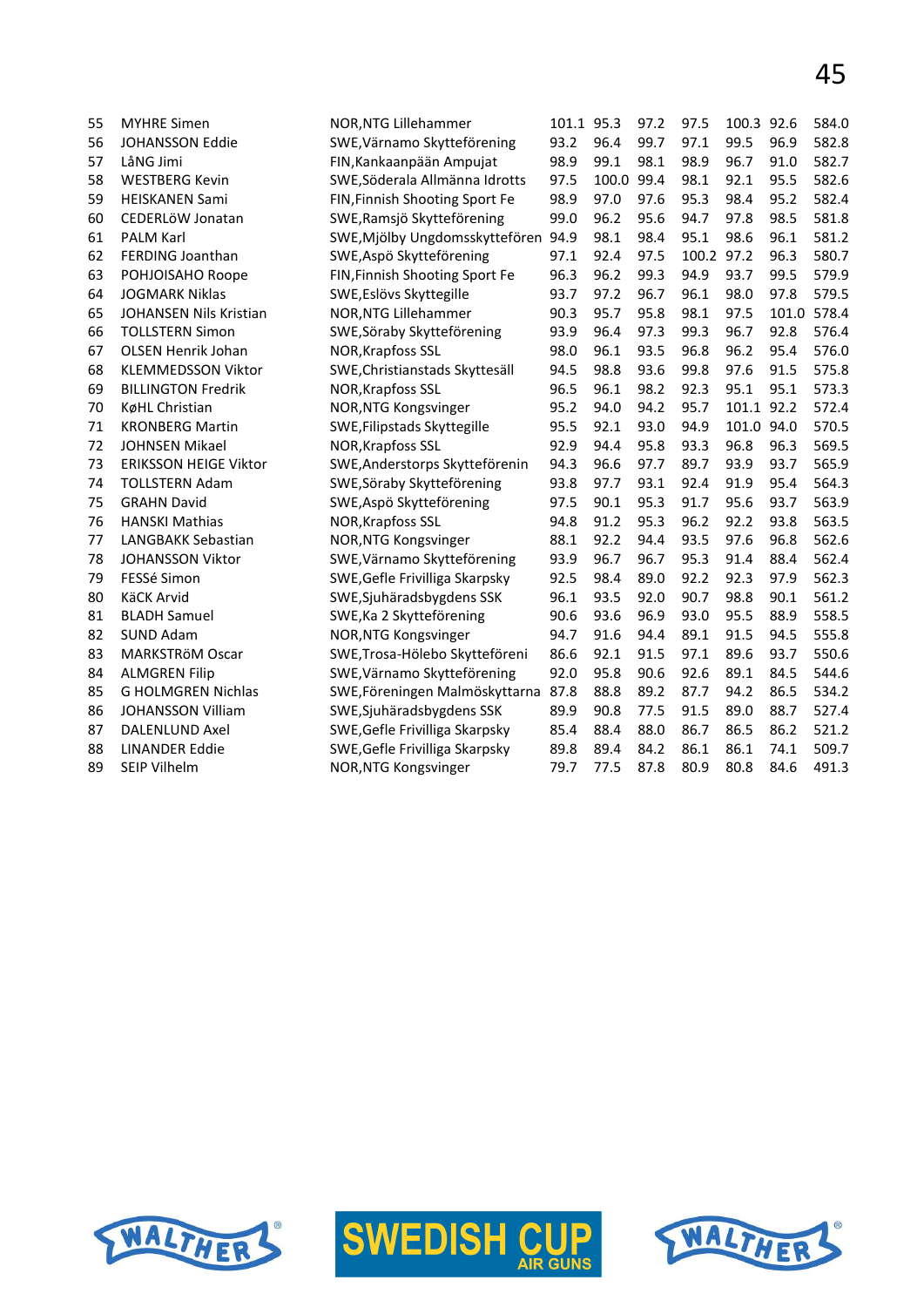| 55 | <b>MYHRE Simen</b>            | NOR, NTG Lillehammer           | 101.1 95.3 |       | 97.2 | 97.5  | 100.3 92.6 |       | 584.0 |
|----|-------------------------------|--------------------------------|------------|-------|------|-------|------------|-------|-------|
| 56 | <b>JOHANSSON Eddie</b>        | SWE, Värnamo Skytteförening    | 93.2       | 96.4  | 99.7 | 97.1  | 99.5       | 96.9  | 582.8 |
| 57 | LåNG Jimi                     | FIN, Kankaanpään Ampujat       | 98.9       | 99.1  | 98.1 | 98.9  | 96.7       | 91.0  | 582.7 |
| 58 | <b>WESTBERG Kevin</b>         | SWE, Söderala Allmänna Idrotts | 97.5       | 100.0 | 99.4 | 98.1  | 92.1       | 95.5  | 582.6 |
| 59 | <b>HEISKANEN Sami</b>         | FIN, Finnish Shooting Sport Fe | 98.9       | 97.0  | 97.6 | 95.3  | 98.4       | 95.2  | 582.4 |
| 60 | CEDERLÖW Jonatan              | SWE, Ramsjö Skytteförening     | 99.0       | 96.2  | 95.6 | 94.7  | 97.8       | 98.5  | 581.8 |
| 61 | PALM Karl                     | SWE, Mjölby Ungdomsskyttefören | 94.9       | 98.1  | 98.4 | 95.1  | 98.6       | 96.1  | 581.2 |
| 62 | FERDING Joanthan              | SWE, Aspö Skytteförening       | 97.1       | 92.4  | 97.5 | 100.2 | 97.2       | 96.3  | 580.7 |
| 63 | POHJOISAHO Roope              | FIN, Finnish Shooting Sport Fe | 96.3       | 96.2  | 99.3 | 94.9  | 93.7       | 99.5  | 579.9 |
| 64 | <b>JOGMARK Niklas</b>         | SWE, Eslövs Skyttegille        | 93.7       | 97.2  | 96.7 | 96.1  | 98.0       | 97.8  | 579.5 |
| 65 | <b>JOHANSEN Nils Kristian</b> | NOR, NTG Lillehammer           | 90.3       | 95.7  | 95.8 | 98.1  | 97.5       | 101.0 | 578.4 |
| 66 | <b>TOLLSTERN Simon</b>        | SWE, Söraby Skytteförening     | 93.9       | 96.4  | 97.3 | 99.3  | 96.7       | 92.8  | 576.4 |
| 67 | <b>OLSEN Henrik Johan</b>     | NOR, Krapfoss SSL              | 98.0       | 96.1  | 93.5 | 96.8  | 96.2       | 95.4  | 576.0 |
| 68 | <b>KLEMMEDSSON Viktor</b>     | SWE, Christianstads Skyttesäll | 94.5       | 98.8  | 93.6 | 99.8  | 97.6       | 91.5  | 575.8 |
| 69 | <b>BILLINGTON Fredrik</b>     | NOR, Krapfoss SSL              | 96.5       | 96.1  | 98.2 | 92.3  | 95.1       | 95.1  | 573.3 |
| 70 | KøHL Christian                | NOR, NTG Kongsvinger           | 95.2       | 94.0  | 94.2 | 95.7  | 101.1 92.2 |       | 572.4 |
| 71 | <b>KRONBERG Martin</b>        | SWE, Filipstads Skyttegille    | 95.5       | 92.1  | 93.0 | 94.9  | 101.0 94.0 |       | 570.5 |
| 72 | JOHNSEN Mikael                | NOR, Krapfoss SSL              | 92.9       | 94.4  | 95.8 | 93.3  | 96.8       | 96.3  | 569.5 |
| 73 | <b>ERIKSSON HEIGE Viktor</b>  | SWE, Anderstorps Skytteförenin | 94.3       | 96.6  | 97.7 | 89.7  | 93.9       | 93.7  | 565.9 |
| 74 | <b>TOLLSTERN Adam</b>         | SWE, Söraby Skytteförening     | 93.8       | 97.7  | 93.1 | 92.4  | 91.9       | 95.4  | 564.3 |
| 75 | <b>GRAHN David</b>            | SWE, Aspö Skytteförening       | 97.5       | 90.1  | 95.3 | 91.7  | 95.6       | 93.7  | 563.9 |
| 76 | <b>HANSKI Mathias</b>         | NOR, Krapfoss SSL              | 94.8       | 91.2  | 95.3 | 96.2  | 92.2       | 93.8  | 563.5 |
| 77 | LANGBAKK Sebastian            | NOR, NTG Kongsvinger           | 88.1       | 92.2  | 94.4 | 93.5  | 97.6       | 96.8  | 562.6 |
| 78 | <b>JOHANSSON Viktor</b>       | SWE, Värnamo Skytteförening    | 93.9       | 96.7  | 96.7 | 95.3  | 91.4       | 88.4  | 562.4 |
| 79 | FESSé Simon                   | SWE, Gefle Frivilliga Skarpsky | 92.5       | 98.4  | 89.0 | 92.2  | 92.3       | 97.9  | 562.3 |
| 80 | KäCK Arvid                    | SWE, Sjuhäradsbygdens SSK      | 96.1       | 93.5  | 92.0 | 90.7  | 98.8       | 90.1  | 561.2 |
| 81 | <b>BLADH Samuel</b>           | SWE, Ka 2 Skytteförening       | 90.6       | 93.6  | 96.9 | 93.0  | 95.5       | 88.9  | 558.5 |
| 82 | <b>SUND Adam</b>              | NOR, NTG Kongsvinger           | 94.7       | 91.6  | 94.4 | 89.1  | 91.5       | 94.5  | 555.8 |
| 83 | MARKSTRÖM Oscar               | SWE, Trosa-Hölebo Skytteföreni | 86.6       | 92.1  | 91.5 | 97.1  | 89.6       | 93.7  | 550.6 |
| 84 | <b>ALMGREN Filip</b>          | SWE, Värnamo Skytteförening    | 92.0       | 95.8  | 90.6 | 92.6  | 89.1       | 84.5  | 544.6 |
| 85 | <b>G HOLMGREN Nichlas</b>     | SWE, Föreningen Malmöskyttarna | 87.8       | 88.8  | 89.2 | 87.7  | 94.2       | 86.5  | 534.2 |
| 86 | <b>JOHANSSON Villiam</b>      | SWE, Sjuhäradsbygdens SSK      | 89.9       | 90.8  | 77.5 | 91.5  | 89.0       | 88.7  | 527.4 |
| 87 | DALENLUND Axel                | SWE, Gefle Frivilliga Skarpsky | 85.4       | 88.4  | 88.0 | 86.7  | 86.5       | 86.2  | 521.2 |
| 88 | <b>LINANDER Eddie</b>         | SWE, Gefle Frivilliga Skarpsky | 89.8       | 89.4  | 84.2 | 86.1  | 86.1       | 74.1  | 509.7 |
| 89 | <b>SEIP Vilhelm</b>           | NOR, NTG Kongsvinger           | 79.7       | 77.5  | 87.8 | 80.9  | 80.8       | 84.6  | 491.3 |
|    |                               |                                |            |       |      |       |            |       |       |





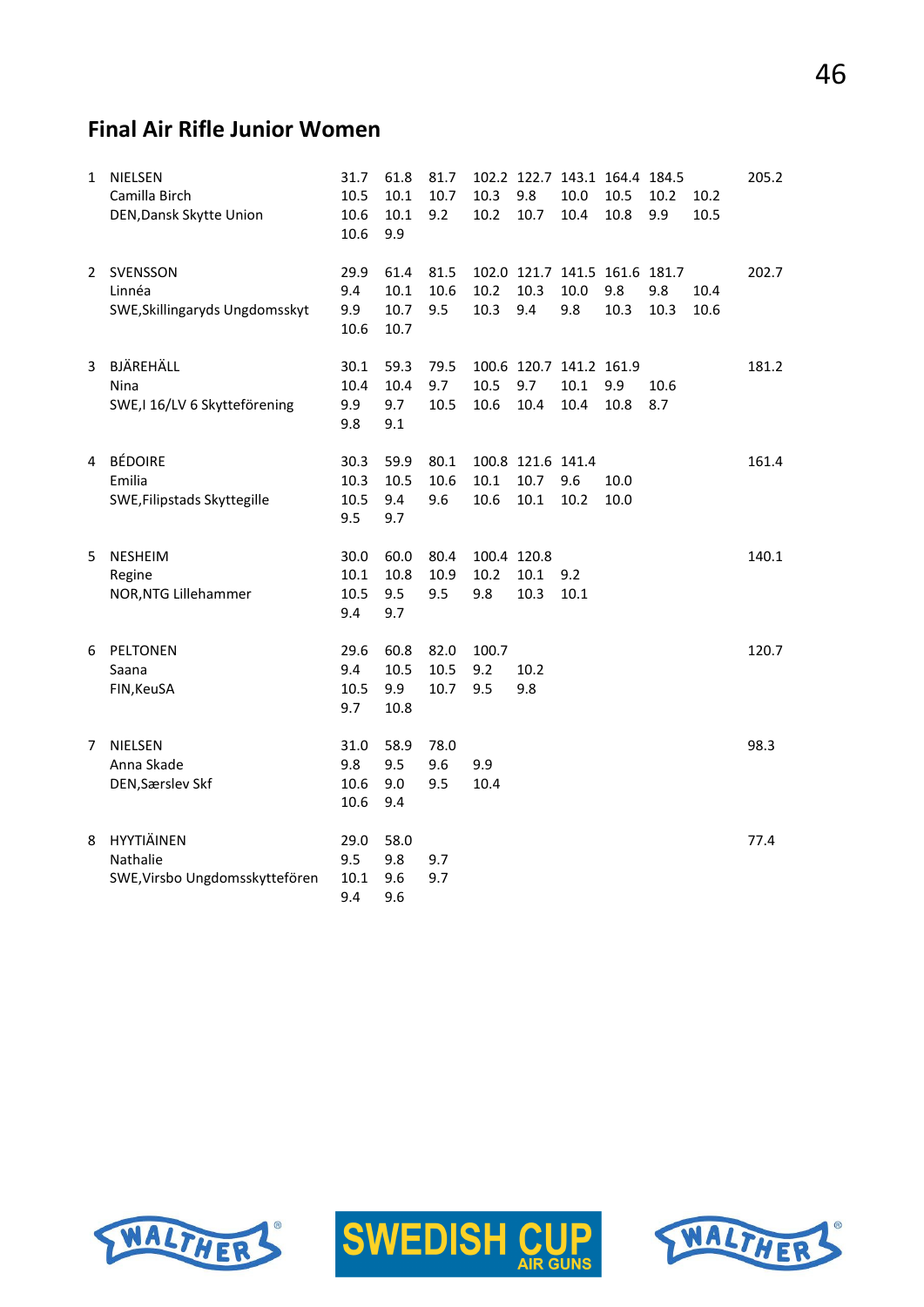## **Final Air Rifle Junior Women**

| 1 | NIELSEN<br>Camilla Birch<br>DEN, Dansk Skytte Union      | 31.7<br>10.5<br>10.6<br>10.6   | 61.8<br>10.1<br>10.1<br>9.9  | 81.7<br>10.7<br>9.2  | 10.3<br>10.2               | 102.2 122.7 143.1 164.4 184.5<br>9.8<br>10.7 | 10.0<br>10.4 | 10.5<br>10.8 | 10.2<br>9.9 | 10.2<br>10.5 | 205.2 |
|---|----------------------------------------------------------|--------------------------------|------------------------------|----------------------|----------------------------|----------------------------------------------|--------------|--------------|-------------|--------------|-------|
| 2 | SVENSSON<br>Linnéa<br>SWE, Skillingaryds Ungdomsskyt     | 29.9<br>9.4<br>9.9<br>10.6     | 61.4<br>10.1<br>10.7<br>10.7 | 81.5<br>10.6<br>9.5  | 10.2<br>10.3               | 102.0 121.7 141.5 161.6 181.7<br>10.3<br>9.4 | 10.0<br>9.8  | 9.8<br>10.3  | 9.8<br>10.3 | 10.4<br>10.6 | 202.7 |
| 3 | BJÄREHÄLL<br>Nina<br>SWE, I 16/LV 6 Skytteförening       | 30.1<br>10.4<br>9.9<br>9.8     | 59.3<br>10.4<br>9.7<br>9.1   | 79.5<br>9.7<br>10.5  | 10.5<br>10.6               | 100.6 120.7 141.2 161.9<br>9.7<br>10.4       | 10.1<br>10.4 | 9.9<br>10.8  | 10.6<br>8.7 |              | 181.2 |
| 4 | <b>BÉDOIRE</b><br>Emilia<br>SWE, Filipstads Skyttegille  | 30.3<br>10.3<br>10.5<br>9.5    | 59.9<br>10.5<br>9.4<br>9.7   | 80.1<br>10.6<br>9.6  | 10.1<br>10.6               | 100.8 121.6 141.4<br>10.7<br>10.1            | 9.6<br>10.2  | 10.0<br>10.0 |             |              | 161.4 |
| 5 | <b>NESHEIM</b><br>Regine<br>NOR, NTG Lillehammer         | 30.0<br>10.1<br>10.5<br>9.4    | 60.0<br>10.8<br>9.5<br>9.7   | 80.4<br>10.9<br>9.5  | 100.4 120.8<br>10.2<br>9.8 | 10.1<br>10.3                                 | 9.2<br>10.1  |              |             |              | 140.1 |
| 6 | PELTONEN<br>Saana<br>FIN, KeuSA                          | 29.6<br>9.4<br>10.5<br>9.7     | 60.8<br>10.5<br>9.9<br>10.8  | 82.0<br>10.5<br>10.7 | 100.7<br>9.2<br>9.5        | 10.2<br>9.8                                  |              |              |             |              | 120.7 |
| 7 | <b>NIELSEN</b><br>Anna Skade<br>DEN, Særslev Skf         | 31.0<br>9.8<br>10.6<br>10.6    | 58.9<br>9.5<br>9.0<br>9.4    | 78.0<br>9.6<br>9.5   | 9.9<br>10.4                |                                              |              |              |             |              | 98.3  |
| 8 | HYYTIÄINEN<br>Nathalie<br>SWE, Virsbo Ungdomsskyttefören | 29.0<br>9.5<br>$10.1\,$<br>9.4 | 58.0<br>9.8<br>9.6<br>9.6    | 9.7<br>9.7           |                            |                                              |              |              |             |              | 77.4  |





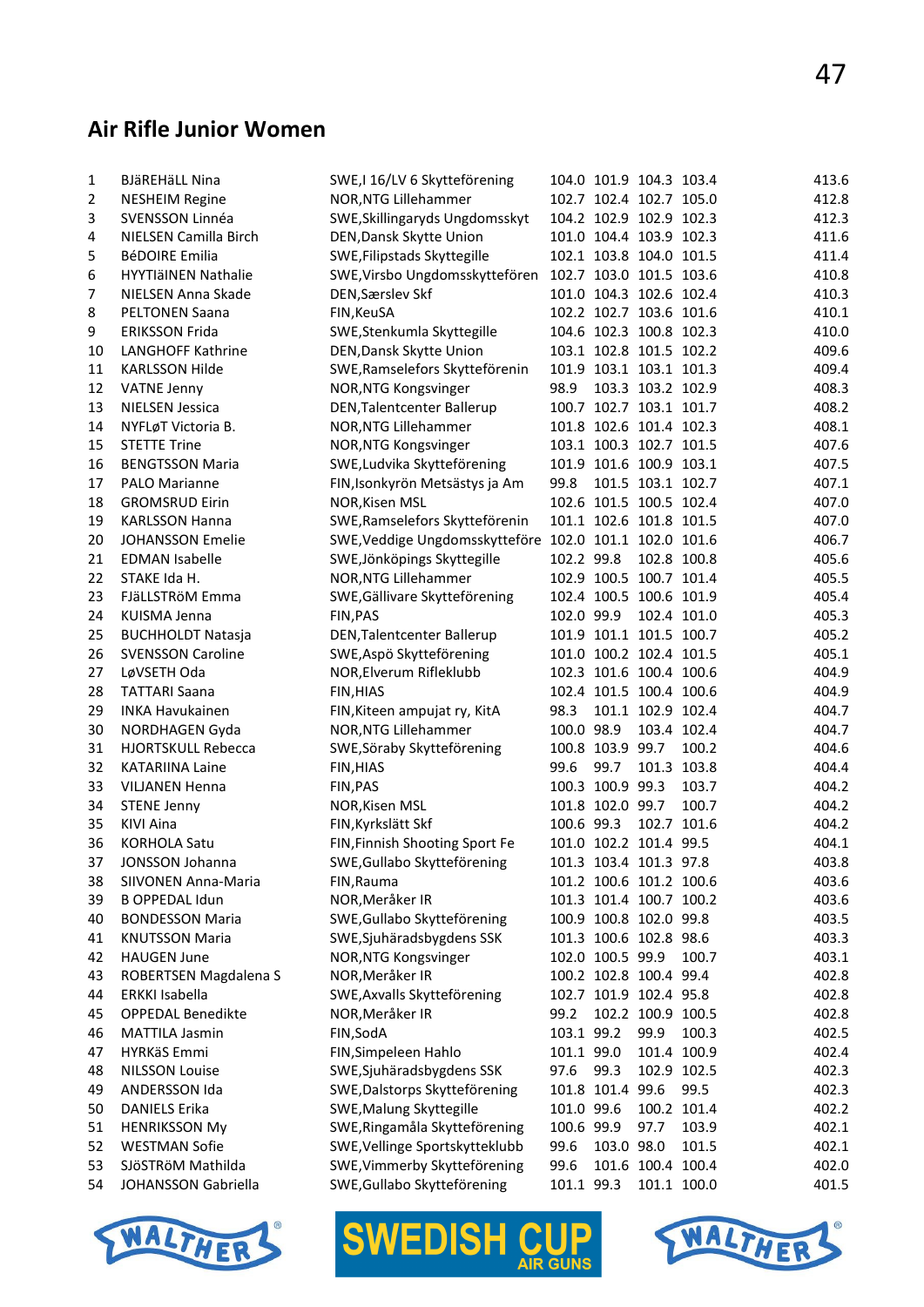#### **Air Rifle Junior Women**

| 1  | <b>BJäREHäLL Nina</b>      | SWE, I 16/LV 6 Skytteförening                          |            | 104.0 101.9 104.3 103.4 |                   |             | 413.6 |
|----|----------------------------|--------------------------------------------------------|------------|-------------------------|-------------------|-------------|-------|
| 2  | <b>NESHEIM Regine</b>      | NOR, NTG Lillehammer                                   |            | 102.7 102.4 102.7 105.0 |                   |             | 412.8 |
| 3  | SVENSSON Linnéa            | SWE, Skillingaryds Ungdomsskyt                         |            | 104.2 102.9 102.9 102.3 |                   |             | 412.3 |
| 4  | NIELSEN Camilla Birch      | DEN, Dansk Skytte Union                                |            | 101.0 104.4 103.9 102.3 |                   |             | 411.6 |
| 5  | <b>BéDOIRE Emilia</b>      | SWE, Filipstads Skyttegille                            |            | 102.1 103.8 104.0 101.5 |                   |             | 411.4 |
| 6  | <b>HYYTIäINEN Nathalie</b> | SWE, Virsbo Ungdomsskyttefören                         |            | 102.7 103.0 101.5 103.6 |                   |             | 410.8 |
| 7  | NIELSEN Anna Skade         | DEN, Særslev Skf                                       |            | 101.0 104.3 102.6 102.4 |                   |             | 410.3 |
| 8  | <b>PELTONEN Saana</b>      | FIN, KeuSA                                             |            | 102.2 102.7 103.6 101.6 |                   |             | 410.1 |
| 9  | <b>ERIKSSON Frida</b>      | SWE, Stenkumla Skyttegille                             |            | 104.6 102.3 100.8 102.3 |                   |             | 410.0 |
| 10 | LANGHOFF Kathrine          | DEN, Dansk Skytte Union                                |            | 103.1 102.8 101.5 102.2 |                   |             | 409.6 |
| 11 | <b>KARLSSON Hilde</b>      | SWE, Ramselefors Skytteförenin                         |            | 101.9 103.1 103.1 101.3 |                   |             | 409.4 |
| 12 | <b>VATNE Jenny</b>         | NOR, NTG Kongsvinger                                   | 98.9       |                         | 103.3 103.2 102.9 |             | 408.3 |
| 13 | <b>NIELSEN Jessica</b>     | DEN, Talentcenter Ballerup                             |            | 100.7 102.7 103.1 101.7 |                   |             | 408.2 |
| 14 | NYFLøT Victoria B.         | NOR, NTG Lillehammer                                   |            | 101.8 102.6 101.4 102.3 |                   |             | 408.1 |
| 15 | <b>STETTE Trine</b>        | NOR, NTG Kongsvinger                                   |            | 103.1 100.3 102.7 101.5 |                   |             | 407.6 |
| 16 | <b>BENGTSSON Maria</b>     | SWE, Ludvika Skytteförening                            |            | 101.9 101.6 100.9 103.1 |                   |             | 407.5 |
| 17 | PALO Marianne              | FIN, Isonkyrön Metsästys ja Am                         | 99.8       |                         | 101.5 103.1 102.7 |             | 407.1 |
| 18 | <b>GROMSRUD Eirin</b>      | NOR, Kisen MSL                                         |            | 102.6 101.5 100.5 102.4 |                   |             | 407.0 |
| 19 | <b>KARLSSON Hanna</b>      | SWE, Ramselefors Skytteförenin                         |            | 101.1 102.6 101.8 101.5 |                   |             | 407.0 |
| 20 | <b>JOHANSSON Emelie</b>    | SWE, Veddige Ungdomsskytteföre 102.0 101.1 102.0 101.6 |            |                         |                   |             | 406.7 |
| 21 | <b>EDMAN Isabelle</b>      | SWE, Jönköpings Skyttegille                            | 102.2 99.8 |                         |                   | 102.8 100.8 | 405.6 |
| 22 | STAKE Ida H.               | NOR, NTG Lillehammer                                   |            | 102.9 100.5 100.7 101.4 |                   |             | 405.5 |
| 23 | FJäLLSTRöM Emma            | SWE, Gällivare Skytteförening                          |            | 102.4 100.5 100.6 101.9 |                   |             | 405.4 |
| 24 | <b>KUISMA Jenna</b>        | FIN, PAS                                               | 102.0 99.9 |                         |                   | 102.4 101.0 | 405.3 |
| 25 | <b>BUCHHOLDT Natasja</b>   | DEN, Talentcenter Ballerup                             |            | 101.9 101.1 101.5 100.7 |                   |             | 405.2 |
| 26 | <b>SVENSSON Caroline</b>   | SWE, Aspö Skytteförening                               |            | 101.0 100.2 102.4 101.5 |                   |             | 405.1 |
| 27 | LøVSETH Oda                | NOR, Elverum Rifleklubb                                |            | 102.3 101.6 100.4 100.6 |                   |             | 404.9 |
| 28 | <b>TATTARI Saana</b>       | FIN, HIAS                                              |            | 102.4 101.5 100.4 100.6 |                   |             | 404.9 |
| 29 | <b>INKA Havukainen</b>     | FIN, Kiteen ampujat ry, KitA                           | 98.3       |                         | 101.1 102.9 102.4 |             | 404.7 |
| 30 | NORDHAGEN Gyda             | NOR, NTG Lillehammer                                   | 100.0 98.9 |                         |                   | 103.4 102.4 | 404.7 |
| 31 | HJORTSKULL Rebecca         | SWE, Söraby Skytteförening                             |            | 100.8 103.9 99.7        |                   | 100.2       | 404.6 |
| 32 | <b>KATARIINA Laine</b>     | FIN, HIAS                                              | 99.6       | 99.7                    |                   | 101.3 103.8 | 404.4 |
| 33 | <b>VILJANEN Henna</b>      | FIN, PAS                                               |            | 100.3 100.9 99.3        |                   | 103.7       | 404.2 |
| 34 | <b>STENE Jenny</b>         | NOR, Kisen MSL                                         |            | 101.8 102.0 99.7        |                   | 100.7       | 404.2 |
| 35 | KIVI Aina                  | FIN, Kyrkslätt Skf                                     | 100.6 99.3 |                         |                   | 102.7 101.6 | 404.2 |
| 36 | <b>KORHOLA Satu</b>        | FIN, Finnish Shooting Sport Fe                         |            | 101.0 102.2 101.4 99.5  |                   |             | 404.1 |
| 37 | JONSSON Johanna            | SWE, Gullabo Skytteförening                            |            | 101.3 103.4 101.3 97.8  |                   |             | 403.8 |
| 38 | SIIVONEN Anna-Maria        | FIN, Rauma                                             |            | 101.2 100.6 101.2 100.6 |                   |             | 403.6 |
| 39 | <b>B OPPEDAL Idun</b>      | NOR, Meråker IR                                        |            | 101.3 101.4 100.7 100.2 |                   |             | 403.6 |
| 40 | <b>BONDESSON Maria</b>     | SWE, Gullabo Skytteförening                            |            | 100.9 100.8 102.0 99.8  |                   |             | 403.5 |
| 41 | <b>KNUTSSON Maria</b>      | SWE, Sjuhäradsbygdens SSK                              |            | 101.3 100.6 102.8 98.6  |                   |             | 403.3 |
| 42 | <b>HAUGEN June</b>         | NOR, NTG Kongsvinger                                   |            | 102.0 100.5 99.9        |                   | 100.7       | 403.1 |
| 43 | ROBERTSEN Magdalena S      | NOR, Meråker IR                                        |            | 100.2 102.8 100.4 99.4  |                   |             | 402.8 |
| 44 | ERKKI Isabella             | SWE, Axvalls Skytteförening                            |            | 102.7 101.9 102.4 95.8  |                   |             | 402.8 |
| 45 | OPPEDAL Benedikte          | NOR, Meråker IR                                        | 99.2       |                         | 102.2 100.9 100.5 |             | 402.8 |
| 46 | <b>MATTILA Jasmin</b>      | FIN, SodA                                              | 103.1 99.2 |                         | 99.9              | 100.3       | 402.5 |
| 47 | HYRKäS Emmi                | FIN, Simpeleen Hahlo                                   | 101.1 99.0 |                         |                   | 101.4 100.9 | 402.4 |
| 48 | <b>NILSSON Louise</b>      | SWE, Sjuhäradsbygdens SSK                              | 97.6       | 99.3                    |                   | 102.9 102.5 | 402.3 |
| 49 | ANDERSSON Ida              | SWE, Dalstorps Skytteförening                          |            | 101.8 101.4 99.6        |                   | 99.5        | 402.3 |
| 50 | <b>DANIELS Erika</b>       | SWE, Malung Skyttegille                                | 101.0 99.6 |                         |                   | 100.2 101.4 | 402.2 |
| 51 | <b>HENRIKSSON My</b>       | SWE, Ringamåla Skytteförening                          | 100.6 99.9 |                         | 97.7              | 103.9       | 402.1 |
| 52 | <b>WESTMAN Sofie</b>       | SWE, Vellinge Sportskytteklubb                         | 99.6       | 103.0 98.0              |                   | 101.5       | 402.1 |
| 53 | SJÖSTRÖM Mathilda          | SWE, Vimmerby Skytteförening                           | 99.6       |                         | 101.6 100.4 100.4 |             | 402.0 |
| 54 | JOHANSSON Gabriella        | SWE, Gullabo Skytteförening                            | 101.1 99.3 |                         |                   | 101.1 100.0 | 401.5 |
|    |                            |                                                        |            |                         |                   |             |       |





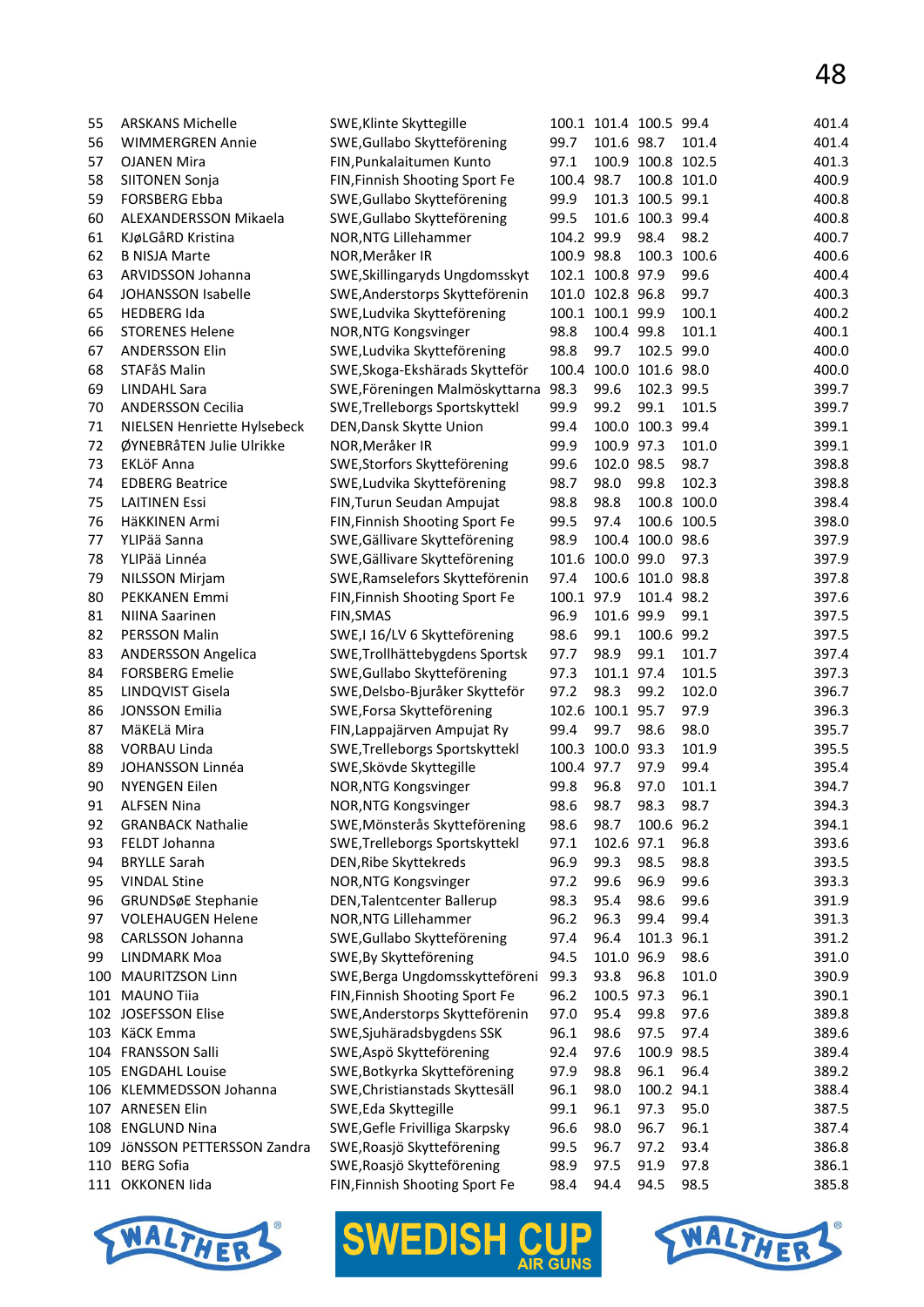| 55  | <b>ARSKANS Michelle</b>     | SWE, Klinte Skyttegille           |            | 100.1 101.4 100.5 99.4 |                   |             | 401.4 |
|-----|-----------------------------|-----------------------------------|------------|------------------------|-------------------|-------------|-------|
| 56  | <b>WIMMERGREN Annie</b>     | SWE, Gullabo Skytteförening       | 99.7       | 101.6 98.7             |                   | 101.4       | 401.4 |
| 57  | <b>OJANEN Mira</b>          | FIN, Punkalaitumen Kunto          | 97.1       |                        | 100.9 100.8 102.5 |             | 401.3 |
| 58  | <b>SIITONEN Sonja</b>       | FIN, Finnish Shooting Sport Fe    | 100.4      | 98.7                   |                   | 100.8 101.0 | 400.9 |
| 59  | <b>FORSBERG Ebba</b>        | SWE, Gullabo Skytteförening       | 99.9       |                        | 101.3 100.5 99.1  |             | 400.8 |
| 60  | ALEXANDERSSON Mikaela       | SWE, Gullabo Skytteförening       | 99.5       |                        | 101.6 100.3 99.4  |             | 400.8 |
| 61  | KJøLGåRD Kristina           | NOR, NTG Lillehammer              | 104.2 99.9 |                        | 98.4              | 98.2        | 400.7 |
| 62  | <b>B NISJA Marte</b>        | NOR, Meråker IR                   | 100.9 98.8 |                        |                   | 100.3 100.6 | 400.6 |
| 63  | ARVIDSSON Johanna           | SWE, Skillingaryds Ungdomsskyt    |            | 102.1 100.8 97.9       |                   | 99.6        | 400.4 |
| 64  | JOHANSSON Isabelle          | SWE, Anderstorps Skytteförenin    |            | 101.0 102.8 96.8       |                   | 99.7        | 400.3 |
| 65  | <b>HEDBERG Ida</b>          | SWE, Ludvika Skytteförening       |            | 100.1 100.1 99.9       |                   | 100.1       | 400.2 |
|     |                             |                                   |            |                        |                   |             |       |
| 66  | <b>STORENES Helene</b>      | NOR, NTG Kongsvinger              | 98.8       | 100.4 99.8             |                   | 101.1       | 400.1 |
| 67  | <b>ANDERSSON Elin</b>       | SWE, Ludvika Skytteförening       | 98.8       | 99.7                   | 102.5 99.0        |             | 400.0 |
| 68  | STAFåS Malin                | SWE, Skoga-Ekshärads Skytteför    | 100.4      |                        | 100.0 101.6 98.0  |             | 400.0 |
| 69  | <b>LINDAHL Sara</b>         | SWE, Föreningen Malmöskyttarna    | 98.3       | 99.6                   | 102.3 99.5        |             | 399.7 |
| 70  | <b>ANDERSSON Cecilia</b>    | SWE, Trelleborgs Sportskyttekl    | 99.9       | 99.2                   | 99.1              | 101.5       | 399.7 |
| 71  | NIELSEN Henriette Hylsebeck | DEN, Dansk Skytte Union           | 99.4       |                        | 100.0 100.3 99.4  |             | 399.1 |
| 72  | ØYNEBRåTEN Julie Ulrikke    | NOR, Meråker IR                   | 99.9       | 100.9 97.3             |                   | 101.0       | 399.1 |
| 73  | <b>EKLÖF Anna</b>           | SWE, Storfors Skytteförening      | 99.6       | 102.0 98.5             |                   | 98.7        | 398.8 |
| 74  | <b>EDBERG Beatrice</b>      | SWE, Ludvika Skytteförening       | 98.7       | 98.0                   | 99.8              | 102.3       | 398.8 |
| 75  | <b>LAITINEN Essi</b>        | FIN, Turun Seudan Ampujat         | 98.8       | 98.8                   |                   | 100.8 100.0 | 398.4 |
| 76  | HäKKINEN Armi               | FIN, Finnish Shooting Sport Fe    | 99.5       | 97.4                   |                   | 100.6 100.5 | 398.0 |
| 77  | YLIPää Sanna                | SWE, Gällivare Skytteförening     | 98.9       |                        | 100.4 100.0 98.6  |             | 397.9 |
| 78  | YLIPää Linnéa               | SWE, Gällivare Skytteförening     | 101.6      | 100.0 99.0             |                   | 97.3        | 397.9 |
| 79  | <b>NILSSON Mirjam</b>       | SWE, Ramselefors Skytteförenin    | 97.4       |                        | 100.6 101.0 98.8  |             | 397.8 |
| 80  | PEKKANEN Emmi               | FIN, Finnish Shooting Sport Fe    | 100.1      | 97.9                   | 101.4 98.2        |             | 397.6 |
| 81  | <b>NIINA Saarinen</b>       | <b>FIN, SMAS</b>                  | 96.9       | 101.6 99.9             |                   | 99.1        | 397.5 |
| 82  | PERSSON Malin               | SWE,I 16/LV 6 Skytteförening      | 98.6       | 99.1                   | 100.6 99.2        |             | 397.5 |
|     |                             |                                   |            |                        |                   |             |       |
| 83  | <b>ANDERSSON Angelica</b>   | SWE, Trollhättebygdens Sportsk    | 97.7       | 98.9                   | 99.1              | 101.7       | 397.4 |
| 84  | <b>FORSBERG Emelie</b>      | SWE, Gullabo Skytteförening       | 97.3       | 101.1 97.4             |                   | 101.5       | 397.3 |
| 85  | LINDQVIST Gisela            | SWE, Delsbo-Bjuråker Skytteför    | 97.2       | 98.3                   | 99.2              | 102.0       | 396.7 |
| 86  | <b>JONSSON Emilia</b>       | SWE, Forsa Skytteförening         | 102.6      | 100.1 95.7             |                   | 97.9        | 396.3 |
| 87  | MäKELä Mira                 | FIN, Lappajärven Ampujat Ry       | 99.4       | 99.7                   | 98.6              | 98.0        | 395.7 |
| 88  | VORBAU Linda                | SWE, Trelleborgs Sportskyttekl    |            | 100.3 100.0 93.3       |                   | 101.9       | 395.5 |
| 89  | JOHANSSON Linnéa            | SWE, Skövde Skyttegille           | 100.4 97.7 |                        | 97.9              | 99.4        | 395.4 |
| 90  | <b>NYENGEN Eilen</b>        | NOR, NTG Kongsvinger              | 99.8       | 96.8                   | 97.0              | 101.1       | 394.7 |
| 91  | <b>ALFSEN Nina</b>          | NOR, NTG Kongsvinger              | 98.6       | 98.7 98.3              |                   | 98.7        | 394.3 |
| 92  | <b>GRANBACK Nathalie</b>    | SWE, Mönsterås Skytteförening     | 98.6       | 98.7                   | 100.6 96.2        |             | 394.1 |
| 93  | FELDT Johanna               | SWE, Trelleborgs Sportskyttekl    | 97.1       | 102.6 97.1             |                   | 96.8        | 393.6 |
| 94  | <b>BRYLLE Sarah</b>         | DEN, Ribe Skyttekreds             | 96.9       | 99.3                   | 98.5              | 98.8        | 393.5 |
| 95  | <b>VINDAL Stine</b>         | NOR, NTG Kongsvinger              | 97.2       | 99.6                   | 96.9              | 99.6        | 393.3 |
| 96  | GRUNDSøE Stephanie          | <b>DEN, Talentcenter Ballerup</b> | 98.3       | 95.4                   | 98.6              | 99.6        | 391.9 |
| 97  | <b>VOLEHAUGEN Helene</b>    | NOR, NTG Lillehammer              | 96.2       | 96.3                   | 99.4              | 99.4        | 391.3 |
| 98  | CARLSSON Johanna            | SWE, Gullabo Skytteförening       | 97.4       | 96.4                   | 101.3 96.1        |             | 391.2 |
| 99  | LINDMARK Moa                | SWE, By Skytteförening            | 94.5       | 101.0 96.9             |                   | 98.6        | 391.0 |
| 100 | <b>MAURITZSON Linn</b>      | SWE, Berga Ungdomsskytteföreni    | 99.3       | 93.8                   | 96.8              | 101.0       | 390.9 |
| 101 | <b>MAUNO Tiia</b>           | FIN, Finnish Shooting Sport Fe    | 96.2       | 100.5 97.3             |                   | 96.1        | 390.1 |
|     | 102 JOSEFSSON Elise         | SWE, Anderstorps Skytteförenin    | 97.0       | 95.4                   | 99.8              | 97.6        | 389.8 |
|     | KäCK Emma                   | SWE, Sjuhäradsbygdens SSK         | 96.1       | 98.6                   | 97.5              | 97.4        | 389.6 |
| 103 |                             |                                   |            |                        |                   |             |       |
| 104 | <b>FRANSSON Salli</b>       | SWE, Aspö Skytteförening          | 92.4       | 97.6                   | 100.9 98.5        |             | 389.4 |
| 105 | <b>ENGDAHL Louise</b>       | SWE, Botkyrka Skytteförening      | 97.9       | 98.8                   | 96.1              | 96.4        | 389.2 |
| 106 | KLEMMEDSSON Johanna         | SWE, Christianstads Skyttesäll    | 96.1       | 98.0                   | 100.2 94.1        |             | 388.4 |
| 107 | <b>ARNESEN Elin</b>         | SWE, Eda Skyttegille              | 99.1       | 96.1                   | 97.3              | 95.0        | 387.5 |
| 108 | <b>ENGLUND Nina</b>         | SWE, Gefle Frivilliga Skarpsky    | 96.6       | 98.0                   | 96.7              | 96.1        | 387.4 |
| 109 | JÖNSSON PETTERSSON Zandra   | SWE, Roasjö Skytteförening        | 99.5       | 96.7                   | 97.2              | 93.4        | 386.8 |
| 110 | <b>BERG Sofia</b>           | SWE, Roasjö Skytteförening        | 98.9       | 97.5                   | 91.9              | 97.8        | 386.1 |
|     | 111 OKKONEN Iida            | FIN, Finnish Shooting Sport Fe    | 98.4       | 94.4                   | 94.5              | 98.5        | 385.8 |
|     |                             |                                   |            |                        |                   |             |       |





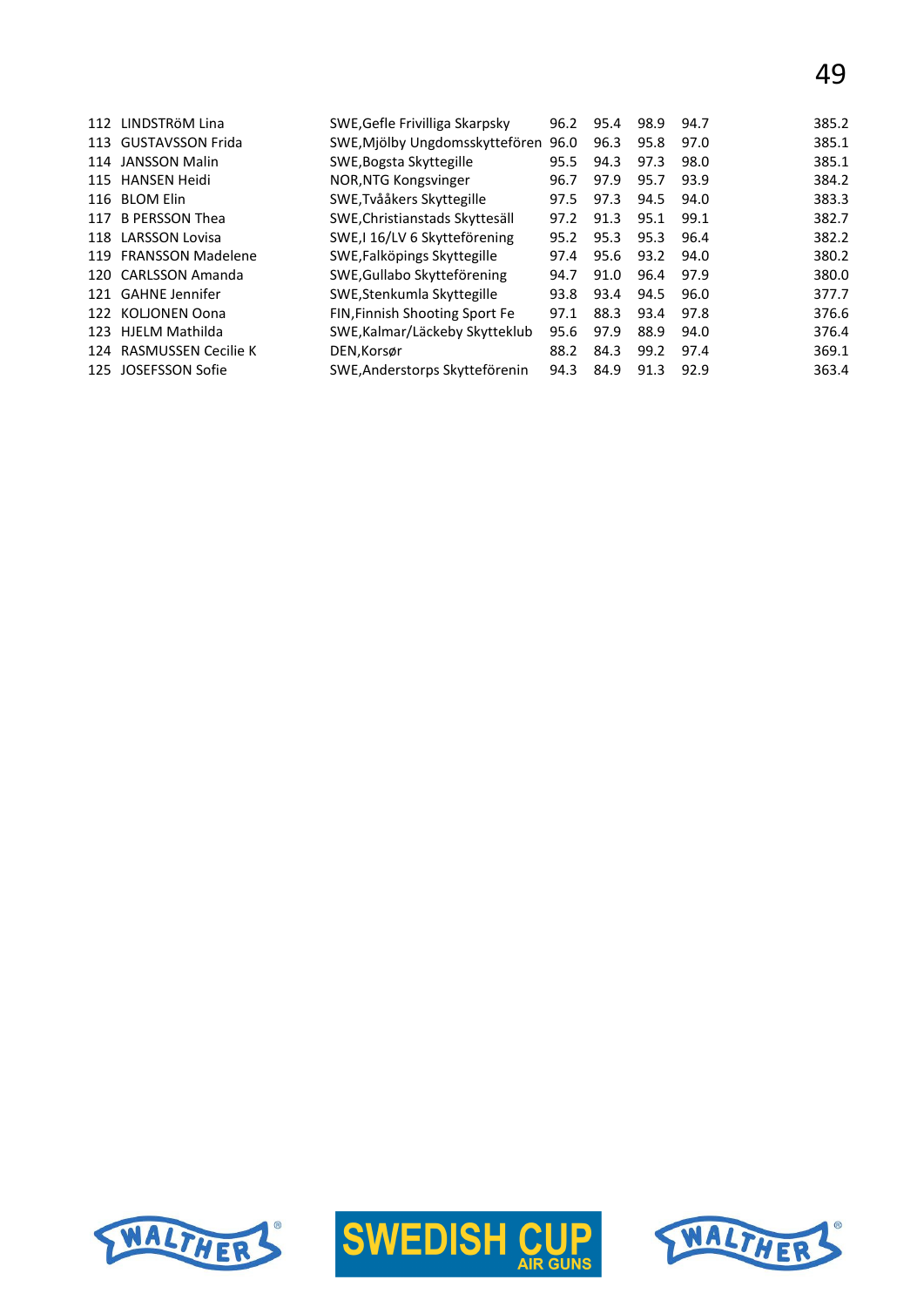| 112 | LINDSTRÖM Lina          | SWE, Gefle Frivilliga Skarpsky      | 96.2 | 95.4 | 98.9 | 94.7 | 385.2 |
|-----|-------------------------|-------------------------------------|------|------|------|------|-------|
|     | 113 GUSTAVSSON Frida    | SWE, Mjölby Ungdomsskyttefören 96.0 |      | 96.3 | 95.8 | 97.0 | 385.1 |
| 114 | JANSSON Malin           | SWE, Bogsta Skyttegille             | 95.5 | 94.3 | 97.3 | 98.0 | 385.1 |
|     | 115 HANSEN Heidi        | NOR, NTG Kongsvinger                | 96.7 | 97.9 | 95.7 | 93.9 | 384.2 |
|     | 116 BLOM Elin           | SWE, Tvååkers Skyttegille           | 97.5 | 97.3 | 94.5 | 94.0 | 383.3 |
| 117 | <b>B PERSSON Thea</b>   | SWE, Christianstads Skyttesäll      | 97.2 | 91.3 | 95.1 | 99.1 | 382.7 |
|     | 118 LARSSON Lovisa      | SWE, I 16/LV 6 Skytteförening       | 95.2 | 95.3 | 95.3 | 96.4 | 382.2 |
|     | 119 FRANSSON Madelene   | SWE, Falköpings Skyttegille         | 97.4 | 95.6 | 93.2 | 94.0 | 380.2 |
|     | 120 CARLSSON Amanda     | SWE, Gullabo Skytteförening         | 94.7 | 91.0 | 96.4 | 97.9 | 380.0 |
|     | 121 GAHNE Jennifer      | SWE, Stenkumla Skyttegille          | 93.8 | 93.4 | 94.5 | 96.0 | 377.7 |
| 122 | KOLIONEN Oona           | FIN, Finnish Shooting Sport Fe      | 97.1 | 88.3 | 93.4 | 97.8 | 376.6 |
|     | 123 HJELM Mathilda      | SWE, Kalmar/Läckeby Skytteklub      | 95.6 | 97.9 | 88.9 | 94.0 | 376.4 |
|     | 124 RASMUSSEN Cecilie K | DEN, Korsør                         | 88.2 | 84.3 | 99.2 | 97.4 | 369.1 |
| 125 | JOSEFSSON Sofie         | SWE, Anderstorps Skytteförenin      | 94.3 | 84.9 | 91.3 | 92.9 | 363.4 |
|     |                         |                                     |      |      |      |      |       |





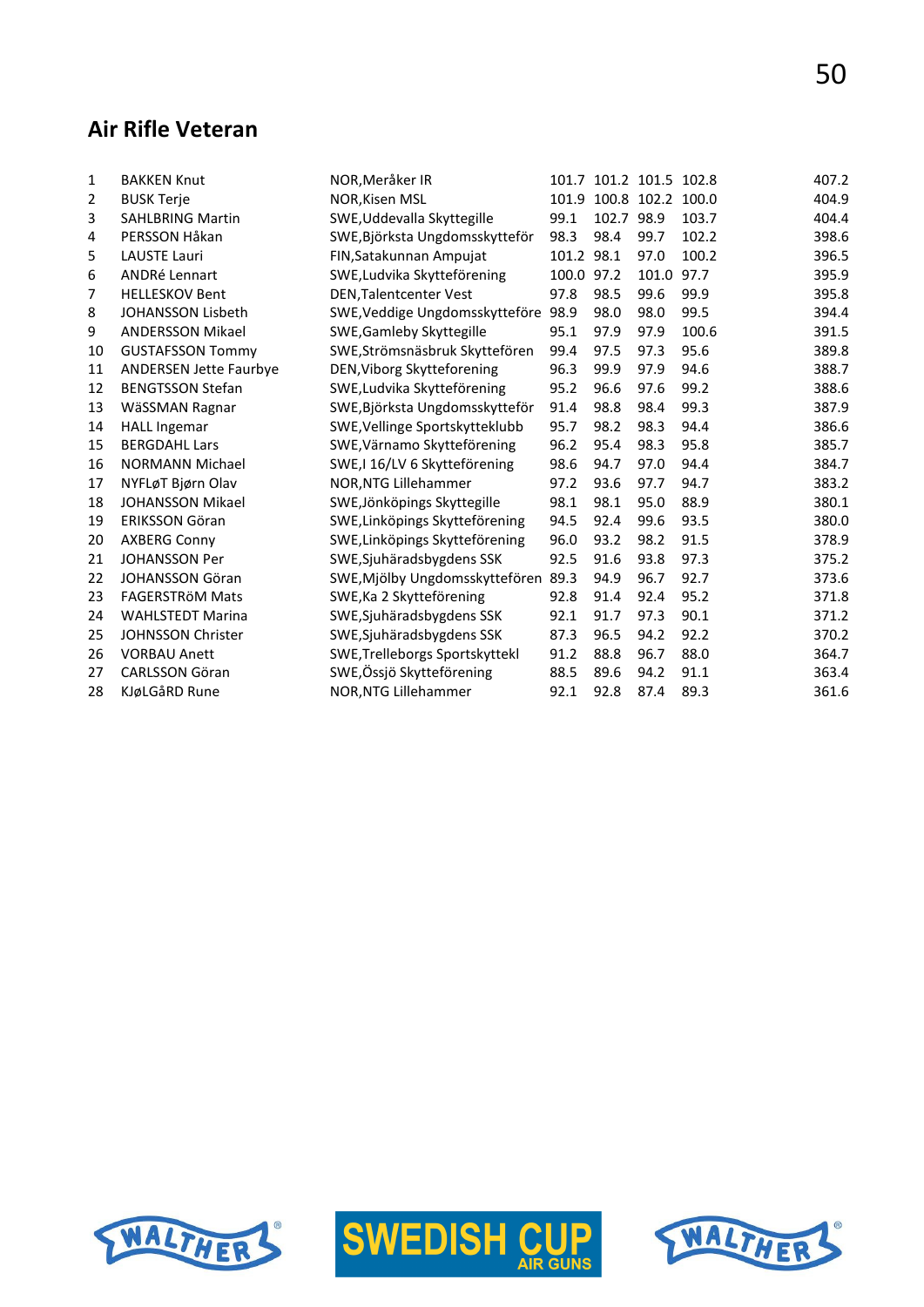#### **Air Rifle Veteran**

|                               |                                                                    |                                                                                                   |                                |                          |            | 407.2                                                 |
|-------------------------------|--------------------------------------------------------------------|---------------------------------------------------------------------------------------------------|--------------------------------|--------------------------|------------|-------------------------------------------------------|
|                               |                                                                    |                                                                                                   |                                |                          | 100.0      | 404.9                                                 |
|                               |                                                                    | 99.1                                                                                              |                                |                          |            | 404.4                                                 |
| PERSSON Håkan                 |                                                                    | 98.3                                                                                              | 98.4                           | 99.7                     | 102.2      | 398.6                                                 |
| <b>LAUSTE Lauri</b>           | FIN, Satakunnan Ampujat                                            |                                                                                                   |                                | 97.0                     | 100.2      | 396.5                                                 |
| <b>ANDRé Lennart</b>          | SWE, Ludvika Skytteförening                                        |                                                                                                   |                                | 101.0                    | 97.7       | 395.9                                                 |
| <b>HELLESKOV Bent</b>         | <b>DEN, Talentcenter Vest</b>                                      | 97.8                                                                                              | 98.5                           | 99.6                     | 99.9       | 395.8                                                 |
| JOHANSSON Lisbeth             | SWE, Veddige Ungdomsskytteföre                                     | 98.9                                                                                              | 98.0                           | 98.0                     | 99.5       | 394.4                                                 |
| <b>ANDERSSON Mikael</b>       | SWE, Gamleby Skyttegille                                           | 95.1                                                                                              | 97.9                           | 97.9                     | 100.6      | 391.5                                                 |
| <b>GUSTAFSSON Tommy</b>       | SWE, Strömsnäsbruk Skyttefören                                     | 99.4                                                                                              | 97.5                           | 97.3                     | 95.6       | 389.8                                                 |
| <b>ANDERSEN Jette Faurbye</b> | DEN, Viborg Skytteforening                                         | 96.3                                                                                              | 99.9                           | 97.9                     | 94.6       | 388.7                                                 |
| <b>BENGTSSON Stefan</b>       | SWE, Ludvika Skytteförening                                        | 95.2                                                                                              | 96.6                           | 97.6                     | 99.2       | 388.6                                                 |
| WäSSMAN Ragnar                | SWE, Björksta Ungdomsskytteför                                     | 91.4                                                                                              | 98.8                           | 98.4                     | 99.3       | 387.9                                                 |
| <b>HALL Ingemar</b>           | SWE, Vellinge Sportskytteklubb                                     | 95.7                                                                                              | 98.2                           | 98.3                     | 94.4       | 386.6                                                 |
| <b>BERGDAHL Lars</b>          | SWE, Värnamo Skytteförening                                        | 96.2                                                                                              | 95.4                           | 98.3                     | 95.8       | 385.7                                                 |
| <b>NORMANN Michael</b>        | SWE,I 16/LV 6 Skytteförening                                       | 98.6                                                                                              | 94.7                           | 97.0                     | 94.4       | 384.7                                                 |
| NYFLøT Bjørn Olav             | NOR, NTG Lillehammer                                               | 97.2                                                                                              | 93.6                           | 97.7                     | 94.7       | 383.2                                                 |
| JOHANSSON Mikael              | SWE, Jönköpings Skyttegille                                        | 98.1                                                                                              | 98.1                           | 95.0                     | 88.9       | 380.1                                                 |
| <b>ERIKSSON Göran</b>         | SWE, Linköpings Skytteförening                                     | 94.5                                                                                              | 92.4                           | 99.6                     | 93.5       | 380.0                                                 |
| <b>AXBERG Conny</b>           | SWE, Linköpings Skytteförening                                     | 96.0                                                                                              | 93.2                           | 98.2                     | 91.5       | 378.9                                                 |
| <b>JOHANSSON Per</b>          | SWE, Sjuhäradsbygdens SSK                                          | 92.5                                                                                              | 91.6                           | 93.8                     | 97.3       | 375.2                                                 |
| <b>JOHANSSON Göran</b>        |                                                                    | 89.3                                                                                              | 94.9                           | 96.7                     | 92.7       | 373.6                                                 |
| <b>FAGERSTRÖM Mats</b>        | SWE, Ka 2 Skytteförening                                           | 92.8                                                                                              | 91.4                           | 92.4                     | 95.2       | 371.8                                                 |
| <b>WAHLSTEDT Marina</b>       | SWE, Sjuhäradsbygdens SSK                                          | 92.1                                                                                              | 91.7                           | 97.3                     | 90.1       | 371.2                                                 |
| <b>JOHNSSON Christer</b>      | SWE, Sjuhäradsbygdens SSK                                          | 87.3                                                                                              | 96.5                           | 94.2                     | 92.2       | 370.2                                                 |
| <b>VORBAU Anett</b>           | SWE, Trelleborgs Sportskyttekl                                     | 91.2                                                                                              | 88.8                           | 96.7                     | 88.0       | 364.7                                                 |
| <b>CARLSSON Göran</b>         | SWE, Össjö Skytteförening                                          | 88.5                                                                                              | 89.6                           | 94.2                     | 91.1       | 363.4                                                 |
| KJøLGåRD Rune                 | NOR, NTG Lillehammer                                               | 92.1                                                                                              | 92.8                           | 87.4                     | 89.3       | 361.6                                                 |
|                               | <b>BAKKEN Knut</b><br><b>BUSK Terje</b><br><b>SAHLBRING Martin</b> | NOR, Meråker IR<br>NOR, Kisen MSL<br>SWE, Uddevalla Skyttegille<br>SWE, Björksta Ungdomsskytteför | SWE, Mjölby Ungdomsskyttefören | 101.2 98.1<br>100.0 97.2 | 102.7 98.9 | 101.7 101.2 101.5 102.8<br>101.9 100.8 102.2<br>103.7 |





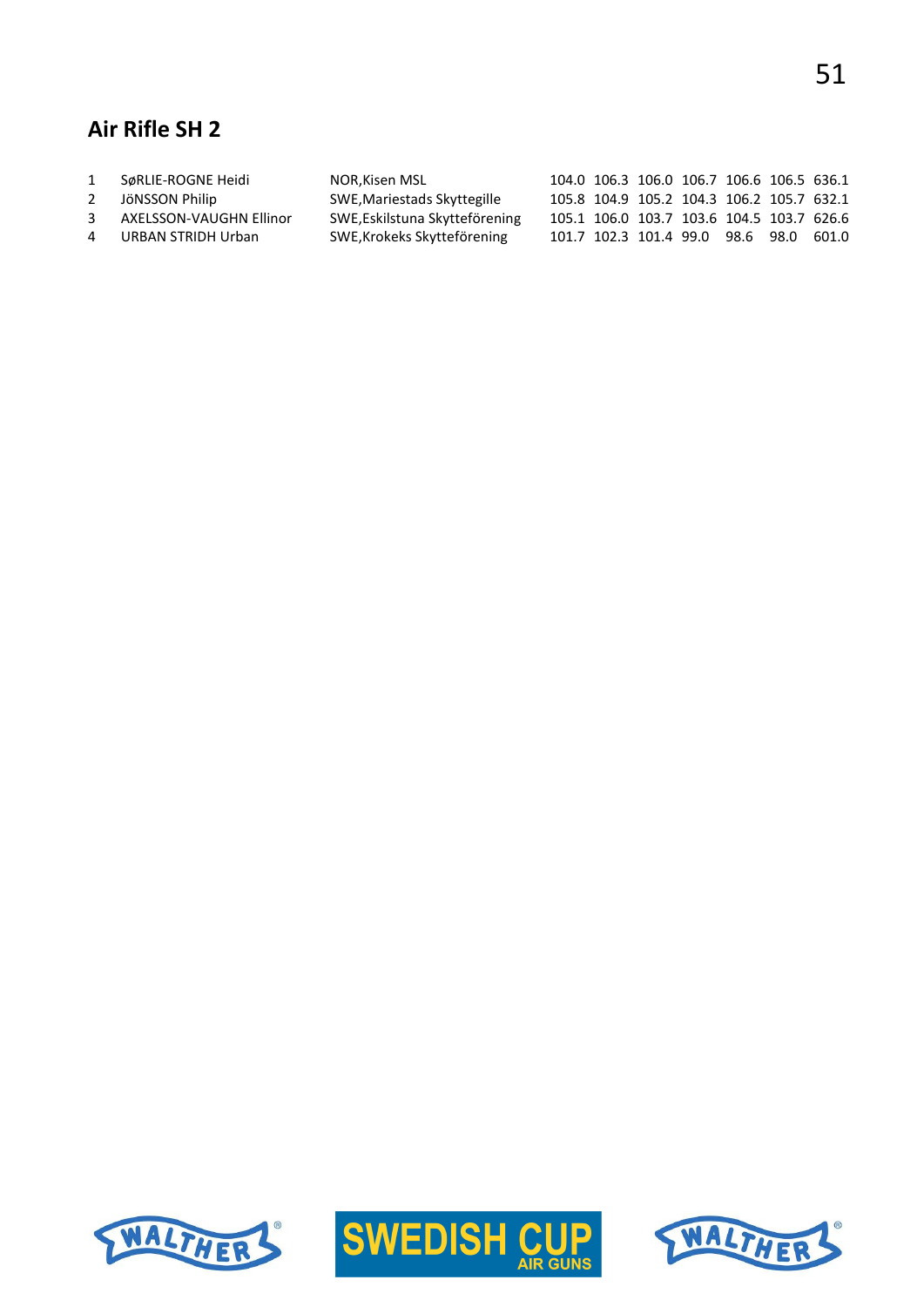# **Air Rifle SH 2**

| 1              | SøRLIE-ROGNE Heidi      | NOR,Kisen MSL                  |  | 104.0 106.3 106.0 106.7 106.6 106.5 636.1 |  |  |
|----------------|-------------------------|--------------------------------|--|-------------------------------------------|--|--|
| 2              | JöNSSON Philip          | SWE, Mariestads Skyttegille    |  | 105.8 104.9 105.2 104.3 106.2 105.7 632.1 |  |  |
| $\mathbf{3}$   | AXELSSON-VAUGHN Ellinor | SWE, Eskilstuna Skytteförening |  | 105.1 106.0 103.7 103.6 104.5 103.7 626.6 |  |  |
| $\overline{4}$ | URBAN STRIDH Urban      | SWE, Krokeks Skytteförening    |  | 101.7 102.3 101.4 99.0 98.6 98.0 601.0    |  |  |





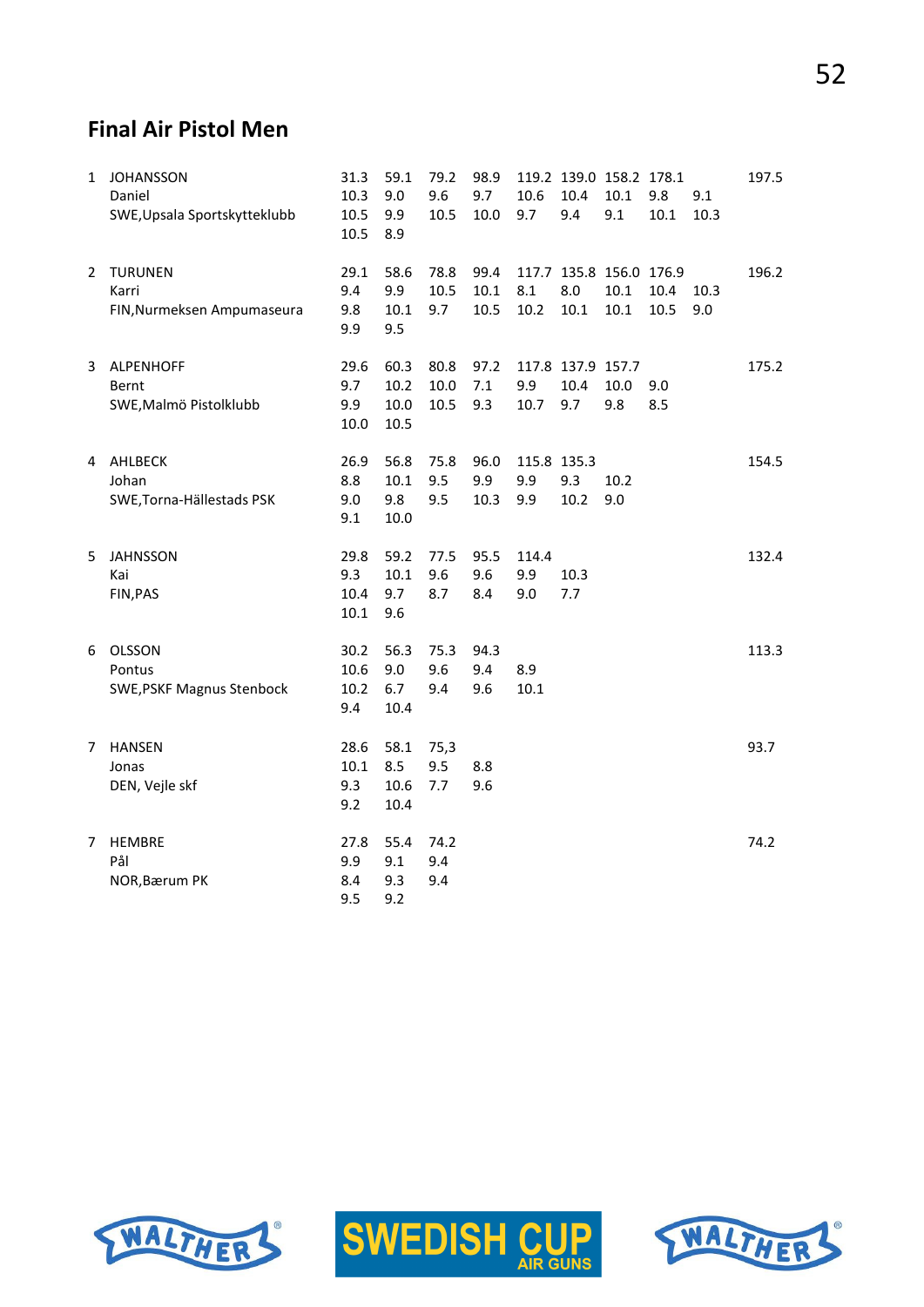## **Final Air Pistol Men**

| $\mathbf{1}$ | <b>JOHANSSON</b><br>Daniel<br>SWE, Upsala Sportskytteklubb | 31.3<br>10.3<br>10.5<br>10.5 | 59.1<br>9.0<br>9.9<br>8.9    | 79.2<br>9.6<br>10.5  | 98.9<br>9.7<br>10.0  | 10.6<br>9.7               | 10.4<br>9.4                      | 119.2 139.0 158.2 178.1<br>10.1<br>9.1  | 9.8<br>10.1  | 9.1<br>10.3 | 197.5 |
|--------------|------------------------------------------------------------|------------------------------|------------------------------|----------------------|----------------------|---------------------------|----------------------------------|-----------------------------------------|--------------|-------------|-------|
| 2            | <b>TURUNEN</b><br>Karri<br>FIN, Nurmeksen Ampumaseura      | 29.1<br>9.4<br>9.8<br>9.9    | 58.6<br>9.9<br>10.1<br>9.5   | 78.8<br>10.5<br>9.7  | 99.4<br>10.1<br>10.5 | 8.1<br>10.2               | 8.0<br>10.1                      | 117.7 135.8 156.0 176.9<br>10.1<br>10.1 | 10.4<br>10.5 | 10.3<br>9.0 | 196.2 |
| 3            | ALPENHOFF<br>Bernt<br>SWE, Malmö Pistolklubb               | 29.6<br>9.7<br>9.9<br>10.0   | 60.3<br>10.2<br>10.0<br>10.5 | 80.8<br>10.0<br>10.5 | 97.2<br>7.1<br>9.3   | 9.9<br>10.7               | 117.8 137.9 157.7<br>10.4<br>9.7 | 10.0<br>9.8                             | 9.0<br>8.5   |             | 175.2 |
|              | 4 AHLBECK<br>Johan<br>SWE, Torna-Hällestads PSK            | 26.9<br>8.8<br>9.0<br>9.1    | 56.8<br>10.1<br>9.8<br>10.0  | 75.8<br>9.5<br>9.5   | 96.0<br>9.9<br>10.3  | 115.8 135.3<br>9.9<br>9.9 | 9.3<br>10.2                      | 10.2<br>9.0                             |              |             | 154.5 |
| 5            | <b>JAHNSSON</b><br>Kai<br>FIN, PAS                         | 29.8<br>9.3<br>10.4<br>10.1  | 59.2<br>10.1<br>9.7<br>9.6   | 77.5<br>9.6<br>8.7   | 95.5<br>9.6<br>8.4   | 114.4<br>9.9<br>9.0       | 10.3<br>7.7                      |                                         |              |             | 132.4 |
| 6            | OLSSON<br>Pontus<br><b>SWE, PSKF Magnus Stenbock</b>       | 30.2<br>10.6<br>10.2<br>9.4  | 56.3<br>9.0<br>6.7<br>10.4   | 75.3<br>9.6<br>9.4   | 94.3<br>9.4<br>9.6   | 8.9<br>10.1               |                                  |                                         |              |             | 113.3 |
| 7            | <b>HANSEN</b><br>Jonas<br>DEN, Vejle skf                   | 28.6<br>10.1<br>9.3<br>9.2   | 58.1<br>8.5<br>10.6<br>10.4  | 75,3<br>9.5<br>7.7   | 8.8<br>9.6           |                           |                                  |                                         |              |             | 93.7  |
| 7            | <b>HEMBRE</b><br>Pål<br>NOR, Bærum PK                      | 27.8<br>9.9<br>8.4<br>9.5    | 55.4<br>9.1<br>9.3<br>9.2    | 74.2<br>9.4<br>9.4   |                      |                           |                                  |                                         |              |             | 74.2  |





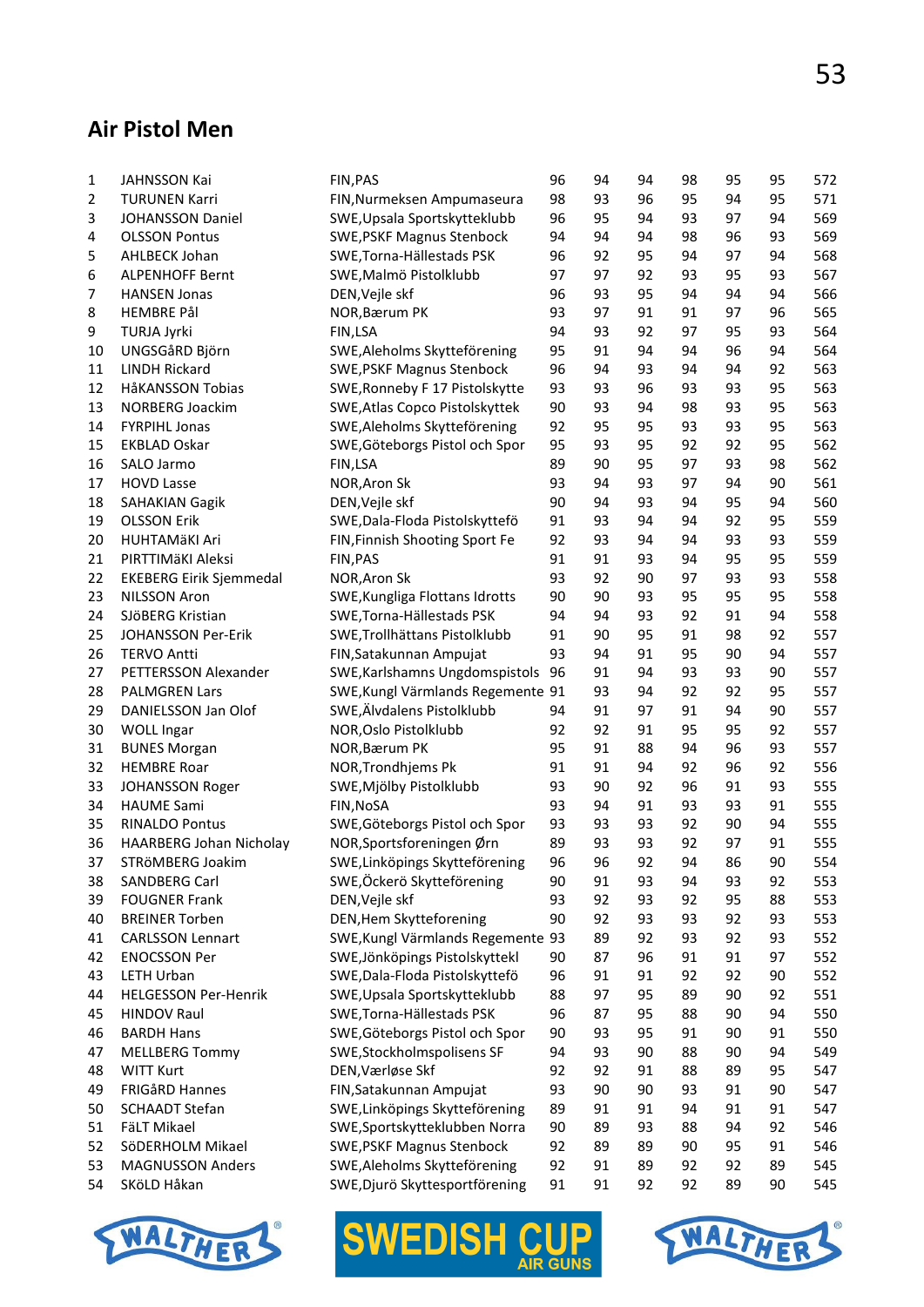#### **Air Pistol Men**

| 1  | JAHNSSON Kai                                     | FIN, PAS                          | 96       | 94       | 94       | 98       | 95       | 95           | 572        |
|----|--------------------------------------------------|-----------------------------------|----------|----------|----------|----------|----------|--------------|------------|
| 2  | <b>TURUNEN Karri</b>                             | FIN, Nurmeksen Ampumaseura        | 98       | 93       | 96       | 95       | 94       | 95           | 571        |
| 3  | <b>JOHANSSON Daniel</b>                          | SWE, Upsala Sportskytteklubb      | 96       | 95       | 94       | 93       | 97       | 94           | 569        |
| 4  | <b>OLSSON Pontus</b>                             | <b>SWE, PSKF Magnus Stenbock</b>  | 94       | 94       | 94       | 98       | 96       | 93           | 569        |
| 5  | AHLBECK Johan                                    | SWE, Torna-Hällestads PSK         | 96       | 92       | 95       | 94       | 97       | 94           | 568        |
| 6  | <b>ALPENHOFF Bernt</b>                           | SWE, Malmö Pistolklubb            | 97       | 97       | 92       | 93       | 95       | 93           | 567        |
| 7  | <b>HANSEN Jonas</b>                              | DEN, Vejle skf                    | 96       | 93       | 95       | 94       | 94       | 94           | 566        |
| 8  | HEMBRE Pål                                       | NOR, Bærum PK                     | 93       | 97       | 91       | 91       | 97       | 96           | 565        |
| 9  | <b>TURJA Jyrki</b>                               | FIN,LSA                           | 94       | 93       | 92       | 97       | 95       | 93           | 564        |
| 10 | UNGSGåRD Björn                                   | SWE, Aleholms Skytteförening      | 95       | 91       | 94       | 94       | 96       | 94           | 564        |
| 11 | <b>LINDH Rickard</b>                             | <b>SWE, PSKF Magnus Stenbock</b>  | 96       | 94       | 93       | 94       | 94       | 92           | 563        |
| 12 | HåKANSSON Tobias                                 | SWE, Ronneby F 17 Pistolskytte    | 93       | 93       | 96       | 93       | 93       | 95           | 563        |
| 13 | <b>NORBERG Joackim</b>                           | SWE, Atlas Copco Pistolskyttek    | 90       | 93       | 94       | 98       | 93       | 95           | 563        |
| 14 | <b>FYRPIHL Jonas</b>                             | SWE, Aleholms Skytteförening      | 92       | 95       | 95       | 93       | 93       | 95           | 563        |
| 15 | EKBLAD Oskar                                     | SWE, Göteborgs Pistol och Spor    | 95       | 93       | 95       | 92       | 92       | 95           | 562        |
| 16 | SALO Jarmo                                       | FIN,LSA                           | 89       | 90       | 95       | 97       | 93       | 98           | 562        |
| 17 | <b>HOVD Lasse</b>                                | NOR, Aron Sk                      | 93       | 94       | 93       | 97       | 94       | 90           | 561        |
| 18 | <b>SAHAKIAN Gagik</b>                            | DEN, Vejle skf                    | 90       | 94       | 93       | 94       | 95       | 94           | 560        |
| 19 | <b>OLSSON Erik</b>                               | SWE, Dala-Floda Pistolskyttefö    | 91       | 93       | 94       | 94       | 92       | 95           | 559        |
| 20 | <b>HUHTAMÄKI Ari</b>                             | FIN, Finnish Shooting Sport Fe    | 92       | 93       | 94       | 94       | 93       | 93           | 559        |
| 21 | PIRTTIMÄKI Aleksi                                | FIN, PAS                          | 91       | 91       | 93       | 94       | 95       | 95           | 559        |
| 22 | <b>EKEBERG Eirik Sjemmedal</b>                   | NOR, Aron Sk                      | 93       | 92       | 90       | 97       | 93       | 93           | 558        |
| 23 | <b>NILSSON Aron</b>                              | SWE, Kungliga Flottans Idrotts    | 90       | 90       | 93       | 95       | 95       | 95           | 558        |
| 24 | SJÖBERG Kristian                                 | SWE, Torna-Hällestads PSK         | 94       | 94       | 93       | 92       | 91       | 94           | 558        |
| 25 | JOHANSSON Per-Erik                               | SWE, Trollhättans Pistolklubb     | 91       | 90       | 95       | 91       | 98       | 92           | 557        |
| 26 | <b>TERVO Antti</b>                               | FIN, Satakunnan Ampujat           | 93       | 94       | 91       | 95       | 90       | 94           | 557        |
| 27 | PETTERSSON Alexander                             | SWE, Karlshamns Ungdomspistols    | 96       | 91       | 94       | 93       | 93       | 90           | 557        |
| 28 | <b>PALMGREN Lars</b>                             | SWE, Kungl Värmlands Regemente 91 |          | 93       | 94       | 92       | 92       | 95           | 557        |
| 29 | DANIELSSON Jan Olof                              | SWE, Älvdalens Pistolklubb        | 94       | 91       | 97       | 91       | 94       | 90           | 557        |
| 30 | <b>WOLL Ingar</b>                                | NOR, Oslo Pistolklubb             | 92       | 92       | 91       | 95       | 95       | 92           | 557        |
| 31 | <b>BUNES Morgan</b>                              | NOR, Bærum PK                     | 95       | 91       | 88       | 94       | 96       | 93           | 557        |
| 32 |                                                  | NOR, Trondhjems Pk                | 91       | 91       | 94       | 92       | 96       | 92           | 556        |
| 33 | <b>HEMBRE Roar</b><br>JOHANSSON Roger            | SWE, Mjölby Pistolklubb           | 93       | 90       | 92       | 96       | 91       | 93           | 555        |
| 34 |                                                  | FIN, NOSA                         | 93       | 94       | 91       | 93       | 93       | 91           | 555        |
|    | <b>HAUME Sami</b>                                |                                   | 93       | 93       | 93       | 92       | 90       | 94           | 555        |
| 35 | <b>RINALDO Pontus</b><br>HAARBERG Johan Nicholay | SWE, Göteborgs Pistol och Spor    |          | 93       |          |          |          |              | 555        |
| 36 |                                                  | NOR, Sportsforeningen Ørn         | 89       | 96       | 93       | 92<br>94 | 97       | 91<br>$90\,$ | 554        |
| 37 | STRÖMBERG Joakim                                 | SWE, Linköpings Skytteförening    | 96       |          | 92       |          | 86       |              |            |
| 38 | SANDBERG Carl<br><b>FOUGNER Frank</b>            | SWE, Öckerö Skytteförening        | 90       | 91       | 93       | 94       | 93       | 92           | 553        |
| 39 | <b>BREINER Torben</b>                            | DEN, Vejle skf                    | 93<br>90 | 92<br>92 | 93<br>93 | 92<br>93 | 95<br>92 | 88           | 553<br>553 |
| 40 |                                                  | DEN, Hem Skytteforening           |          |          |          |          |          | 93           |            |
| 41 | <b>CARLSSON Lennart</b>                          | SWE, Kungl Värmlands Regemente 93 |          | 89       | 92       | 93       | 92       | 93           | 552        |
| 42 | <b>ENOCSSON Per</b>                              | SWE, Jönköpings Pistolskyttekl    | 90       | 87       | 96       | 91       | 91       | 97           | 552        |
| 43 | <b>LETH Urban</b>                                | SWE, Dala-Floda Pistolskyttefö    | 96       | 91       | 91       | 92       | 92       | 90           | 552        |
| 44 | <b>HELGESSON Per-Henrik</b>                      | SWE, Upsala Sportskytteklubb      | 88       | 97       | 95       | 89       | 90       | 92           | 551        |
| 45 | <b>HINDOV Raul</b>                               | SWE, Torna-Hällestads PSK         | 96       | 87       | 95       | 88       | 90       | 94           | 550        |
| 46 | <b>BARDH Hans</b>                                | SWE, Göteborgs Pistol och Spor    | 90       | 93       | 95       | 91       | 90       | 91           | 550        |
| 47 | <b>MELLBERG Tommy</b>                            | SWE, Stockholmspolisens SF        | 94       | 93       | 90       | 88       | 90       | 94           | 549        |
| 48 | <b>WITT Kurt</b>                                 | DEN, Værløse Skf                  | 92       | 92       | 91       | 88       | 89       | 95           | 547        |
| 49 | FRIGÅRD Hannes                                   | FIN, Satakunnan Ampujat           | 93       | 90       | 90       | 93       | 91       | 90           | 547        |
| 50 | <b>SCHAADT Stefan</b>                            | SWE, Linköpings Skytteförening    | 89       | 91       | 91       | 94       | 91       | 91           | 547        |
| 51 | FäLT Mikael                                      | SWE, Sportskytteklubben Norra     | 90       | 89       | 93       | 88       | 94       | 92           | 546        |
| 52 | SöDERHOLM Mikael                                 | <b>SWE, PSKF Magnus Stenbock</b>  | 92       | 89       | 89       | 90       | 95       | 91           | 546        |
| 53 | <b>MAGNUSSON Anders</b>                          | SWE, Aleholms Skytteförening      | 92       | 91       | 89       | 92       | 92       | 89           | 545        |
| 54 | SKöLD Håkan                                      | SWE, Djurö Skyttesportförening    | 91       | 91       | 92       | 92       | 89       | 90           | 545        |





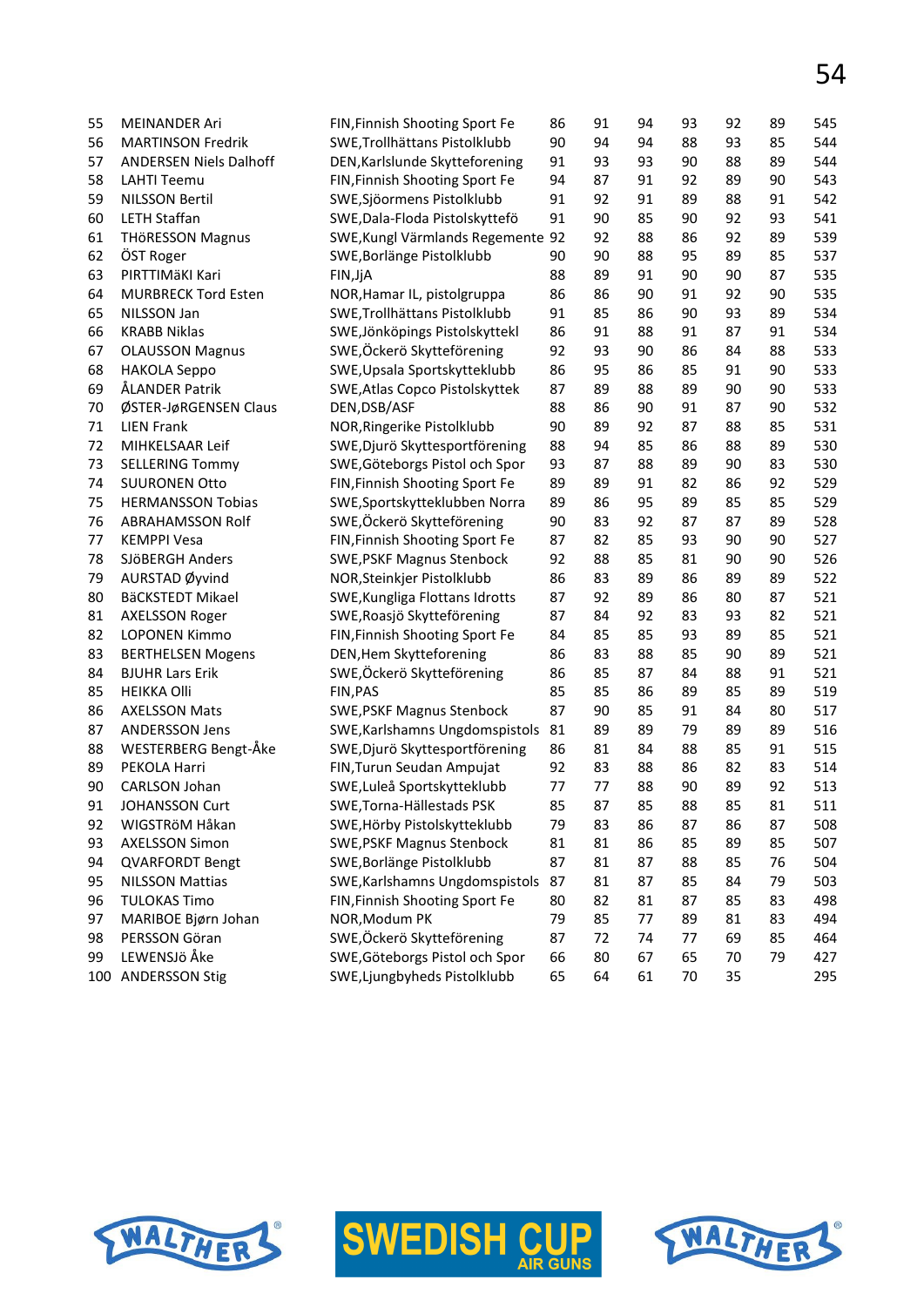| 55 | <b>MEINANDER Ari</b>          | FIN, Finnish Shooting Sport Fe    | 86 | 91 | 94 | 93 | 92 | 89 | 545 |
|----|-------------------------------|-----------------------------------|----|----|----|----|----|----|-----|
| 56 | <b>MARTINSON Fredrik</b>      | SWE, Trollhättans Pistolklubb     | 90 | 94 | 94 | 88 | 93 | 85 | 544 |
| 57 | <b>ANDERSEN Niels Dalhoff</b> | DEN, Karlslunde Skytteforening    | 91 | 93 | 93 | 90 | 88 | 89 | 544 |
| 58 | <b>LAHTI Teemu</b>            | FIN, Finnish Shooting Sport Fe    | 94 | 87 | 91 | 92 | 89 | 90 | 543 |
| 59 | <b>NILSSON Bertil</b>         | SWE, Sjöormens Pistolklubb        | 91 | 92 | 91 | 89 | 88 | 91 | 542 |
| 60 | <b>LETH Staffan</b>           | SWE, Dala-Floda Pistolskyttefö    | 91 | 90 | 85 | 90 | 92 | 93 | 541 |
| 61 | <b>THÖRESSON Magnus</b>       | SWE, Kungl Värmlands Regemente 92 |    | 92 | 88 | 86 | 92 | 89 | 539 |
| 62 | ÖST Roger                     | SWE, Borlänge Pistolklubb         | 90 | 90 | 88 | 95 | 89 | 85 | 537 |
| 63 | PIRTTIMÄKI Kari               | FIN, JjA                          | 88 | 89 | 91 | 90 | 90 | 87 | 535 |
| 64 | <b>MURBRECK Tord Esten</b>    | NOR, Hamar IL, pistolgruppa       | 86 | 86 | 90 | 91 | 92 | 90 | 535 |
| 65 | NILSSON Jan                   | SWE, Trollhättans Pistolklubb     | 91 | 85 | 86 | 90 | 93 | 89 | 534 |
| 66 | <b>KRABB Niklas</b>           | SWE, Jönköpings Pistolskyttekl    | 86 | 91 | 88 | 91 | 87 | 91 | 534 |
| 67 | <b>OLAUSSON Magnus</b>        | SWE,Öckerö Skytteförening         | 92 | 93 | 90 | 86 | 84 | 88 | 533 |
| 68 | <b>HAKOLA Seppo</b>           | SWE, Upsala Sportskytteklubb      | 86 | 95 | 86 | 85 | 91 | 90 | 533 |
| 69 | ÅLANDER Patrik                | SWE, Atlas Copco Pistolskyttek    | 87 | 89 | 88 | 89 | 90 | 90 | 533 |
| 70 | ØSTER-JøRGENSEN Claus         | DEN, DSB/ASF                      | 88 | 86 | 90 | 91 | 87 | 90 | 532 |
| 71 | <b>LIEN Frank</b>             | NOR, Ringerike Pistolklubb        | 90 | 89 | 92 | 87 | 88 | 85 | 531 |
| 72 | MIHKELSAAR Leif               | SWE, Djurö Skyttesportförening    | 88 | 94 | 85 | 86 | 88 | 89 | 530 |
| 73 | <b>SELLERING Tommy</b>        | SWE, Göteborgs Pistol och Spor    | 93 | 87 | 88 | 89 | 90 | 83 | 530 |
| 74 | <b>SUURONEN Otto</b>          | FIN, Finnish Shooting Sport Fe    | 89 | 89 | 91 | 82 | 86 | 92 | 529 |
| 75 | <b>HERMANSSON Tobias</b>      | SWE, Sportskytteklubben Norra     | 89 | 86 | 95 | 89 | 85 | 85 | 529 |
| 76 | <b>ABRAHAMSSON Rolf</b>       | SWE, Öckerö Skytteförening        | 90 | 83 | 92 | 87 | 87 | 89 | 528 |
| 77 | <b>KEMPPI Vesa</b>            | FIN, Finnish Shooting Sport Fe    | 87 | 82 | 85 | 93 | 90 | 90 | 527 |
| 78 | SJÖBERGH Anders               | <b>SWE, PSKF Magnus Stenbock</b>  | 92 | 88 | 85 | 81 | 90 | 90 | 526 |
| 79 | AURSTAD Øyvind                | NOR, Steinkjer Pistolklubb        | 86 | 83 | 89 | 86 | 89 | 89 | 522 |
| 80 | BäCKSTEDT Mikael              | SWE, Kungliga Flottans Idrotts    | 87 | 92 | 89 | 86 | 80 | 87 | 521 |
| 81 | <b>AXELSSON Roger</b>         | SWE, Roasjö Skytteförening        | 87 | 84 | 92 | 83 | 93 | 82 | 521 |
| 82 | <b>LOPONEN Kimmo</b>          | FIN, Finnish Shooting Sport Fe    | 84 | 85 | 85 | 93 | 89 | 85 | 521 |
| 83 | <b>BERTHELSEN Mogens</b>      | DEN, Hem Skytteforening           | 86 | 83 | 88 | 85 | 90 | 89 | 521 |
| 84 | <b>BJUHR Lars Erik</b>        | SWE,Öckerö Skytteförening         | 86 | 85 | 87 | 84 | 88 | 91 | 521 |
| 85 | <b>HEIKKA Olli</b>            | FIN, PAS                          | 85 | 85 | 86 | 89 | 85 | 89 | 519 |
| 86 | <b>AXELSSON Mats</b>          | <b>SWE, PSKF Magnus Stenbock</b>  | 87 | 90 | 85 | 91 | 84 | 80 | 517 |
| 87 | <b>ANDERSSON Jens</b>         | SWE, Karlshamns Ungdomspistols    | 81 | 89 | 89 | 79 | 89 | 89 | 516 |
| 88 | WESTERBERG Bengt-Åke          | SWE, Djurö Skyttesportförening    | 86 | 81 | 84 | 88 | 85 | 91 | 515 |
| 89 | PEKOLA Harri                  | FIN, Turun Seudan Ampujat         | 92 | 83 | 88 | 86 | 82 | 83 | 514 |
| 90 | CARLSON Johan                 | SWE, Luleå Sportskytteklubb       | 77 | 77 | 88 | 90 | 89 | 92 | 513 |
| 91 | JOHANSSON Curt                | SWE, Torna-Hällestads PSK         | 85 | 87 | 85 | 88 | 85 | 81 | 511 |
| 92 | WIGSTRöM Håkan                | SWE, Hörby Pistolskytteklubb      | 79 | 83 | 86 | 87 | 86 | 87 | 508 |
| 93 | <b>AXELSSON Simon</b>         | <b>SWE, PSKF Magnus Stenbock</b>  | 81 | 81 | 86 | 85 | 89 | 85 | 507 |
| 94 | <b>QVARFORDT Bengt</b>        | SWE, Borlänge Pistolklubb         | 87 | 81 | 87 | 88 | 85 | 76 | 504 |
| 95 | <b>NILSSON Mattias</b>        | SWE, Karlshamns Ungdomspistols    | 87 | 81 | 87 | 85 | 84 | 79 | 503 |
| 96 | <b>TULOKAS Timo</b>           | FIN, Finnish Shooting Sport Fe    | 80 | 82 | 81 | 87 | 85 | 83 | 498 |
| 97 | MARIBOE Bjørn Johan           | NOR, Modum PK                     | 79 | 85 | 77 | 89 | 81 | 83 | 494 |
| 98 | PERSSON Göran                 | SWE,Öckerö Skytteförening         | 87 | 72 | 74 | 77 | 69 | 85 | 464 |
| 99 | LEWENSJö Åke                  | SWE, Göteborgs Pistol och Spor    | 66 | 80 | 67 | 65 | 70 | 79 | 427 |

100 ANDERSSON Stig SWE,Ljungbyheds Pistolklubb 65 64 61 70 35 295









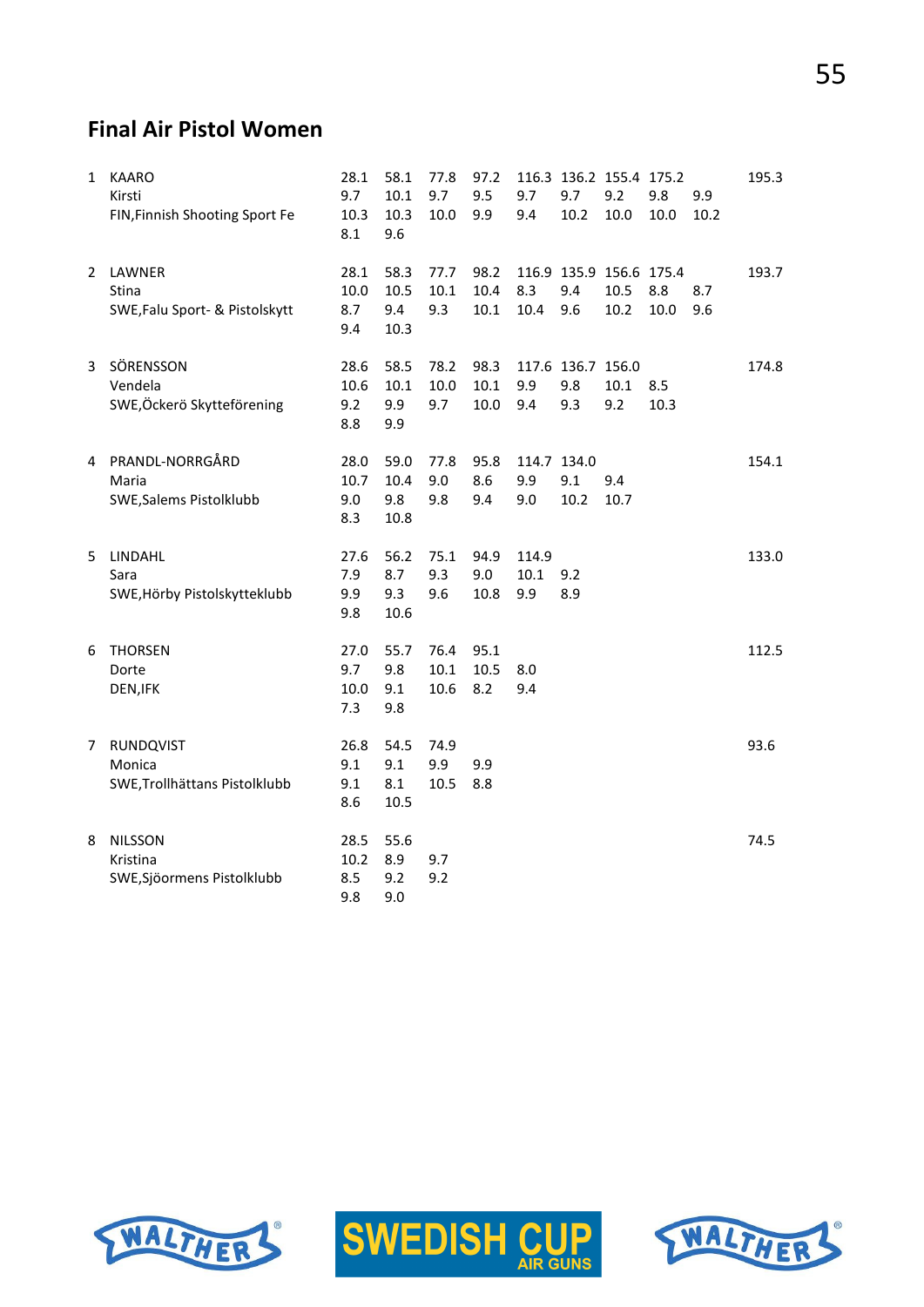#### **Final Air Pistol Women**

| 1 | <b>KAARO</b><br>Kirsti<br>FIN, Finnish Shooting Sport Fe    | 28.1<br>9.7<br>10.3<br>8.1 | 58.1<br>10.1<br>10.3<br>9.6 | 77.8<br>9.7<br>10.0  | 97.2<br>9.5<br>9.9   | 9.7<br>9.4           | 9.7<br>10.2                     | 116.3 136.2 155.4 175.2<br>9.2<br>10.0  | 9.8<br>10.0 | 9.9<br>10.2 | 195.3 |
|---|-------------------------------------------------------------|----------------------------|-----------------------------|----------------------|----------------------|----------------------|---------------------------------|-----------------------------------------|-------------|-------------|-------|
| 2 | LAWNER<br>Stina<br>SWE, Falu Sport- & Pistolskytt           | 28.1<br>10.0<br>8.7<br>9.4 | 58.3<br>10.5<br>9.4<br>10.3 | 77.7<br>10.1<br>9.3  | 98.2<br>10.4<br>10.1 | 8.3<br>10.4          | 9.4<br>9.6                      | 116.9 135.9 156.6 175.4<br>10.5<br>10.2 | 8.8<br>10.0 | 8.7<br>9.6  | 193.7 |
| 3 | SÖRENSSON<br>Vendela<br>SWE,Öckerö Skytteförening           | 28.6<br>10.6<br>9.2<br>8.8 | 58.5<br>10.1<br>9.9<br>9.9  | 78.2<br>10.0<br>9.7  | 98.3<br>10.1<br>10.0 | 9.9<br>9.4           | 117.6 136.7 156.0<br>9.8<br>9.3 | 10.1<br>9.2                             | 8.5<br>10.3 |             | 174.8 |
| 4 | PRANDL-NORRGÅRD<br>Maria<br>SWE, Salems Pistolklubb         | 28.0<br>10.7<br>9.0<br>8.3 | 59.0<br>10.4<br>9.8<br>10.8 | 77.8<br>9.0<br>9.8   | 95.8<br>8.6<br>9.4   | 9.9<br>9.0           | 114.7 134.0<br>9.1<br>10.2      | 9.4<br>10.7                             |             |             | 154.1 |
| 5 | LINDAHL<br>Sara<br>SWE, Hörby Pistolskytteklubb             | 27.6<br>7.9<br>9.9<br>9.8  | 56.2<br>8.7<br>9.3<br>10.6  | 75.1<br>9.3<br>9.6   | 94.9<br>9.0<br>10.8  | 114.9<br>10.1<br>9.9 | 9.2<br>8.9                      |                                         |             |             | 133.0 |
| 6 | <b>THORSEN</b><br>Dorte<br>DEN, IFK                         | 27.0<br>9.7<br>10.0<br>7.3 | 55.7<br>9.8<br>9.1<br>9.8   | 76.4<br>10.1<br>10.6 | 95.1<br>10.5<br>8.2  | 8.0<br>9.4           |                                 |                                         |             |             | 112.5 |
| 7 | <b>RUNDQVIST</b><br>Monica<br>SWE, Trollhättans Pistolklubb | 26.8<br>9.1<br>9.1<br>8.6  | 54.5<br>9.1<br>8.1<br>10.5  | 74.9<br>9.9<br>10.5  | 9.9<br>8.8           |                      |                                 |                                         |             |             | 93.6  |
| 8 | <b>NILSSON</b><br>Kristina<br>SWE, Sjöormens Pistolklubb    | 28.5<br>10.2<br>8.5<br>9.8 | 55.6<br>8.9<br>9.2<br>9.0   | 9.7<br>9.2           |                      |                      |                                 |                                         |             |             | 74.5  |





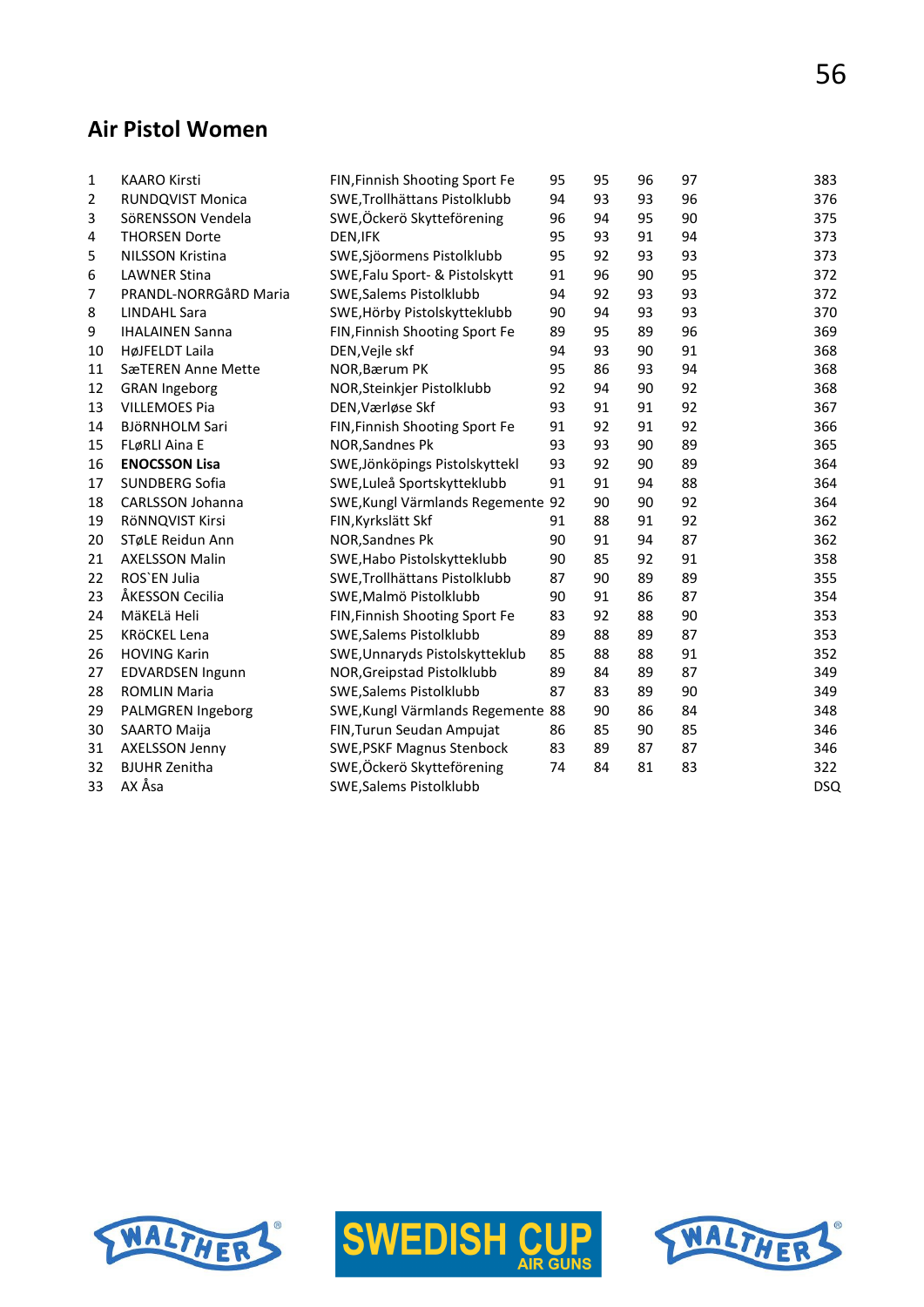#### **Air Pistol Women**

| $\mathbf{1}$   | <b>KAARO Kirsti</b>     | FIN, Finnish Shooting Sport Fe    | 95 | 95 | 96 | 97 | 383        |
|----------------|-------------------------|-----------------------------------|----|----|----|----|------------|
| $\overline{2}$ | <b>RUNDQVIST Monica</b> | SWE, Trollhättans Pistolklubb     | 94 | 93 | 93 | 96 | 376        |
| 3              | SöRENSSON Vendela       | SWE,Öckerö Skytteförening         | 96 | 94 | 95 | 90 | 375        |
| 4              | <b>THORSEN Dorte</b>    | DEN, IFK                          | 95 | 93 | 91 | 94 | 373        |
| 5              | <b>NILSSON Kristina</b> | SWE, Sjöormens Pistolklubb        | 95 | 92 | 93 | 93 | 373        |
| 6              | <b>LAWNER Stina</b>     | SWE, Falu Sport- & Pistolskytt    | 91 | 96 | 90 | 95 | 372        |
| 7              | PRANDL-NORRGÅRD Maria   | SWE, Salems Pistolklubb           | 94 | 92 | 93 | 93 | 372        |
| 8              | <b>LINDAHL Sara</b>     | SWE, Hörby Pistolskytteklubb      | 90 | 94 | 93 | 93 | 370        |
| 9              | <b>IHALAINEN Sanna</b>  | FIN, Finnish Shooting Sport Fe    | 89 | 95 | 89 | 96 | 369        |
| 10             | HøJFELDT Laila          | DEN, Vejle skf                    | 94 | 93 | 90 | 91 | 368        |
| 11             | SæTEREN Anne Mette      | NOR, Bærum PK                     | 95 | 86 | 93 | 94 | 368        |
| 12             | <b>GRAN Ingeborg</b>    | NOR, Steinkjer Pistolklubb        | 92 | 94 | 90 | 92 | 368        |
| 13             | <b>VILLEMOES Pia</b>    | DEN, Værløse Skf                  | 93 | 91 | 91 | 92 | 367        |
| 14             | <b>BJÖRNHOLM Sari</b>   | FIN, Finnish Shooting Sport Fe    | 91 | 92 | 91 | 92 | 366        |
| 15             | FLøRLI Aina E           | NOR, Sandnes Pk                   | 93 | 93 | 90 | 89 | 365        |
| 16             | <b>ENOCSSON Lisa</b>    | SWE, Jönköpings Pistolskyttekl    | 93 | 92 | 90 | 89 | 364        |
| 17             | SUNDBERG Sofia          | SWE, Luleå Sportskytteklubb       | 91 | 91 | 94 | 88 | 364        |
| 18             | CARLSSON Johanna        | SWE, Kungl Värmlands Regemente 92 |    | 90 | 90 | 92 | 364        |
| 19             | RÖNNQVIST Kirsi         | FIN, Kyrkslätt Skf                | 91 | 88 | 91 | 92 | 362        |
| 20             | STøLE Reidun Ann        | <b>NOR, Sandnes Pk</b>            | 90 | 91 | 94 | 87 | 362        |
| 21             | <b>AXELSSON Malin</b>   | SWE, Habo Pistolskytteklubb       | 90 | 85 | 92 | 91 | 358        |
| 22             | ROS'EN Julia            | SWE, Trollhättans Pistolklubb     | 87 | 90 | 89 | 89 | 355        |
| 23             | ÅKESSON Cecilia         | SWE, Malmö Pistolklubb            | 90 | 91 | 86 | 87 | 354        |
| 24             | MäKELä Heli             | FIN, Finnish Shooting Sport Fe    | 83 | 92 | 88 | 90 | 353        |
| 25             | KRÖCKEL Lena            | SWE, Salems Pistolklubb           | 89 | 88 | 89 | 87 | 353        |
| 26             | <b>HOVING Karin</b>     | SWE, Unnaryds Pistolskytteklub    | 85 | 88 | 88 | 91 | 352        |
| 27             | EDVARDSEN Ingunn        | NOR, Greipstad Pistolklubb        | 89 | 84 | 89 | 87 | 349        |
| 28             | <b>ROMLIN Maria</b>     | <b>SWE, Salems Pistolklubb</b>    | 87 | 83 | 89 | 90 | 349        |
| 29             | PALMGREN Ingeborg       | SWE, Kungl Värmlands Regemente 88 |    | 90 | 86 | 84 | 348        |
| 30             | SAARTO Maija            | FIN, Turun Seudan Ampujat         | 86 | 85 | 90 | 85 | 346        |
| 31             | <b>AXELSSON Jenny</b>   | <b>SWE, PSKF Magnus Stenbock</b>  | 83 | 89 | 87 | 87 | 346        |
| 32             | <b>BJUHR Zenitha</b>    | SWE,Öckerö Skytteförening         | 74 | 84 | 81 | 83 | 322        |
| 33             | AX Åsa                  | <b>SWE, Salems Pistolklubb</b>    |    |    |    |    | <b>DSQ</b> |





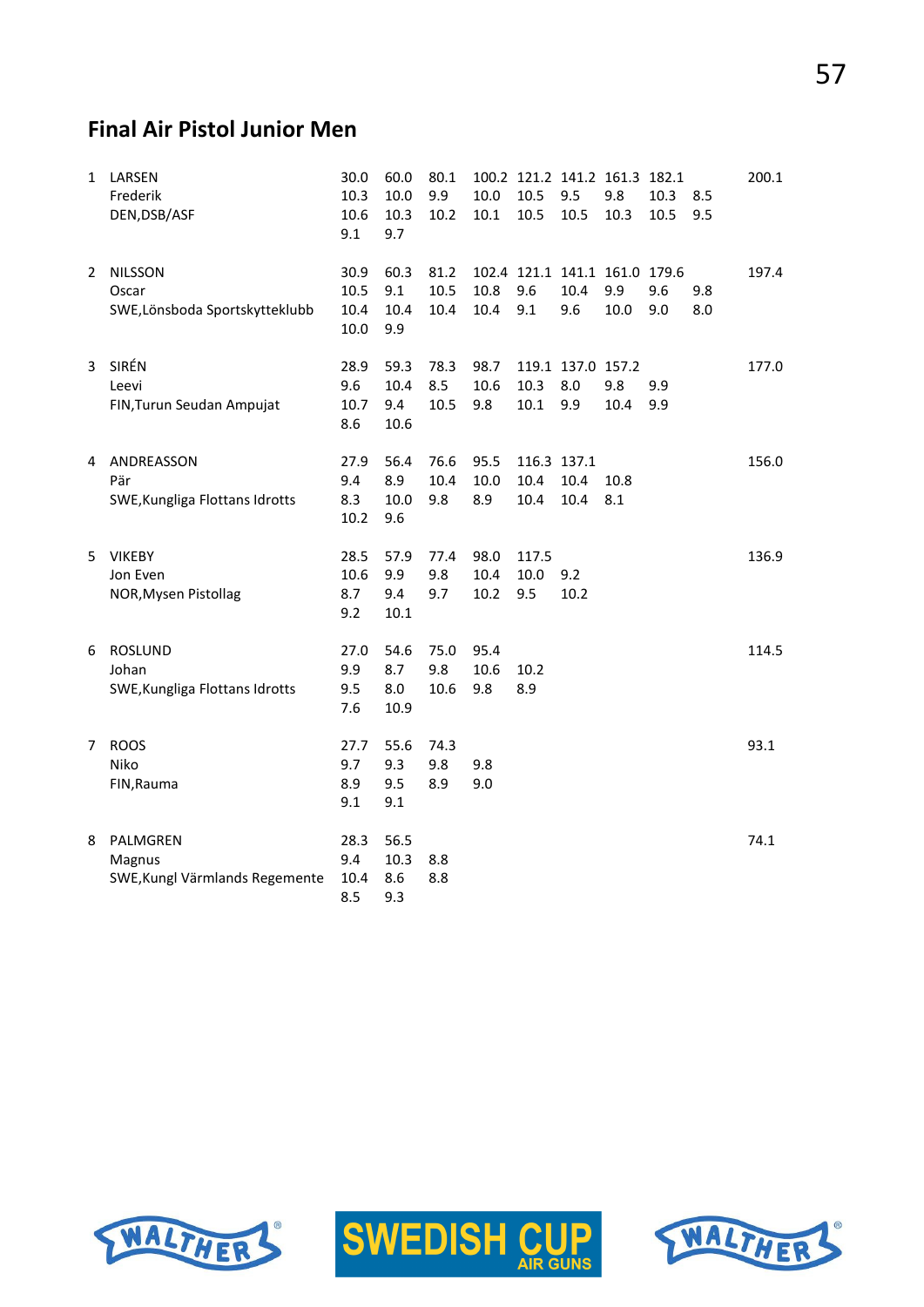# 57

#### **Final Air Pistol Junior Men**

| 1 | LARSEN<br>Frederik<br>DEN, DSB/ASF                        | 30.0<br>10.3<br>10.6<br>9.1  | 60.0<br>10.0<br>10.3<br>9.7 | 80.1<br>9.9<br>10.2  | 10.0<br>10.1         | 10.5<br>10.5                | 9.5<br>10.5                     | 100.2 121.2 141.2 161.3 182.1<br>9.8<br>10.3 | 10.3<br>10.5 | 8.5<br>9.5 | 200.1 |
|---|-----------------------------------------------------------|------------------------------|-----------------------------|----------------------|----------------------|-----------------------------|---------------------------------|----------------------------------------------|--------------|------------|-------|
| 2 | <b>NILSSON</b><br>Oscar<br>SWE,Lönsboda Sportskytteklubb  | 30.9<br>10.5<br>10.4<br>10.0 | 60.3<br>9.1<br>10.4<br>9.9  | 81.2<br>10.5<br>10.4 | 10.8<br>10.4         | 9.6<br>9.1                  | 10.4<br>9.6                     | 102.4 121.1 141.1 161.0 179.6<br>9.9<br>10.0 | 9.6<br>9.0   | 9.8<br>8.0 | 197.4 |
| 3 | SIRÉN<br>Leevi<br>FIN, Turun Seudan Ampujat               | 28.9<br>9.6<br>10.7<br>8.6   | 59.3<br>10.4<br>9.4<br>10.6 | 78.3<br>8.5<br>10.5  | 98.7<br>10.6<br>9.8  | 10.3<br>10.1                | 119.1 137.0 157.2<br>8.0<br>9.9 | 9.8<br>10.4                                  | 9.9<br>9.9   |            | 177.0 |
| 4 | ANDREASSON<br>Pär<br>SWE, Kungliga Flottans Idrotts       | 27.9<br>9.4<br>8.3<br>10.2   | 56.4<br>8.9<br>10.0<br>9.6  | 76.6<br>10.4<br>9.8  | 95.5<br>10.0<br>8.9  | 116.3 137.1<br>10.4<br>10.4 | 10.4<br>10.4                    | 10.8<br>8.1                                  |              |            | 156.0 |
| 5 | <b>VIKEBY</b><br>Jon Even<br>NOR, Mysen Pistollag         | 28.5<br>10.6<br>8.7<br>9.2   | 57.9<br>9.9<br>9.4<br>10.1  | 77.4<br>9.8<br>9.7   | 98.0<br>10.4<br>10.2 | 117.5<br>10.0<br>9.5        | 9.2<br>10.2                     |                                              |              |            | 136.9 |
| 6 | <b>ROSLUND</b><br>Johan<br>SWE, Kungliga Flottans Idrotts | 27.0<br>9.9<br>9.5<br>7.6    | 54.6<br>8.7<br>8.0<br>10.9  | 75.0<br>9.8<br>10.6  | 95.4<br>10.6<br>9.8  | 10.2<br>8.9                 |                                 |                                              |              |            | 114.5 |
| 7 | <b>ROOS</b><br>Niko<br>FIN, Rauma                         | 27.7<br>9.7<br>8.9<br>9.1    | 55.6<br>9.3<br>9.5<br>9.1   | 74.3<br>9.8<br>8.9   | 9.8<br>9.0           |                             |                                 |                                              |              |            | 93.1  |
| 8 | PALMGREN<br>Magnus<br>SWE, Kungl Värmlands Regemente      | 28.3<br>9.4<br>10.4<br>8.5   | 56.5<br>10.3<br>8.6<br>9.3  | 8.8<br>8.8           |                      |                             |                                 |                                              |              |            | 74.1  |





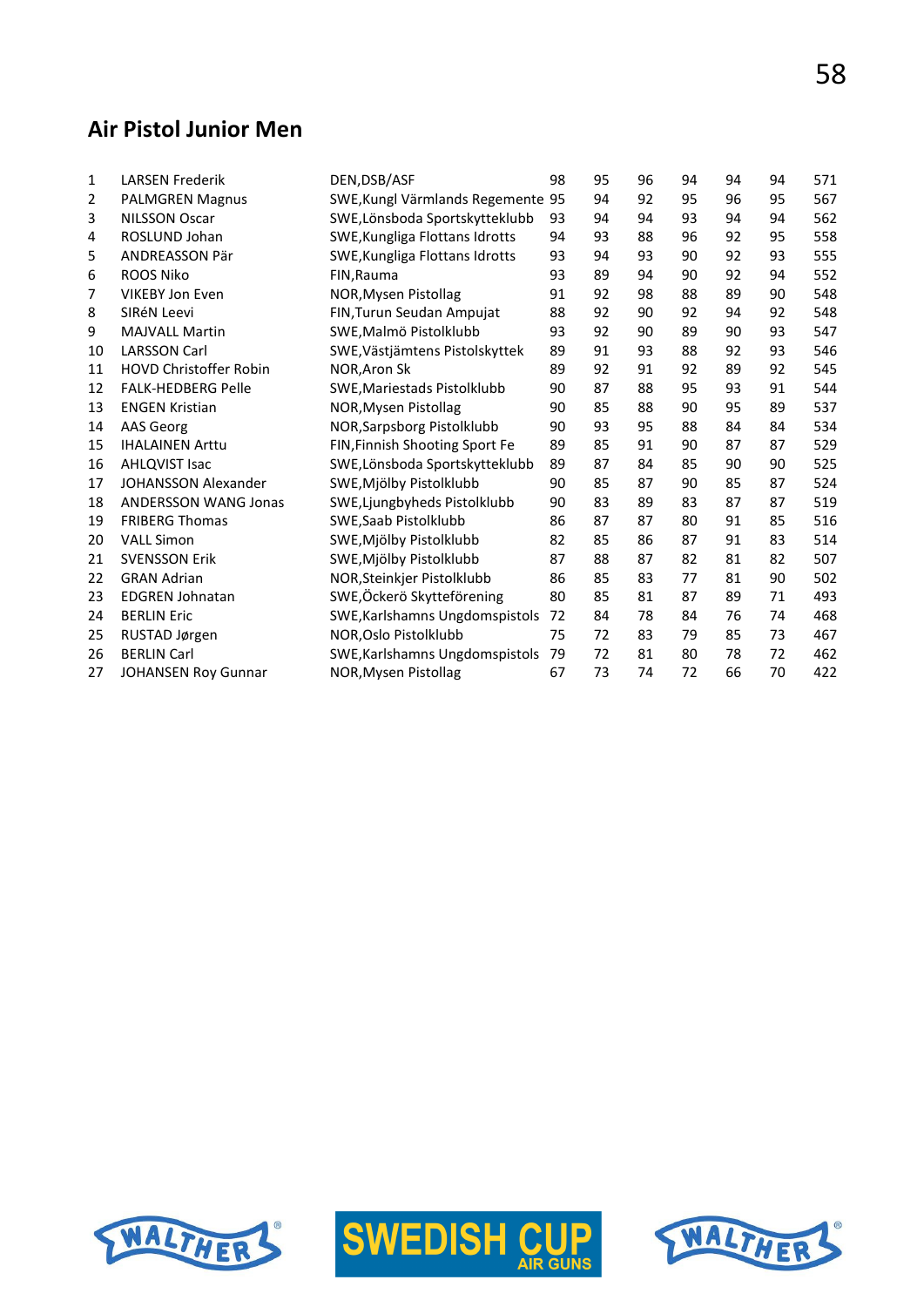#### **Air Pistol Junior Men**

| $\mathbf{1}$ | <b>LARSEN Frederik</b>        | DEN, DSB/ASF                          | 98 | 95 | 96 | 94 | 94 | 94 | 571 |
|--------------|-------------------------------|---------------------------------------|----|----|----|----|----|----|-----|
| 2            | PALMGREN Magnus               | SWE, Kungl Värmlands Regemente 95     |    | 94 | 92 | 95 | 96 | 95 | 567 |
| 3            | <b>NILSSON Oscar</b>          | SWE, Lönsboda Sportskytteklubb        | 93 | 94 | 94 | 93 | 94 | 94 | 562 |
| 4            | ROSLUND Johan                 | SWE, Kungliga Flottans Idrotts        | 94 | 93 | 88 | 96 | 92 | 95 | 558 |
| 5            | <b>ANDREASSON Pär</b>         | SWE, Kungliga Flottans Idrotts        | 93 | 94 | 93 | 90 | 92 | 93 | 555 |
| 6            | <b>ROOS Niko</b>              | FIN, Rauma                            | 93 | 89 | 94 | 90 | 92 | 94 | 552 |
| 7            | <b>VIKEBY Jon Even</b>        | NOR, Mysen Pistollag                  | 91 | 92 | 98 | 88 | 89 | 90 | 548 |
| 8            | SIRéN Leevi                   | FIN, Turun Seudan Ampujat             | 88 | 92 | 90 | 92 | 94 | 92 | 548 |
| 9            | <b>MAJVALL Martin</b>         | SWE, Malmö Pistolklubb                | 93 | 92 | 90 | 89 | 90 | 93 | 547 |
| 10           | <b>LARSSON Carl</b>           | SWE, Västjämtens Pistolskyttek        | 89 | 91 | 93 | 88 | 92 | 93 | 546 |
| 11           | <b>HOVD Christoffer Robin</b> | NOR, Aron Sk                          | 89 | 92 | 91 | 92 | 89 | 92 | 545 |
| 12           | <b>FALK-HEDBERG Pelle</b>     | SWE, Mariestads Pistolklubb           | 90 | 87 | 88 | 95 | 93 | 91 | 544 |
| 13           | <b>ENGEN Kristian</b>         | NOR, Mysen Pistollag                  | 90 | 85 | 88 | 90 | 95 | 89 | 537 |
| 14           | <b>AAS Georg</b>              | NOR, Sarpsborg Pistolklubb            | 90 | 93 | 95 | 88 | 84 | 84 | 534 |
| 15           | <b>IHALAINEN Arttu</b>        | <b>FIN, Finnish Shooting Sport Fe</b> | 89 | 85 | 91 | 90 | 87 | 87 | 529 |
| 16           | <b>AHLQVIST Isac</b>          | SWE, Lönsboda Sportskytteklubb        | 89 | 87 | 84 | 85 | 90 | 90 | 525 |
| 17           | <b>JOHANSSON Alexander</b>    | SWE, Mjölby Pistolklubb               | 90 | 85 | 87 | 90 | 85 | 87 | 524 |
| 18           | <b>ANDERSSON WANG Jonas</b>   | SWE, Ljungbyheds Pistolklubb          | 90 | 83 | 89 | 83 | 87 | 87 | 519 |
| 19           | <b>FRIBERG Thomas</b>         | SWE, Saab Pistolklubb                 | 86 | 87 | 87 | 80 | 91 | 85 | 516 |
| 20           | <b>VALL Simon</b>             | SWE, Mjölby Pistolklubb               | 82 | 85 | 86 | 87 | 91 | 83 | 514 |
| 21           | <b>SVENSSON Erik</b>          | SWE, Mjölby Pistolklubb               | 87 | 88 | 87 | 82 | 81 | 82 | 507 |
| 22           | <b>GRAN Adrian</b>            | NOR, Steinkjer Pistolklubb            | 86 | 85 | 83 | 77 | 81 | 90 | 502 |
| 23           | <b>EDGREN Johnatan</b>        | SWE, Öckerö Skytteförening            | 80 | 85 | 81 | 87 | 89 | 71 | 493 |
| 24           | <b>BERLIN Eric</b>            | SWE, Karlshamns Ungdomspistols        | 72 | 84 | 78 | 84 | 76 | 74 | 468 |
| 25           | RUSTAD Jørgen                 | NOR, Oslo Pistolklubb                 | 75 | 72 | 83 | 79 | 85 | 73 | 467 |
| 26           | <b>BERLIN Carl</b>            | SWE, Karlshamns Ungdomspistols        | 79 | 72 | 81 | 80 | 78 | 72 | 462 |
| 27           | JOHANSEN Roy Gunnar           | NOR, Mysen Pistollag                  | 67 | 73 | 74 | 72 | 66 | 70 | 422 |





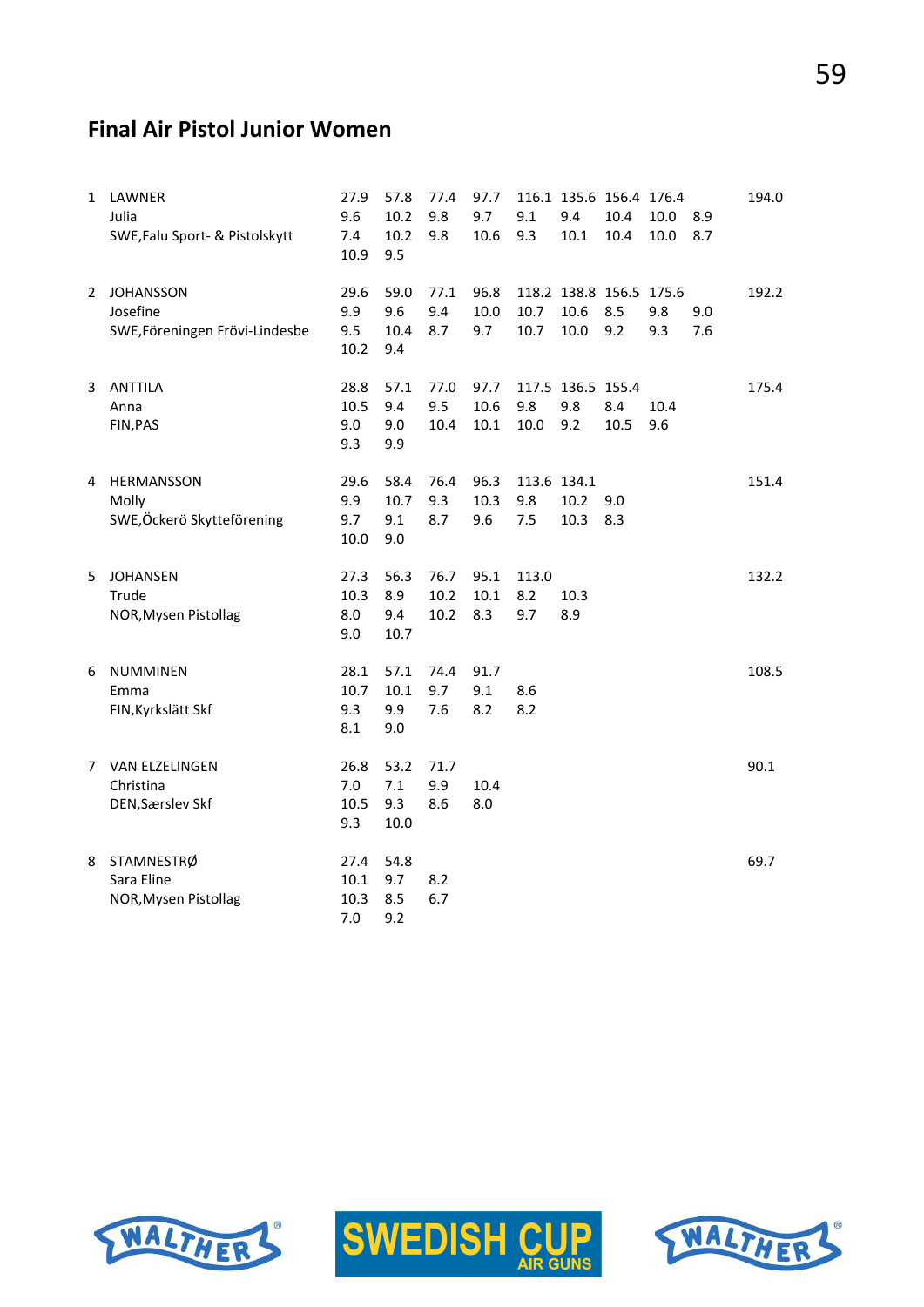#### **Final Air Pistol Junior Women**

| 1 | LAWNER<br>Julia<br>SWE, Falu Sport- & Pistolskytt              | 27.9<br>9.6<br>7.4<br>10.9  | 57.8<br>10.2<br>10.2<br>9.5 | 77.4<br>9.8<br>9.8   | 97.7<br>9.7<br>10.6  | 9.1<br>9.3                | 116.1 135.6 156.4 176.4<br>9.4<br>10.1  | 10.4<br>10.4 | 10.0<br>10.0 | 8.9<br>8.7 | 194.0 |
|---|----------------------------------------------------------------|-----------------------------|-----------------------------|----------------------|----------------------|---------------------------|-----------------------------------------|--------------|--------------|------------|-------|
| 2 | <b>JOHANSSON</b><br>Josefine<br>SWE, Föreningen Frövi-Lindesbe | 29.6<br>9.9<br>9.5<br>10.2  | 59.0<br>9.6<br>10.4<br>9.4  | 77.1<br>9.4<br>8.7   | 96.8<br>10.0<br>9.7  | 10.7<br>10.7              | 118.2 138.8 156.5 175.6<br>10.6<br>10.0 | 8.5<br>9.2   | 9.8<br>9.3   | 9.0<br>7.6 | 192.2 |
| 3 | <b>ANTTILA</b><br>Anna<br>FIN, PAS                             | 28.8<br>10.5<br>9.0<br>9.3  | 57.1<br>9.4<br>9.0<br>9.9   | 77.0<br>9.5<br>10.4  | 97.7<br>10.6<br>10.1 | 9.8<br>10.0               | 117.5 136.5 155.4<br>9.8<br>9.2         | 8.4<br>10.5  | 10.4<br>9.6  |            | 175.4 |
| 4 | HERMANSSON<br>Molly<br>SWE,Öckerö Skytteförening               | 29.6<br>9.9<br>9.7<br>10.0  | 58.4<br>10.7<br>9.1<br>9.0  | 76.4<br>9.3<br>8.7   | 96.3<br>10.3<br>9.6  | 113.6 134.1<br>9.8<br>7.5 | 10.2<br>10.3                            | 9.0<br>8.3   |              |            | 151.4 |
| 5 | <b>JOHANSEN</b><br>Trude<br>NOR, Mysen Pistollag               | 27.3<br>10.3<br>8.0<br>9.0  | 56.3<br>8.9<br>9.4<br>10.7  | 76.7<br>10.2<br>10.2 | 95.1<br>10.1<br>8.3  | 113.0<br>8.2<br>9.7       | 10.3<br>8.9                             |              |              |            | 132.2 |
| 6 | <b>NUMMINEN</b><br>Emma<br>FIN, Kyrkslätt Skf                  | 28.1<br>10.7<br>9.3<br>8.1  | 57.1<br>10.1<br>9.9<br>9.0  | 74.4<br>9.7<br>7.6   | 91.7<br>9.1<br>8.2   | 8.6<br>8.2                |                                         |              |              |            | 108.5 |
| 7 | <b>VAN ELZELINGEN</b><br>Christina<br>DEN, Særslev Skf         | 26.8<br>7.0<br>10.5<br>9.3  | 53.2<br>7.1<br>9.3<br>10.0  | 71.7<br>9.9<br>8.6   | 10.4<br>8.0          |                           |                                         |              |              |            | 90.1  |
| 8 | STAMNESTRØ<br>Sara Eline<br>NOR, Mysen Pistollag               | 27.4<br>10.1<br>10.3<br>7.0 | 54.8<br>9.7<br>8.5<br>9.2   | 8.2<br>6.7           |                      |                           |                                         |              |              |            | 69.7  |





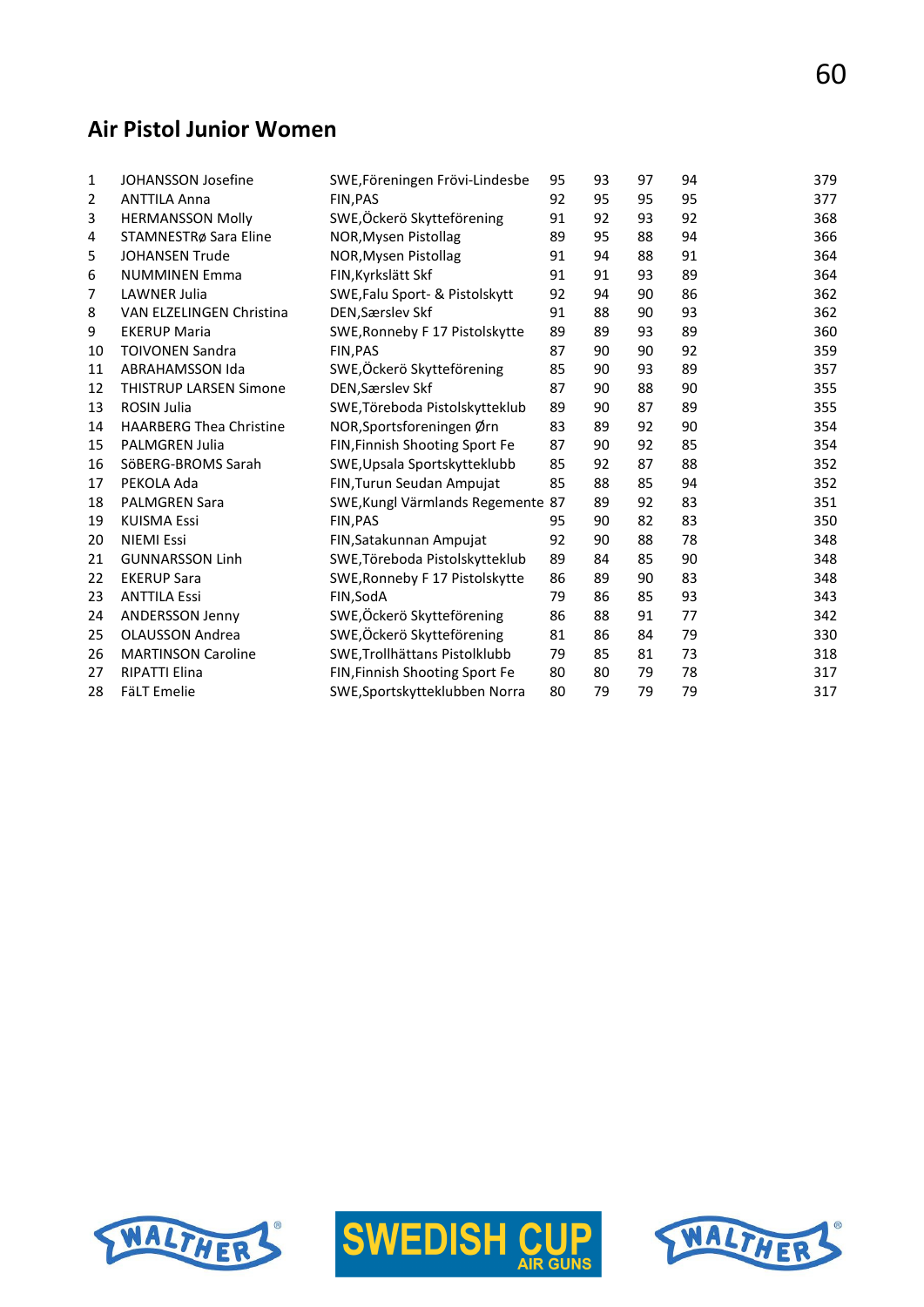## **Air Pistol Junior Women**

| 1  | JOHANSSON Josefine             | SWE, Föreningen Frövi-Lindesbe    | 95 | 93 | 97 | 94 | 379 |
|----|--------------------------------|-----------------------------------|----|----|----|----|-----|
| 2  | <b>ANTTILA Anna</b>            | <b>FIN.PAS</b>                    | 92 | 95 | 95 | 95 | 377 |
| 3  | <b>HERMANSSON Molly</b>        | SWE,Öckerö Skytteförening         | 91 | 92 | 93 | 92 | 368 |
| 4  | STAMNESTRø Sara Eline          | NOR, Mysen Pistollag              | 89 | 95 | 88 | 94 | 366 |
| 5  | <b>JOHANSEN Trude</b>          | NOR, Mysen Pistollag              | 91 | 94 | 88 | 91 | 364 |
| 6  | <b>NUMMINEN Emma</b>           | FIN, Kyrkslätt Skf                | 91 | 91 | 93 | 89 | 364 |
| 7  | <b>LAWNER Julia</b>            | SWE, Falu Sport- & Pistolskytt    | 92 | 94 | 90 | 86 | 362 |
| 8  | VAN ELZELINGEN Christina       | DEN, Særslev Skf                  | 91 | 88 | 90 | 93 | 362 |
| 9  | <b>EKERUP Maria</b>            | SWE, Ronneby F 17 Pistolskytte    | 89 | 89 | 93 | 89 | 360 |
| 10 | <b>TOIVONEN Sandra</b>         | FIN, PAS                          | 87 | 90 | 90 | 92 | 359 |
| 11 | <b>ABRAHAMSSON Ida</b>         | SWE,Öckerö Skytteförening         | 85 | 90 | 93 | 89 | 357 |
| 12 | <b>THISTRUP LARSEN Simone</b>  | DEN, Særslev Skf                  | 87 | 90 | 88 | 90 | 355 |
| 13 | <b>ROSIN Julia</b>             | SWE, Töreboda Pistolskytteklub    | 89 | 90 | 87 | 89 | 355 |
| 14 | <b>HAARBERG Thea Christine</b> | NOR, Sportsforeningen Ørn         | 83 | 89 | 92 | 90 | 354 |
| 15 | <b>PALMGREN Julia</b>          | FIN, Finnish Shooting Sport Fe    | 87 | 90 | 92 | 85 | 354 |
| 16 | SöBERG-BROMS Sarah             | SWE, Upsala Sportskytteklubb      | 85 | 92 | 87 | 88 | 352 |
| 17 | PEKOLA Ada                     | FIN, Turun Seudan Ampujat         | 85 | 88 | 85 | 94 | 352 |
| 18 | <b>PALMGREN Sara</b>           | SWE, Kungl Värmlands Regemente 87 |    | 89 | 92 | 83 | 351 |
| 19 | <b>KUISMA Essi</b>             | FIN, PAS                          | 95 | 90 | 82 | 83 | 350 |
| 20 | <b>NIEMI Essi</b>              | FIN, Satakunnan Ampujat           | 92 | 90 | 88 | 78 | 348 |
| 21 | <b>GUNNARSSON Linh</b>         | SWE, Töreboda Pistolskytteklub    | 89 | 84 | 85 | 90 | 348 |
| 22 | <b>EKERUP Sara</b>             | SWE, Ronneby F 17 Pistolskytte    | 86 | 89 | 90 | 83 | 348 |
| 23 | <b>ANTTILA Essi</b>            | FIN, SodA                         | 79 | 86 | 85 | 93 | 343 |
| 24 | <b>ANDERSSON Jenny</b>         | SWE, Öckerö Skytteförening        | 86 | 88 | 91 | 77 | 342 |
| 25 | <b>OLAUSSON Andrea</b>         | SWE, Öckerö Skytteförening        | 81 | 86 | 84 | 79 | 330 |
| 26 | <b>MARTINSON Caroline</b>      | SWE, Trollhättans Pistolklubb     | 79 | 85 | 81 | 73 | 318 |
| 27 | <b>RIPATTI Elina</b>           | FIN, Finnish Shooting Sport Fe    | 80 | 80 | 79 | 78 | 317 |
| 28 | <b>FäLT Emelie</b>             | SWE, Sportskytteklubben Norra     | 80 | 79 | 79 | 79 | 317 |





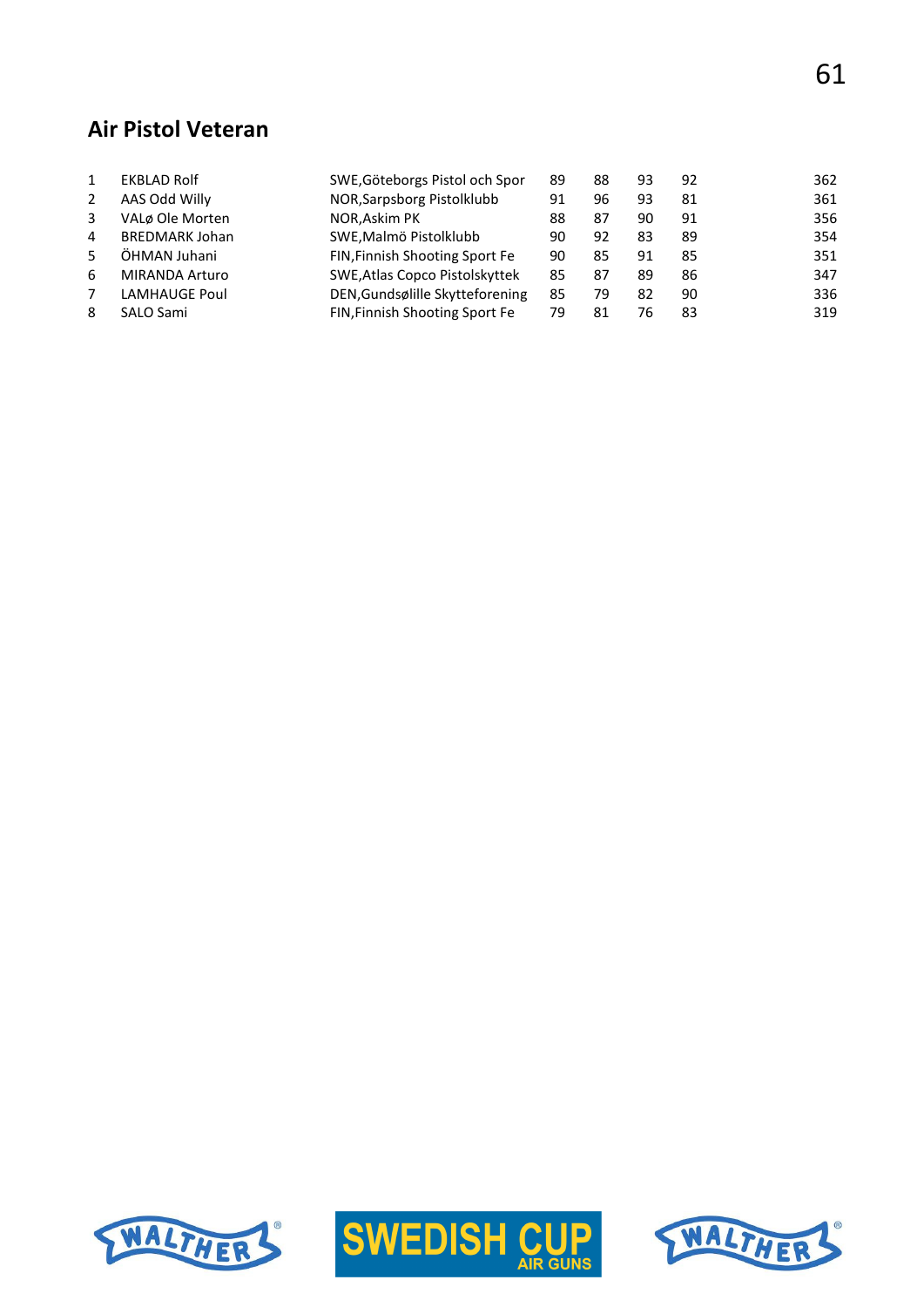### **Air Pistol Veteran**

|    | <b>EKBLAD Rolf</b>    | SWE, Göteborgs Pistol och Spor  | 89 | 88 | 93 | 92 | 362 |
|----|-----------------------|---------------------------------|----|----|----|----|-----|
| 2  | AAS Odd Willy         | NOR, Sarpsborg Pistolklubb      | 91 | 96 | 93 | 81 | 361 |
| 3  | VALø Ole Morten       | NOR, Askim PK                   | 88 | 87 | 90 | 91 | 356 |
| 4  | <b>BREDMARK Johan</b> | SWE, Malmö Pistolklubb          | 90 | 92 | 83 | 89 | 354 |
| 5. | ÖHMAN Juhani          | FIN, Finnish Shooting Sport Fe  | 90 | 85 | 91 | 85 | 351 |
| 6  | <b>MIRANDA Arturo</b> | SWE, Atlas Copco Pistolskyttek  | 85 | 87 | 89 | 86 | 347 |
|    | <b>LAMHAUGE Poul</b>  | DEN, Gundsølille Skytteforening | 85 | 79 | 82 | 90 | 336 |
| 8  | SALO Sami             | FIN, Finnish Shooting Sport Fe  | 79 | 81 | 76 | 83 | 319 |
|    |                       |                                 |    |    |    |    |     |





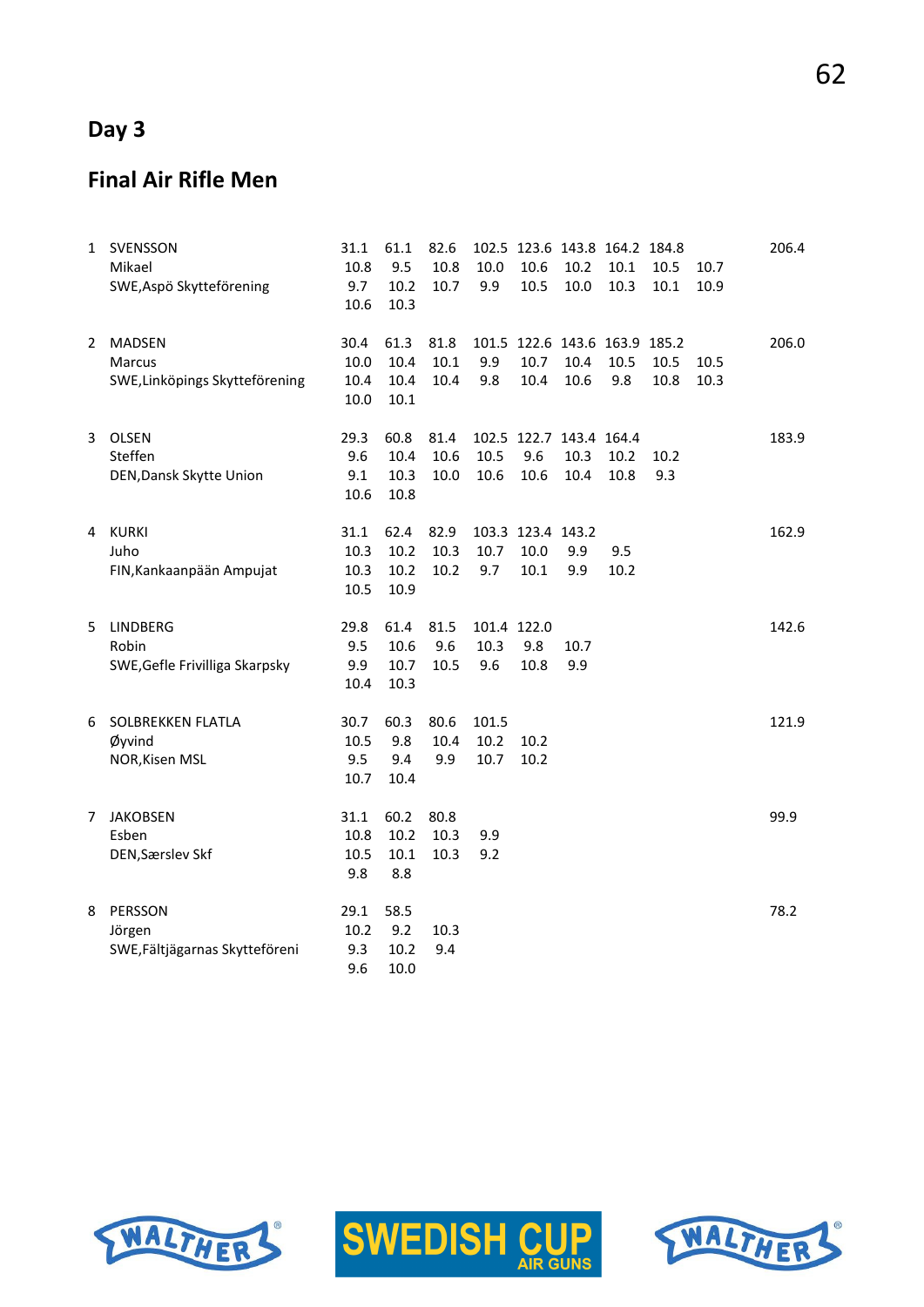# **Day 3**

# **Final Air Rifle Men**

| 1  | SVENSSON<br>Mikael<br>SWE, Aspö Skytteförening                   | 31.1<br>10.8<br>9.7<br>10.6  | 61.1<br>9.5<br>10.2<br>10.3      | 82.6<br>10.8<br>10.7 | 10.0<br>9.9                | 102.5 123.6 143.8 164.2 184.8<br>10.6<br>$10.5\,$ | 10.2<br>10.0 | 10.1<br>10.3 | 10.5<br>$10.1\,$ | 10.7<br>10.9 | 206.4 |
|----|------------------------------------------------------------------|------------------------------|----------------------------------|----------------------|----------------------------|---------------------------------------------------|--------------|--------------|------------------|--------------|-------|
| 2  | <b>MADSEN</b><br><b>Marcus</b><br>SWE, Linköpings Skytteförening | 30.4<br>10.0<br>10.4<br>10.0 | 61.3<br>10.4<br>10.4<br>$10.1\,$ | 81.8<br>10.1<br>10.4 | 9.9<br>9.8                 | 101.5 122.6 143.6 163.9 185.2<br>10.7<br>10.4     | 10.4<br>10.6 | 10.5<br>9.8  | 10.5<br>10.8     | 10.5<br>10.3 | 206.0 |
| 3  | OLSEN<br>Steffen<br>DEN, Dansk Skytte Union                      | 29.3<br>9.6<br>9.1<br>10.6   | 60.8<br>10.4<br>10.3<br>10.8     | 81.4<br>10.6<br>10.0 | 10.5<br>10.6               | 102.5 122.7 143.4 164.4<br>9.6<br>10.6            | 10.3<br>10.4 | 10.2<br>10.8 | 10.2<br>9.3      |              | 183.9 |
| 4  | <b>KURKI</b><br>Juho<br>FIN, Kankaanpään Ampujat                 | 31.1<br>10.3<br>10.3<br>10.5 | 62.4<br>10.2<br>10.2<br>10.9     | 82.9<br>10.3<br>10.2 | 10.7<br>9.7                | 103.3 123.4 143.2<br>10.0<br>10.1                 | 9.9<br>9.9   | 9.5<br>10.2  |                  |              | 162.9 |
| 5. | <b>LINDBERG</b><br>Robin<br>SWE, Gefle Frivilliga Skarpsky       | 29.8<br>9.5<br>9.9<br>10.4   | 61.4<br>10.6<br>10.7<br>10.3     | 81.5<br>9.6<br>10.5  | 101.4 122.0<br>10.3<br>9.6 | 9.8<br>10.8                                       | 10.7<br>9.9  |              |                  |              | 142.6 |
| 6  | SOLBREKKEN FLATLA<br>Øyvind<br>NOR, Kisen MSL                    | 30.7<br>10.5<br>9.5<br>10.7  | 60.3<br>9.8<br>9.4<br>10.4       | 80.6<br>10.4<br>9.9  | 101.5<br>10.2<br>10.7      | 10.2<br>10.2                                      |              |              |                  |              | 121.9 |
| 7  | <b>JAKOBSEN</b><br>Esben<br>DEN, Særslev Skf                     | 31.1<br>10.8<br>10.5<br>9.8  | 60.2<br>10.2<br>10.1<br>8.8      | 80.8<br>10.3<br>10.3 | 9.9<br>9.2                 |                                                   |              |              |                  |              | 99.9  |
| 8  | PERSSON<br>Jörgen<br>SWE, Fältjägarnas Skytteföreni              | 29.1<br>10.2<br>9.3<br>9.6   | 58.5<br>9.2<br>10.2<br>10.0      | 10.3<br>9.4          |                            |                                                   |              |              |                  |              | 78.2  |





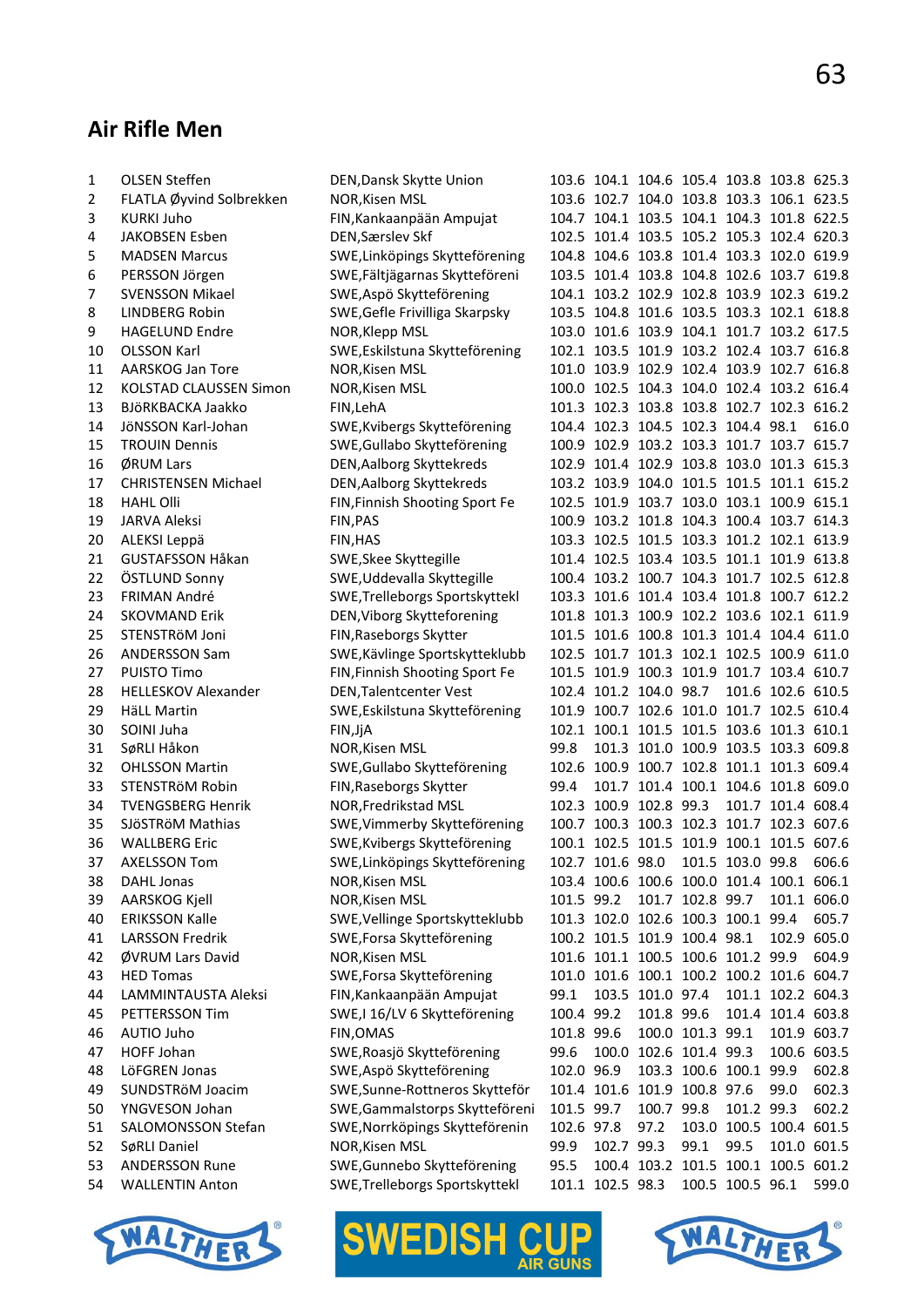# **Air Rifle Men**

| 1  | <b>OLSEN Steffen</b>          | DEN, Dansk Skytte Union        |            |                  |                              |                  | 103.6 104.1 104.6 105.4 103.8 103.8 625.3 |                   |       |
|----|-------------------------------|--------------------------------|------------|------------------|------------------------------|------------------|-------------------------------------------|-------------------|-------|
| 2  | FLATLA Øyvind Solbrekken      | NOR, Kisen MSL                 |            |                  |                              |                  | 103.6 102.7 104.0 103.8 103.3 106.1 623.5 |                   |       |
| 3  | <b>KURKI Juho</b>             | FIN, Kankaanpään Ampujat       |            |                  |                              |                  | 104.7 104.1 103.5 104.1 104.3 101.8 622.5 |                   |       |
| 4  | JAKOBSEN Esben                | DEN, Særslev Skf               |            |                  |                              |                  | 102.5 101.4 103.5 105.2 105.3 102.4 620.3 |                   |       |
| 5  | <b>MADSEN Marcus</b>          | SWE, Linköpings Skytteförening |            |                  |                              |                  | 104.8 104.6 103.8 101.4 103.3 102.0 619.9 |                   |       |
| 6  | PERSSON Jörgen                | SWE, Fältjägarnas Skytteföreni |            |                  |                              |                  | 103.5 101.4 103.8 104.8 102.6 103.7 619.8 |                   |       |
| 7  | <b>SVENSSON Mikael</b>        | SWE, Aspö Skytteförening       |            |                  |                              |                  | 104.1 103.2 102.9 102.8 103.9 102.3 619.2 |                   |       |
| 8  | <b>LINDBERG Robin</b>         | SWE, Gefle Frivilliga Skarpsky |            |                  |                              |                  | 103.5 104.8 101.6 103.5 103.3 102.1 618.8 |                   |       |
| 9  | <b>HAGELUND Endre</b>         | NOR, Klepp MSL                 |            |                  |                              |                  | 103.0 101.6 103.9 104.1 101.7 103.2 617.5 |                   |       |
| 10 | <b>OLSSON Karl</b>            | SWE, Eskilstuna Skytteförening |            |                  |                              |                  | 102.1 103.5 101.9 103.2 102.4 103.7 616.8 |                   |       |
| 11 | AARSKOG Jan Tore              | NOR, Kisen MSL                 |            |                  |                              |                  | 101.0 103.9 102.9 102.4 103.9 102.7 616.8 |                   |       |
| 12 | <b>KOLSTAD CLAUSSEN Simon</b> | NOR, Kisen MSL                 |            |                  |                              |                  | 100.0 102.5 104.3 104.0 102.4 103.2 616.4 |                   |       |
| 13 | BJÖRKBACKA Jaakko             | FIN, LehA                      |            |                  |                              |                  | 101.3 102.3 103.8 103.8 102.7 102.3 616.2 |                   |       |
| 14 | JöNSSON Karl-Johan            | SWE, Kvibergs Skytteförening   |            |                  |                              |                  | 104.4 102.3 104.5 102.3 104.4 98.1        |                   | 616.0 |
| 15 | <b>TROUIN Dennis</b>          | SWE, Gullabo Skytteförening    |            |                  |                              |                  | 100.9 102.9 103.2 103.3 101.7 103.7 615.7 |                   |       |
| 16 | ØRUM Lars                     | DEN, Aalborg Skyttekreds       |            |                  |                              |                  | 102.9 101.4 102.9 103.8 103.0 101.3 615.3 |                   |       |
| 17 | <b>CHRISTENSEN Michael</b>    | DEN, Aalborg Skyttekreds       |            |                  |                              |                  | 103.2 103.9 104.0 101.5 101.5 101.1 615.2 |                   |       |
| 18 | <b>HAHL Olli</b>              | FIN, Finnish Shooting Sport Fe |            |                  |                              |                  | 102.5 101.9 103.7 103.0 103.1 100.9 615.1 |                   |       |
| 19 | <b>JARVA Aleksi</b>           | FIN, PAS                       |            |                  |                              |                  | 100.9 103.2 101.8 104.3 100.4 103.7 614.3 |                   |       |
| 20 | ALEKSI Leppä                  | FIN, HAS                       |            |                  |                              |                  | 103.3 102.5 101.5 103.3 101.2 102.1 613.9 |                   |       |
| 21 | <b>GUSTAFSSON Håkan</b>       | SWE, Skee Skyttegille          |            |                  |                              |                  | 101.4 102.5 103.4 103.5 101.1 101.9 613.8 |                   |       |
| 22 | ÖSTLUND Sonny                 | SWE, Uddevalla Skyttegille     |            |                  |                              |                  | 100.4 103.2 100.7 104.3 101.7 102.5 612.8 |                   |       |
| 23 | <b>FRIMAN André</b>           | SWE, Trelleborgs Sportskyttekl |            |                  |                              |                  | 103.3 101.6 101.4 103.4 101.8 100.7 612.2 |                   |       |
| 24 | <b>SKOVMAND Erik</b>          | DEN, Viborg Skytteforening     |            |                  |                              |                  | 101.8 101.3 100.9 102.2 103.6 102.1 611.9 |                   |       |
| 25 | STENSTRöM Joni                | FIN, Raseborgs Skytter         |            |                  |                              |                  | 101.5 101.6 100.8 101.3 101.4 104.4 611.0 |                   |       |
| 26 | <b>ANDERSSON Sam</b>          | SWE, Kävlinge Sportskytteklubb |            |                  |                              |                  | 102.5 101.7 101.3 102.1 102.5 100.9 611.0 |                   |       |
| 27 | PUISTO Timo                   | FIN, Finnish Shooting Sport Fe |            |                  |                              |                  | 101.5 101.9 100.3 101.9 101.7 103.4 610.7 |                   |       |
| 28 | <b>HELLESKOV Alexander</b>    | DEN, Talentcenter Vest         |            |                  | 102.4 101.2 104.0 98.7       |                  |                                           | 101.6 102.6 610.5 |       |
| 29 | <b>HäLL Martin</b>            | SWE, Eskilstuna Skytteförening |            |                  |                              |                  | 101.9 100.7 102.6 101.0 101.7 102.5 610.4 |                   |       |
| 30 | SOINI Juha                    | FIN, JjA                       |            |                  |                              |                  | 102.1 100.1 101.5 101.5 103.6 101.3 610.1 |                   |       |
| 31 | SøRLI Håkon                   | NOR, Kisen MSL                 | 99.8       |                  |                              |                  | 101.3 101.0 100.9 103.5 103.3 609.8       |                   |       |
| 32 | <b>OHLSSON Martin</b>         | SWE, Gullabo Skytteförening    |            |                  |                              |                  | 102.6 100.9 100.7 102.8 101.1 101.3 609.4 |                   |       |
| 33 | STENSTRÖM Robin               | FIN, Raseborgs Skytter         | 99.4       |                  |                              |                  | 101.7 101.4 100.1 104.6 101.8 609.0       |                   |       |
| 34 | <b>TVENGSBERG Henrik</b>      | NOR, Fredrikstad MSL           |            |                  | 102.3 100.9 102.8 99.3       |                  |                                           | 101.7 101.4 608.4 |       |
| 35 | SJÖSTRÖM Mathias              | SWE, Vimmerby Skytteförening   |            |                  |                              |                  | 100.7 100.3 100.3 102.3 101.7 102.3 607.6 |                   |       |
| 36 | <b>WALLBERG Eric</b>          | SWE, Kvibergs Skytteförening   |            |                  |                              |                  | 100.1 102.5 101.5 101.9 100.1 101.5 607.6 |                   |       |
| 37 | <b>AXELSSON Tom</b>           | SWE, Linköpings Skytteförening |            |                  |                              |                  | 102.7 101.6 98.0 101.5 103.0 99.8 606.6   |                   |       |
| 38 | DAHL Jonas                    | NOR, Kisen MSL                 |            |                  |                              |                  | 103.4 100.6 100.6 100.0 101.4 100.1 606.1 |                   |       |
| 39 | AARSKOG Kjell                 | NOR, Kisen MSL                 | 101.5 99.2 |                  |                              | 101.7 102.8 99.7 |                                           | 101.1 606.0       |       |
| 40 | <b>ERIKSSON Kalle</b>         | SWE, Vellinge Sportskytteklubb |            |                  |                              |                  | 101.3 102.0 102.6 100.3 100.1 99.4        |                   | 605.7 |
| 41 | <b>LARSSON Fredrik</b>        | SWE, Forsa Skytteförening      |            |                  | 100.2 101.5 101.9 100.4 98.1 |                  |                                           | 102.9 605.0       |       |
| 42 | ØVRUM Lars David              | NOR, Kisen MSL                 |            |                  |                              |                  | 101.6 101.1 100.5 100.6 101.2 99.9        |                   | 604.9 |
| 43 | <b>HED Tomas</b>              | SWE, Forsa Skytteförening      |            |                  |                              |                  | 101.0 101.6 100.1 100.2 100.2 101.6 604.7 |                   |       |
| 44 | LAMMINTAUSTA Aleksi           | FIN, Kankaanpään Ampujat       | 99.1       |                  | 103.5 101.0 97.4             |                  |                                           | 101.1 102.2 604.3 |       |
| 45 | PETTERSSON Tim                | SWE, I 16/LV 6 Skytteförening  | 100.4 99.2 |                  | 101.8 99.6                   |                  |                                           | 101.4 101.4 603.8 |       |
| 46 | AUTIO Juho                    | FIN, OMAS                      | 101.8 99.6 |                  |                              | 100.0 101.3 99.1 |                                           | 101.9 603.7       |       |
| 47 | HOFF Johan                    | SWE, Roasjö Skytteförening     | 99.6       |                  | 100.0 102.6 101.4 99.3       |                  |                                           | 100.6 603.5       |       |
| 48 | LöFGREN Jonas                 | SWE, Aspö Skytteförening       | 102.0 96.9 |                  |                              |                  | 103.3 100.6 100.1 99.9                    |                   | 602.8 |
| 49 | SUNDSTRöM Joacim              | SWE, Sunne-Rottneros Skytteför |            |                  | 101.4 101.6 101.9 100.8 97.6 |                  |                                           | 99.0              | 602.3 |
| 50 | YNGVESON Johan                | SWE, Gammalstorps Skytteföreni | 101.5 99.7 |                  | 100.7 99.8                   |                  | 101.2 99.3                                |                   | 602.2 |
| 51 | SALOMONSSON Stefan            | SWE, Norrköpings Skytteförenin | 102.6 97.8 |                  | 97.2                         |                  | 103.0 100.5 100.4 601.5                   |                   |       |
| 52 | SøRLI Daniel                  | NOR, Kisen MSL                 | 99.9       | 102.7 99.3       |                              | 99.1             | 99.5                                      | 101.0 601.5       |       |
| 53 | <b>ANDERSSON Rune</b>         | SWE, Gunnebo Skytteförening    | 95.5       |                  |                              |                  | 100.4 103.2 101.5 100.1 100.5 601.2       |                   |       |
| 54 | <b>WALLENTIN Anton</b>        | SWE, Trelleborgs Sportskyttekl |            | 101.1 102.5 98.3 |                              |                  | 100.5 100.5 96.1                          |                   | 599.0 |
|    |                               |                                |            |                  |                              |                  |                                           |                   |       |





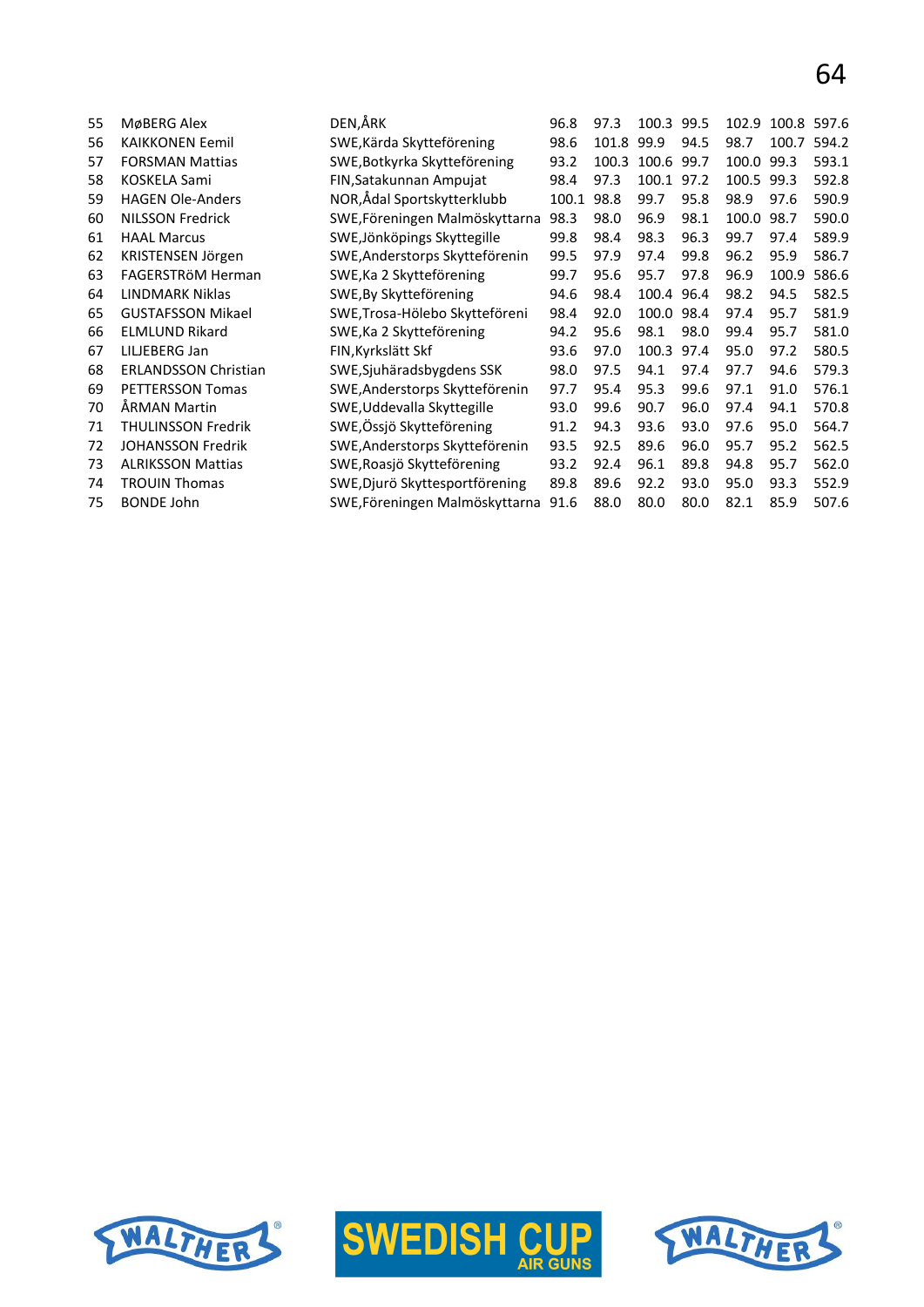| 55 | MøBERG Alex                 | DEN,ÅRK                        | 96.8  | 97.3  | 100.3      | 99.5 | 102.9      |       | 100.8 597.6 |
|----|-----------------------------|--------------------------------|-------|-------|------------|------|------------|-------|-------------|
| 56 | <b>KAIKKONEN Eemil</b>      | SWE, Kärda Skytteförening      | 98.6  | 101.8 | 99.9       | 94.5 | 98.7       | 100.7 | 594.2       |
| 57 | <b>FORSMAN Mattias</b>      | SWE, Botkyrka Skytteförening   | 93.2  | 100.3 | 100.6 99.7 |      | 100.0 99.3 |       | 593.1       |
| 58 | <b>KOSKELA Sami</b>         | FIN, Satakunnan Ampujat        | 98.4  | 97.3  | 100.1      | 97.2 | 100.5      | 99.3  | 592.8       |
| 59 | <b>HAGEN Ole-Anders</b>     | NOR,Ådal Sportskytterklubb     | 100.1 | 98.8  | 99.7       | 95.8 | 98.9       | 97.6  | 590.9       |
| 60 | <b>NILSSON Fredrick</b>     | SWE, Föreningen Malmöskyttarna | 98.3  | 98.0  | 96.9       | 98.1 | 100.0      | 98.7  | 590.0       |
| 61 | <b>HAAL Marcus</b>          | SWE, Jönköpings Skyttegille    | 99.8  | 98.4  | 98.3       | 96.3 | 99.7       | 97.4  | 589.9       |
| 62 | KRISTENSEN Jörgen           | SWE, Anderstorps Skytteförenin | 99.5  | 97.9  | 97.4       | 99.8 | 96.2       | 95.9  | 586.7       |
| 63 | FAGERSTRÖM Herman           | SWE, Ka 2 Skytteförening       | 99.7  | 95.6  | 95.7       | 97.8 | 96.9       | 100.9 | 586.6       |
| 64 | <b>LINDMARK Niklas</b>      | SWE, By Skytteförening         | 94.6  | 98.4  | 100.4 96.4 |      | 98.2       | 94.5  | 582.5       |
| 65 | <b>GUSTAFSSON Mikael</b>    | SWE, Trosa-Hölebo Skytteföreni | 98.4  | 92.0  | 100.0      | 98.4 | 97.4       | 95.7  | 581.9       |
| 66 | <b>ELMLUND Rikard</b>       | SWE, Ka 2 Skytteförening       | 94.2  | 95.6  | 98.1       | 98.0 | 99.4       | 95.7  | 581.0       |
| 67 | LILJEBERG Jan               | FIN, Kyrkslätt Skf             | 93.6  | 97.0  | 100.3      | 97.4 | 95.0       | 97.2  | 580.5       |
| 68 | <b>ERLANDSSON Christian</b> | SWE, Sjuhäradsbygdens SSK      | 98.0  | 97.5  | 94.1       | 97.4 | 97.7       | 94.6  | 579.3       |
| 69 | <b>PETTERSSON Tomas</b>     | SWE, Anderstorps Skytteförenin | 97.7  | 95.4  | 95.3       | 99.6 | 97.1       | 91.0  | 576.1       |
| 70 | ÅRMAN Martin                | SWE, Uddevalla Skyttegille     | 93.0  | 99.6  | 90.7       | 96.0 | 97.4       | 94.1  | 570.8       |
| 71 | <b>THULINSSON Fredrik</b>   | SWE, Össjö Skytteförening      | 91.2  | 94.3  | 93.6       | 93.0 | 97.6       | 95.0  | 564.7       |
| 72 | <b>JOHANSSON Fredrik</b>    | SWE, Anderstorps Skytteförenin | 93.5  | 92.5  | 89.6       | 96.0 | 95.7       | 95.2  | 562.5       |
| 73 | <b>ALRIKSSON Mattias</b>    | SWE, Roasjö Skytteförening     | 93.2  | 92.4  | 96.1       | 89.8 | 94.8       | 95.7  | 562.0       |
| 74 | <b>TROUIN Thomas</b>        | SWE, Djurö Skyttesportförening | 89.8  | 89.6  | 92.2       | 93.0 | 95.0       | 93.3  | 552.9       |
| 75 | <b>BONDE John</b>           | SWE, Föreningen Malmöskyttarna | 91.6  | 88.0  | 80.0       | 80.0 | 82.1       | 85.9  | 507.6       |
|    |                             |                                |       |       |            |      |            |       |             |





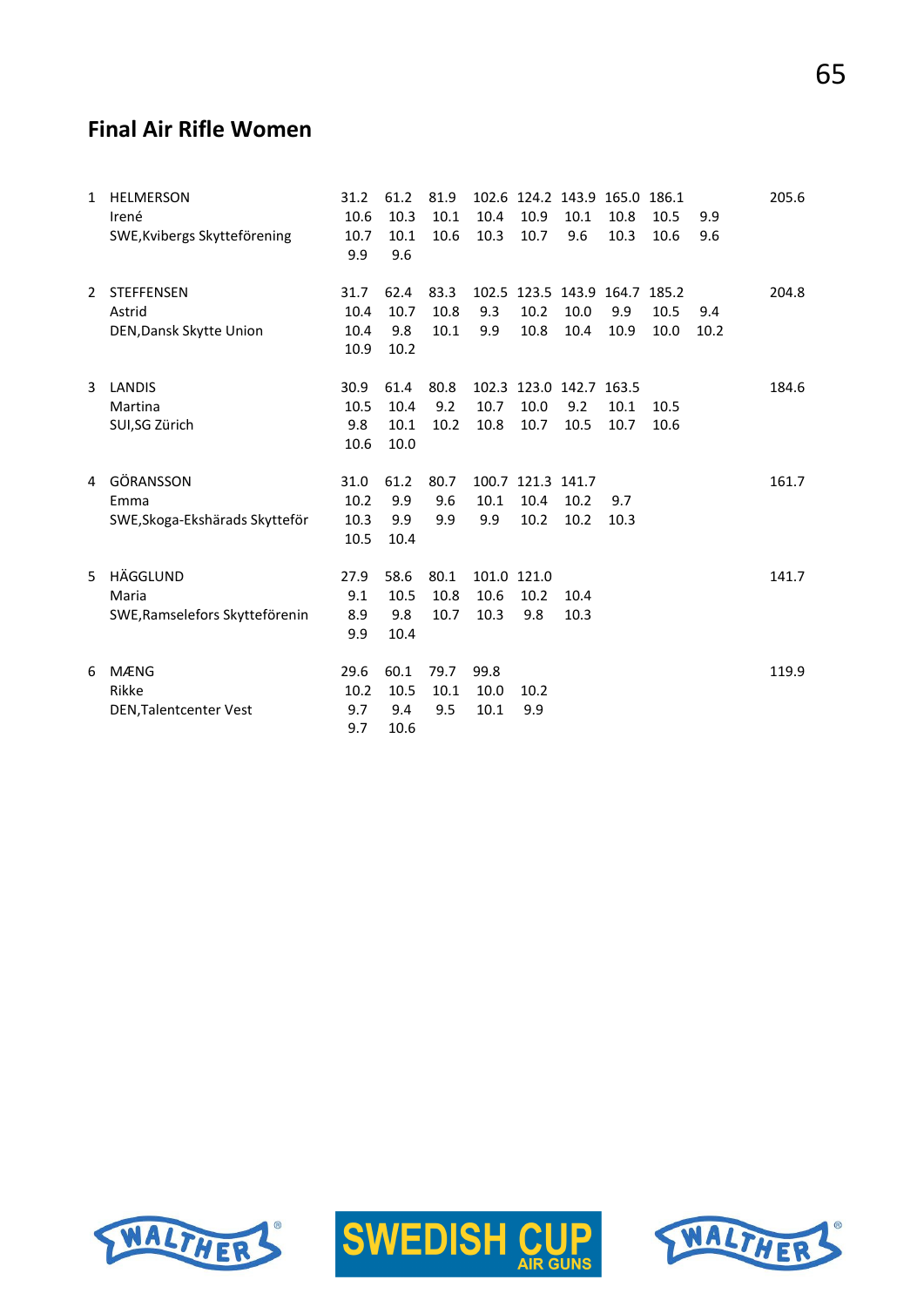#### **Final Air Rifle Women**

| $\mathbf{1}$ | <b>HELMERSON</b><br>Irené<br>SWE, Kvibergs Skytteförening | 31.2<br>10.6<br>10.7<br>9.9  | 61.2<br>10.3<br>10.1<br>9.6  | 81.9<br>10.1<br>10.6 | 10.4<br>10.3                | 102.6 124.2 143.9 165.0 186.1<br>10.9<br>10.7 | 10.1<br>9.6  | 10.8<br>10.3 | 10.5<br>10.6 | 9.9<br>9.6  | 205.6 |
|--------------|-----------------------------------------------------------|------------------------------|------------------------------|----------------------|-----------------------------|-----------------------------------------------|--------------|--------------|--------------|-------------|-------|
| 2            | <b>STEFFENSEN</b><br>Astrid<br>DEN, Dansk Skytte Union    | 31.7<br>10.4<br>10.4<br>10.9 | 62.4<br>10.7<br>9.8<br>10.2  | 83.3<br>10.8<br>10.1 | 9.3<br>9.9                  | 102.5 123.5 143.9 164.7 185.2<br>10.2<br>10.8 | 10.0<br>10.4 | 9.9<br>10.9  | 10.5<br>10.0 | 9.4<br>10.2 | 204.8 |
| 3            | <b>LANDIS</b><br>Martina<br>SUI,SG Zürich                 | 30.9<br>10.5<br>9.8<br>10.6  | 61.4<br>10.4<br>10.1<br>10.0 | 80.8<br>9.2<br>10.2  | 10.7<br>10.8                | 102.3 123.0 142.7 163.5<br>10.0<br>10.7       | 9.2<br>10.5  | 10.1<br>10.7 | 10.5<br>10.6 |             | 184.6 |
| 4            | GÖRANSSON<br>Emma<br>SWE, Skoga-Ekshärads Skytteför       | 31.0<br>10.2<br>10.3<br>10.5 | 61.2<br>9.9<br>9.9<br>10.4   | 80.7<br>9.6<br>9.9   | 10.1<br>9.9                 | 100.7 121.3 141.7<br>10.4<br>10.2             | 10.2<br>10.2 | 9.7<br>10.3  |              |             | 161.7 |
| 5            | HÄGGLUND<br>Maria<br>SWE, Ramselefors Skytteförenin       | 27.9<br>9.1<br>8.9<br>9.9    | 58.6<br>10.5<br>9.8<br>10.4  | 80.1<br>10.8<br>10.7 | 101.0 121.0<br>10.6<br>10.3 | 10.2<br>9.8                                   | 10.4<br>10.3 |              |              |             | 141.7 |
| 6            | <b>MÆNG</b><br>Rikke<br>DEN, Talentcenter Vest            | 29.6<br>10.2<br>9.7<br>9.7   | 60.1<br>10.5<br>9.4<br>10.6  | 79.7<br>10.1<br>9.5  | 99.8<br>10.0<br>10.1        | 10.2<br>9.9                                   |              |              |              |             | 119.9 |





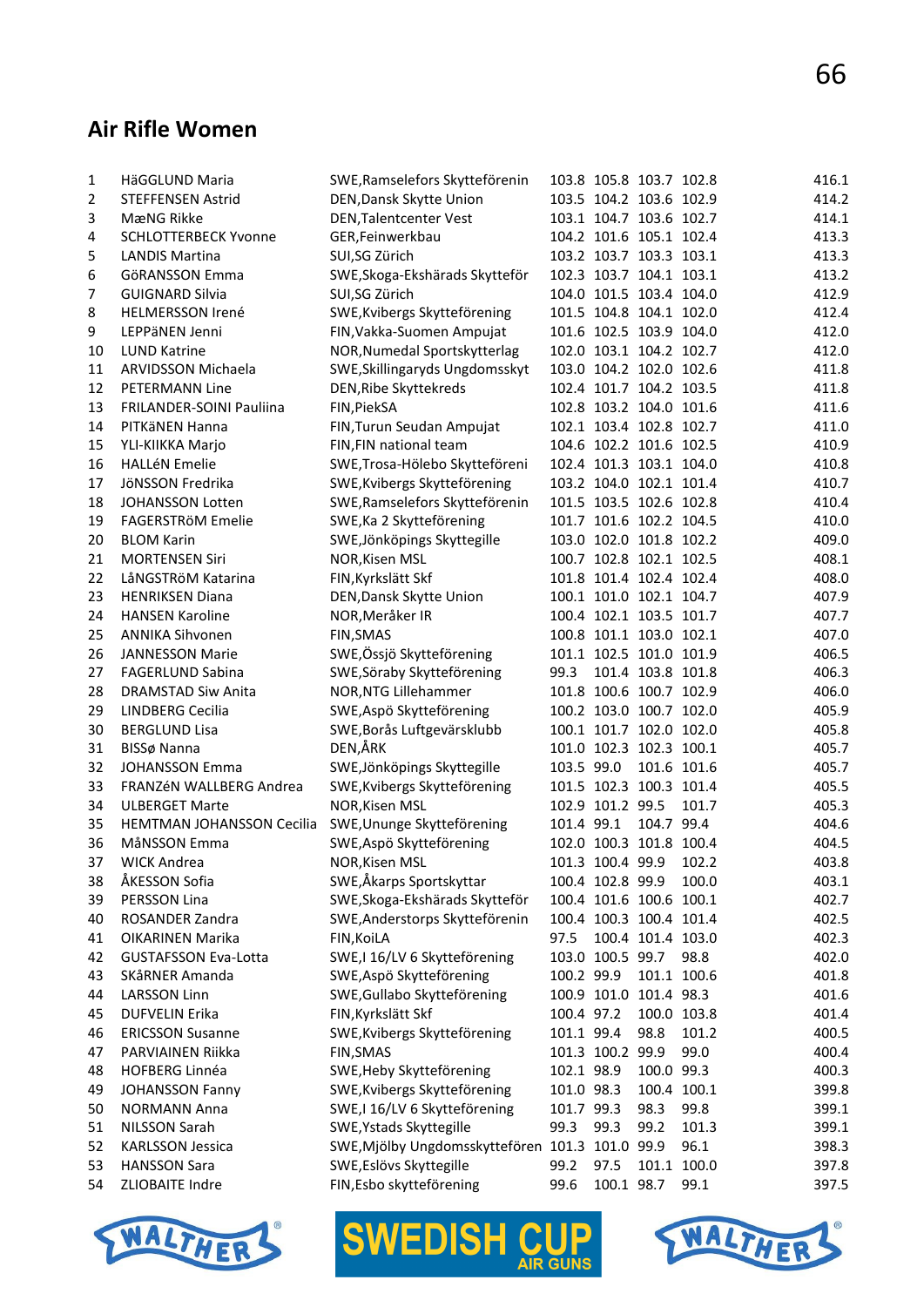### **Air Rifle Women**

| 1  | HäGGLUND Maria                   | SWE, Ramselefors Skytteförenin                  |            |                  | 103.8 105.8 103.7 102.8 |             | 416.1 |
|----|----------------------------------|-------------------------------------------------|------------|------------------|-------------------------|-------------|-------|
| 2  | <b>STEFFENSEN Astrid</b>         | DEN, Dansk Skytte Union                         |            |                  | 103.5 104.2 103.6 102.9 |             | 414.2 |
| 3  | MæNG Rikke                       | DEN, Talentcenter Vest                          |            |                  | 103.1 104.7 103.6 102.7 |             | 414.1 |
| 4  | <b>SCHLOTTERBECK Yvonne</b>      | GER, Feinwerkbau                                |            |                  | 104.2 101.6 105.1 102.4 |             | 413.3 |
| 5  | <b>LANDIS Martina</b>            | SUI,SG Zürich                                   |            |                  | 103.2 103.7 103.3 103.1 |             | 413.3 |
| 6  | GöRANSSON Emma                   | SWE, Skoga-Ekshärads Skytteför                  |            |                  | 102.3 103.7 104.1 103.1 |             | 413.2 |
| 7  | <b>GUIGNARD Silvia</b>           | SUI,SG Zürich                                   |            |                  | 104.0 101.5 103.4 104.0 |             | 412.9 |
| 8  | <b>HELMERSSON Irené</b>          | SWE, Kvibergs Skytteförening                    |            |                  | 101.5 104.8 104.1 102.0 |             | 412.4 |
| 9  | LEPPäNEN Jenni                   | FIN, Vakka-Suomen Ampujat                       |            |                  | 101.6 102.5 103.9 104.0 |             | 412.0 |
| 10 | <b>LUND Katrine</b>              | NOR, Numedal Sportskytterlag                    |            |                  | 102.0 103.1 104.2 102.7 |             | 412.0 |
| 11 | ARVIDSSON Michaela               | SWE, Skillingaryds Ungdomsskyt                  |            |                  | 103.0 104.2 102.0 102.6 |             | 411.8 |
| 12 | <b>PETERMANN Line</b>            | DEN, Ribe Skyttekreds                           |            |                  | 102.4 101.7 104.2 103.5 |             | 411.8 |
| 13 | FRILANDER-SOINI Pauliina         | FIN, PiekSA                                     |            |                  | 102.8 103.2 104.0 101.6 |             | 411.6 |
| 14 | PITKäNEN Hanna                   | FIN, Turun Seudan Ampujat                       |            |                  | 102.1 103.4 102.8 102.7 |             | 411.0 |
| 15 | YLI-KIIKKA Marjo                 | FIN, FIN national team                          |            |                  | 104.6 102.2 101.6 102.5 |             | 410.9 |
| 16 | <b>HALLéN Emelie</b>             | SWE, Trosa-Hölebo Skytteföreni                  |            |                  | 102.4 101.3 103.1 104.0 |             | 410.8 |
| 17 | JöNSSON Fredrika                 | SWE, Kvibergs Skytteförening                    |            |                  | 103.2 104.0 102.1 101.4 |             | 410.7 |
| 18 | <b>JOHANSSON Lotten</b>          | SWE, Ramselefors Skytteförenin                  |            |                  | 101.5 103.5 102.6 102.8 |             | 410.4 |
| 19 | FAGERSTRöM Emelie                | SWE, Ka 2 Skytteförening                        |            |                  | 101.7 101.6 102.2 104.5 |             | 410.0 |
| 20 | <b>BLOM Karin</b>                | SWE, Jönköpings Skyttegille                     |            |                  | 103.0 102.0 101.8 102.2 |             | 409.0 |
| 21 | <b>MORTENSEN Siri</b>            | NOR, Kisen MSL                                  |            |                  | 100.7 102.8 102.1 102.5 |             | 408.1 |
| 22 | LåNGSTRöM Katarina               | FIN, Kyrkslätt Skf                              |            |                  | 101.8 101.4 102.4 102.4 |             | 408.0 |
| 23 | <b>HENRIKSEN Diana</b>           | DEN, Dansk Skytte Union                         |            |                  | 100.1 101.0 102.1 104.7 |             | 407.9 |
| 24 | <b>HANSEN Karoline</b>           | NOR, Meråker IR                                 |            |                  | 100.4 102.1 103.5 101.7 |             | 407.7 |
| 25 | <b>ANNIKA Sihvonen</b>           | <b>FIN, SMAS</b>                                |            |                  | 100.8 101.1 103.0 102.1 |             | 407.0 |
| 26 | <b>JANNESSON Marie</b>           | SWE, Össjö Skytteförening                       |            |                  | 101.1 102.5 101.0 101.9 |             | 406.5 |
| 27 | <b>FAGERLUND Sabina</b>          | SWE, Söraby Skytteförening                      | 99.3       |                  | 101.4 103.8 101.8       |             | 406.3 |
| 28 | <b>DRAMSTAD Siw Anita</b>        | NOR, NTG Lillehammer                            |            |                  | 101.8 100.6 100.7 102.9 |             | 406.0 |
| 29 | <b>LINDBERG Cecilia</b>          | SWE, Aspö Skytteförening                        |            |                  | 100.2 103.0 100.7 102.0 |             | 405.9 |
| 30 | <b>BERGLUND Lisa</b>             | SWE, Borås Luftgevärsklubb                      |            |                  | 100.1 101.7 102.0 102.0 |             | 405.8 |
| 31 | BISSø Nanna                      | DEN,ÅRK                                         |            |                  | 101.0 102.3 102.3 100.1 |             | 405.7 |
| 32 | <b>JOHANSSON Emma</b>            | SWE, Jönköpings Skyttegille                     | 103.5 99.0 |                  |                         | 101.6 101.6 | 405.7 |
| 33 | FRANZÉN WALLBERG Andrea          | SWE, Kvibergs Skytteförening                    |            |                  | 101.5 102.3 100.3 101.4 |             | 405.5 |
| 34 | <b>ULBERGET Marte</b>            | NOR, Kisen MSL                                  |            | 102.9 101.2 99.5 |                         | 101.7       | 405.3 |
| 35 | <b>HEMTMAN JOHANSSON Cecilia</b> | SWE, Ununge Skytteförening                      | 101.4 99.1 |                  | 104.7 99.4              |             | 404.6 |
| 36 | MåNSSON Emma                     | SWE, Aspö Skytteförening                        |            |                  | 102.0 100.3 101.8 100.4 |             | 404.5 |
| 37 | <b>WICK Andrea</b>               | NOR, Kisen MSL                                  |            |                  | 101.3 100.4 99.9 102.2  |             | 403.8 |
| 38 | ÅKESSON Sofia                    | SWE,Åkarps Sportskyttar                         |            | 100.4 102.8 99.9 |                         | 100.0       | 403.1 |
| 39 | PERSSON Lina                     | SWE, Skoga-Ekshärads Skytteför                  |            |                  | 100.4 101.6 100.6 100.1 |             | 402.7 |
| 40 | ROSANDER Zandra                  | SWE, Anderstorps Skytteförenin                  |            |                  | 100.4 100.3 100.4 101.4 |             | 402.5 |
| 41 | <b>OIKARINEN Marika</b>          | FIN, KoiLA                                      | 97.5       |                  | 100.4 101.4 103.0       |             | 402.3 |
| 42 | <b>GUSTAFSSON Eva-Lotta</b>      | SWE,I 16/LV 6 Skytteförening                    |            | 103.0 100.5 99.7 |                         | 98.8        | 402.0 |
| 43 | SKåRNER Amanda                   | SWE, Aspö Skytteförening                        | 100.2 99.9 |                  |                         | 101.1 100.6 | 401.8 |
| 44 | LARSSON Linn                     | SWE, Gullabo Skytteförening                     |            |                  | 100.9 101.0 101.4 98.3  |             | 401.6 |
| 45 | <b>DUFVELIN Erika</b>            | FIN, Kyrkslätt Skf                              | 100.4 97.2 |                  |                         | 100.0 103.8 | 401.4 |
| 46 | <b>ERICSSON Susanne</b>          | SWE, Kvibergs Skytteförening                    | 101.1 99.4 |                  | 98.8                    | 101.2       | 400.5 |
| 47 | PARVIAINEN Riikka                | FIN, SMAS                                       |            | 101.3 100.2 99.9 |                         | 99.0        | 400.4 |
| 48 | <b>HOFBERG Linnéa</b>            | SWE, Heby Skytteförening                        | 102.1 98.9 |                  | 100.0 99.3              |             | 400.3 |
| 49 | <b>JOHANSSON Fanny</b>           | SWE, Kvibergs Skytteförening                    | 101.0 98.3 |                  |                         | 100.4 100.1 | 399.8 |
| 50 | <b>NORMANN Anna</b>              | SWE, I 16/LV 6 Skytteförening                   | 101.7 99.3 |                  | 98.3                    | 99.8        | 399.1 |
| 51 | NILSSON Sarah                    | SWE, Ystads Skyttegille                         | 99.3       | 99.3             | 99.2                    | 101.3       | 399.1 |
| 52 | <b>KARLSSON Jessica</b>          | SWE, Mjölby Ungdomsskyttefören 101.3 101.0 99.9 |            |                  |                         | 96.1        | 398.3 |
| 53 | <b>HANSSON Sara</b>              | SWE, Eslövs Skyttegille                         | 99.2       | 97.5             |                         | 101.1 100.0 | 397.8 |
| 54 | ZLIOBAITE Indre                  | FIN, Esbo skytteförening                        | 99.6       | 100.1 98.7       |                         | 99.1        | 397.5 |
|    |                                  |                                                 |            |                  |                         |             |       |





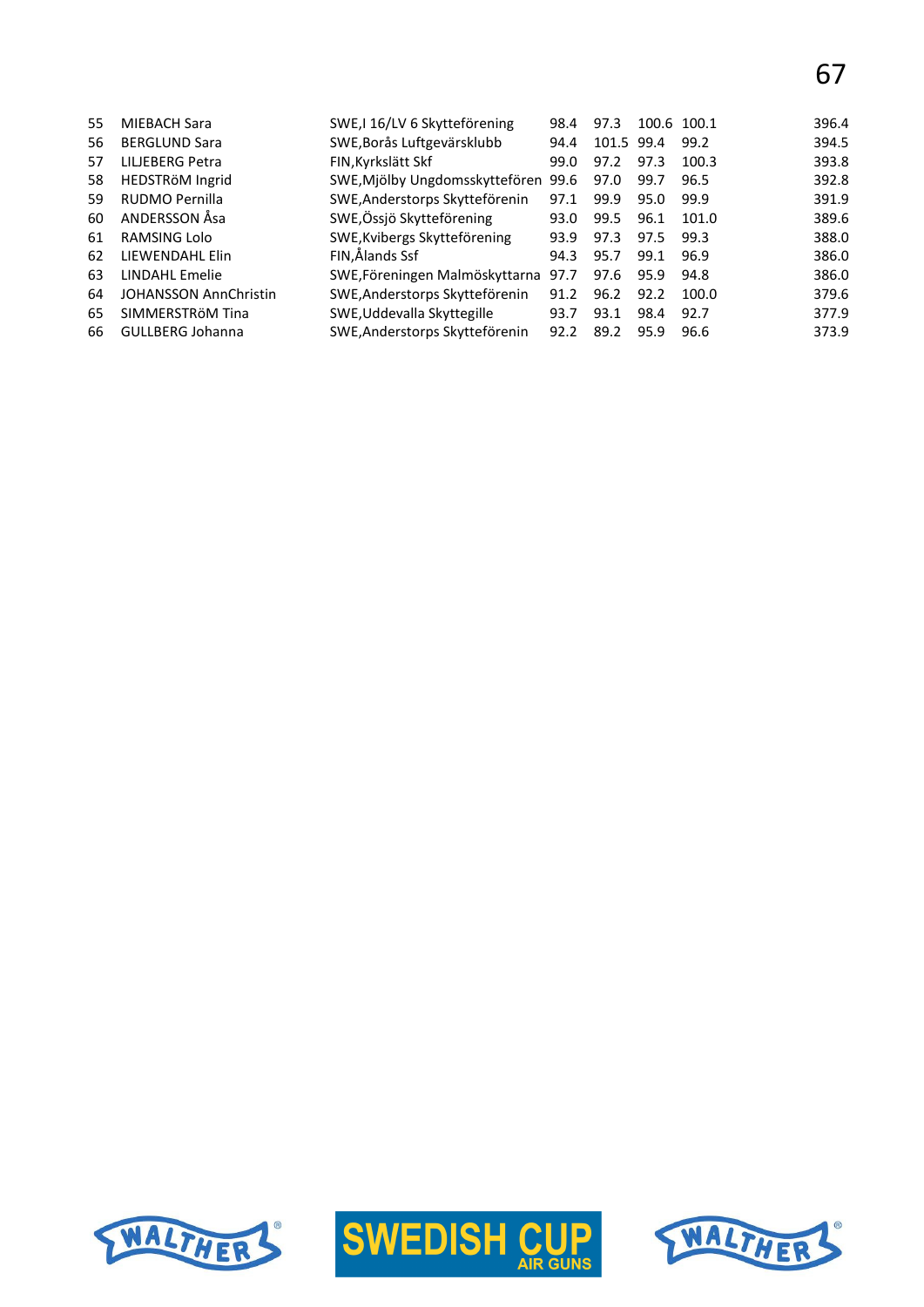| 55 | MIEBACH Sara                 | SWE, 16/LV 6 Skytteförening    | 98.4 | 97.3       |      | 100.6 100.1 | 396.4 |
|----|------------------------------|--------------------------------|------|------------|------|-------------|-------|
| 56 | <b>BERGLUND Sara</b>         | SWE, Borås Luftgevärsklubb     | 94.4 | 101.5 99.4 |      | 99.2        | 394.5 |
| 57 | LILJEBERG Petra              | FIN, Kyrkslätt Skf             | 99.0 | 97.2       | 97.3 | 100.3       | 393.8 |
| 58 | HEDSTRÖM Ingrid              | SWE, Mjölby Ungdomsskyttefören | 99.6 | 97.0       | 99.7 | 96.5        | 392.8 |
| 59 | RUDMO Pernilla               | SWE, Anderstorps Skytteförenin | 97.1 | 99.9       | 95.0 | 99.9        | 391.9 |
| 60 | ANDERSSON Åsa                | SWE, Össjö Skytteförening      | 93.0 | 99.5       | 96.1 | 101.0       | 389.6 |
| 61 | RAMSING Lolo                 | SWE, Kvibergs Skytteförening   | 93.9 | 97.3       | 97.5 | 99.3        | 388.0 |
| 62 | LIEWENDAHL Elin              | FIN,Ålands Ssf                 | 94.3 | 95.7       | 99.1 | 96.9        | 386.0 |
| 63 | LINDAHL Emelie               | SWE, Föreningen Malmöskyttarna | 97.7 | 97.6       | 95.9 | 94.8        | 386.0 |
| 64 | <b>JOHANSSON AnnChristin</b> | SWE, Anderstorps Skytteförenin | 91.2 | 96.2       | 92.2 | 100.0       | 379.6 |
| 65 | SIMMERSTRÖM Tina             | SWE, Uddevalla Skyttegille     | 93.7 | 93.1       | 98.4 | 92.7        | 377.9 |
| 66 | <b>GULLBERG Johanna</b>      | SWE, Anderstorps Skytteförenin | 92.2 | 89.2       | 95.9 | 96.6        | 373.9 |
|    |                              |                                |      |            |      |             |       |





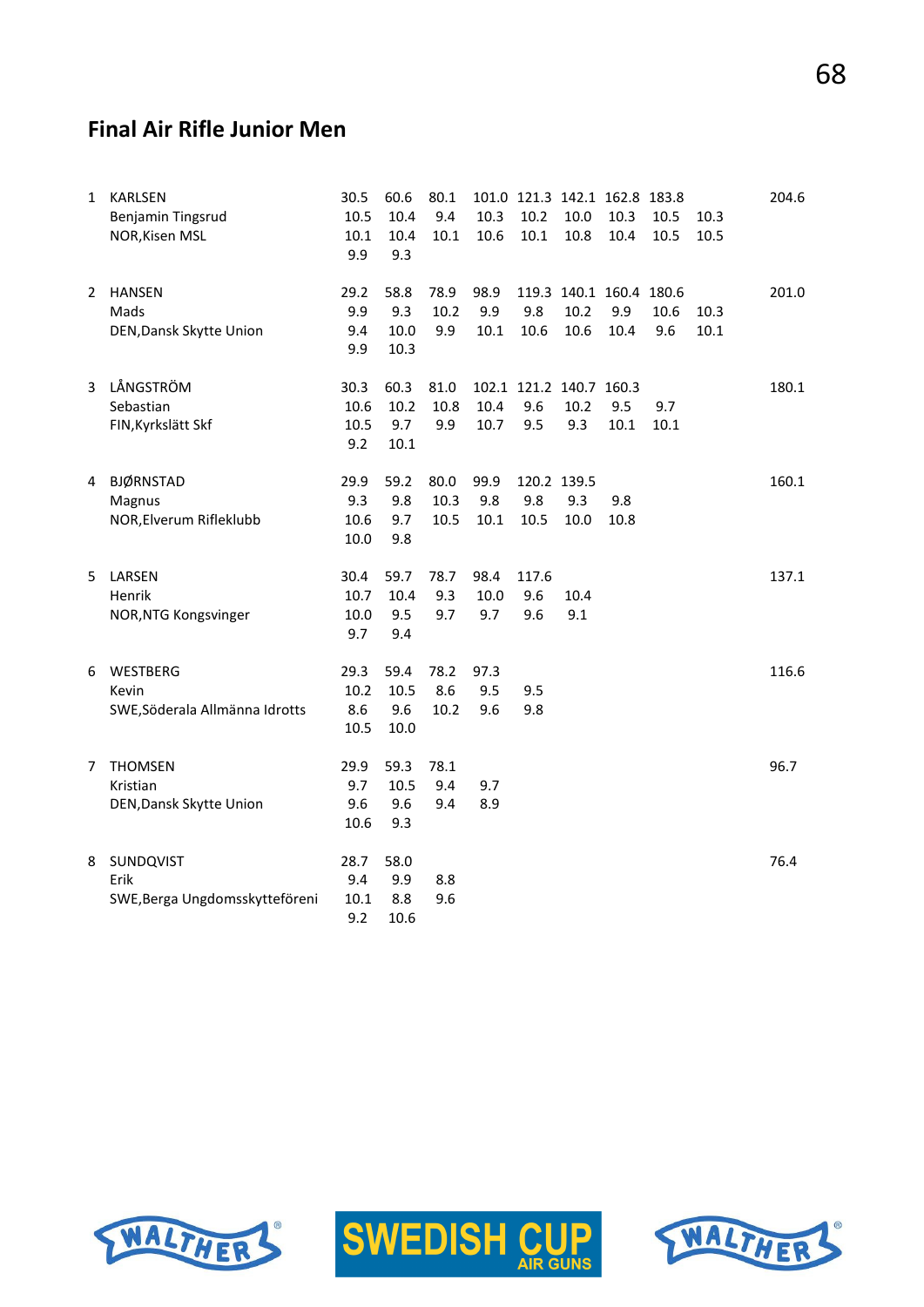# **Final Air Rifle Junior Men**

| 1              | <b>KARLSEN</b><br>Benjamin Tingsrud<br>NOR, Kisen MSL | 30.5<br>10.5<br>10.1<br>9.9 | 60.6<br>10.4<br>10.4<br>9.3 | 80.1<br>9.4<br>10.1  | 10.3<br>10.6        | 101.0 121.3 142.1 162.8 183.8<br>10.2<br>10.1 | 10.0<br>10.8 | 10.3<br>10.4                           | 10.5<br>10.5 | 10.3<br>10.5 | 204.6 |
|----------------|-------------------------------------------------------|-----------------------------|-----------------------------|----------------------|---------------------|-----------------------------------------------|--------------|----------------------------------------|--------------|--------------|-------|
| 2              | <b>HANSEN</b><br>Mads<br>DEN, Dansk Skytte Union      | 29.2<br>9.9<br>9.4<br>9.9   | 58.8<br>9.3<br>10.0<br>10.3 | 78.9<br>10.2<br>9.9  | 98.9<br>9.9<br>10.1 | 9.8<br>10.6                                   | 10.2<br>10.6 | 119.3 140.1 160.4 180.6<br>9.9<br>10.4 | 10.6<br>9.6  | 10.3<br>10.1 | 201.0 |
| $\overline{3}$ | LÅNGSTRÖM<br>Sebastian<br>FIN, Kyrkslätt Skf          | 30.3<br>10.6<br>10.5<br>9.2 | 60.3<br>10.2<br>9.7<br>10.1 | 81.0<br>10.8<br>9.9  | 10.4<br>10.7        | 102.1 121.2 140.7 160.3<br>9.6<br>9.5         | 10.2<br>9.3  | 9.5<br>10.1                            | 9.7<br>10.1  |              | 180.1 |
| 4              | <b>BJØRNSTAD</b><br>Magnus<br>NOR, Elverum Rifleklubb | 29.9<br>9.3<br>10.6<br>10.0 | 59.2<br>9.8<br>9.7<br>9.8   | 80.0<br>10.3<br>10.5 | 99.9<br>9.8<br>10.1 | 120.2 139.5<br>9.8<br>10.5                    | 9.3<br>10.0  | 9.8<br>10.8                            |              |              | 160.1 |
| 5.             | LARSEN<br>Henrik<br>NOR, NTG Kongsvinger              | 30.4<br>10.7<br>10.0<br>9.7 | 59.7<br>10.4<br>9.5<br>9.4  | 78.7<br>9.3<br>9.7   | 98.4<br>10.0<br>9.7 | 117.6<br>9.6<br>9.6                           | 10.4<br>9.1  |                                        |              |              | 137.1 |
| 6              | WESTBERG<br>Kevin<br>SWE, Söderala Allmänna Idrotts   | 29.3<br>10.2<br>8.6<br>10.5 | 59.4<br>10.5<br>9.6<br>10.0 | 78.2<br>8.6<br>10.2  | 97.3<br>9.5<br>9.6  | 9.5<br>9.8                                    |              |                                        |              |              | 116.6 |
| 7              | <b>THOMSEN</b><br>Kristian<br>DEN, Dansk Skytte Union | 29.9<br>9.7<br>9.6<br>10.6  | 59.3<br>10.5<br>9.6<br>9.3  | 78.1<br>9.4<br>9.4   | 9.7<br>8.9          |                                               |              |                                        |              |              | 96.7  |
| 8              | SUNDQVIST<br>Erik<br>SWE, Berga Ungdomsskytteföreni   | 28.7<br>9.4<br>10.1<br>9.2  | 58.0<br>9.9<br>8.8<br>10.6  | 8.8<br>9.6           |                     |                                               |              |                                        |              |              | 76.4  |





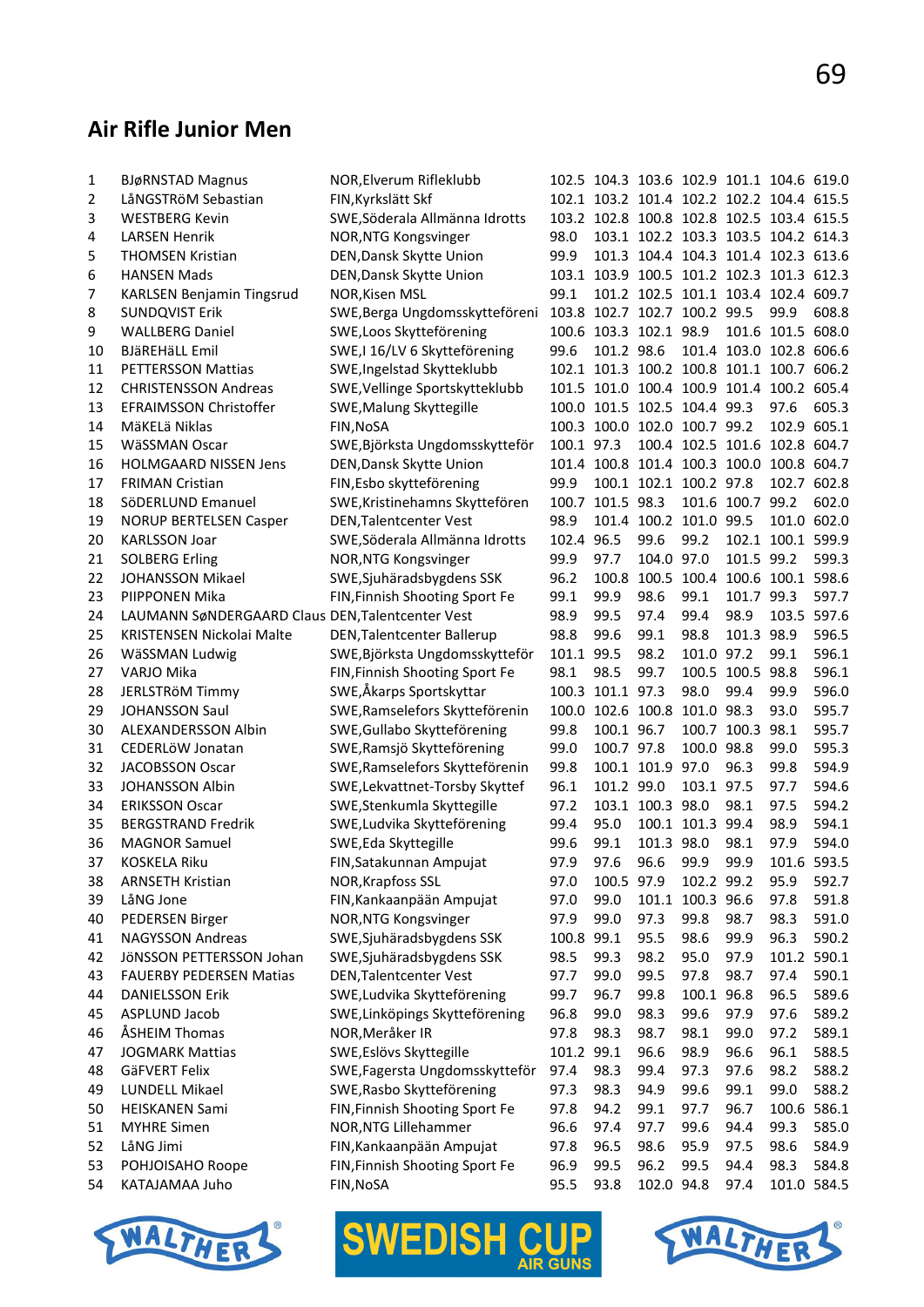# **Air Rifle Junior Men**

| 1  | <b>BJøRNSTAD Magnus</b>                          | NOR, Elverum Rifleklubb           |            |                        |                  |                              | 102.5 104.3 103.6 102.9 101.1 104.6 619.0 |                   |       |
|----|--------------------------------------------------|-----------------------------------|------------|------------------------|------------------|------------------------------|-------------------------------------------|-------------------|-------|
| 2  | LåNGSTRöM Sebastian                              | FIN, Kyrkslätt Skf                |            |                        |                  |                              | 102.1 103.2 101.4 102.2 102.2 104.4 615.5 |                   |       |
| 3  | <b>WESTBERG Kevin</b>                            | SWE, Söderala Allmänna Idrotts    |            |                        |                  |                              | 103.2 102.8 100.8 102.8 102.5 103.4 615.5 |                   |       |
| 4  | <b>LARSEN Henrik</b>                             | NOR, NTG Kongsvinger              | 98.0       |                        |                  |                              | 103.1 102.2 103.3 103.5 104.2 614.3       |                   |       |
| 5  | <b>THOMSEN Kristian</b>                          | DEN, Dansk Skytte Union           | 99.9       |                        |                  |                              | 101.3 104.4 104.3 101.4 102.3 613.6       |                   |       |
| 6  | <b>HANSEN Mads</b>                               | DEN, Dansk Skytte Union           |            |                        |                  |                              | 103.1 103.9 100.5 101.2 102.3 101.3 612.3 |                   |       |
| 7  | <b>KARLSEN Benjamin Tingsrud</b>                 | NOR, Kisen MSL                    | 99.1       |                        |                  |                              | 101.2 102.5 101.1 103.4 102.4 609.7       |                   |       |
| 8  | <b>SUNDQVIST Erik</b>                            | SWE, Berga Ungdomsskytteföreni    |            |                        |                  | 103.8 102.7 102.7 100.2 99.5 |                                           | 99.9              | 608.8 |
| 9  | <b>WALLBERG Daniel</b>                           | SWE, Loos Skytteförening          |            | 100.6 103.3 102.1 98.9 |                  |                              |                                           | 101.6 101.5 608.0 |       |
| 10 | BJäREHäLL Emil                                   | SWE,I 16/LV 6 Skytteförening      | 99.6       | 101.2 98.6             |                  |                              | 101.4 103.0 102.8 606.6                   |                   |       |
| 11 | PETTERSSON Mattias                               | SWE, Ingelstad Skytteklubb        |            |                        |                  |                              | 102.1 101.3 100.2 100.8 101.1 100.7 606.2 |                   |       |
| 12 | <b>CHRISTENSSON Andreas</b>                      | SWE, Vellinge Sportskytteklubb    |            |                        |                  |                              | 101.5 101.0 100.4 100.9 101.4 100.2 605.4 |                   |       |
| 13 | <b>EFRAIMSSON Christoffer</b>                    | SWE, Malung Skyttegille           |            |                        |                  | 100.0 101.5 102.5 104.4 99.3 |                                           | 97.6              | 605.3 |
| 14 | MäKELä Niklas                                    | FIN, NOSA                         |            |                        |                  | 100.3 100.0 102.0 100.7 99.2 |                                           | 102.9 605.1       |       |
| 15 | WäSSMAN Oscar                                    | SWE, Björksta Ungdomsskytteför    | 100.1 97.3 |                        |                  |                              | 100.4 102.5 101.6 102.8 604.7             |                   |       |
| 16 | <b>HOLMGAARD NISSEN Jens</b>                     | DEN, Dansk Skytte Union           |            |                        |                  |                              | 101.4 100.8 101.4 100.3 100.0 100.8 604.7 |                   |       |
| 17 | <b>FRIMAN Cristian</b>                           | FIN, Esbo skytteförening          | 99.9       |                        |                  | 100.1 102.1 100.2 97.8       |                                           | 102.7 602.8       |       |
| 18 | SöDERLUND Emanuel                                | SWE, Kristinehamns Skyttefören    |            | 100.7 101.5 98.3       |                  |                              | 101.6 100.7 99.2                          |                   | 602.0 |
| 19 | <b>NORUP BERTELSEN Casper</b>                    | DEN, Talentcenter Vest            | 98.9       |                        |                  | 101.4 100.2 101.0 99.5       |                                           | 101.0 602.0       |       |
| 20 | <b>KARLSSON Joar</b>                             | SWE, Söderala Allmänna Idrotts    | 102.4 96.5 |                        | 99.6             | 99.2                         |                                           | 102.1 100.1 599.9 |       |
| 21 | <b>SOLBERG Erling</b>                            | NOR, NTG Kongsvinger              | 99.9       | 97.7                   | 104.0 97.0       |                              | 101.5 99.2                                |                   | 599.3 |
| 22 | JOHANSSON Mikael                                 | SWE, Sjuhäradsbygdens SSK         | 96.2       | 100.8                  |                  |                              | 100.5 100.4 100.6 100.1 598.6             |                   |       |
| 23 | PIIPPONEN Mika                                   | FIN, Finnish Shooting Sport Fe    | 99.1       | 99.9                   | 98.6             | 99.1                         | 101.7 99.3                                |                   | 597.7 |
| 24 | LAUMANN SøNDERGAARD Claus DEN, Talentcenter Vest |                                   | 98.9       | 99.5                   | 97.4             | 99.4                         | 98.9                                      | 103.5 597.6       |       |
| 25 | <b>KRISTENSEN Nickolai Malte</b>                 | <b>DEN, Talentcenter Ballerup</b> | 98.8       | 99.6                   | 99.1             | 98.8                         | 101.3 98.9                                |                   | 596.5 |
| 26 | WäSSMAN Ludwig                                   | SWE, Björksta Ungdomsskytteför    | 101.1 99.5 |                        | 98.2             | 101.0 97.2                   |                                           | 99.1              | 596.1 |
| 27 |                                                  | FIN, Finnish Shooting Sport Fe    | 98.1       | 98.5                   | 99.7             |                              | 100.5 100.5 98.8                          |                   | 596.1 |
| 28 | VARJO Mika                                       | SWE,Åkarps Sportskyttar           |            | 100.3 101.1 97.3       |                  | 98.0                         | 99.4                                      | 99.9              | 596.0 |
|    | JERLSTRÖM Timmy                                  |                                   |            |                        |                  |                              |                                           |                   |       |
| 29 | <b>JOHANSSON Saul</b>                            | SWE, Ramselefors Skytteförenin    |            |                        |                  | 100.0 102.6 100.8 101.0 98.3 |                                           | 93.0              | 595.7 |
| 30 | ALEXANDERSSON Albin                              | SWE, Gullabo Skytteförening       | 99.8       | 100.1 96.7             |                  |                              | 100.7 100.3 98.1                          |                   | 595.7 |
| 31 | CEDERLÖW Jonatan                                 | SWE, Ramsjö Skytteförening        | 99.0       | 100.7 97.8             |                  | 100.0 98.8                   |                                           | 99.0              | 595.3 |
| 32 | JACOBSSON Oscar                                  | SWE, Ramselefors Skytteförenin    | 99.8       |                        | 100.1 101.9 97.0 |                              | 96.3                                      | 99.8              | 594.9 |
| 33 | <b>JOHANSSON Albin</b>                           | SWE, Lekvattnet-Torsby Skyttef    | 96.1       | 101.2 99.0             |                  | 103.1 97.5                   |                                           | 97.7              | 594.6 |
| 34 | <b>ERIKSSON Oscar</b>                            | SWE, Stenkumla Skyttegille        | 97.2       |                        | 103.1 100.3 98.0 |                              | 98.1                                      | 97.5              | 594.2 |
| 35 | <b>BERGSTRAND Fredrik</b>                        | SWE, Ludvika Skytteförening       | 99.4       | 95.0                   |                  | 100.1 101.3 99.4             |                                           | 98.9              | 594.1 |
| 36 | <b>MAGNOR Samuel</b>                             | SWE, Eda Skyttegille              | 99.6       | 99.1                   | 101.3 98.0       |                              | 98.1                                      | 97.9              | 594.0 |
| 37 | <b>KOSKELA Riku</b>                              | FIN, Satakunnan Ampujat           | 97.9       | 97.6                   | 96.6             | 99.9                         | 99.9                                      | 101.6 593.5       |       |
| 38 | <b>ARNSETH Kristian</b>                          | NOR, Krapfoss SSL                 | 97.0       | 100.5 97.9             |                  | 102.2 99.2                   |                                           | 95.9              | 592.7 |
| 39 | LåNG Jone                                        | FIN, Kankaanpään Ampujat          | 97.0       | 99.0                   |                  | 101.1 100.3 96.6             |                                           | 97.8              | 591.8 |
| 40 | <b>PEDERSEN Birger</b>                           | NOR, NTG Kongsvinger              | 97.9       | 99.0                   | 97.3             | 99.8                         | 98.7                                      | 98.3              | 591.0 |
| 41 | <b>NAGYSSON Andreas</b>                          | SWE, Sjuhäradsbygdens SSK         | 100.8      | 99.1                   | 95.5             | 98.6                         | 99.9                                      | 96.3              | 590.2 |
| 42 | JÖNSSON PETTERSSON Johan                         | SWE, Sjuhäradsbygdens SSK         | 98.5       | 99.3                   | 98.2             | 95.0                         | 97.9                                      | 101.2 590.1       |       |
| 43 | <b>FAUERBY PEDERSEN Matias</b>                   | <b>DEN, Talentcenter Vest</b>     | 97.7       | 99.0                   | 99.5             | 97.8                         | 98.7                                      | 97.4              | 590.1 |
| 44 | <b>DANIELSSON Erik</b>                           | SWE, Ludvika Skytteförening       | 99.7       | 96.7                   | 99.8             | 100.1 96.8                   |                                           | 96.5              | 589.6 |
| 45 | ASPLUND Jacob                                    | SWE, Linköpings Skytteförening    | 96.8       | 99.0                   | 98.3             | 99.6                         | 97.9                                      | 97.6              | 589.2 |
| 46 | ÅSHEIM Thomas                                    | NOR, Meråker IR                   | 97.8       | 98.3                   | 98.7             | 98.1                         | 99.0                                      | 97.2              | 589.1 |
| 47 | <b>JOGMARK Mattias</b>                           | SWE, Eslövs Skyttegille           | 101.2 99.1 |                        | 96.6             | 98.9                         | 96.6                                      | 96.1              | 588.5 |
| 48 | GäFVERT Felix                                    | SWE, Fagersta Ungdomsskytteför    | 97.4       | 98.3                   | 99.4             | 97.3                         | 97.6                                      | 98.2              | 588.2 |
| 49 | LUNDELL Mikael                                   | SWE, Rasbo Skytteförening         | 97.3       | 98.3                   | 94.9             | 99.6                         | 99.1                                      | 99.0              | 588.2 |
| 50 | <b>HEISKANEN Sami</b>                            | FIN, Finnish Shooting Sport Fe    | 97.8       | 94.2                   | 99.1             | 97.7                         | 96.7                                      | 100.6 586.1       |       |
| 51 | <b>MYHRE Simen</b>                               | NOR, NTG Lillehammer              | 96.6       | 97.4                   | 97.7             | 99.6                         | 94.4                                      | 99.3              | 585.0 |
| 52 | LåNG Jimi                                        | FIN, Kankaanpään Ampujat          | 97.8       | 96.5                   | 98.6             | 95.9                         | 97.5                                      | 98.6              | 584.9 |
| 53 | POHJOISAHO Roope                                 | FIN, Finnish Shooting Sport Fe    | 96.9       | 99.5                   | 96.2             | 99.5                         | 94.4                                      | 98.3              | 584.8 |
| 54 | KATAJAMAA Juho                                   | FIN, NoSA                         | 95.5       | 93.8                   | 102.0 94.8       |                              | 97.4                                      | 101.0 584.5       |       |







I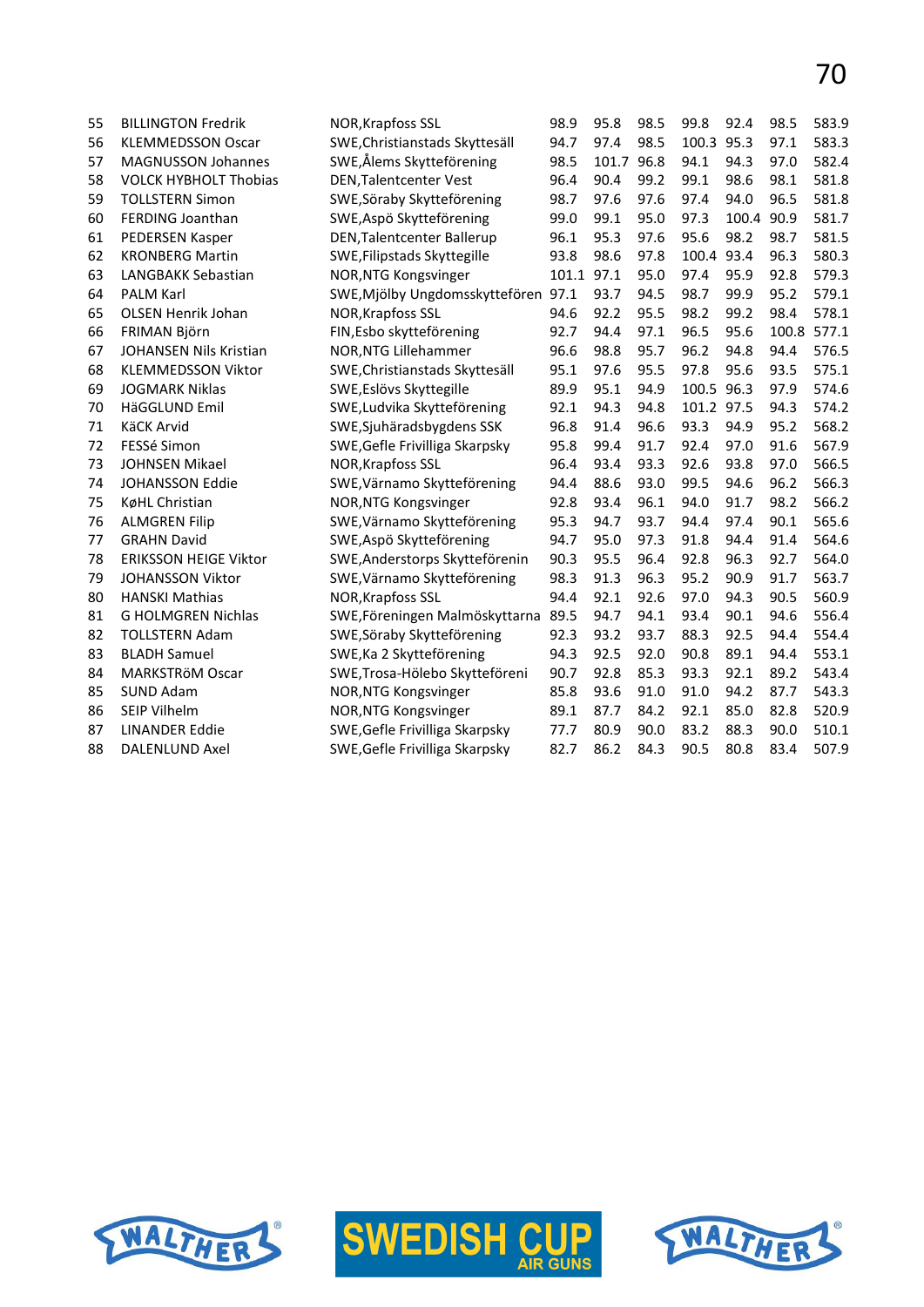| 55 | <b>BILLINGTON Fredrik</b>    | NOR, Krapfoss SSL                   | 98.9       | 95.8  | 98.5 | 99.8       | 92.4  | 98.5  | 583.9 |
|----|------------------------------|-------------------------------------|------------|-------|------|------------|-------|-------|-------|
| 56 | <b>KLEMMEDSSON Oscar</b>     | SWE, Christianstads Skyttesäll      | 94.7       | 97.4  | 98.5 | 100.3      | 95.3  | 97.1  | 583.3 |
| 57 | <b>MAGNUSSON Johannes</b>    | SWE,Ålems Skytteförening            | 98.5       | 101.7 | 96.8 | 94.1       | 94.3  | 97.0  | 582.4 |
| 58 | <b>VOLCK HYBHOLT Thobias</b> | <b>DEN, Talentcenter Vest</b>       | 96.4       | 90.4  | 99.2 | 99.1       | 98.6  | 98.1  | 581.8 |
| 59 | <b>TOLLSTERN Simon</b>       | SWE, Söraby Skytteförening          | 98.7       | 97.6  | 97.6 | 97.4       | 94.0  | 96.5  | 581.8 |
| 60 | FERDING Joanthan             | SWE, Aspö Skytteförening            | 99.0       | 99.1  | 95.0 | 97.3       | 100.4 | 90.9  | 581.7 |
| 61 | PEDERSEN Kasper              | DEN, Talentcenter Ballerup          | 96.1       | 95.3  | 97.6 | 95.6       | 98.2  | 98.7  | 581.5 |
| 62 | <b>KRONBERG Martin</b>       | SWE, Filipstads Skyttegille         | 93.8       | 98.6  | 97.8 | 100.4      | 93.4  | 96.3  | 580.3 |
| 63 | LANGBAKK Sebastian           | NOR, NTG Kongsvinger                | 101.1 97.1 |       | 95.0 | 97.4       | 95.9  | 92.8  | 579.3 |
| 64 | <b>PALM Karl</b>             | SWE, Mjölby Ungdomsskyttefören 97.1 |            | 93.7  | 94.5 | 98.7       | 99.9  | 95.2  | 579.1 |
| 65 | <b>OLSEN Henrik Johan</b>    | NOR, Krapfoss SSL                   | 94.6       | 92.2  | 95.5 | 98.2       | 99.2  | 98.4  | 578.1 |
| 66 | FRIMAN Björn                 | FIN, Esbo skytteförening            | 92.7       | 94.4  | 97.1 | 96.5       | 95.6  | 100.8 | 577.1 |
| 67 | JOHANSEN Nils Kristian       | NOR, NTG Lillehammer                | 96.6       | 98.8  | 95.7 | 96.2       | 94.8  | 94.4  | 576.5 |
| 68 | <b>KLEMMEDSSON Viktor</b>    | SWE, Christianstads Skyttesäll      | 95.1       | 97.6  | 95.5 | 97.8       | 95.6  | 93.5  | 575.1 |
| 69 | <b>JOGMARK Niklas</b>        | SWE, Eslövs Skyttegille             | 89.9       | 95.1  | 94.9 | 100.5      | 96.3  | 97.9  | 574.6 |
| 70 | HäGGLUND Emil                | SWE, Ludvika Skytteförening         | 92.1       | 94.3  | 94.8 | 101.2 97.5 |       | 94.3  | 574.2 |
| 71 | <b>KäCK Arvid</b>            | SWE, Sjuhäradsbygdens SSK           | 96.8       | 91.4  | 96.6 | 93.3       | 94.9  | 95.2  | 568.2 |
| 72 | FESSé Simon                  | SWE, Gefle Frivilliga Skarpsky      | 95.8       | 99.4  | 91.7 | 92.4       | 97.0  | 91.6  | 567.9 |
| 73 | JOHNSEN Mikael               | NOR, Krapfoss SSL                   | 96.4       | 93.4  | 93.3 | 92.6       | 93.8  | 97.0  | 566.5 |
| 74 | <b>JOHANSSON Eddie</b>       | SWE, Värnamo Skytteförening         | 94.4       | 88.6  | 93.0 | 99.5       | 94.6  | 96.2  | 566.3 |
| 75 | KøHL Christian               | NOR, NTG Kongsvinger                | 92.8       | 93.4  | 96.1 | 94.0       | 91.7  | 98.2  | 566.2 |
| 76 | <b>ALMGREN Filip</b>         | SWE, Värnamo Skytteförening         | 95.3       | 94.7  | 93.7 | 94.4       | 97.4  | 90.1  | 565.6 |
| 77 | <b>GRAHN David</b>           | SWE, Aspö Skytteförening            | 94.7       | 95.0  | 97.3 | 91.8       | 94.4  | 91.4  | 564.6 |
| 78 | <b>ERIKSSON HEIGE Viktor</b> | SWE, Anderstorps Skytteförenin      | 90.3       | 95.5  | 96.4 | 92.8       | 96.3  | 92.7  | 564.0 |
| 79 | <b>JOHANSSON Viktor</b>      | SWE, Värnamo Skytteförening         | 98.3       | 91.3  | 96.3 | 95.2       | 90.9  | 91.7  | 563.7 |
| 80 | <b>HANSKI Mathias</b>        | NOR, Krapfoss SSL                   | 94.4       | 92.1  | 92.6 | 97.0       | 94.3  | 90.5  | 560.9 |
| 81 | <b>G HOLMGREN Nichlas</b>    | SWE, Föreningen Malmöskyttarna      | 89.5       | 94.7  | 94.1 | 93.4       | 90.1  | 94.6  | 556.4 |
| 82 | <b>TOLLSTERN Adam</b>        | SWE, Söraby Skytteförening          | 92.3       | 93.2  | 93.7 | 88.3       | 92.5  | 94.4  | 554.4 |
| 83 | <b>BLADH Samuel</b>          | SWE, Ka 2 Skytteförening            | 94.3       | 92.5  | 92.0 | 90.8       | 89.1  | 94.4  | 553.1 |
| 84 | <b>MARKSTRÖM Oscar</b>       | SWE, Trosa-Hölebo Skytteföreni      | 90.7       | 92.8  | 85.3 | 93.3       | 92.1  | 89.2  | 543.4 |
| 85 | <b>SUND Adam</b>             | NOR, NTG Kongsvinger                | 85.8       | 93.6  | 91.0 | 91.0       | 94.2  | 87.7  | 543.3 |
| 86 | SEIP Vilhelm                 | NOR, NTG Kongsvinger                | 89.1       | 87.7  | 84.2 | 92.1       | 85.0  | 82.8  | 520.9 |
| 87 | <b>LINANDER Eddie</b>        | SWE, Gefle Frivilliga Skarpsky      | 77.7       | 80.9  | 90.0 | 83.2       | 88.3  | 90.0  | 510.1 |
| 88 | DALENLUND Axel               | SWE, Gefle Frivilliga Skarpsky      | 82.7       | 86.2  | 84.3 | 90.5       | 80.8  | 83.4  | 507.9 |
|    |                              |                                     |            |       |      |            |       |       |       |





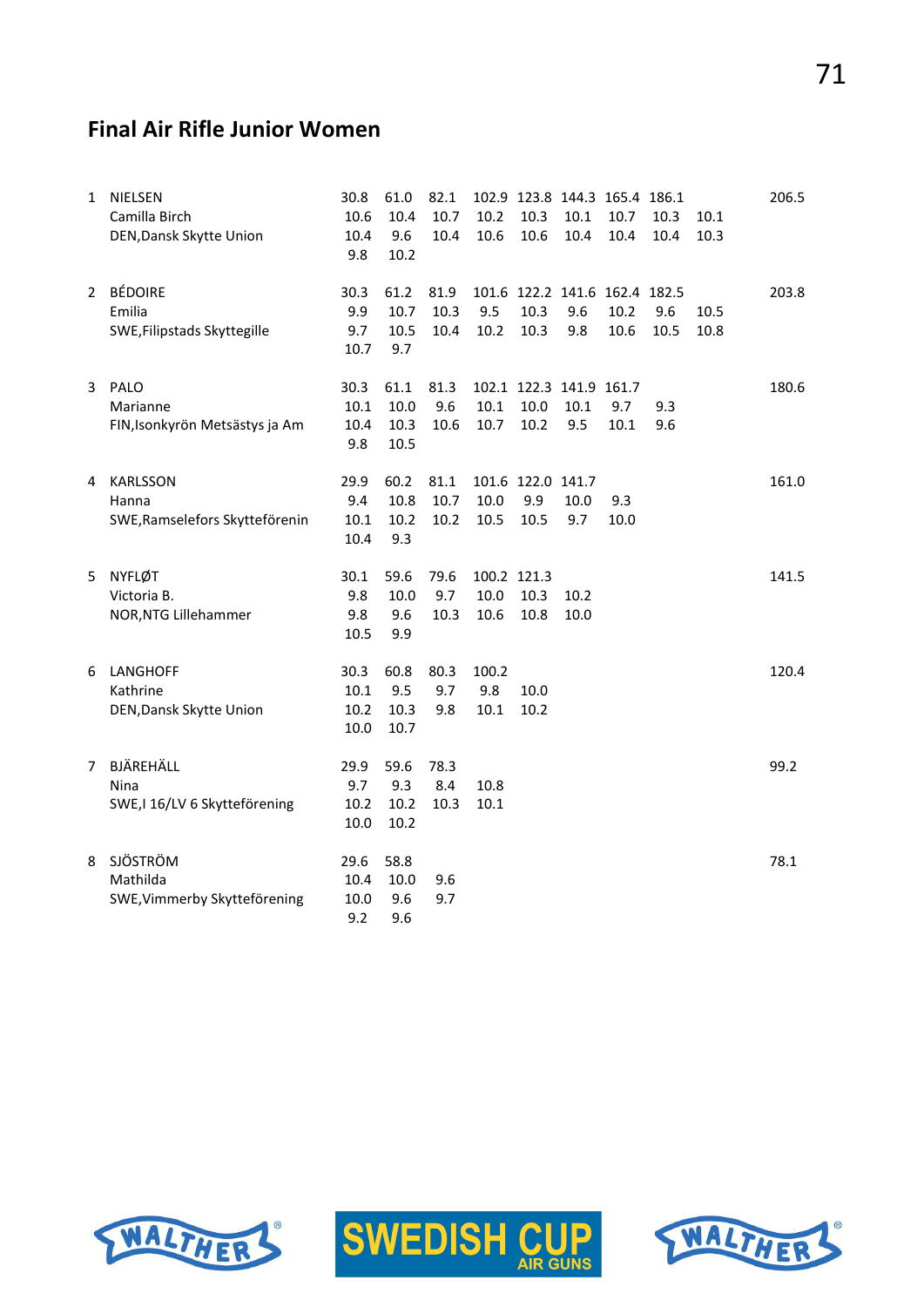# **Final Air Rifle Junior Women**

| 1            | <b>NIELSEN</b><br>Camilla Birch<br>DEN, Dansk Skytte Union | 30.8<br>10.6<br>10.4<br>9.8  | 61.0<br>10.4<br>9.6<br>10.2  | 82.1<br>10.7<br>10.4 | 10.2<br>10.6                | 10.3<br>10.6                     | 102.9 123.8 144.3 165.4 186.1<br>10.1<br>10.4 | 10.7<br>10.4 | 10.3<br>10.4 | 10.1<br>10.3 | 206.5 |
|--------------|------------------------------------------------------------|------------------------------|------------------------------|----------------------|-----------------------------|----------------------------------|-----------------------------------------------|--------------|--------------|--------------|-------|
| $\mathbf{2}$ | <b>BÉDOIRE</b><br>Emilia<br>SWE, Filipstads Skyttegille    | 30.3<br>9.9<br>9.7<br>10.7   | 61.2<br>10.7<br>10.5<br>9.7  | 81.9<br>10.3<br>10.4 | 9.5<br>10.2                 | 10.3<br>10.3                     | 101.6 122.2 141.6 162.4 182.5<br>9.6<br>9.8   | 10.2<br>10.6 | 9.6<br>10.5  | 10.5<br>10.8 | 203.8 |
| 3            | PALO<br>Marianne<br>FIN, Isonkyrön Metsästys ja Am         | 30.3<br>10.1<br>10.4<br>9.8  | 61.1<br>10.0<br>10.3<br>10.5 | 81.3<br>9.6<br>10.6  | 10.1<br>10.7                | 10.0<br>10.2                     | 102.1 122.3 141.9 161.7<br>10.1<br>9.5        | 9.7<br>10.1  | 9.3<br>9.6   |              | 180.6 |
| 4            | <b>KARLSSON</b><br>Hanna<br>SWE, Ramselefors Skytteförenin | 29.9<br>9.4<br>10.1<br>10.4  | 60.2<br>10.8<br>10.2<br>9.3  | 81.1<br>10.7<br>10.2 | 10.0<br>10.5                | 101.6 122.0 141.7<br>9.9<br>10.5 | 10.0<br>9.7                                   | 9.3<br>10.0  |              |              | 161.0 |
| 5            | <b>NYFLØT</b><br>Victoria B.<br>NOR, NTG Lillehammer       | 30.1<br>9.8<br>9.8<br>10.5   | 59.6<br>10.0<br>9.6<br>9.9   | 79.6<br>9.7<br>10.3  | 100.2 121.3<br>10.0<br>10.6 | 10.3<br>10.8                     | 10.2<br>10.0                                  |              |              |              | 141.5 |
| 6            | LANGHOFF<br>Kathrine<br>DEN, Dansk Skytte Union            | 30.3<br>10.1<br>10.2<br>10.0 | 60.8<br>9.5<br>10.3<br>10.7  | 80.3<br>9.7<br>9.8   | 100.2<br>9.8<br>10.1        | 10.0<br>10.2                     |                                               |              |              |              | 120.4 |
| $7^{\circ}$  | BJÄREHÄLL<br>Nina<br>SWE, I 16/LV 6 Skytteförening         | 29.9<br>9.7<br>10.2<br>10.0  | 59.6<br>9.3<br>10.2<br>10.2  | 78.3<br>8.4<br>10.3  | 10.8<br>10.1                |                                  |                                               |              |              |              | 99.2  |
| 8            | SJÖSTRÖM<br>Mathilda<br>SWE, Vimmerby Skytteförening       | 29.6<br>10.4<br>10.0<br>9.2  | 58.8<br>10.0<br>9.6<br>9.6   | 9.6<br>9.7           |                             |                                  |                                               |              |              |              | 78.1  |





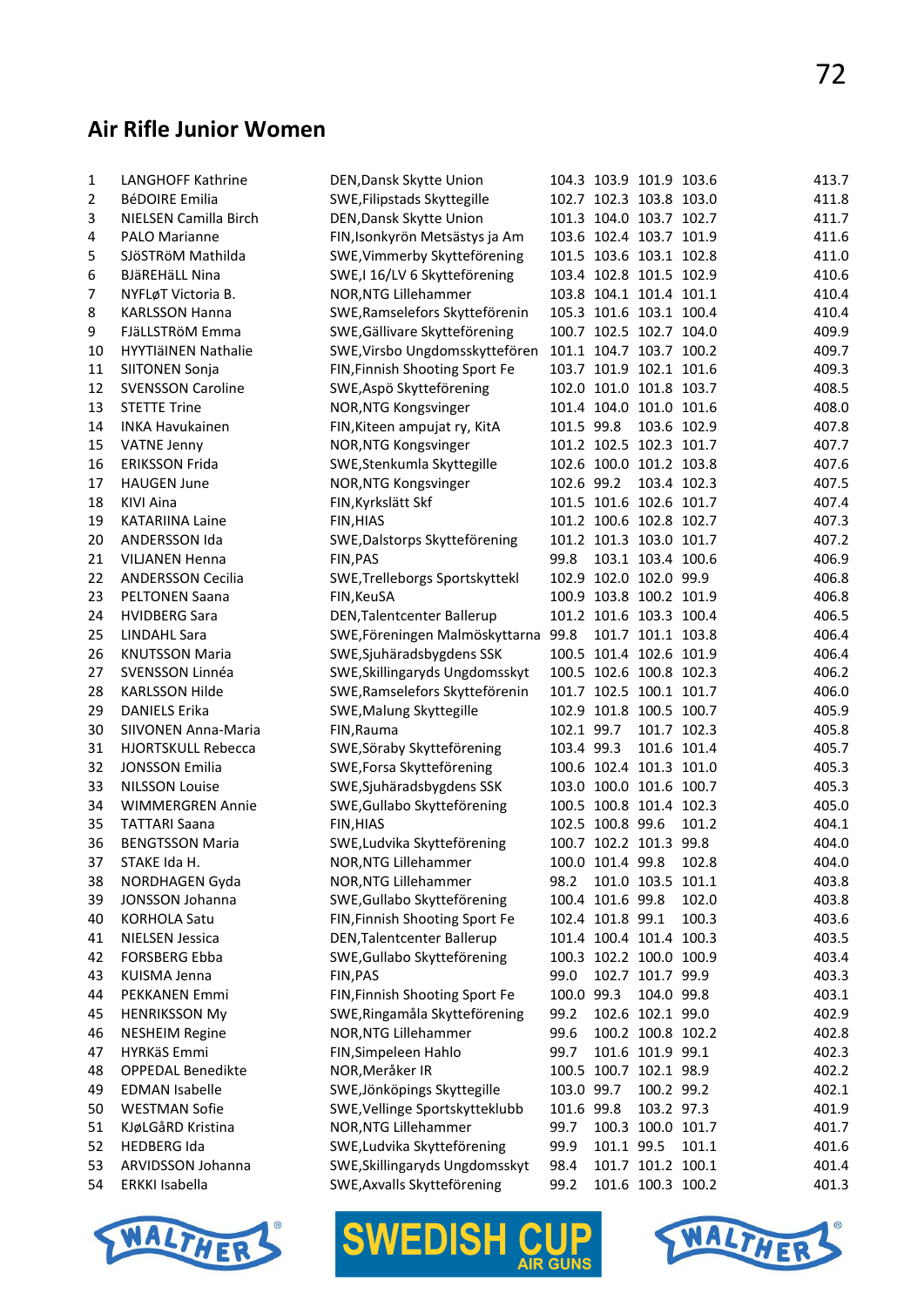#### **Air Rifle Junior Women**

| 1  | <b>LANGHOFF Kathrine</b>          | DEN, Dansk Skytte Union                                         |                    |                  | 104.3 103.9 101.9 103.6        |             | 413.7 |
|----|-----------------------------------|-----------------------------------------------------------------|--------------------|------------------|--------------------------------|-------------|-------|
| 2  | <b>BéDOIRE Emilia</b>             | SWE, Filipstads Skyttegille                                     |                    |                  | 102.7 102.3 103.8 103.0        |             | 411.8 |
| 3  | NIELSEN Camilla Birch             | DEN, Dansk Skytte Union                                         |                    |                  | 101.3 104.0 103.7 102.7        |             | 411.7 |
| 4  | <b>PALO Marianne</b>              | FIN, Isonkyrön Metsästys ja Am                                  |                    |                  | 103.6 102.4 103.7 101.9        |             | 411.6 |
| 5  | SJÖSTRÖM Mathilda                 | SWE, Vimmerby Skytteförening                                    |                    |                  | 101.5 103.6 103.1 102.8        |             | 411.0 |
| 6  | <b>BJäREHäLL Nina</b>             | SWE,I 16/LV 6 Skytteförening                                    |                    |                  | 103.4 102.8 101.5 102.9        |             | 410.6 |
| 7  | NYFLøT Victoria B.                | NOR, NTG Lillehammer                                            |                    |                  | 103.8 104.1 101.4 101.1        |             | 410.4 |
| 8  | <b>KARLSSON Hanna</b>             | SWE, Ramselefors Skytteförenin                                  |                    |                  | 105.3 101.6 103.1 100.4        |             | 410.4 |
| 9  | FJäLLSTRöM Emma                   | SWE, Gällivare Skytteförening                                   |                    |                  | 100.7 102.5 102.7 104.0        |             | 409.9 |
| 10 | HYYTIäINEN Nathalie               | SWE, Virsbo Ungdomsskyttefören                                  |                    |                  | 101.1 104.7 103.7 100.2        |             | 409.7 |
| 11 | <b>SIITONEN Sonja</b>             | FIN, Finnish Shooting Sport Fe                                  |                    |                  | 103.7 101.9 102.1 101.6        |             | 409.3 |
| 12 | <b>SVENSSON Caroline</b>          | SWE, Aspö Skytteförening                                        |                    |                  | 102.0 101.0 101.8 103.7        |             | 408.5 |
| 13 | <b>STETTE Trine</b>               | NOR, NTG Kongsvinger                                            |                    |                  | 101.4 104.0 101.0 101.6        |             | 408.0 |
| 14 | <b>INKA Havukainen</b>            | FIN, Kiteen ampujat ry, KitA                                    | 101.5 99.8         |                  | 103.6 102.9                    |             | 407.8 |
| 15 | <b>VATNE Jenny</b>                | NOR, NTG Kongsvinger                                            |                    |                  | 101.2 102.5 102.3 101.7        |             | 407.7 |
| 16 | <b>ERIKSSON Frida</b>             | SWE, Stenkumla Skyttegille                                      |                    |                  | 102.6 100.0 101.2 103.8        |             | 407.6 |
| 17 | <b>HAUGEN June</b>                | NOR, NTG Kongsvinger                                            | 102.6 99.2         |                  | 103.4 102.3                    |             | 407.5 |
| 18 | <b>KIVI Aina</b>                  | FIN, Kyrkslätt Skf                                              |                    |                  | 101.5 101.6 102.6 101.7        |             | 407.4 |
| 19 | <b>KATARIINA Laine</b>            | FIN, HIAS                                                       |                    |                  | 101.2 100.6 102.8 102.7        |             | 407.3 |
| 20 | ANDERSSON Ida                     | SWE, Dalstorps Skytteförening                                   |                    |                  | 101.2 101.3 103.0 101.7        |             | 407.2 |
| 21 | <b>VILJANEN Henna</b>             | FIN, PAS                                                        | 99.8               |                  | 103.1 103.4 100.6              |             | 406.9 |
| 22 | <b>ANDERSSON Cecilia</b>          | SWE, Trelleborgs Sportskyttekl                                  |                    |                  | 102.9 102.0 102.0 99.9         |             | 406.8 |
| 23 | <b>PELTONEN Saana</b>             | FIN, KeuSA                                                      |                    |                  | 100.9 103.8 100.2 101.9        |             | 406.8 |
| 24 | <b>HVIDBERG Sara</b>              | DEN, Talentcenter Ballerup                                      |                    |                  | 101.2 101.6 103.3 100.4        |             | 406.5 |
| 25 | <b>LINDAHL Sara</b>               | SWE, Föreningen Malmöskyttarna                                  | 99.8               |                  | 101.7 101.1 103.8              |             | 406.4 |
| 26 | <b>KNUTSSON Maria</b>             | SWE, Sjuhäradsbygdens SSK                                       |                    |                  | 100.5 101.4 102.6 101.9        |             | 406.4 |
| 27 | SVENSSON Linnéa                   | SWE, Skillingaryds Ungdomsskyt                                  |                    |                  | 100.5 102.6 100.8 102.3        |             | 406.2 |
| 28 | <b>KARLSSON Hilde</b>             | SWE, Ramselefors Skytteförenin                                  |                    |                  | 101.7 102.5 100.1 101.7        |             | 406.0 |
| 29 | <b>DANIELS Erika</b>              | SWE, Malung Skyttegille                                         |                    |                  | 102.9 101.8 100.5 100.7        |             | 405.9 |
| 30 | SIIVONEN Anna-Maria               | FIN, Rauma                                                      | 102.1 99.7         |                  | 101.7 102.3                    |             | 405.8 |
| 31 | <b>HJORTSKULL Rebecca</b>         | SWE, Söraby Skytteförening                                      | 103.4 99.3         |                  |                                | 101.6 101.4 | 405.7 |
| 32 | <b>JONSSON Emilia</b>             | SWE, Forsa Skytteförening                                       |                    |                  | 100.6 102.4 101.3 101.0        |             | 405.3 |
| 33 | <b>NILSSON Louise</b>             | SWE, Sjuhäradsbygdens SSK                                       |                    |                  | 103.0 100.0 101.6 100.7        |             | 405.3 |
| 34 | <b>WIMMERGREN Annie</b>           | SWE, Gullabo Skytteförening                                     |                    |                  | 100.5 100.8 101.4 102.3        |             | 405.0 |
| 35 | <b>TATTARI Saana</b>              | FIN, HIAS                                                       |                    | 102.5 100.8 99.6 |                                | 101.2       | 404.1 |
| 36 | <b>BENGTSSON Maria</b>            | SWE, Ludvika Skytteförening                                     |                    |                  | 100.7 102.2 101.3 99.8         |             | 404.0 |
| 37 | STAKE Ida H.                      | NOR, NTG Lillehammer                                            |                    |                  | 100.0 101.4 99.8 102.8         |             | 404.0 |
|    |                                   |                                                                 |                    |                  | 101.0 103.5 101.1              |             | 403.8 |
| 38 | NORDHAGEN Gyda<br>JONSSON Johanna | NOR, NTG Lillehammer                                            | 98.2               | 100.4 101.6 99.8 |                                | 102.0       | 403.8 |
| 39 | <b>KORHOLA Satu</b>               | SWE, Gullabo Skytteförening<br>FIN, Finnish Shooting Sport Fe   |                    | 102.4 101.8 99.1 |                                |             | 403.6 |
| 40 |                                   |                                                                 |                    |                  | 101.4 100.4 101.4 100.3        | 100.3       | 403.5 |
| 41 | <b>NIELSEN Jessica</b>            | DEN, Talentcenter Ballerup                                      |                    |                  |                                |             | 403.4 |
| 42 | <b>FORSBERG Ebba</b>              | SWE, Gullabo Skytteförening                                     |                    |                  | 100.3 102.2 100.0 100.9        |             | 403.3 |
| 43 | <b>KUISMA Jenna</b>               | FIN, PAS                                                        | 99.0<br>100.0 99.3 |                  | 102.7 101.7 99.9<br>104.0 99.8 |             | 403.1 |
| 44 | PEKKANEN Emmi                     | FIN, Finnish Shooting Sport Fe<br>SWE, Ringamåla Skytteförening |                    |                  |                                |             |       |
| 45 | <b>HENRIKSSON My</b>              |                                                                 | 99.2               |                  | 102.6 102.1 99.0               |             | 402.9 |
| 46 | <b>NESHEIM Regine</b>             | NOR, NTG Lillehammer                                            | 99.6               |                  | 100.2 100.8 102.2              |             | 402.8 |
| 47 | HYRKäS Emmi                       | FIN, Simpeleen Hahlo                                            | 99.7               |                  | 101.6 101.9 99.1               |             | 402.3 |
| 48 | <b>OPPEDAL Benedikte</b>          | NOR, Meråker IR                                                 |                    |                  | 100.5 100.7 102.1 98.9         |             | 402.2 |
| 49 | <b>EDMAN Isabelle</b>             | SWE, Jönköpings Skyttegille                                     | 103.0 99.7         |                  | 100.2 99.2                     |             | 402.1 |
| 50 | <b>WESTMAN Sofie</b>              | SWE, Vellinge Sportskytteklubb                                  | 101.6 99.8         |                  | 103.2 97.3                     |             | 401.9 |
| 51 | KJøLGåRD Kristina                 | NOR, NTG Lillehammer                                            | 99.7               |                  | 100.3 100.0 101.7              |             | 401.7 |
| 52 | <b>HEDBERG Ida</b>                | SWE, Ludvika Skytteförening                                     | 99.9               | 101.1 99.5       |                                | 101.1       | 401.6 |
| 53 | ARVIDSSON Johanna                 | SWE, Skillingaryds Ungdomsskyt                                  | 98.4               |                  | 101.7 101.2 100.1              |             | 401.4 |
| 54 | ERKKI Isabella                    | SWE, Axvalls Skytteförening                                     | 99.2               |                  | 101.6 100.3 100.2              |             | 401.3 |





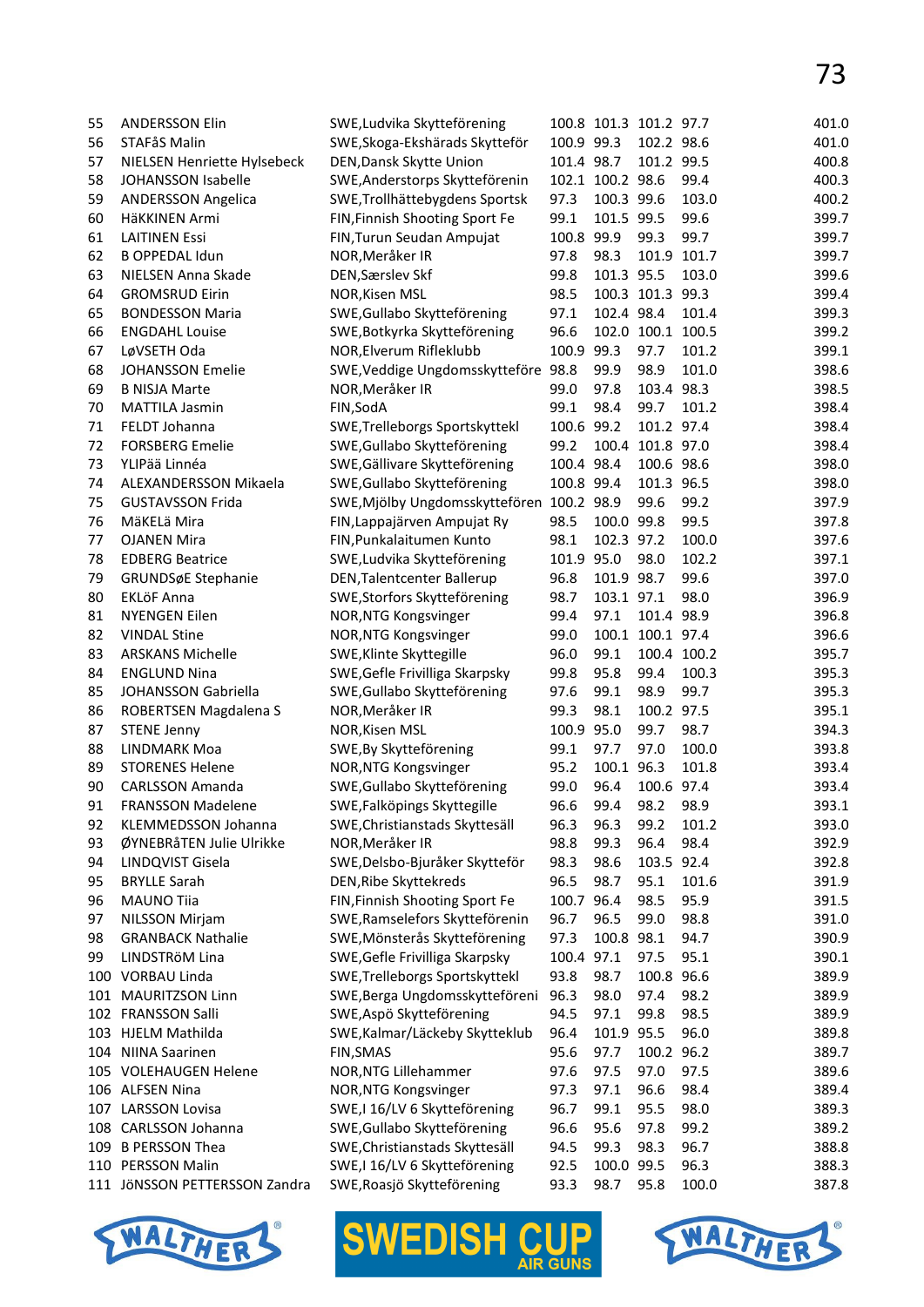| 55  | <b>ANDERSSON Elin</b><br>STAFåS Malin | SWE, Ludvika Skytteförening         | 100.9 99.3 | 100.8 101.3 101.2 97.7 |                   |             | 401.0 |
|-----|---------------------------------------|-------------------------------------|------------|------------------------|-------------------|-------------|-------|
| 56  |                                       | SWE, Skoga-Ekshärads Skytteför      |            |                        | 102.2 98.6        |             | 401.0 |
| 57  | NIELSEN Henriette Hylsebeck           | DEN, Dansk Skytte Union             | 101.4 98.7 |                        | 101.2 99.5        |             | 400.8 |
| 58  | JOHANSSON Isabelle                    | SWE, Anderstorps Skytteförenin      |            | 102.1 100.2 98.6       |                   | 99.4        | 400.3 |
| 59  | <b>ANDERSSON Angelica</b>             | SWE, Trollhättebygdens Sportsk      | 97.3       | 100.3 99.6             |                   | 103.0       | 400.2 |
| 60  | HäKKINEN Armi                         | FIN, Finnish Shooting Sport Fe      | 99.1       | 101.5 99.5             |                   | 99.6        | 399.7 |
| 61  | <b>LAITINEN Essi</b>                  | FIN, Turun Seudan Ampujat           | 100.8      | 99.9                   | 99.3              | 99.7        | 399.7 |
| 62  | <b>B OPPEDAL Idun</b>                 | NOR, Meråker IR                     | 97.8       | 98.3                   |                   | 101.9 101.7 | 399.7 |
| 63  | NIELSEN Anna Skade                    | DEN, Særslev Skf                    | 99.8       | 101.3 95.5             |                   | 103.0       | 399.6 |
| 64  | <b>GROMSRUD Eirin</b>                 | NOR, Kisen MSL                      | 98.5       |                        | 100.3 101.3 99.3  |             | 399.4 |
| 65  | <b>BONDESSON Maria</b>                | SWE, Gullabo Skytteförening         | 97.1       | 102.4 98.4             |                   | 101.4       | 399.3 |
| 66  | <b>ENGDAHL Louise</b>                 | SWE, Botkyrka Skytteförening        | 96.6       |                        | 102.0 100.1 100.5 |             | 399.2 |
| 67  | LøVSETH Oda                           | NOR, Elverum Rifleklubb             | 100.9      | 99.3                   | 97.7              | 101.2       | 399.1 |
| 68  | <b>JOHANSSON Emelie</b>               | SWE, Veddige Ungdomsskytteföre 98.8 |            | 99.9                   | 98.9              | 101.0       | 398.6 |
| 69  | <b>B NISJA Marte</b>                  | NOR, Meråker IR                     | 99.0       | 97.8                   | 103.4 98.3        |             | 398.5 |
| 70  | <b>MATTILA Jasmin</b>                 | FIN, SodA                           | 99.1       | 98.4                   | 99.7              | 101.2       | 398.4 |
| 71  | FELDT Johanna                         | SWE, Trelleborgs Sportskyttekl      | 100.6 99.2 |                        | 101.2 97.4        |             | 398.4 |
|     | <b>FORSBERG Emelie</b>                |                                     |            |                        |                   |             |       |
| 72  |                                       | SWE, Gullabo Skytteförening         | 99.2       |                        | 100.4 101.8 97.0  |             | 398.4 |
| 73  | YLIPää Linnéa                         | SWE, Gällivare Skytteförening       | 100.4 98.4 |                        | 100.6 98.6        |             | 398.0 |
| 74  | ALEXANDERSSON Mikaela                 | SWE, Gullabo Skytteförening         | 100.8 99.4 |                        | 101.3 96.5        |             | 398.0 |
| 75  | <b>GUSTAVSSON Frida</b>               | SWE, Mjölby Ungdomsskyttefören      | 100.2 98.9 |                        | 99.6              | 99.2        | 397.9 |
| 76  | MäKELä Mira                           | FIN, Lappajärven Ampujat Ry         | 98.5       | 100.0 99.8             |                   | 99.5        | 397.8 |
| 77  | <b>OJANEN Mira</b>                    | FIN, Punkalaitumen Kunto            | 98.1       | 102.3 97.2             |                   | 100.0       | 397.6 |
| 78  | <b>EDBERG Beatrice</b>                | SWE, Ludvika Skytteförening         | 101.9 95.0 |                        | 98.0              | 102.2       | 397.1 |
| 79  | GRUNDSøE Stephanie                    | DEN, Talentcenter Ballerup          | 96.8       | 101.9 98.7             |                   | 99.6        | 397.0 |
| 80  | <b>EKLÖF Anna</b>                     | SWE, Storfors Skytteförening        | 98.7       | 103.1 97.1             |                   | 98.0        | 396.9 |
| 81  | <b>NYENGEN Eilen</b>                  | NOR, NTG Kongsvinger                | 99.4       | 97.1                   | 101.4 98.9        |             | 396.8 |
| 82  | <b>VINDAL Stine</b>                   | NOR, NTG Kongsvinger                | 99.0       |                        | 100.1 100.1 97.4  |             | 396.6 |
| 83  | <b>ARSKANS Michelle</b>               | SWE, Klinte Skyttegille             | 96.0       | 99.1                   |                   | 100.4 100.2 | 395.7 |
| 84  | <b>ENGLUND Nina</b>                   | SWE, Gefle Frivilliga Skarpsky      | 99.8       | 95.8                   | 99.4              | 100.3       | 395.3 |
| 85  | JOHANSSON Gabriella                   | SWE, Gullabo Skytteförening         | 97.6       | 99.1                   | 98.9              | 99.7        | 395.3 |
| 86  | ROBERTSEN Magdalena S                 | NOR, Meråker IR                     | 99.3       | 98.1                   | 100.2 97.5        |             | 395.1 |
| 87  | <b>STENE Jenny</b>                    | NOR, Kisen MSL                      | 100.9      | 95.0                   | 99.7              | 98.7        | 394.3 |
| 88  | LINDMARK Moa                          | SWE, By Skytteförening              | 99.1       | 97.7                   | 97.0              | 100.0       | 393.8 |
| 89  | <b>STORENES Helene</b>                | NOR, NTG Kongsvinger                | 95.2       | 100.1 96.3             |                   | 101.8       | 393.4 |
| 90  | <b>CARLSSON Amanda</b>                | SWE, Gullabo Skytteförening         | 99.0       | 96.4                   | 100.6 97.4        |             | 393.4 |
| 91  | FRANSSON Madelene                     | SWE, Falköpings Skyttegille         | 96.6       | 99.4                   | 98.2              | 98.9        | 393.1 |
| 92  |                                       |                                     |            | 96.3                   |                   | 101.2       | 393.0 |
|     | KLEMMEDSSON Johanna                   | SWE, Christianstads Skyttesäll      | 96.3       |                        | 99.2              |             | 392.9 |
| 93  | ØYNEBRåTEN Julie Ulrikke              | NOR, Meråker IR                     | 98.8       | 99.3                   | 96.4              | 98.4        |       |
| 94  | LINDQVIST Gisela                      | SWE, Delsbo-Bjuråker Skytteför      | 98.3       | 98.6                   | 103.5 92.4        |             | 392.8 |
| 95  | <b>BRYLLE Sarah</b>                   | DEN, Ribe Skyttekreds               | 96.5       | 98.7                   | 95.1              | 101.6       | 391.9 |
| 96  | <b>MAUNO Tiia</b>                     | FIN, Finnish Shooting Sport Fe      | 100.7      | 96.4                   | 98.5              | 95.9        | 391.5 |
| 97  | <b>NILSSON Mirjam</b>                 | SWE, Ramselefors Skytteförenin      | 96.7       | 96.5                   | 99.0              | 98.8        | 391.0 |
| 98  | <b>GRANBACK Nathalie</b>              | SWE, Mönsterås Skytteförening       | 97.3       | 100.8 98.1             |                   | 94.7        | 390.9 |
| 99  | LINDSTRÖM Lina                        | SWE, Gefle Frivilliga Skarpsky      | 100.4      | 97.1                   | 97.5              | 95.1        | 390.1 |
| 100 | VORBAU Linda                          | SWE, Trelleborgs Sportskyttekl      | 93.8       | 98.7                   | 100.8 96.6        |             | 389.9 |
| 101 | MAURITZSON Linn                       | SWE, Berga Ungdomsskytteföreni      | 96.3       | 98.0                   | 97.4              | 98.2        | 389.9 |
| 102 | FRANSSON Salli                        | SWE, Aspö Skytteförening            | 94.5       | 97.1                   | 99.8              | 98.5        | 389.9 |
| 103 | <b>HJELM Mathilda</b>                 | SWE, Kalmar/Läckeby Skytteklub      | 96.4       | 101.9 95.5             |                   | 96.0        | 389.8 |
| 104 | <b>NIINA Saarinen</b>                 | FIN, SMAS                           | 95.6       | 97.7                   | 100.2 96.2        |             | 389.7 |
|     | 105 VOLEHAUGEN Helene                 | NOR, NTG Lillehammer                | 97.6       | 97.5                   | 97.0              | 97.5        | 389.6 |
|     | 106 ALFSEN Nina                       | NOR, NTG Kongsvinger                | 97.3       | 97.1                   | 96.6              | 98.4        | 389.4 |
|     | 107 LARSSON Lovisa                    | SWE, I 16/LV 6 Skytteförening       | 96.7       | 99.1                   | 95.5              | 98.0        | 389.3 |
| 108 | CARLSSON Johanna                      | SWE, Gullabo Skytteförening         | 96.6       | 95.6                   | 97.8              | 99.2        | 389.2 |
| 109 | <b>B PERSSON Thea</b>                 | SWE, Christianstads Skyttesäll      | 94.5       | 99.3                   | 98.3              | 96.7        | 388.8 |
|     | 110 PERSSON Malin                     | SWE, I 16/LV 6 Skytteförening       | 92.5       | 100.0 99.5             |                   | 96.3        | 388.3 |
|     | 111 JÖNSSON PETTERSSON Zandra         | SWE, Roasjö Skytteförening          | 93.3       | 98.7                   | 95.8              | 100.0       | 387.8 |
|     |                                       |                                     |            |                        |                   |             |       |





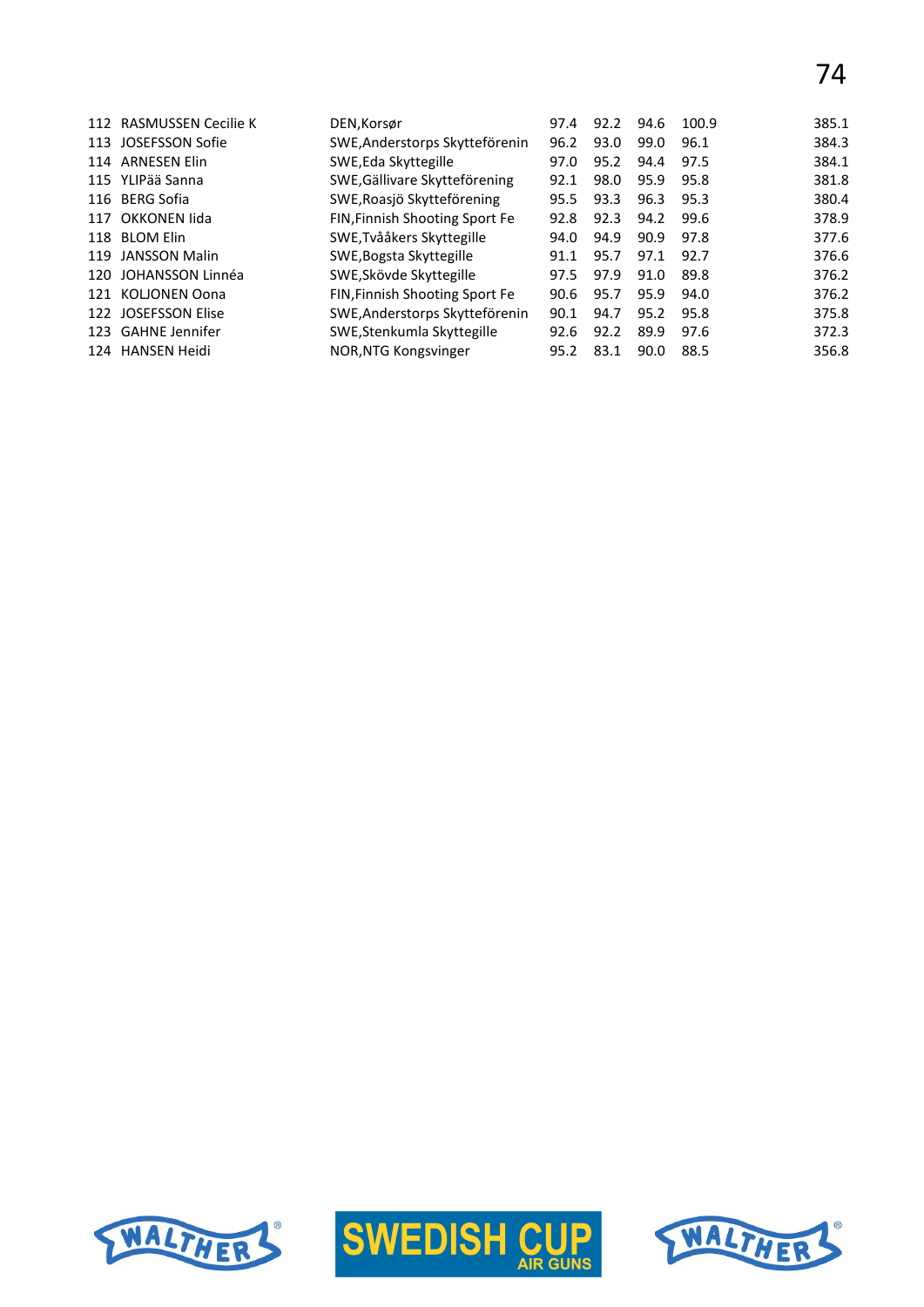|     | 112 RASMUSSEN Cecilie K | DEN, Korsør                    | 97.4 | 92.2 | 94.6 | 100.9 | 385.1 |
|-----|-------------------------|--------------------------------|------|------|------|-------|-------|
| 113 | JOSEFSSON Sofie         | SWE, Anderstorps Skytteförenin | 96.2 | 93.0 | 99.0 | 96.1  | 384.3 |
| 114 | <b>ARNESEN Elin</b>     | SWE, Eda Skyttegille           | 97.0 | 95.2 | 94.4 | 97.5  | 384.1 |
|     | 115 YLIPää Sanna        | SWE, Gällivare Skytteförening  | 92.1 | 98.0 | 95.9 | 95.8  | 381.8 |
|     | 116 BERG Sofia          | SWE, Roasjö Skytteförening     | 95.5 | 93.3 | 96.3 | 95.3  | 380.4 |
|     | 117 OKKONEN lida        | FIN, Finnish Shooting Sport Fe | 92.8 | 92.3 | 94.2 | 99.6  | 378.9 |
|     | 118 BLOM Elin           | SWE, Tvååkers Skyttegille      | 94.0 | 94.9 | 90.9 | 97.8  | 377.6 |
| 119 | JANSSON Malin           | SWE, Bogsta Skyttegille        | 91.1 | 95.7 | 97.1 | 92.7  | 376.6 |
| 120 | JOHANSSON Linnéa        | SWE, Skövde Skyttegille        | 97.5 | 97.9 | 91.0 | 89.8  | 376.2 |
| 121 | <b>KOLIONEN Oona</b>    | FIN, Finnish Shooting Sport Fe | 90.6 | 95.7 | 95.9 | 94.0  | 376.2 |
| 122 | <b>JOSEFSSON Elise</b>  | SWE, Anderstorps Skytteförenin | 90.1 | 94.7 | 95.2 | 95.8  | 375.8 |
|     | 123 GAHNE Jennifer      | SWE, Stenkumla Skyttegille     | 92.6 | 92.2 | 89.9 | 97.6  | 372.3 |
| 124 | HANSEN Heidi            | NOR, NTG Kongsvinger           | 95.2 | 83.1 | 90.0 | 88.5  | 356.8 |
|     |                         |                                |      |      |      |       |       |





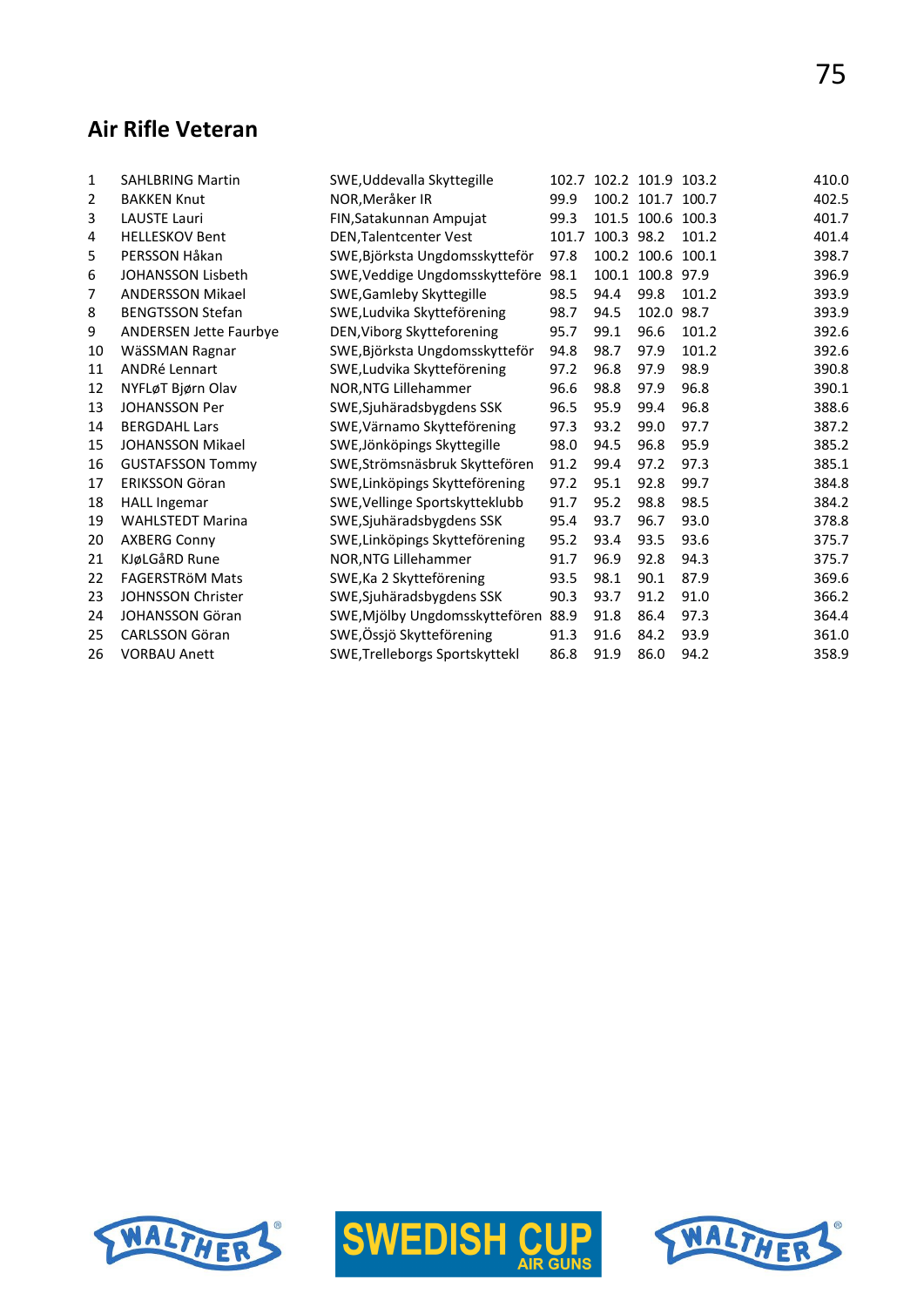# **Air Rifle Veteran**

| 1  | <b>SAHLBRING Martin</b>       | SWE, Uddevalla Skyttegille     |       | 102.7 102.2 101.9 103.2 |                   |       | 410.0 |
|----|-------------------------------|--------------------------------|-------|-------------------------|-------------------|-------|-------|
| 2  | <b>BAKKEN Knut</b>            | NOR, Meråker IR                | 99.9  |                         | 100.2 101.7 100.7 |       | 402.5 |
| 3  | <b>LAUSTE Lauri</b>           | FIN, Satakunnan Ampujat        | 99.3  |                         | 101.5 100.6 100.3 |       | 401.7 |
| 4  | <b>HELLESKOV Bent</b>         | DEN, Talentcenter Vest         | 101.7 | 100.3 98.2              |                   | 101.2 | 401.4 |
| 5  | PERSSON Håkan                 | SWE, Björksta Ungdomsskytteför | 97.8  |                         | 100.2 100.6 100.1 |       | 398.7 |
| 6  | <b>JOHANSSON Lisbeth</b>      | SWE, Veddige Ungdomsskytteföre | 98.1  |                         | 100.1 100.8 97.9  |       | 396.9 |
| 7  | <b>ANDERSSON Mikael</b>       | SWE, Gamleby Skyttegille       | 98.5  | 94.4                    | 99.8              | 101.2 | 393.9 |
| 8  | <b>BENGTSSON Stefan</b>       | SWE, Ludvika Skytteförening    | 98.7  | 94.5                    | 102.0             | 98.7  | 393.9 |
| 9  | <b>ANDERSEN Jette Faurbye</b> | DEN, Viborg Skytteforening     | 95.7  | 99.1                    | 96.6              | 101.2 | 392.6 |
| 10 | WäSSMAN Ragnar                | SWE, Björksta Ungdomsskytteför | 94.8  | 98.7                    | 97.9              | 101.2 | 392.6 |
| 11 | <b>ANDRé Lennart</b>          | SWE, Ludvika Skytteförening    | 97.2  | 96.8                    | 97.9              | 98.9  | 390.8 |
| 12 | NYFLøT Bjørn Olav             | NOR, NTG Lillehammer           | 96.6  | 98.8                    | 97.9              | 96.8  | 390.1 |
| 13 | <b>JOHANSSON Per</b>          | SWE, Sjuhäradsbygdens SSK      | 96.5  | 95.9                    | 99.4              | 96.8  | 388.6 |
| 14 | <b>BERGDAHL Lars</b>          | SWE, Värnamo Skytteförening    | 97.3  | 93.2                    | 99.0              | 97.7  | 387.2 |
| 15 | <b>JOHANSSON Mikael</b>       | SWE, Jönköpings Skyttegille    | 98.0  | 94.5                    | 96.8              | 95.9  | 385.2 |
| 16 | <b>GUSTAFSSON Tommy</b>       | SWE, Strömsnäsbruk Skyttefören | 91.2  | 99.4                    | 97.2              | 97.3  | 385.1 |
| 17 | <b>ERIKSSON Göran</b>         | SWE, Linköpings Skytteförening | 97.2  | 95.1                    | 92.8              | 99.7  | 384.8 |
| 18 | <b>HALL Ingemar</b>           | SWE, Vellinge Sportskytteklubb | 91.7  | 95.2                    | 98.8              | 98.5  | 384.2 |
| 19 | <b>WAHLSTEDT Marina</b>       | SWE, Sjuhäradsbygdens SSK      | 95.4  | 93.7                    | 96.7              | 93.0  | 378.8 |
| 20 | <b>AXBERG Conny</b>           | SWE, Linköpings Skytteförening | 95.2  | 93.4                    | 93.5              | 93.6  | 375.7 |
| 21 | KJøLGåRD Rune                 | NOR, NTG Lillehammer           | 91.7  | 96.9                    | 92.8              | 94.3  | 375.7 |
| 22 | <b>FAGERSTRÖM Mats</b>        | SWE, Ka 2 Skytteförening       | 93.5  | 98.1                    | 90.1              | 87.9  | 369.6 |
| 23 | <b>JOHNSSON Christer</b>      | SWE, Sjuhäradsbygdens SSK      | 90.3  | 93.7                    | 91.2              | 91.0  | 366.2 |
| 24 | <b>JOHANSSON Göran</b>        | SWE, Mjölby Ungdomsskyttefören | 88.9  | 91.8                    | 86.4              | 97.3  | 364.4 |
| 25 | <b>CARLSSON Göran</b>         | SWE, Össjö Skytteförening      | 91.3  | 91.6                    | 84.2              | 93.9  | 361.0 |
| 26 | <b>VORBAU Anett</b>           | SWE, Trelleborgs Sportskyttekl | 86.8  | 91.9                    | 86.0              | 94.2  | 358.9 |







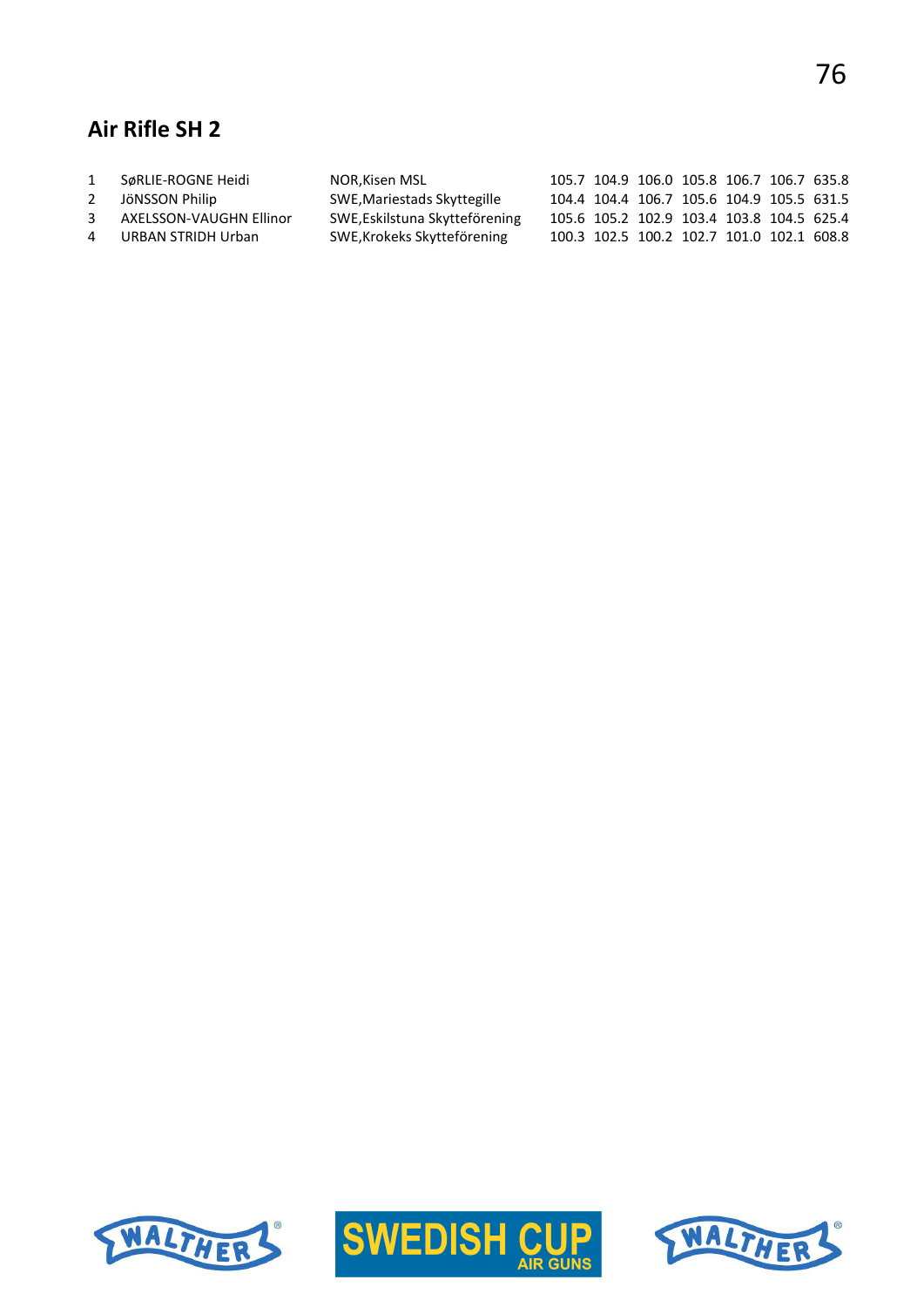# **Air Rifle SH 2**

| 1 | SøRLIE-ROGNE Heidi      | NOR,Kisen MSL                  |  | 105.7 104.9 106.0 105.8 106.7 106.7 635.8 |  |  |
|---|-------------------------|--------------------------------|--|-------------------------------------------|--|--|
| 2 | JöNSSON Philip          | SWE, Mariestads Skyttegille    |  | 104.4 104.4 106.7 105.6 104.9 105.5 631.5 |  |  |
| 3 | AXELSSON-VAUGHN Ellinor | SWE, Eskilstuna Skytteförening |  | 105.6 105.2 102.9 103.4 103.8 104.5 625.4 |  |  |
|   | 4 URBAN STRIDH Urban    | SWE, Krokeks Skytteförening    |  | 100.3 102.5 100.2 102.7 101.0 102.1 608.8 |  |  |
|   |                         |                                |  |                                           |  |  |





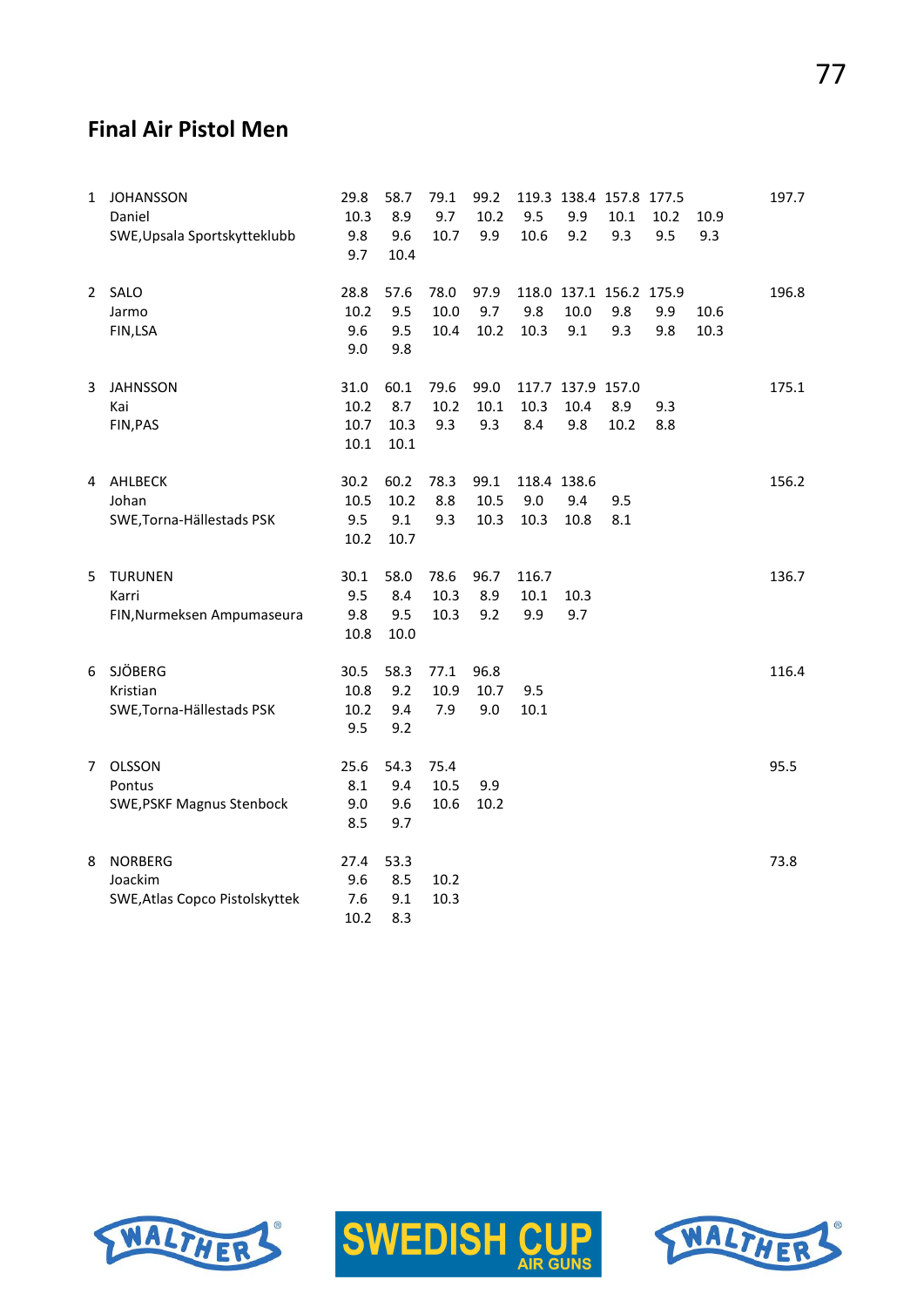# **Final Air Pistol Men**

| $\mathbf{1}$ | <b>JOHANSSON</b><br>Daniel<br>SWE, Upsala Sportskytteklubb  | 29.8<br>10.3<br>9.8<br>9.7   | 58.7<br>8.9<br>9.6<br>10.4  | 79.1<br>9.7<br>10.7  | 99.2<br>10.2<br>9.9     | 9.5<br>10.6                | 9.9<br>9.2                       | 119.3 138.4 157.8 177.5<br>10.1<br>9.3 | 10.2<br>9.5 | 10.9<br>9.3  | 197.7 |
|--------------|-------------------------------------------------------------|------------------------------|-----------------------------|----------------------|-------------------------|----------------------------|----------------------------------|----------------------------------------|-------------|--------------|-------|
|              | 2 SALO<br>Jarmo<br>FIN,LSA                                  | 28.8<br>10.2<br>9.6<br>9.0   | 57.6<br>9.5<br>9.5<br>9.8   | 78.0<br>10.0<br>10.4 | 97.9<br>9.7<br>10.2     | 9.8<br>10.3                | 10.0<br>9.1                      | 118.0 137.1 156.2 175.9<br>9.8<br>9.3  | 9.9<br>9.8  | 10.6<br>10.3 | 196.8 |
| 3            | <b>JAHNSSON</b><br>Kai<br>FIN, PAS                          | 31.0<br>10.2<br>10.7<br>10.1 | 60.1<br>8.7<br>10.3<br>10.1 | 79.6<br>10.2<br>9.3  | 99.0<br>$10.1\,$<br>9.3 | 10.3<br>8.4                | 117.7 137.9 157.0<br>10.4<br>9.8 | 8.9<br>10.2                            | 9.3<br>8.8  |              | 175.1 |
|              | 4 AHLBECK<br>Johan<br>SWE, Torna-Hällestads PSK             | 30.2<br>10.5<br>9.5<br>10.2  | 60.2<br>10.2<br>9.1<br>10.7 | 78.3<br>8.8<br>9.3   | 99.1<br>10.5<br>10.3    | 118.4 138.6<br>9.0<br>10.3 | 9.4<br>10.8                      | 9.5<br>8.1                             |             |              | 156.2 |
| 5.           | <b>TURUNEN</b><br>Karri<br>FIN, Nurmeksen Ampumaseura       | 30.1<br>9.5<br>9.8<br>10.8   | 58.0<br>8.4<br>9.5<br>10.0  | 78.6<br>10.3<br>10.3 | 96.7<br>8.9<br>9.2      | 116.7<br>10.1<br>9.9       | 10.3<br>9.7                      |                                        |             |              | 136.7 |
| 6            | SJÖBERG<br>Kristian<br>SWE, Torna-Hällestads PSK            | 30.5<br>10.8<br>10.2<br>9.5  | 58.3<br>9.2<br>9.4<br>9.2   | 77.1<br>10.9<br>7.9  | 96.8<br>10.7<br>9.0     | 9.5<br>10.1                |                                  |                                        |             |              | 116.4 |
| 7            | <b>OLSSON</b><br>Pontus<br><b>SWE, PSKF Magnus Stenbock</b> | 25.6<br>8.1<br>9.0<br>8.5    | 54.3<br>9.4<br>9.6<br>9.7   | 75.4<br>10.5<br>10.6 | 9.9<br>10.2             |                            |                                  |                                        |             |              | 95.5  |
| 8            | <b>NORBERG</b><br>Joackim<br>SWE, Atlas Copco Pistolskyttek | 27.4<br>9.6<br>7.6<br>10.2   | 53.3<br>8.5<br>9.1<br>8.3   | 10.2<br>10.3         |                         |                            |                                  |                                        |             |              | 73.8  |





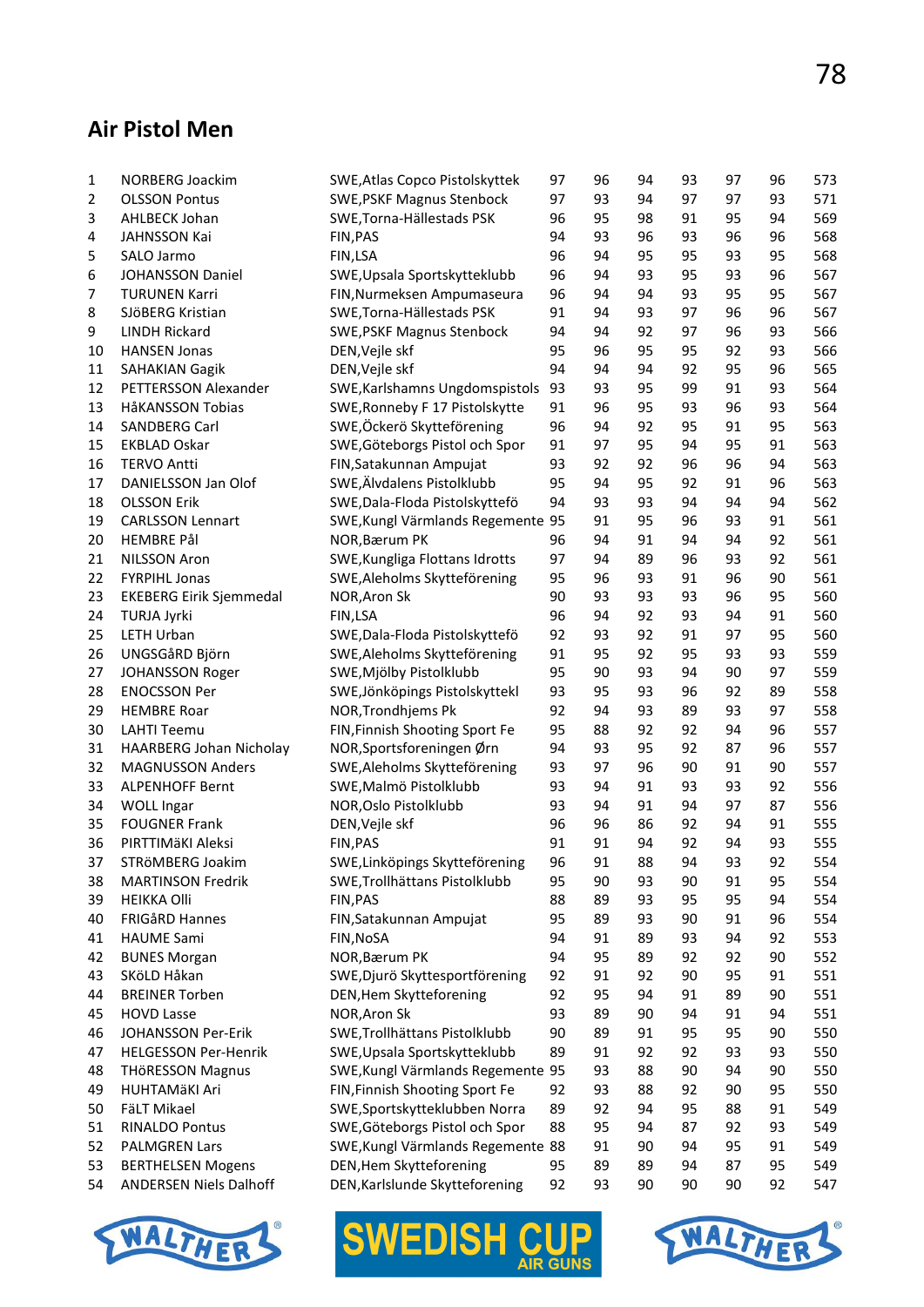# **Air Pistol Men**

| $\mathbf{1}$   | NORBERG Joackim                | SWE, Atlas Copco Pistolskyttek                                  | 97       | 96       | 94       | 93       | 97       | 96       | 573        |
|----------------|--------------------------------|-----------------------------------------------------------------|----------|----------|----------|----------|----------|----------|------------|
| $\overline{2}$ | <b>OLSSON Pontus</b>           | <b>SWE, PSKF Magnus Stenbock</b>                                | 97       | 93       | 94       | 97       | 97       | 93       | 571        |
| 3              | <b>AHLBECK Johan</b>           | SWE, Torna-Hällestads PSK                                       | 96       | 95       | 98       | 91       | 95       | 94       | 569        |
| 4              | <b>JAHNSSON Kai</b>            | FIN, PAS                                                        | 94       | 93       | 96       | 93       | 96       | 96       | 568        |
| 5              | SALO Jarmo                     | FIN,LSA                                                         | 96       | 94       | 95       | 95       | 93       | 95       | 568        |
| 6              | <b>JOHANSSON Daniel</b>        | SWE, Upsala Sportskytteklubb                                    | 96       | 94       | 93       | 95       | 93       | 96       | 567        |
| 7              | <b>TURUNEN Karri</b>           | FIN, Nurmeksen Ampumaseura                                      | 96       | 94       | 94       | 93       | 95       | 95       | 567        |
| 8              | SJÖBERG Kristian               | SWE, Torna-Hällestads PSK                                       | 91       | 94       | 93       | 97       | 96       | 96       | 567        |
| 9              | <b>LINDH Rickard</b>           | <b>SWE, PSKF Magnus Stenbock</b>                                | 94       | 94       | 92       | 97       | 96       | 93       | 566        |
| 10             | <b>HANSEN Jonas</b>            | DEN, Vejle skf                                                  | 95       | 96       | 95       | 95       | 92       | 93       | 566        |
| 11             | <b>SAHAKIAN Gagik</b>          | DEN, Vejle skf                                                  | 94       | 94       | 94       | 92       | 95       | 96       | 565        |
| 12             | PETTERSSON Alexander           | SWE, Karlshamns Ungdomspistols                                  | 93       | 93       | 95       | 99       | 91       | 93       | 564        |
| 13             | HåKANSSON Tobias               | SWE, Ronneby F 17 Pistolskytte                                  | 91       | 96       | 95       | 93       | 96       | 93       | 564        |
| 14             | SANDBERG Carl                  | SWE, Öckerö Skytteförening                                      | 96       | 94       | 92       | 95       | 91       | 95       | 563        |
| 15             | <b>EKBLAD Oskar</b>            | SWE, Göteborgs Pistol och Spor                                  | 91       | 97       | 95       | 94       | 95       | 91       | 563        |
| 16             | <b>TERVO Antti</b>             | FIN, Satakunnan Ampujat                                         | 93       | 92       | 92       | 96       | 96       | 94       | 563        |
| 17             | DANIELSSON Jan Olof            | SWE, Älvdalens Pistolklubb                                      | 95       | 94       | 95       | 92       | 91       | 96       | 563        |
| 18             | <b>OLSSON Erik</b>             | SWE, Dala-Floda Pistolskyttefö                                  | 94       | 93       | 93       | 94       | 94       | 94       | 562        |
| 19             | <b>CARLSSON Lennart</b>        | SWE, Kungl Värmlands Regemente 95                               |          | 91       | 95       | 96       | 93       | 91       | 561        |
| 20             | <b>HEMBRE Pål</b>              | NOR, Bærum PK                                                   | 96       | 94       | 91       | 94       | 94       | 92       | 561        |
| 21             | NILSSON Aron                   | SWE, Kungliga Flottans Idrotts                                  | 97       | 94       | 89       | 96       | 93       | 92       | 561        |
| 22             | <b>FYRPIHL Jonas</b>           | SWE, Aleholms Skytteförening                                    | 95       | 96       | 93       | 91       | 96       | 90       | 561        |
| 23             | <b>EKEBERG Eirik Sjemmedal</b> | NOR, Aron Sk                                                    | 90       | 93       | 93       | 93       | 96       | 95       | 560        |
| 24             | TURJA Jyrki                    | FIN,LSA                                                         | 96       | 94       | 92       | 93       | 94       | 91       | 560        |
| 25             | LETH Urban                     | SWE, Dala-Floda Pistolskyttefö                                  | 92       | 93       | 92       | 91       | 97       | 95       | 560        |
| 26             | UNGSGåRD Björn                 | SWE, Aleholms Skytteförening                                    | 91       | 95       | 92       | 95       | 93       | 93       | 559        |
| 27             | JOHANSSON Roger                | SWE, Mjölby Pistolklubb                                         | 95       | 90       | 93       | 94       | 90       | 97       | 559        |
| 28             | <b>ENOCSSON Per</b>            | SWE, Jönköpings Pistolskyttekl                                  | 93       | 95       | 93       | 96       | 92       | 89       | 558        |
| 29             | <b>HEMBRE Roar</b>             | NOR, Trondhjems Pk                                              | 92       | 94       | 93       | 89       | 93       | 97       | 558        |
| 30             | <b>LAHTI Teemu</b>             | FIN, Finnish Shooting Sport Fe                                  | 95       | 88       | 92       | 92       | 94       | 96       | 557        |
| 31             | HAARBERG Johan Nicholay        | NOR, Sportsforeningen Ørn                                       | 94       | 93       | 95       | 92       | 87       | 96       | 557        |
| 32             | <b>MAGNUSSON Anders</b>        | SWE, Aleholms Skytteförening                                    | 93       | 97       | 96       | 90       | 91       | 90       | 557        |
| 33             | <b>ALPENHOFF Bernt</b>         | SWE, Malmö Pistolklubb                                          | 93       | 94       | 91       | 93       | 93       | 92       | 556        |
| 34             | <b>WOLL Ingar</b>              | NOR, Oslo Pistolklubb                                           | 93       | 94       | 91       | 94       | 97       | 87       | 556        |
| 35             | <b>FOUGNER Frank</b>           | DEN, Vejle skf                                                  | 96       | 96       | 86       | 92       | 94       | 91       | 555        |
| 36             | PIRTTIMÄKI Aleksi              | FIN, PAS                                                        | 91       | 91       | 94       | 92       | 94       | 93       | 555        |
| 37             | STRÖMBERG Joakim               | SWE, Linköpings Skytteförening                                  | 96       | 91       | 88       | 94       | 93       | 92       | 554        |
| 38             | <b>MARTINSON Fredrik</b>       | SWE, Trollhättans Pistolklubb                                   | 95       | 90       | 93       | 90       | 91       | 95       | 554        |
| 39             | <b>HEIKKA Olli</b>             | FIN, PAS                                                        | 88       | 89       | 93       | 95       | 95       | 94       | 554        |
| 40             | FRIGÅRD Hannes                 | FIN, Satakunnan Ampujat                                         | 95       | 89       | 93       | 90       | 91       | 96       | 554        |
| 41             | <b>HAUME Sami</b>              | FIN, NOSA                                                       | 94       | 91       | 89       | 93       | 94       | 92       | 553        |
| 42             | <b>BUNES Morgan</b>            | NOR, Bærum PK                                                   | 94       | 95       | 89       | 92       | 92       | 90       | 552        |
| 43             | SKöLD Håkan                    | SWE, Djurö Skyttesportförening                                  | 92       | 91       | 92       | 90       | 95       | 91       | 551        |
| 44             | <b>BREINER Torben</b>          | DEN, Hem Skytteforening                                         | 92       | 95       | 94       | 91       | 89       | 90       | 551        |
| 45             | <b>HOVD Lasse</b>              | NOR, Aron Sk                                                    | 93       | 89       | 90       | 94       | 91       | 94       | 551        |
| 46             | JOHANSSON Per-Erik             | SWE, Trollhättans Pistolklubb                                   | 90<br>89 | 89<br>91 | 91<br>92 | 95<br>92 | 95<br>93 | 90       | 550<br>550 |
| 47             | <b>HELGESSON Per-Henrik</b>    | SWE, Upsala Sportskytteklubb                                    |          |          | 88       | 90       |          | 93       |            |
| 48             | <b>THÖRESSON Magnus</b>        | SWE, Kungl Värmlands Regemente 95                               |          | 93       |          |          | 94       | 90       | 550        |
| 49             | HUHTAMÄKI Ari<br>FäLT Mikael   | FIN, Finnish Shooting Sport Fe<br>SWE, Sportskytteklubben Norra | 92<br>89 | 93<br>92 | 88<br>94 | 92<br>95 | 90<br>88 | 95       | 550        |
| 50<br>51       | <b>RINALDO Pontus</b>          | SWE, Göteborgs Pistol och Spor                                  | 88       | 95       | 94       | 87       | 92       | 91<br>93 | 549<br>549 |
| 52             | <b>PALMGREN Lars</b>           | SWE, Kungl Värmlands Regemente 88                               |          | 91       | 90       | 94       | 95       | 91       | 549        |
| 53             | <b>BERTHELSEN Mogens</b>       | DEN, Hem Skytteforening                                         | 95       | 89       | 89       | 94       | 87       | 95       | 549        |
| 54             | ANDERSEN Niels Dalhoff         | DEN, Karlslunde Skytteforening                                  | 92       | 93       | 90       | 90       | 90       | 92       | 547        |
|                |                                |                                                                 |          |          |          |          |          |          |            |





78

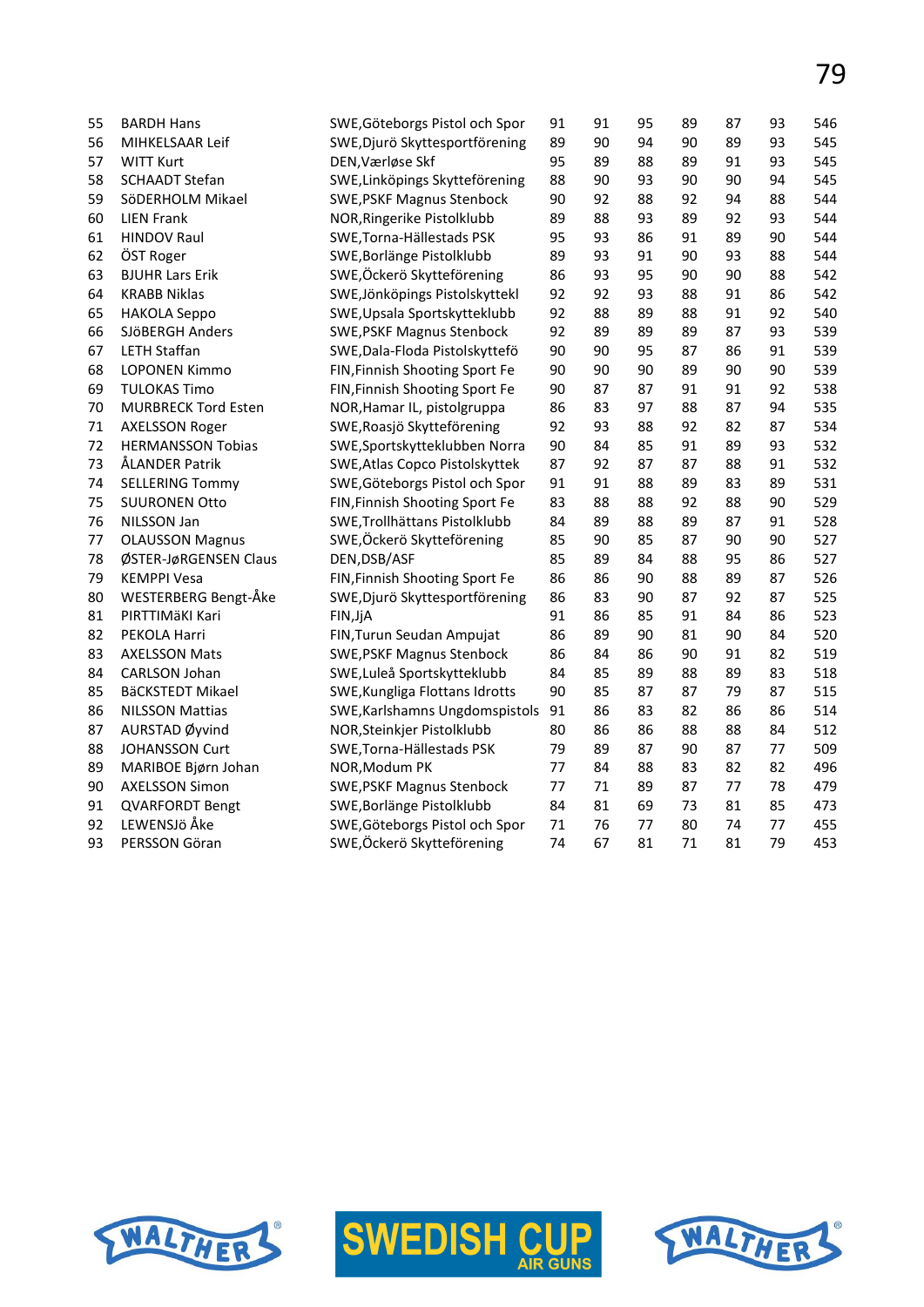| 55 | <b>BARDH Hans</b>          | SWE, Göteborgs Pistol och Spor   | 91 | 91 | 95 | 89 | 87 | 93 | 546 |
|----|----------------------------|----------------------------------|----|----|----|----|----|----|-----|
| 56 | MIHKELSAAR Leif            | SWE, Djurö Skyttesportförening   | 89 | 90 | 94 | 90 | 89 | 93 | 545 |
| 57 | <b>WITT Kurt</b>           | DEN, Værløse Skf                 | 95 | 89 | 88 | 89 | 91 | 93 | 545 |
| 58 | <b>SCHAADT Stefan</b>      | SWE, Linköpings Skytteförening   | 88 | 90 | 93 | 90 | 90 | 94 | 545 |
| 59 | SöDERHOLM Mikael           | <b>SWE, PSKF Magnus Stenbock</b> | 90 | 92 | 88 | 92 | 94 | 88 | 544 |
| 60 | <b>LIEN Frank</b>          | NOR, Ringerike Pistolklubb       | 89 | 88 | 93 | 89 | 92 | 93 | 544 |
| 61 | <b>HINDOV Raul</b>         | SWE, Torna-Hällestads PSK        | 95 | 93 | 86 | 91 | 89 | 90 | 544 |
| 62 | ÖST Roger                  | SWE, Borlänge Pistolklubb        | 89 | 93 | 91 | 90 | 93 | 88 | 544 |
| 63 | <b>BJUHR Lars Erik</b>     | SWE, Öckerö Skytteförening       | 86 | 93 | 95 | 90 | 90 | 88 | 542 |
| 64 | <b>KRABB Niklas</b>        | SWE, Jönköpings Pistolskyttekl   | 92 | 92 | 93 | 88 | 91 | 86 | 542 |
| 65 | <b>HAKOLA Seppo</b>        | SWE, Upsala Sportskytteklubb     | 92 | 88 | 89 | 88 | 91 | 92 | 540 |
| 66 | SJÖBERGH Anders            | <b>SWE, PSKF Magnus Stenbock</b> | 92 | 89 | 89 | 89 | 87 | 93 | 539 |
| 67 | <b>LETH Staffan</b>        | SWE, Dala-Floda Pistolskyttefö   | 90 | 90 | 95 | 87 | 86 | 91 | 539 |
| 68 | <b>LOPONEN Kimmo</b>       | FIN, Finnish Shooting Sport Fe   | 90 | 90 | 90 | 89 | 90 | 90 | 539 |
| 69 | <b>TULOKAS Timo</b>        | FIN, Finnish Shooting Sport Fe   | 90 | 87 | 87 | 91 | 91 | 92 | 538 |
| 70 | <b>MURBRECK Tord Esten</b> | NOR, Hamar IL, pistolgruppa      | 86 | 83 | 97 | 88 | 87 | 94 | 535 |
| 71 | <b>AXELSSON Roger</b>      | SWE, Roasjö Skytteförening       | 92 | 93 | 88 | 92 | 82 | 87 | 534 |
| 72 | <b>HERMANSSON Tobias</b>   | SWE, Sportskytteklubben Norra    | 90 | 84 | 85 | 91 | 89 | 93 | 532 |
| 73 | ÅLANDER Patrik             | SWE, Atlas Copco Pistolskyttek   | 87 | 92 | 87 | 87 | 88 | 91 | 532 |
| 74 | <b>SELLERING Tommy</b>     | SWE, Göteborgs Pistol och Spor   | 91 | 91 | 88 | 89 | 83 | 89 | 531 |
| 75 | <b>SUURONEN Otto</b>       | FIN, Finnish Shooting Sport Fe   | 83 | 88 | 88 | 92 | 88 | 90 | 529 |
| 76 | NILSSON Jan                | SWE, Trollhättans Pistolklubb    | 84 | 89 | 88 | 89 | 87 | 91 | 528 |
| 77 | <b>OLAUSSON Magnus</b>     | SWE,Öckerö Skytteförening        | 85 | 90 | 85 | 87 | 90 | 90 | 527 |
| 78 | ØSTER-JøRGENSEN Claus      | DEN, DSB/ASF                     | 85 | 89 | 84 | 88 | 95 | 86 | 527 |
| 79 | <b>KEMPPI Vesa</b>         | FIN, Finnish Shooting Sport Fe   | 86 | 86 | 90 | 88 | 89 | 87 | 526 |
| 80 | WESTERBERG Bengt-Åke       | SWE, Djurö Skyttesportförening   | 86 | 83 | 90 | 87 | 92 | 87 | 525 |
| 81 | PIRTTIMÄKI Kari            | FIN, JjA                         | 91 | 86 | 85 | 91 | 84 | 86 | 523 |
| 82 | PEKOLA Harri               | FIN, Turun Seudan Ampujat        | 86 | 89 | 90 | 81 | 90 | 84 | 520 |
| 83 | <b>AXELSSON Mats</b>       | <b>SWE, PSKF Magnus Stenbock</b> | 86 | 84 | 86 | 90 | 91 | 82 | 519 |
| 84 | CARLSON Johan              | SWE, Luleå Sportskytteklubb      | 84 | 85 | 89 | 88 | 89 | 83 | 518 |
| 85 | BäCKSTEDT Mikael           | SWE, Kungliga Flottans Idrotts   | 90 | 85 | 87 | 87 | 79 | 87 | 515 |
| 86 | <b>NILSSON Mattias</b>     | SWE, Karlshamns Ungdomspistols   | 91 | 86 | 83 | 82 | 86 | 86 | 514 |
| 87 | AURSTAD Øyvind             | NOR, Steinkjer Pistolklubb       | 80 | 86 | 86 | 88 | 88 | 84 | 512 |
| 88 | <b>JOHANSSON Curt</b>      | SWE, Torna-Hällestads PSK        | 79 | 89 | 87 | 90 | 87 | 77 | 509 |
| 89 | MARIBOE Bjørn Johan        | NOR, Modum PK                    | 77 | 84 | 88 | 83 | 82 | 82 | 496 |
| 90 | <b>AXELSSON Simon</b>      | <b>SWE, PSKF Magnus Stenbock</b> | 77 | 71 | 89 | 87 | 77 | 78 | 479 |
| 91 | <b>QVARFORDT Bengt</b>     | SWE, Borlänge Pistolklubb        | 84 | 81 | 69 | 73 | 81 | 85 | 473 |
| 92 | LEWENSJö Åke               | SWE, Göteborgs Pistol och Spor   | 71 | 76 | 77 | 80 | 74 | 77 | 455 |
| 93 | PERSSON Göran              | SWE, Öckerö Skytteförening       | 74 | 67 | 81 | 71 | 81 | 79 | 453 |
|    |                            |                                  |    |    |    |    |    |    |     |





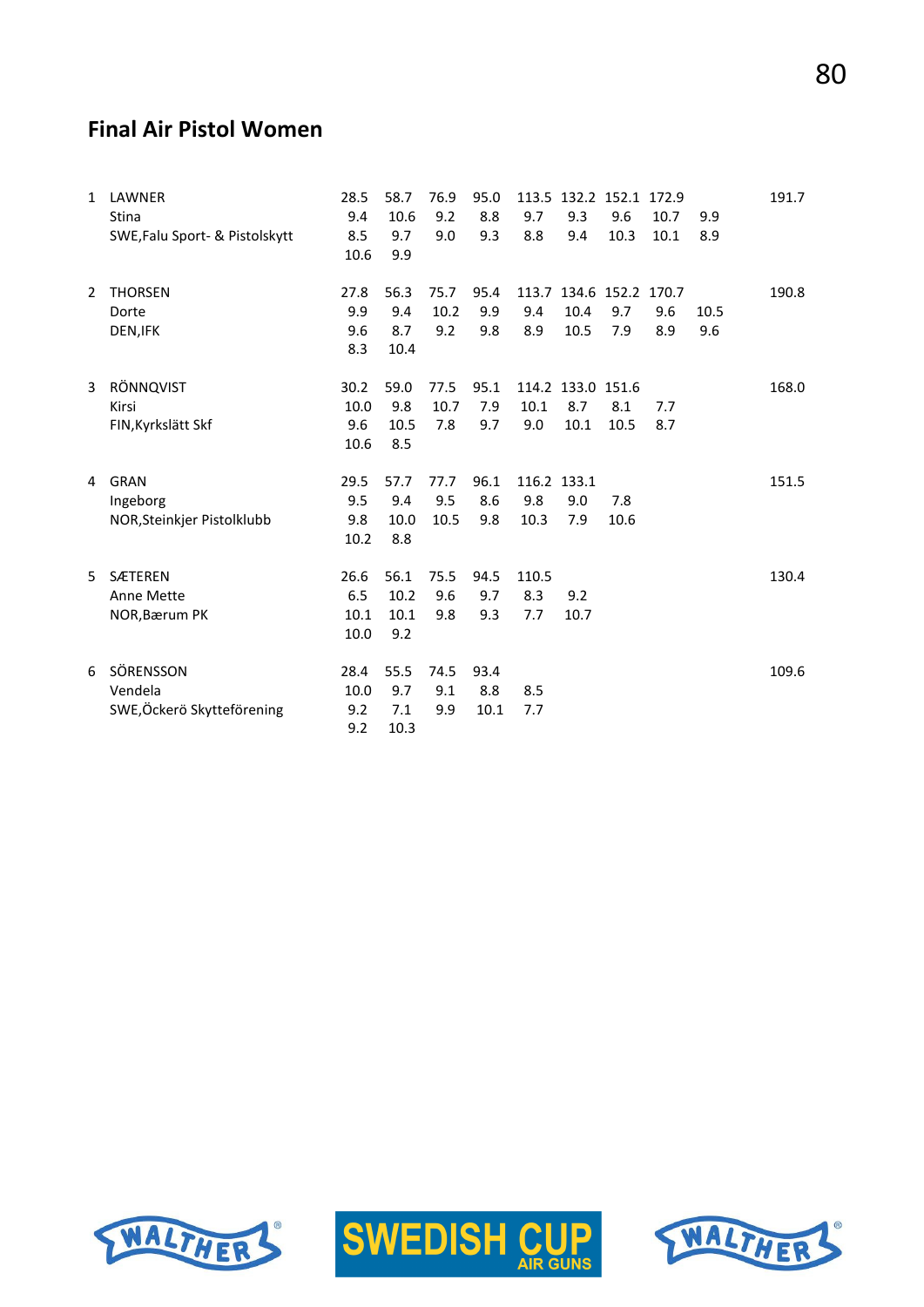# **Final Air Pistol Women**

| $\mathbf{1}$   | LAWNER<br><b>Stina</b><br>SWE, Falu Sport- & Pistolskytt | 28.5<br>9.4<br>8.5<br>10.6  | 58.7<br>10.6<br>9.7<br>9.9  | 76.9<br>9.2<br>9.0  | 95.0<br>8.8<br>9.3  | 9.7<br>8.8                 | 113.5 132.2 152.1 172.9<br>9.3<br>9.4   | 9.6<br>10.3 | 10.7<br>10.1 | 9.9<br>8.9  | 191.7 |
|----------------|----------------------------------------------------------|-----------------------------|-----------------------------|---------------------|---------------------|----------------------------|-----------------------------------------|-------------|--------------|-------------|-------|
| $\overline{2}$ | <b>THORSEN</b><br>Dorte<br>DEN, IFK                      | 27.8<br>9.9<br>9.6<br>8.3   | 56.3<br>9.4<br>8.7<br>10.4  | 75.7<br>10.2<br>9.2 | 95.4<br>9.9<br>9.8  | 9.4<br>8.9                 | 113.7 134.6 152.2 170.7<br>10.4<br>10.5 | 9.7<br>7.9  | 9.6<br>8.9   | 10.5<br>9.6 | 190.8 |
| 3              | RÖNNQVIST<br>Kirsi<br>FIN, Kyrkslätt Skf                 | 30.2<br>10.0<br>9.6<br>10.6 | 59.0<br>9.8<br>10.5<br>8.5  | 77.5<br>10.7<br>7.8 | 95.1<br>7.9<br>9.7  | 10.1<br>9.0                | 114.2 133.0 151.6<br>8.7<br>10.1        | 8.1<br>10.5 | 7.7<br>8.7   |             | 168.0 |
| 4              | GRAN<br>Ingeborg<br>NOR, Steinkjer Pistolklubb           | 29.5<br>9.5<br>9.8<br>10.2  | 57.7<br>9.4<br>10.0<br>8.8  | 77.7<br>9.5<br>10.5 | 96.1<br>8.6<br>9.8  | 116.2 133.1<br>9.8<br>10.3 | 9.0<br>7.9                              | 7.8<br>10.6 |              |             | 151.5 |
| 5              | <b>SÆTEREN</b><br>Anne Mette<br>NOR, Bærum PK            | 26.6<br>6.5<br>10.1<br>10.0 | 56.1<br>10.2<br>10.1<br>9.2 | 75.5<br>9.6<br>9.8  | 94.5<br>9.7<br>9.3  | 110.5<br>8.3<br>7.7        | 9.2<br>10.7                             |             |              |             | 130.4 |
| 6              | SÖRENSSON<br>Vendela<br>SWE, Öckerö Skytteförening       | 28.4<br>10.0<br>9.2<br>9.2  | 55.5<br>9.7<br>7.1<br>10.3  | 74.5<br>9.1<br>9.9  | 93.4<br>8.8<br>10.1 | 8.5<br>7.7                 |                                         |             |              |             | 109.6 |





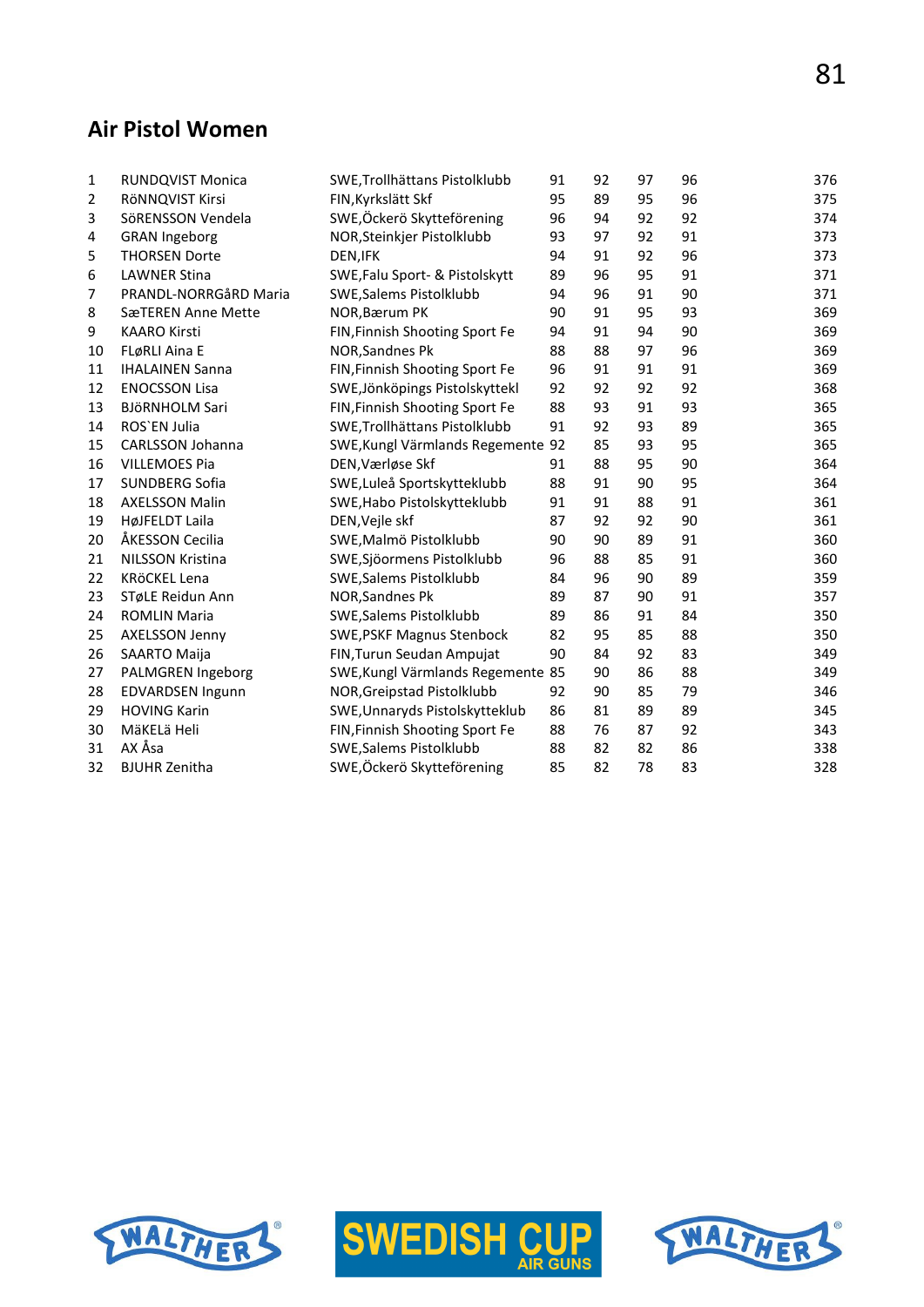# **Air Pistol Women**

| 1              | RUNDQVIST Monica        | SWE, Trollhättans Pistolklubb     | 91 | 92 | 97 | 96 | 376 |
|----------------|-------------------------|-----------------------------------|----|----|----|----|-----|
| $\overline{2}$ | RÖNNQVIST Kirsi         | FIN, Kyrkslätt Skf                | 95 | 89 | 95 | 96 | 375 |
| 3              | SöRENSSON Vendela       | SWE,Öckerö Skytteförening         | 96 | 94 | 92 | 92 | 374 |
| 4              | <b>GRAN Ingeborg</b>    | NOR, Steinkjer Pistolklubb        | 93 | 97 | 92 | 91 | 373 |
| 5              | <b>THORSEN Dorte</b>    | DEN, IFK                          | 94 | 91 | 92 | 96 | 373 |
| 6              | <b>LAWNER Stina</b>     | SWE, Falu Sport- & Pistolskytt    | 89 | 96 | 95 | 91 | 371 |
| 7              | PRANDL-NORRGåRD Maria   | SWE, Salems Pistolklubb           | 94 | 96 | 91 | 90 | 371 |
| 8              | SæTEREN Anne Mette      | NOR, Bærum PK                     | 90 | 91 | 95 | 93 | 369 |
| 9              | <b>KAARO Kirsti</b>     | FIN, Finnish Shooting Sport Fe    | 94 | 91 | 94 | 90 | 369 |
| 10             | FLøRLI Aina E           | NOR, Sandnes Pk                   | 88 | 88 | 97 | 96 | 369 |
| 11             | <b>IHALAINEN Sanna</b>  | FIN, Finnish Shooting Sport Fe    | 96 | 91 | 91 | 91 | 369 |
| 12             | <b>ENOCSSON Lisa</b>    | SWE, Jönköpings Pistolskyttekl    | 92 | 92 | 92 | 92 | 368 |
| 13             | <b>BJÖRNHOLM Sari</b>   | FIN, Finnish Shooting Sport Fe    | 88 | 93 | 91 | 93 | 365 |
| 14             | ROS'EN Julia            | SWE, Trollhättans Pistolklubb     | 91 | 92 | 93 | 89 | 365 |
| 15             | CARLSSON Johanna        | SWE, Kungl Värmlands Regemente 92 |    | 85 | 93 | 95 | 365 |
| 16             | <b>VILLEMOES Pia</b>    | DEN, Værløse Skf                  | 91 | 88 | 95 | 90 | 364 |
| 17             | <b>SUNDBERG Sofia</b>   | SWE, Luleå Sportskytteklubb       | 88 | 91 | 90 | 95 | 364 |
| 18             | <b>AXELSSON Malin</b>   | SWE, Habo Pistolskytteklubb       | 91 | 91 | 88 | 91 | 361 |
| 19             | HøJFELDT Laila          | DEN, Vejle skf                    | 87 | 92 | 92 | 90 | 361 |
| 20             | ÅKESSON Cecilia         | SWE, Malmö Pistolklubb            | 90 | 90 | 89 | 91 | 360 |
| 21             | <b>NILSSON Kristina</b> | SWE, Sjöormens Pistolklubb        | 96 | 88 | 85 | 91 | 360 |
| 22             | KRÖCKEL Lena            | SWE, Salems Pistolklubb           | 84 | 96 | 90 | 89 | 359 |
| 23             | STøLE Reidun Ann        | NOR, Sandnes Pk                   | 89 | 87 | 90 | 91 | 357 |
| 24             | <b>ROMLIN Maria</b>     | SWE, Salems Pistolklubb           | 89 | 86 | 91 | 84 | 350 |
| 25             | <b>AXELSSON Jenny</b>   | <b>SWE, PSKF Magnus Stenbock</b>  | 82 | 95 | 85 | 88 | 350 |
| 26             | SAARTO Maija            | FIN, Turun Seudan Ampujat         | 90 | 84 | 92 | 83 | 349 |
| 27             | PALMGREN Ingeborg       | SWE, Kungl Värmlands Regemente 85 |    | 90 | 86 | 88 | 349 |
| 28             | <b>EDVARDSEN Ingunn</b> | NOR, Greipstad Pistolklubb        | 92 | 90 | 85 | 79 | 346 |
| 29             | <b>HOVING Karin</b>     | SWE, Unnaryds Pistolskytteklub    | 86 | 81 | 89 | 89 | 345 |
| 30             | MäKELä Heli             | FIN, Finnish Shooting Sport Fe    | 88 | 76 | 87 | 92 | 343 |
| 31             | AX Åsa                  | SWE, Salems Pistolklubb           | 88 | 82 | 82 | 86 | 338 |
| 32             | <b>BJUHR Zenitha</b>    | SWE, Öckerö Skytteförening        | 85 | 82 | 78 | 83 | 328 |
|                |                         |                                   |    |    |    |    |     |





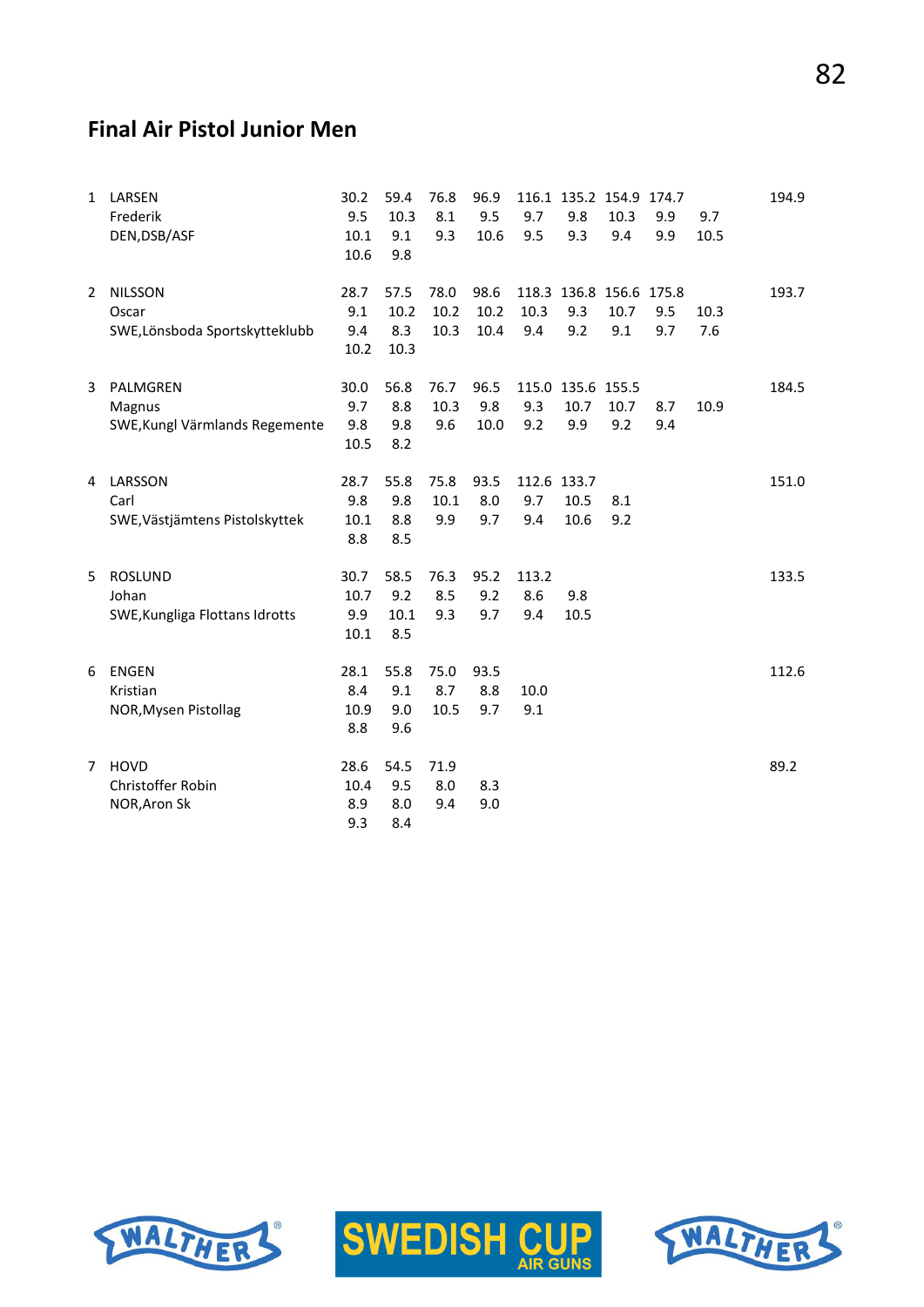# **Final Air Pistol Junior Men**

| $\mathbf{1}$ | LARSEN<br>Frederik<br>DEN, DSB/ASF                        | 30.2<br>9.5<br>10.1<br>10.6 | 59.4<br>10.3<br>9.1<br>9.8  | 76.8<br>8.1<br>9.3   | 96.9<br>9.5<br>10.6  | 9.7<br>9.5          | 116.1 135.2 154.9 174.7<br>9.8<br>9.3 | 10.3<br>9.4 | 9.9<br>9.9 | 9.7<br>10.5 | 194.9 |
|--------------|-----------------------------------------------------------|-----------------------------|-----------------------------|----------------------|----------------------|---------------------|---------------------------------------|-------------|------------|-------------|-------|
| 2            | <b>NILSSON</b><br>Oscar<br>SWE, Lönsboda Sportskytteklubb | 28.7<br>9.1<br>9.4<br>10.2  | 57.5<br>10.2<br>8.3<br>10.3 | 78.0<br>10.2<br>10.3 | 98.6<br>10.2<br>10.4 | 10.3<br>9.4         | 118.3 136.8 156.6 175.8<br>9.3<br>9.2 | 10.7<br>9.1 | 9.5<br>9.7 | 10.3<br>7.6 | 193.7 |
| 3            | PALMGREN<br>Magnus<br>SWE, Kungl Värmlands Regemente      | 30.0<br>9.7<br>9.8<br>10.5  | 56.8<br>8.8<br>9.8<br>8.2   | 76.7<br>10.3<br>9.6  | 96.5<br>9.8<br>10.0  | 9.3<br>9.2          | 115.0 135.6 155.5<br>10.7<br>9.9      | 10.7<br>9.2 | 8.7<br>9.4 | 10.9        | 184.5 |
| 4            | LARSSON<br>Carl<br>SWE, Västjämtens Pistolskyttek         | 28.7<br>9.8<br>10.1<br>8.8  | 55.8<br>9.8<br>8.8<br>8.5   | 75.8<br>10.1<br>9.9  | 93.5<br>8.0<br>9.7   | 9.7<br>9.4          | 112.6 133.7<br>10.5<br>10.6           | 8.1<br>9.2  |            |             | 151.0 |
| 5            | <b>ROSLUND</b><br>Johan<br>SWE, Kungliga Flottans Idrotts | 30.7<br>10.7<br>9.9<br>10.1 | 58.5<br>9.2<br>10.1<br>8.5  | 76.3<br>8.5<br>9.3   | 95.2<br>9.2<br>9.7   | 113.2<br>8.6<br>9.4 | 9.8<br>10.5                           |             |            |             | 133.5 |
| 6            | <b>ENGEN</b><br>Kristian<br>NOR, Mysen Pistollag          | 28.1<br>8.4<br>10.9<br>8.8  | 55.8<br>9.1<br>9.0<br>9.6   | 75.0<br>8.7<br>10.5  | 93.5<br>8.8<br>9.7   | 10.0<br>9.1         |                                       |             |            |             | 112.6 |
| $7^{\circ}$  | <b>HOVD</b><br>Christoffer Robin<br>NOR, Aron Sk          | 28.6<br>10.4<br>8.9<br>9.3  | 54.5<br>9.5<br>8.0<br>8.4   | 71.9<br>8.0<br>9.4   | 8.3<br>9.0           |                     |                                       |             |            |             | 89.2  |





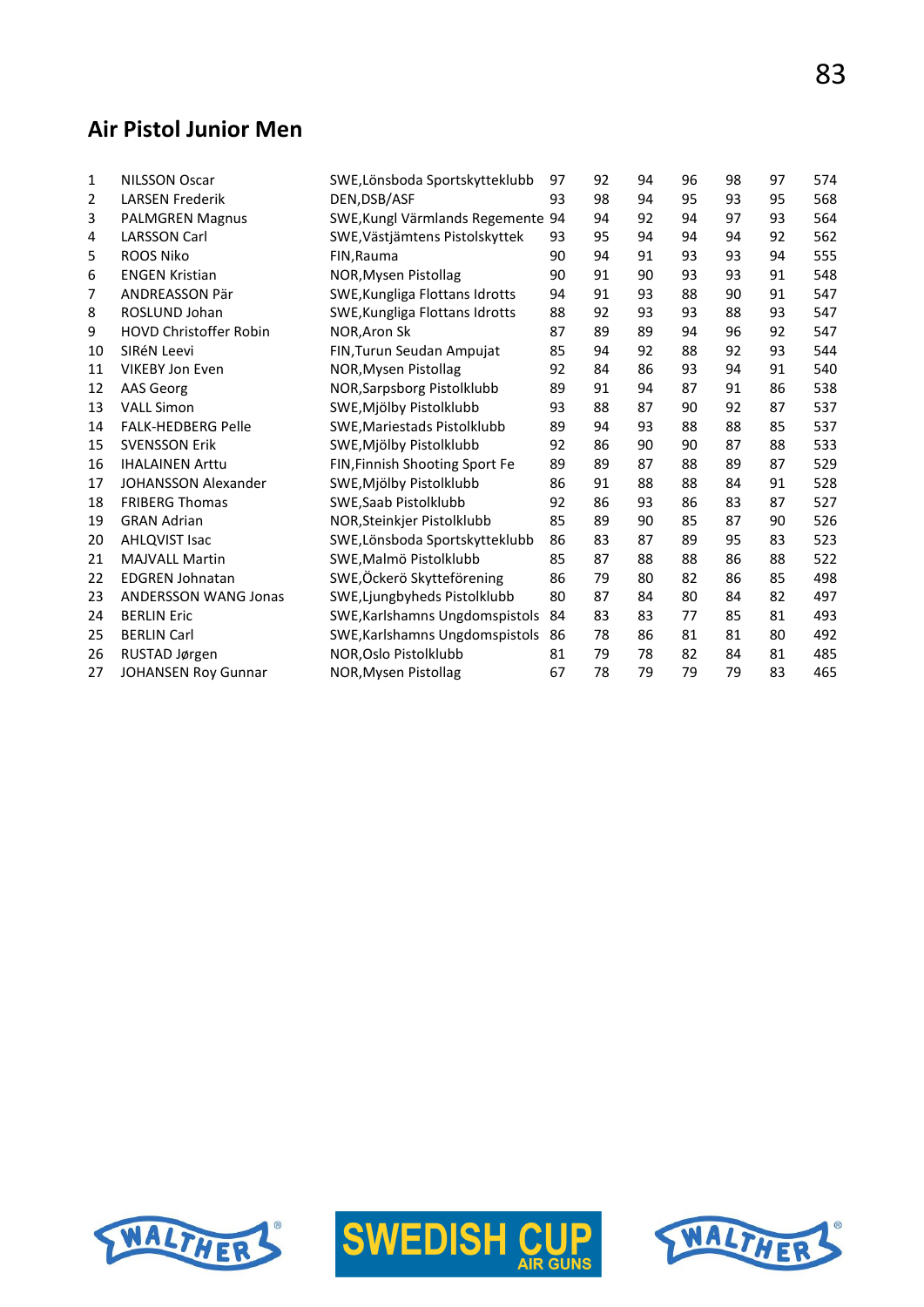# **Air Pistol Junior Men**

| $\mathbf{1}$ | <b>NILSSON Oscar</b>          | SWE, Lönsboda Sportskytteklubb    | 97 | 92 | 94 | 96 | 98 | 97 | 574 |
|--------------|-------------------------------|-----------------------------------|----|----|----|----|----|----|-----|
| 2            | <b>LARSEN Frederik</b>        | DEN.DSB/ASF                       | 93 | 98 | 94 | 95 | 93 | 95 | 568 |
| 3            | <b>PALMGREN Magnus</b>        | SWE, Kungl Värmlands Regemente 94 |    | 94 | 92 | 94 | 97 | 93 | 564 |
| 4            | <b>LARSSON Carl</b>           | SWE, Västjämtens Pistolskyttek    | 93 | 95 | 94 | 94 | 94 | 92 | 562 |
| 5            | <b>ROOS Niko</b>              | FIN, Rauma                        | 90 | 94 | 91 | 93 | 93 | 94 | 555 |
| 6            | <b>ENGEN Kristian</b>         | NOR, Mysen Pistollag              | 90 | 91 | 90 | 93 | 93 | 91 | 548 |
| 7            | <b>ANDREASSON Pär</b>         | SWE, Kungliga Flottans Idrotts    | 94 | 91 | 93 | 88 | 90 | 91 | 547 |
| 8            | ROSLUND Johan                 | SWE, Kungliga Flottans Idrotts    | 88 | 92 | 93 | 93 | 88 | 93 | 547 |
| 9            | <b>HOVD Christoffer Robin</b> | NOR, Aron Sk                      | 87 | 89 | 89 | 94 | 96 | 92 | 547 |
| 10           | SIRéN Leevi                   | FIN, Turun Seudan Ampujat         | 85 | 94 | 92 | 88 | 92 | 93 | 544 |
| 11           | <b>VIKEBY Jon Even</b>        | NOR, Mysen Pistollag              | 92 | 84 | 86 | 93 | 94 | 91 | 540 |
| 12           | <b>AAS Georg</b>              | NOR, Sarpsborg Pistolklubb        | 89 | 91 | 94 | 87 | 91 | 86 | 538 |
| 13           | <b>VALL Simon</b>             | SWE, Mjölby Pistolklubb           | 93 | 88 | 87 | 90 | 92 | 87 | 537 |
| 14           | <b>FALK-HEDBERG Pelle</b>     | SWE, Mariestads Pistolklubb       | 89 | 94 | 93 | 88 | 88 | 85 | 537 |
| 15           | <b>SVENSSON Erik</b>          | SWE, Mjölby Pistolklubb           | 92 | 86 | 90 | 90 | 87 | 88 | 533 |
| 16           | <b>IHALAINEN Arttu</b>        | FIN, Finnish Shooting Sport Fe    | 89 | 89 | 87 | 88 | 89 | 87 | 529 |
| 17           | JOHANSSON Alexander           | SWE, Mjölby Pistolklubb           | 86 | 91 | 88 | 88 | 84 | 91 | 528 |
| 18           | <b>FRIBERG Thomas</b>         | SWE, Saab Pistolklubb             | 92 | 86 | 93 | 86 | 83 | 87 | 527 |
| 19           | <b>GRAN Adrian</b>            | NOR, Steinkjer Pistolklubb        | 85 | 89 | 90 | 85 | 87 | 90 | 526 |
| 20           | <b>AHLQVIST Isac</b>          | SWE, Lönsboda Sportskytteklubb    | 86 | 83 | 87 | 89 | 95 | 83 | 523 |
| 21           | <b>MAJVALL Martin</b>         | SWE.Malmö Pistolklubb             | 85 | 87 | 88 | 88 | 86 | 88 | 522 |
| 22           | <b>EDGREN Johnatan</b>        | SWE, Öckerö Skytteförening        | 86 | 79 | 80 | 82 | 86 | 85 | 498 |
| 23           | <b>ANDERSSON WANG Jonas</b>   | SWE, Ljungbyheds Pistolklubb      | 80 | 87 | 84 | 80 | 84 | 82 | 497 |
| 24           | <b>BERLIN Eric</b>            | SWE, Karlshamns Ungdomspistols    | 84 | 83 | 83 | 77 | 85 | 81 | 493 |
| 25           | <b>BERLIN Carl</b>            | SWE, Karlshamns Ungdomspistols    | 86 | 78 | 86 | 81 | 81 | 80 | 492 |
| 26           | RUSTAD Jørgen                 | NOR, Oslo Pistolklubb             | 81 | 79 | 78 | 82 | 84 | 81 | 485 |
| 27           | <b>JOHANSEN Roy Gunnar</b>    | NOR, Mysen Pistollag              | 67 | 78 | 79 | 79 | 79 | 83 | 465 |





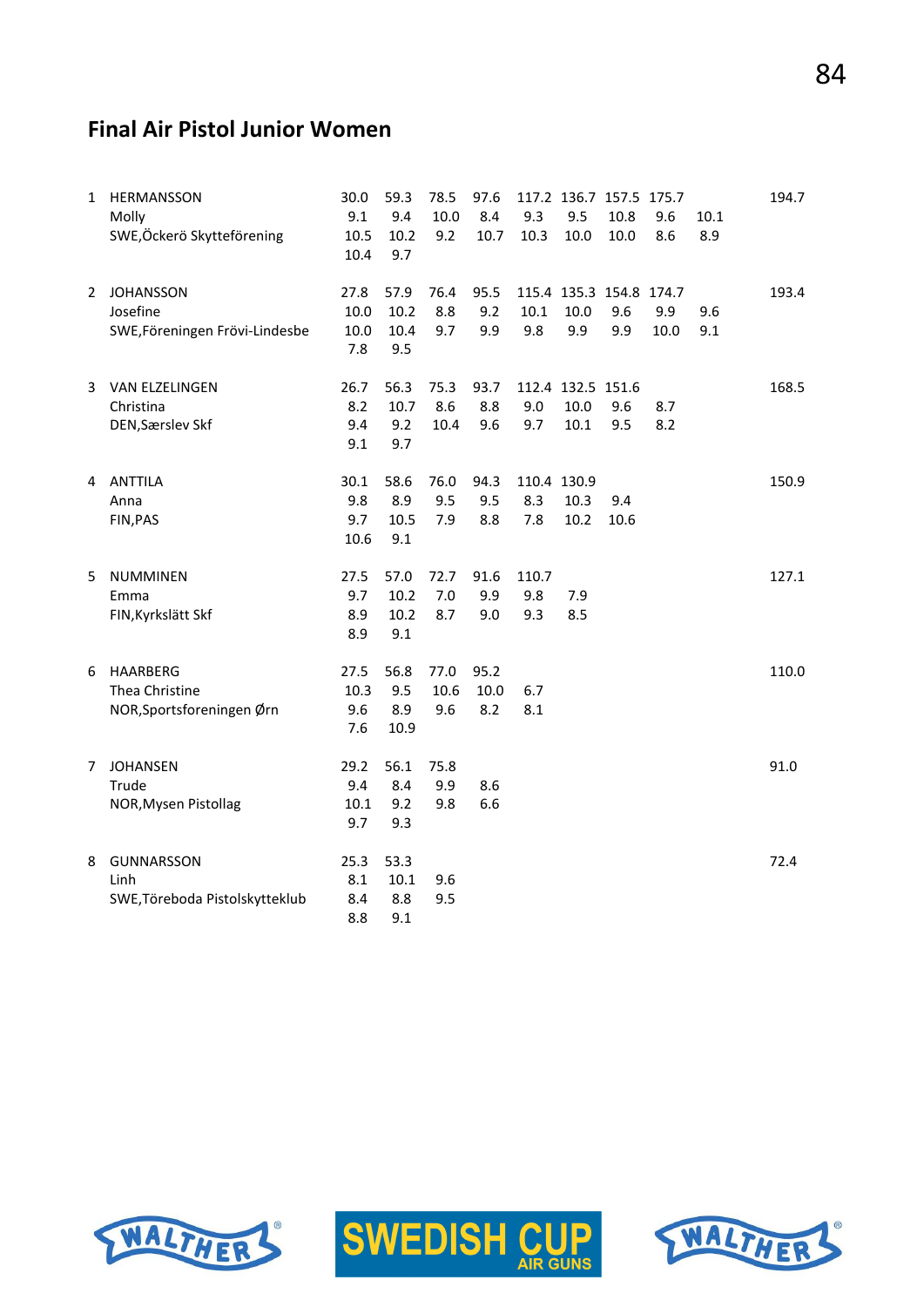# **Final Air Pistol Junior Women**

| $\mathbf{1}$ | HERMANSSON<br>Molly<br>SWE, Öckerö Skytteförening              | 30.0<br>9.1<br>10.5<br>10.4 | 59.3<br>9.4<br>10.2<br>9.7  | 78.5<br>10.0<br>9.2 | 97.6<br>8.4<br>10.7 | 9.3<br>10.3               | 117.2 136.7 157.5 175.7<br>9.5<br>10.0 | 10.8<br>10.0 | 9.6<br>8.6  | 10.1<br>8.9 | 194.7 |
|--------------|----------------------------------------------------------------|-----------------------------|-----------------------------|---------------------|---------------------|---------------------------|----------------------------------------|--------------|-------------|-------------|-------|
| 2            | <b>JOHANSSON</b><br>Josefine<br>SWE, Föreningen Frövi-Lindesbe | 27.8<br>10.0<br>10.0<br>7.8 | 57.9<br>10.2<br>10.4<br>9.5 | 76.4<br>8.8<br>9.7  | 95.5<br>9.2<br>9.9  | 10.1<br>9.8               | 115.4 135.3 154.8 174.7<br>10.0<br>9.9 | 9.6<br>9.9   | 9.9<br>10.0 | 9.6<br>9.1  | 193.4 |
| 3            | VAN ELZELINGEN<br>Christina<br>DEN, Særslev Skf                | 26.7<br>8.2<br>9.4<br>9.1   | 56.3<br>10.7<br>9.2<br>9.7  | 75.3<br>8.6<br>10.4 | 93.7<br>8.8<br>9.6  | 9.0<br>9.7                | 112.4 132.5 151.6<br>10.0<br>10.1      | 9.6<br>9.5   | 8.7<br>8.2  |             | 168.5 |
| 4            | ANTTILA<br>Anna<br>FIN, PAS                                    | 30.1<br>9.8<br>9.7<br>10.6  | 58.6<br>8.9<br>10.5<br>9.1  | 76.0<br>9.5<br>7.9  | 94.3<br>9.5<br>8.8  | 110.4 130.9<br>8.3<br>7.8 | 10.3<br>10.2                           | 9.4<br>10.6  |             |             | 150.9 |
| 5            | <b>NUMMINEN</b><br>Emma<br>FIN, Kyrkslätt Skf                  | 27.5<br>9.7<br>8.9<br>8.9   | 57.0<br>10.2<br>10.2<br>9.1 | 72.7<br>7.0<br>8.7  | 91.6<br>9.9<br>9.0  | 110.7<br>9.8<br>9.3       | 7.9<br>8.5                             |              |             |             | 127.1 |
| 6            | HAARBERG<br>Thea Christine<br>NOR, Sportsforeningen Ørn        | 27.5<br>10.3<br>9.6<br>7.6  | 56.8<br>9.5<br>8.9<br>10.9  | 77.0<br>10.6<br>9.6 | 95.2<br>10.0<br>8.2 | 6.7<br>8.1                |                                        |              |             |             | 110.0 |
| 7            | <b>JOHANSEN</b><br>Trude<br>NOR, Mysen Pistollag               | 29.2<br>9.4<br>10.1<br>9.7  | 56.1<br>8.4<br>9.2<br>9.3   | 75.8<br>9.9<br>9.8  | 8.6<br>6.6          |                           |                                        |              |             |             | 91.0  |
| 8            | GUNNARSSON<br>Linh<br>SWE, Töreboda Pistolskytteklub           | 25.3<br>8.1<br>8.4<br>8.8   | 53.3<br>10.1<br>8.8<br>9.1  | 9.6<br>9.5          |                     |                           |                                        |              |             |             | 72.4  |





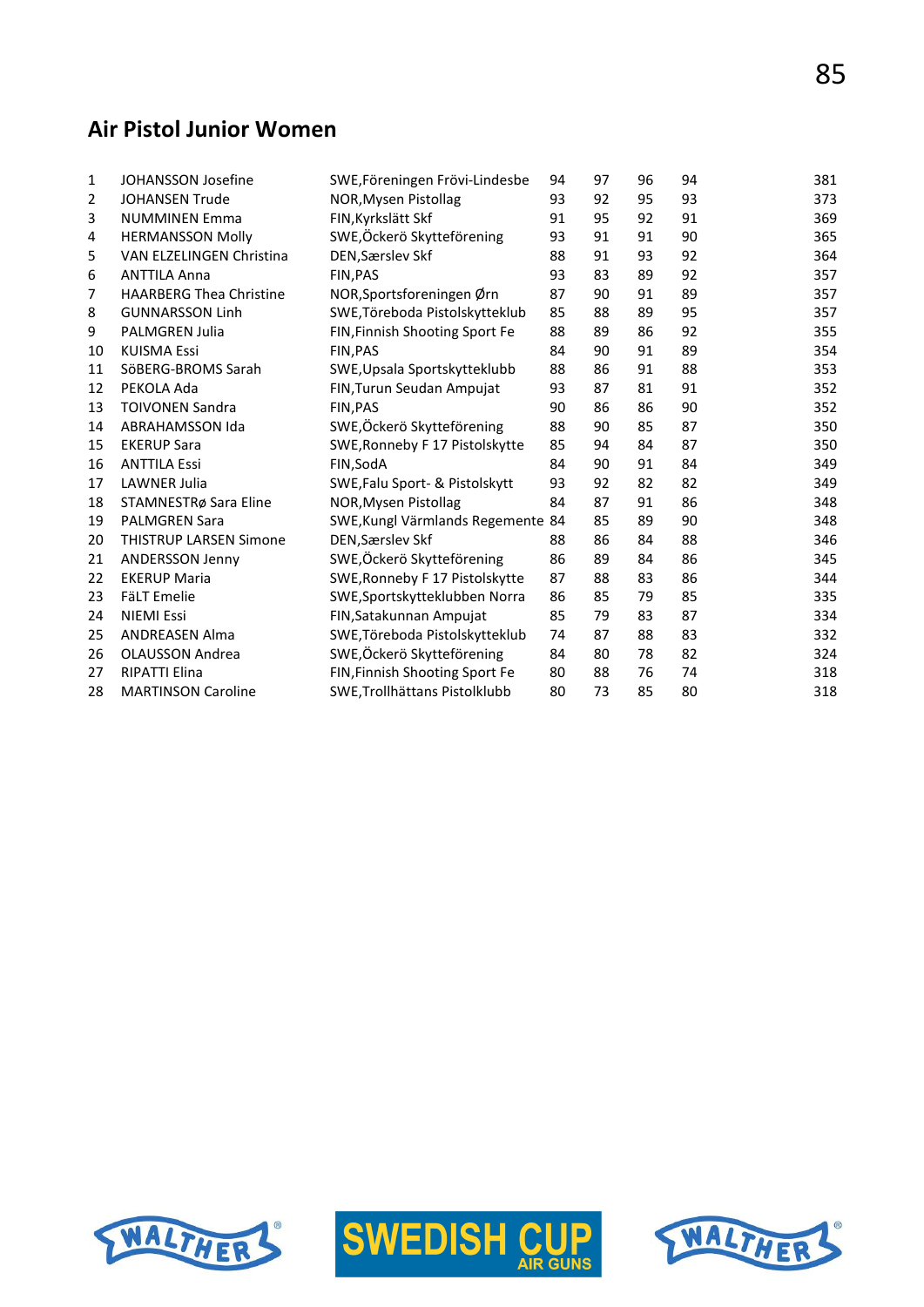# **Air Pistol Junior Women**

|                                |                                                                            |                                                                                                                                        |                                               |                |                | 381            |
|--------------------------------|----------------------------------------------------------------------------|----------------------------------------------------------------------------------------------------------------------------------------|-----------------------------------------------|----------------|----------------|----------------|
|                                |                                                                            |                                                                                                                                        |                                               |                |                | 373            |
|                                |                                                                            | 91                                                                                                                                     |                                               |                |                | 369            |
| <b>HERMANSSON Molly</b>        |                                                                            | 93                                                                                                                                     | 91                                            | 91             | 90             | 365            |
| VAN ELZELINGEN Christina       | DEN, Særslev Skf                                                           | 88                                                                                                                                     | 91                                            | 93             | 92             | 364            |
| <b>ANTTILA Anna</b>            | <b>FIN.PAS</b>                                                             | 93                                                                                                                                     | 83                                            | 89             | 92             | 357            |
| <b>HAARBERG Thea Christine</b> | NOR, Sportsforeningen Ørn                                                  | 87                                                                                                                                     | 90                                            | 91             | 89             | 357            |
| <b>GUNNARSSON Linh</b>         | SWE, Töreboda Pistolskytteklub                                             | 85                                                                                                                                     | 88                                            | 89             | 95             | 357            |
| <b>PALMGREN Julia</b>          | FIN, Finnish Shooting Sport Fe                                             | 88                                                                                                                                     | 89                                            | 86             | 92             | 355            |
| <b>KUISMA Essi</b>             | FIN, PAS                                                                   | 84                                                                                                                                     | 90                                            | 91             | 89             | 354            |
| SöBERG-BROMS Sarah             | SWE, Upsala Sportskytteklubb                                               | 88                                                                                                                                     | 86                                            | 91             | 88             | 353            |
| PEKOLA Ada                     | FIN, Turun Seudan Ampujat                                                  | 93                                                                                                                                     | 87                                            | 81             | 91             | 352            |
| <b>TOIVONEN Sandra</b>         | FIN, PAS                                                                   | 90                                                                                                                                     | 86                                            | 86             | 90             | 352            |
| <b>ABRAHAMSSON Ida</b>         | SWE, Öckerö Skytteförening                                                 | 88                                                                                                                                     | 90                                            | 85             | 87             | 350            |
| <b>EKERUP Sara</b>             | SWE, Ronneby F 17 Pistolskytte                                             | 85                                                                                                                                     | 94                                            | 84             | 87             | 350            |
| <b>ANTTILA Essi</b>            | FIN, SodA                                                                  | 84                                                                                                                                     | 90                                            | 91             | 84             | 349            |
| <b>LAWNER Julia</b>            | SWE, Falu Sport- & Pistolskytt                                             | 93                                                                                                                                     | 92                                            | 82             | 82             | 349            |
| STAMNESTRø Sara Eline          | NOR, Mysen Pistollag                                                       | 84                                                                                                                                     | 87                                            | 91             | 86             | 348            |
| <b>PALMGREN Sara</b>           |                                                                            |                                                                                                                                        | 85                                            | 89             | 90             | 348            |
| <b>THISTRUP LARSEN Simone</b>  | DEN, Særslev Skf                                                           | 88                                                                                                                                     | 86                                            | 84             | 88             | 346            |
| <b>ANDERSSON Jenny</b>         | SWE, Öckerö Skytteförening                                                 | 86                                                                                                                                     | 89                                            | 84             | 86             | 345            |
| <b>EKERUP Maria</b>            | SWE, Ronneby F 17 Pistolskytte                                             | 87                                                                                                                                     | 88                                            | 83             | 86             | 344            |
| <b>FäLT Emelie</b>             | SWE, Sportskytteklubben Norra                                              | 86                                                                                                                                     | 85                                            | 79             | 85             | 335            |
| <b>NIEMI Essi</b>              | FIN, Satakunnan Ampujat                                                    | 85                                                                                                                                     | 79                                            | 83             | 87             | 334            |
| <b>ANDREASEN Alma</b>          | SWE, Töreboda Pistolskytteklub                                             | 74                                                                                                                                     | 87                                            | 88             | 83             | 332            |
| <b>OLAUSSON Andrea</b>         |                                                                            | 84                                                                                                                                     | 80                                            | 78             | 82             | 324            |
| <b>RIPATTI Elina</b>           | FIN, Finnish Shooting Sport Fe                                             | 80                                                                                                                                     | 88                                            | 76             | 74             | 318            |
| <b>MARTINSON Caroline</b>      | SWE, Trollhättans Pistolklubb                                              | 80                                                                                                                                     | 73                                            | 85             | 80             | 318            |
|                                | <b>JOHANSSON Josefine</b><br><b>JOHANSEN Trude</b><br><b>NUMMINEN Emma</b> | SWE, Föreningen Frövi-Lindesbe<br>NOR, Mysen Pistollag<br>FIN, Kyrkslätt Skf<br>SWE,Öckerö Skytteförening<br>SWE,Öckerö Skytteförening | 94<br>93<br>SWE, Kungl Värmlands Regemente 84 | 97<br>92<br>95 | 96<br>95<br>92 | 94<br>93<br>91 |





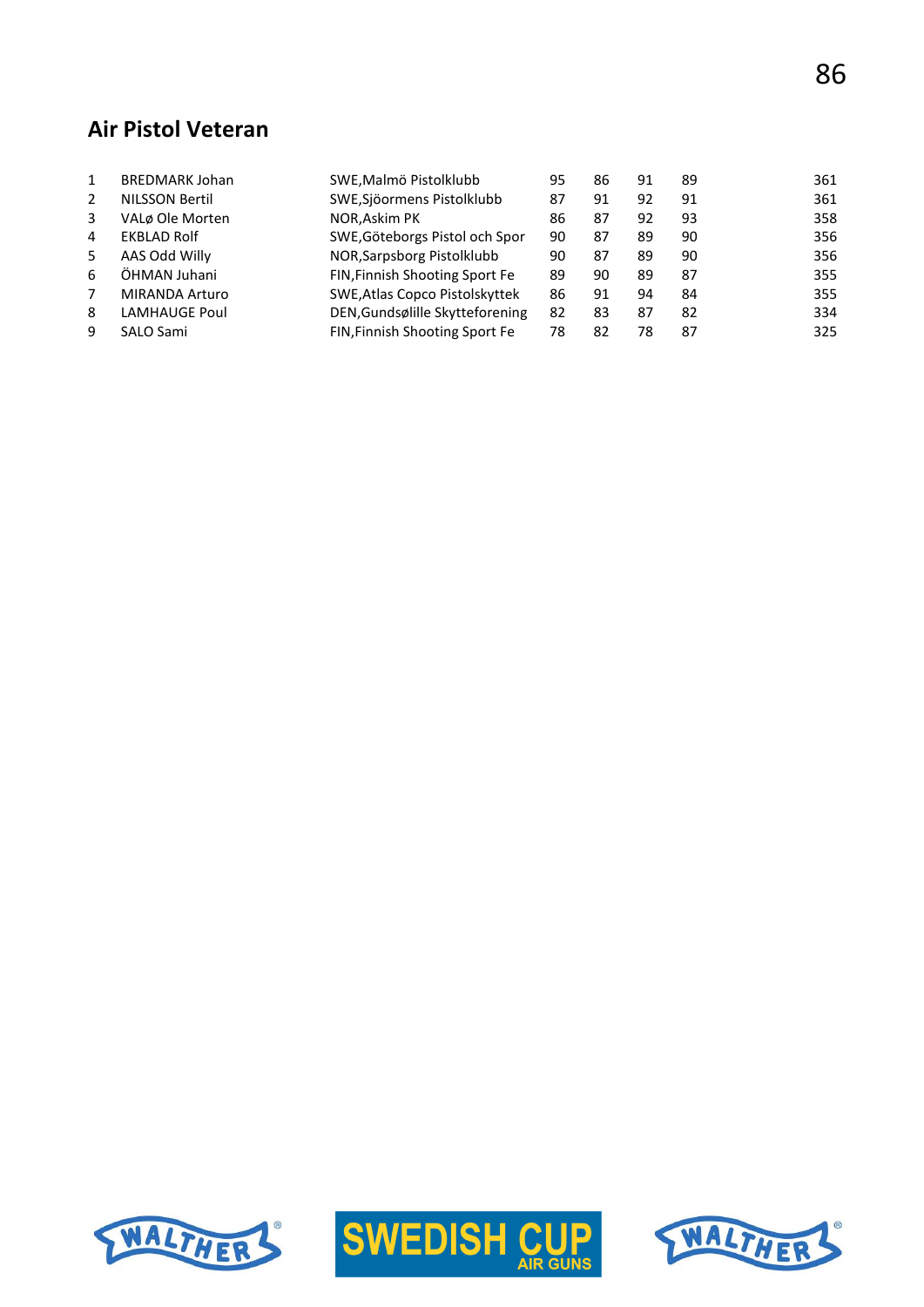# **Air Pistol Veteran**

|   | <b>BREDMARK Johan</b> | SWE, Malmö Pistolklubb          | 95 | 86 | 91 | 89 | 361 |
|---|-----------------------|---------------------------------|----|----|----|----|-----|
| 2 | <b>NILSSON Bertil</b> | SWE, Sjöormens Pistolklubb      | 87 | 91 | 92 | 91 | 361 |
| 3 | VALø Ole Morten       | NOR, Askim PK                   | 86 | 87 | 92 | 93 | 358 |
| 4 | <b>EKBLAD Rolf</b>    | SWE, Göteborgs Pistol och Spor  | 90 | 87 | 89 | 90 | 356 |
| 5 | AAS Odd Willy         | NOR, Sarpsborg Pistolklubb      | 90 | 87 | 89 | 90 | 356 |
| 6 | ÖHMAN Juhani          | FIN, Finnish Shooting Sport Fe  | 89 | 90 | 89 | 87 | 355 |
|   | <b>MIRANDA Arturo</b> | SWE, Atlas Copco Pistolskyttek  | 86 | 91 | 94 | 84 | 355 |
| 8 | <b>LAMHAUGE Poul</b>  | DEN, Gundsølille Skytteforening | 82 | 83 | 87 | 82 | 334 |
| q | SALO Sami             | FIN, Finnish Shooting Sport Fe  | 78 | 82 | 78 | 87 | 325 |





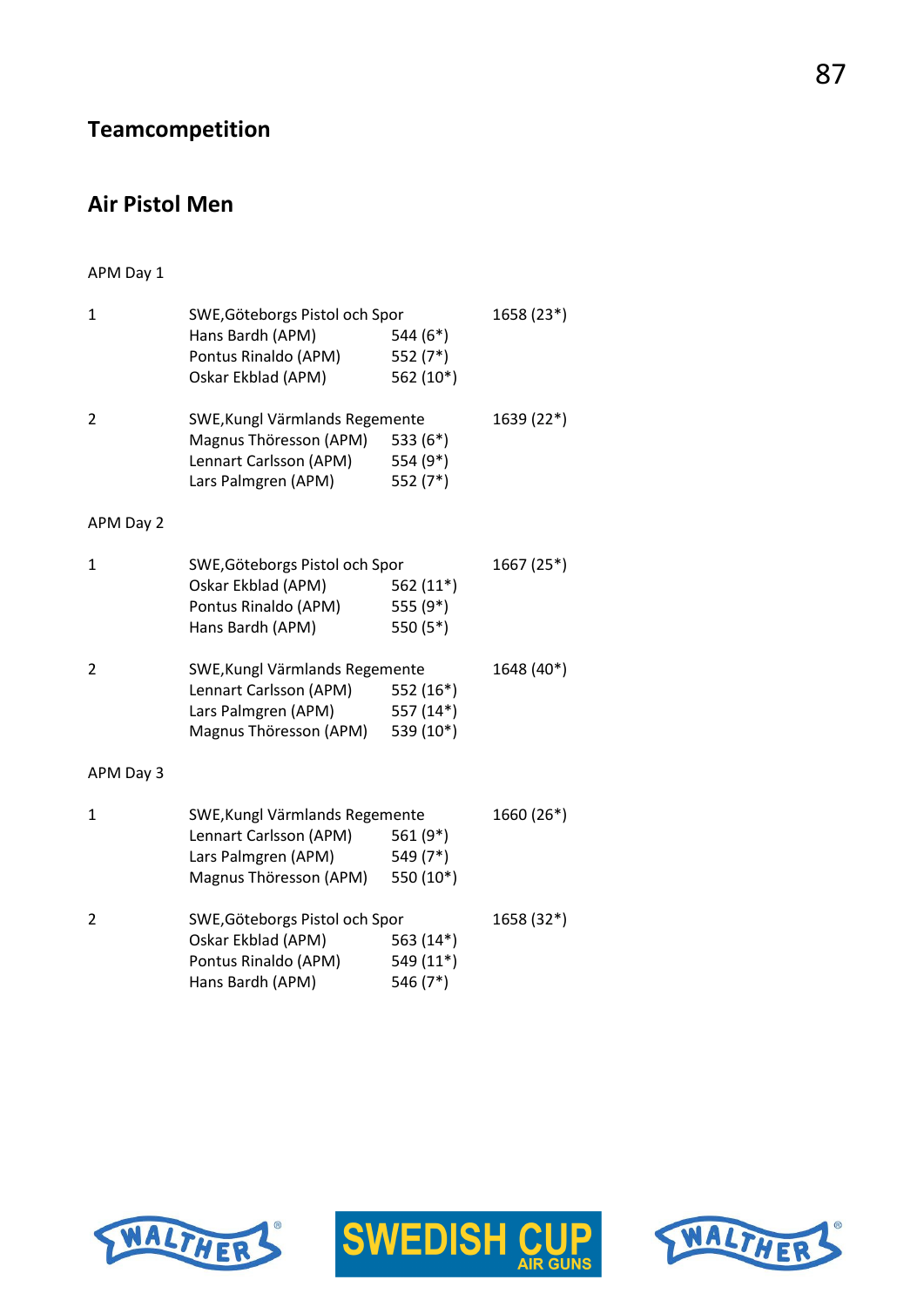# **Teamcompetition**

# **Air Pistol Men**

### APM Day 1

| $\overline{1}$ | SWE, Göteborgs Pistol och Spor<br>Hans Bardh (APM)<br>Pontus Rinaldo (APM) | 544 (6*)<br>552 $(7^*)$ | 1658 (23*) |
|----------------|----------------------------------------------------------------------------|-------------------------|------------|
|                | Oskar Ekblad (APM)                                                         | 562 (10*)               |            |
| 2              | SWE, Kungl Värmlands Regemente                                             | 1639 (22*)              |            |
|                | Magnus Thöresson (APM)                                                     | 533 $(6*)$              |            |
|                | Lennart Carlsson (APM)                                                     | 554 (9*)                |            |
|                | Lars Palmgren (APM)                                                        | 552 (7*)                |            |
| APM Day 2      |                                                                            |                         |            |
| 1              | SWE, Göteborgs Pistol och Spor                                             |                         | 1667 (25*) |
|                | Oskar Ekblad (APM)                                                         | 562 $(11*)$             |            |
|                | Pontus Rinaldo (APM)                                                       | 555 (9*)                |            |
|                | Hans Bardh (APM)                                                           | 550 (5*)                |            |
| 2              | SWE, Kungl Värmlands Regemente                                             |                         | 1648 (40*) |
|                | Lennart Carlsson (APM) 552 (16*)                                           |                         |            |
|                | Lars Palmgren (APM)                                                        | 557 (14*)               |            |
|                | Magnus Thöresson (APM)                                                     | 539 (10*)               |            |
| APM Day 3      |                                                                            |                         |            |
| 1              | SWE, Kungl Värmlands Regemente                                             |                         | 1660 (26*) |
|                | Lennart Carlsson (APM)                                                     | 561 (9*)                |            |
|                | Lars Palmgren (APM) 549 (7*)                                               |                         |            |
|                | Magnus Thöresson (APM)                                                     | 550 (10*)               |            |
| 2              | SWE, Göteborgs Pistol och Spor                                             |                         | 1658 (32*) |
|                | Oskar Ekblad (APM)                                                         | 563 (14*)               |            |
|                | Pontus Rinaldo (APM)                                                       | 549 (11*)               |            |
|                | Hans Bardh (APM)                                                           | 546 (7*)                |            |





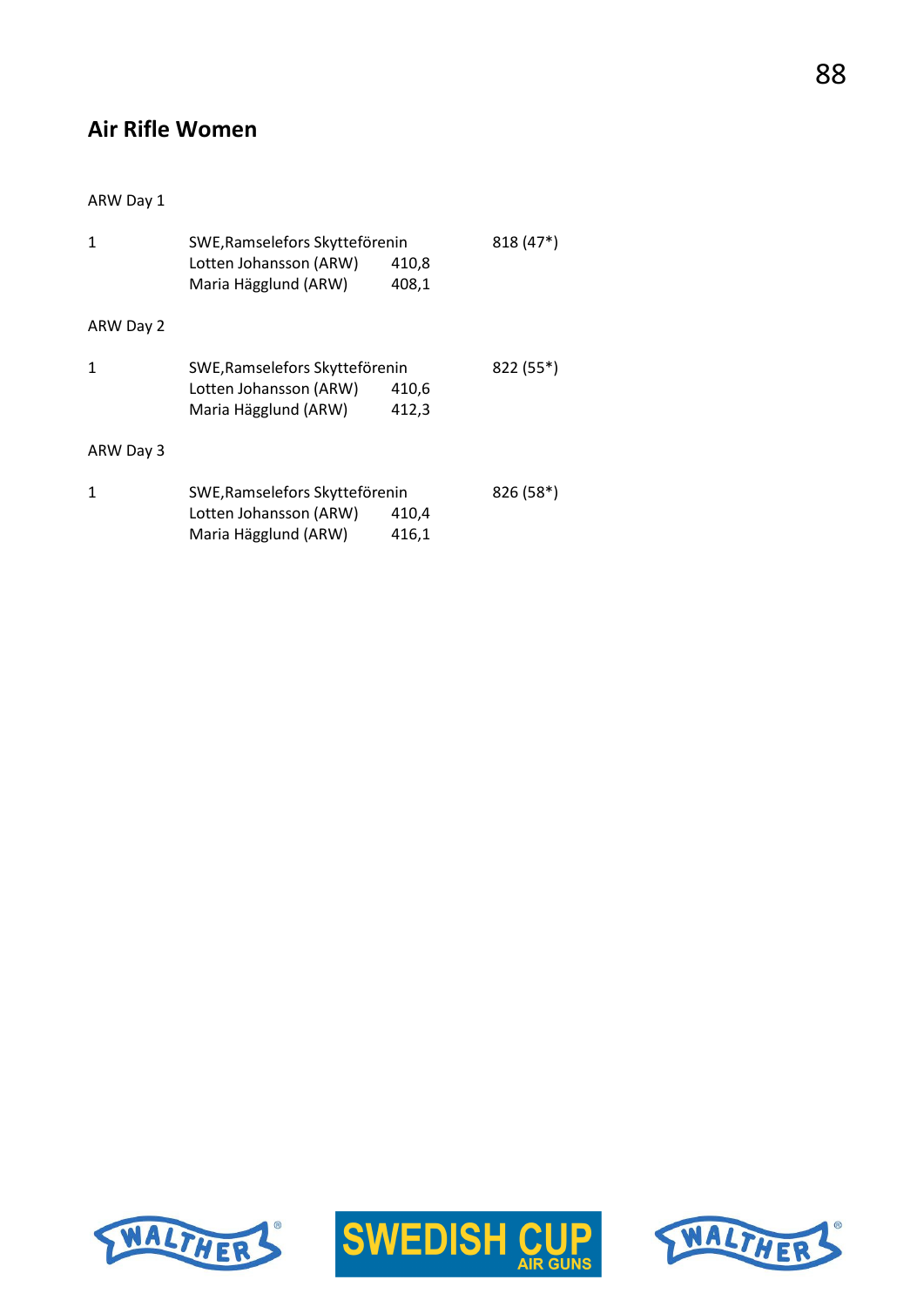# **Air Rifle Women**

#### ARW Day 1

|           | SWE, Ramselefors Skytteförenin<br>Lotten Johansson (ARW)<br>Maria Hägglund (ARW)                   | 410,8<br>408,1 | $818(47*)$ |
|-----------|----------------------------------------------------------------------------------------------------|----------------|------------|
| ARW Day 2 |                                                                                                    |                |            |
| 1         | SWE, Ramselefors Skytteförenin<br>Lotten Johansson (ARW)<br>Maria Hägglund (ARW)                   | 410,6<br>412,3 | 822 (55*)  |
| ARW Day 3 |                                                                                                    |                |            |
| 1         | SWE, Ramselefors Skytteförenin<br>Lotten Johansson (ARW)<br>410,4<br>Maria Hägglund (ARW)<br>416,1 |                | $826(58*)$ |





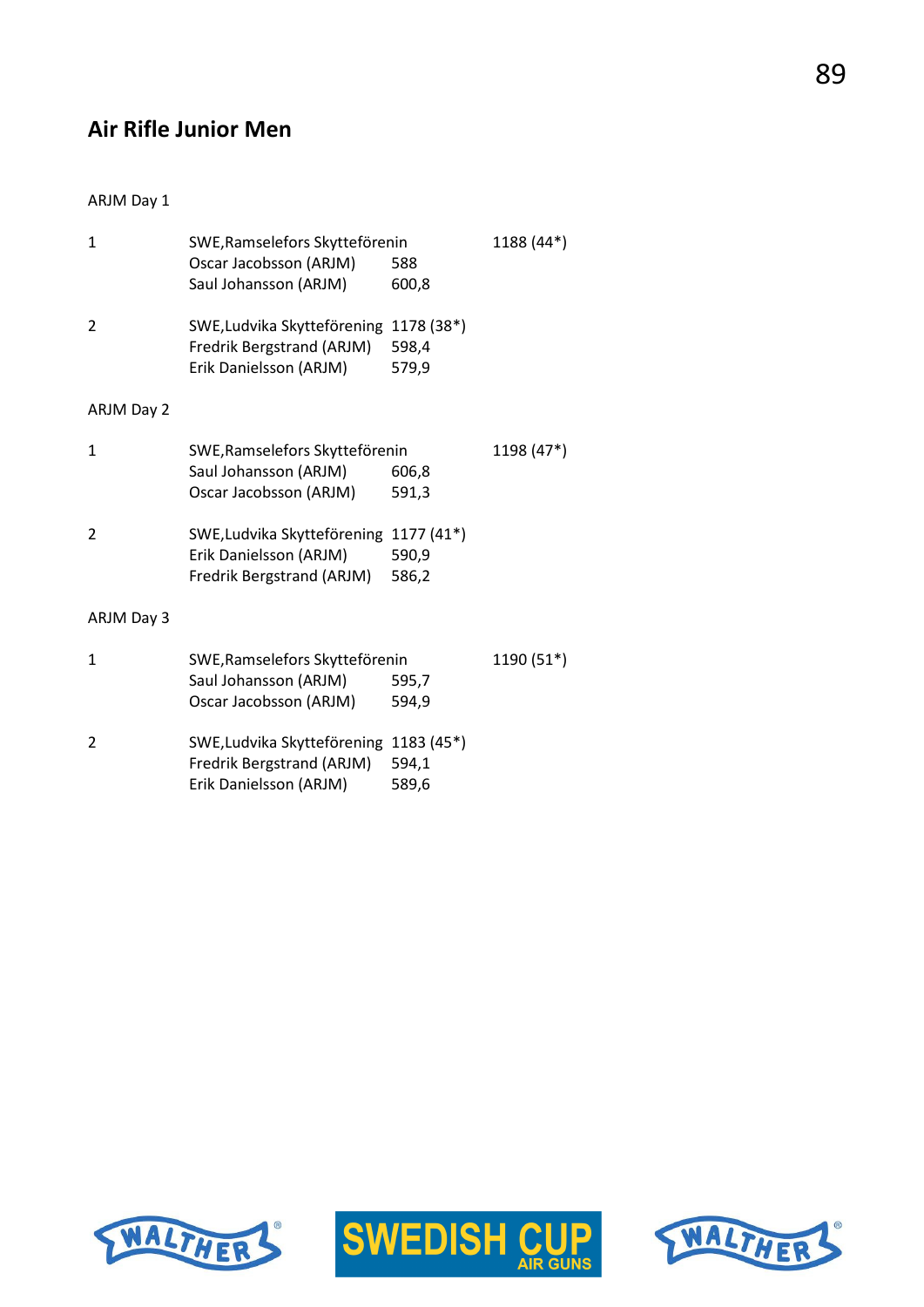# **Air Rifle Junior Men**

#### ARJM Day 1

| $\mathbf{1}$ | SWE, Ramselefors Skytteförenin<br>Oscar Jacobsson (ARJM)<br>Saul Johansson (ARJM)             | 588<br>600,8                 | 1188 (44*) |
|--------------|-----------------------------------------------------------------------------------------------|------------------------------|------------|
| 2            | SWE, Ludvika Skytteförening<br>Fredrik Bergstrand (ARJM)<br>Erik Danielsson (ARJM)            | 1178 (38*)<br>598,4<br>579,9 |            |
| ARJM Day 2   |                                                                                               |                              |            |
| $\mathbf{1}$ | SWE, Ramselefors Skytteförenin<br>Saul Johansson (ARJM)<br>Oscar Jacobsson (ARJM)             | 606,8<br>591,3               | 1198 (47*) |
| 2            | SWE, Ludvika Skytteförening 1177 (41*)<br>Erik Danielsson (ARJM)<br>Fredrik Bergstrand (ARJM) | 590,9<br>586,2               |            |
| ARJM Day 3   |                                                                                               |                              |            |
| 1            | SWE, Ramselefors Skytteförenin<br>Saul Johansson (ARJM)<br>Oscar Jacobsson (ARJM)             | 595,7<br>594,9               | 1190 (51*) |
| 2            | SWE, Ludvika Skytteförening 1183 (45*)<br>Fredrik Bergstrand (ARJM)<br>Erik Danielsson (ARJM) | 594,1<br>589,6               |            |





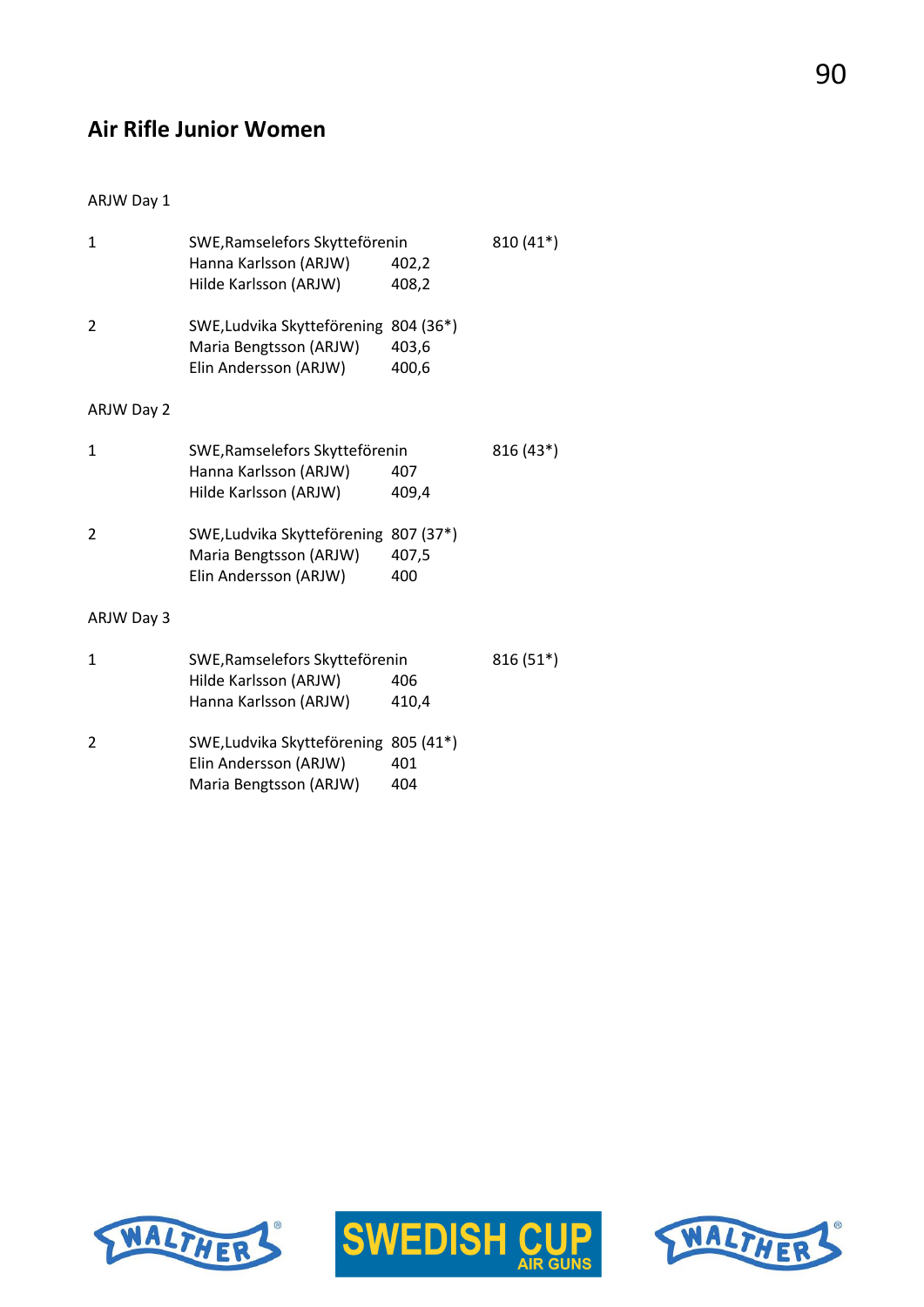# **Air Rifle Junior Women**

#### ARJW Day 1

| 1              | SWE, Ramselefors Skytteförenin<br>810 (41*) |       |            |
|----------------|---------------------------------------------|-------|------------|
|                | Hanna Karlsson (ARJW)                       | 402,2 |            |
|                | Hilde Karlsson (ARJW)                       | 408,2 |            |
| $\overline{2}$ | SWE, Ludvika Skytteförening 804 (36*)       |       |            |
|                | Maria Bengtsson (ARJW)                      | 403,6 |            |
|                | Elin Andersson (ARJW)                       | 400,6 |            |
| ARJW Day 2     |                                             |       |            |
| $\mathbf{1}$   | SWE, Ramselefors Skytteförenin              |       | 816 (43*)  |
|                | Hanna Karlsson (ARJW)                       | 407   |            |
|                | Hilde Karlsson (ARJW)                       | 409,4 |            |
| 2              | SWE, Ludvika Skytteförening 807 (37*)       |       |            |
|                | Maria Bengtsson (ARJW)                      | 407,5 |            |
|                | Elin Andersson (ARJW)                       | 400   |            |
| ARJW Day 3     |                                             |       |            |
| 1              | SWE, Ramselefors Skytteförenin              |       | $816(51*)$ |
|                | Hilde Karlsson (ARJW)                       | 406   |            |
|                | Hanna Karlsson (ARJW)                       | 410,4 |            |
| $\overline{2}$ | SWE, Ludvika Skytteförening 805 (41*)       |       |            |
|                | Elin Andersson (ARJW)                       | 401   |            |
|                | Maria Bengtsson (ARJW)                      | 404   |            |
|                |                                             |       |            |